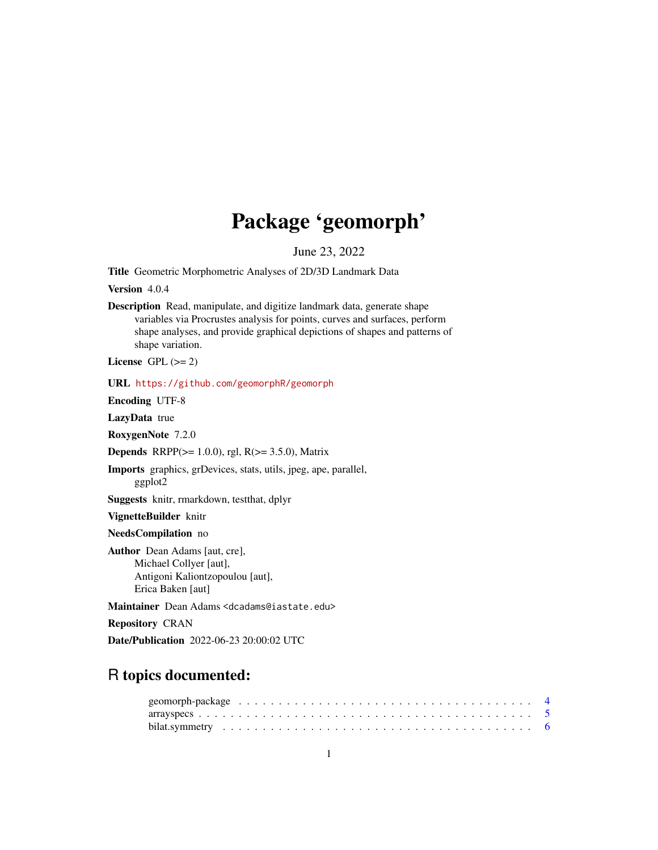# Package 'geomorph'

June 23, 2022

<span id="page-0-0"></span>Title Geometric Morphometric Analyses of 2D/3D Landmark Data

Version 4.0.4

Description Read, manipulate, and digitize landmark data, generate shape variables via Procrustes analysis for points, curves and surfaces, perform shape analyses, and provide graphical depictions of shapes and patterns of shape variation.

License GPL  $(>= 2)$ 

URL <https://github.com/geomorphR/geomorph>

Encoding UTF-8

LazyData true

RoxygenNote 7.2.0

**Depends** RRPP( $>= 1.0.0$ ), rgl, R( $>= 3.5.0$ ), Matrix

Imports graphics, grDevices, stats, utils, jpeg, ape, parallel, ggplot2

Suggests knitr, rmarkdown, testthat, dplyr

VignetteBuilder knitr

NeedsCompilation no

Author Dean Adams [aut, cre], Michael Collyer [aut], Antigoni Kaliontzopoulou [aut], Erica Baken [aut]

Maintainer Dean Adams <dcadams@iastate.edu>

Repository CRAN

Date/Publication 2022-06-23 20:00:02 UTC

# R topics documented: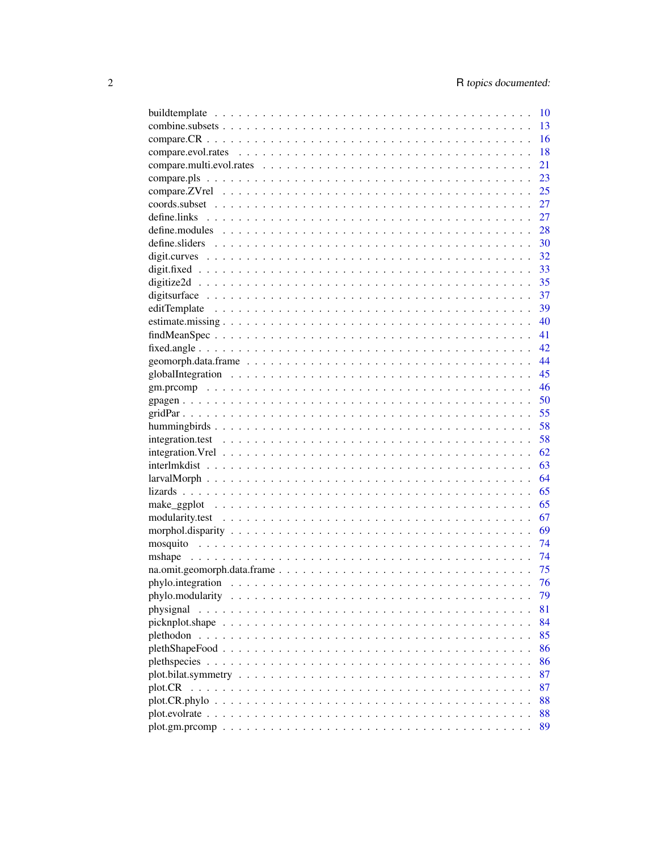|                 | 10 |
|-----------------|----|
|                 | 13 |
|                 | 16 |
|                 | 18 |
|                 | 21 |
|                 | 23 |
|                 | 25 |
|                 | 27 |
|                 | 27 |
|                 | 28 |
|                 | 30 |
|                 | 32 |
|                 | 33 |
|                 | 35 |
|                 | 37 |
|                 | 39 |
|                 | 40 |
|                 | 41 |
|                 | 42 |
|                 | 44 |
|                 | 45 |
|                 | 46 |
|                 | 50 |
|                 | 55 |
|                 | 58 |
|                 | 58 |
|                 | 62 |
|                 | 63 |
|                 | 64 |
|                 | 65 |
|                 | 65 |
|                 | 67 |
|                 | 69 |
|                 | 74 |
|                 | 74 |
|                 | 75 |
|                 | 76 |
|                 | 79 |
| physignal       | 81 |
|                 | 84 |
| picknplot.shape | 85 |
|                 | 86 |
|                 |    |
|                 | 86 |
|                 | 87 |
| plot.CR         | 87 |
|                 | 88 |
|                 | 88 |
|                 | 89 |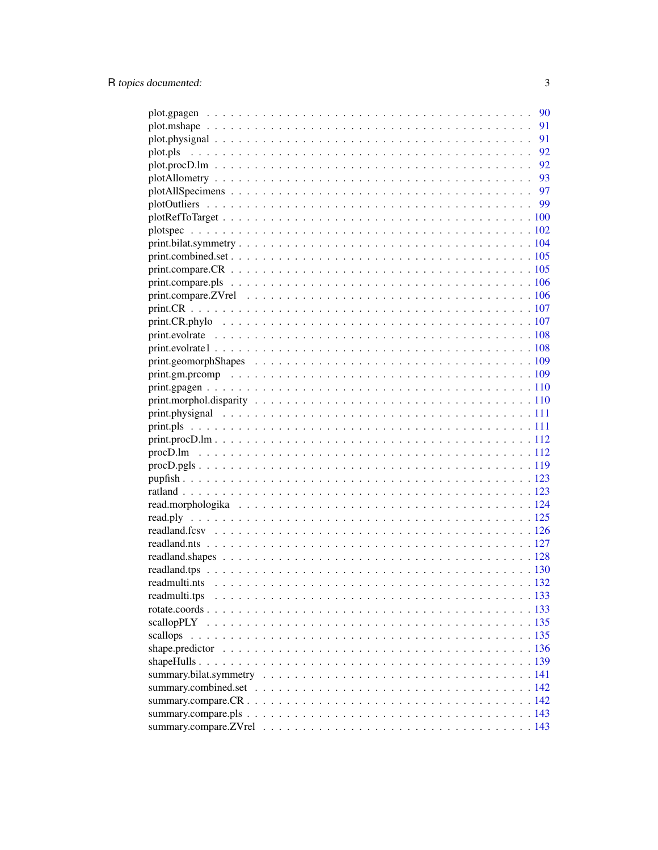|               | 90 |
|---------------|----|
|               | 91 |
|               | 91 |
| plot.pls      |    |
|               |    |
|               |    |
|               |    |
|               |    |
|               |    |
|               |    |
|               |    |
|               |    |
|               |    |
|               |    |
|               |    |
|               |    |
|               |    |
|               |    |
|               |    |
|               |    |
|               |    |
|               |    |
|               |    |
|               |    |
|               |    |
|               |    |
|               |    |
|               |    |
|               |    |
|               |    |
|               |    |
|               |    |
|               |    |
|               |    |
|               |    |
|               |    |
|               |    |
| readmulti.tps |    |
|               |    |
|               |    |
| scallops      |    |
|               |    |
|               |    |
|               |    |
|               |    |
|               |    |
|               |    |
|               |    |
|               |    |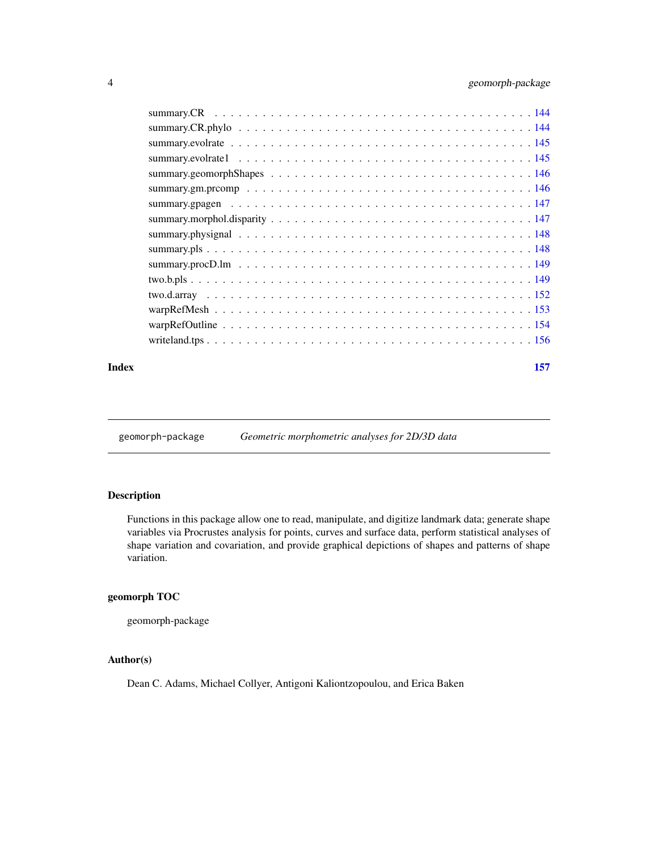<span id="page-3-0"></span>

#### **Index** [157](#page-156-0)

geomorph-package *Geometric morphometric analyses for 2D/3D data*

# Description

Functions in this package allow one to read, manipulate, and digitize landmark data; generate shape variables via Procrustes analysis for points, curves and surface data, perform statistical analyses of shape variation and covariation, and provide graphical depictions of shapes and patterns of shape variation.

# geomorph TOC

geomorph-package

# Author(s)

Dean C. Adams, Michael Collyer, Antigoni Kaliontzopoulou, and Erica Baken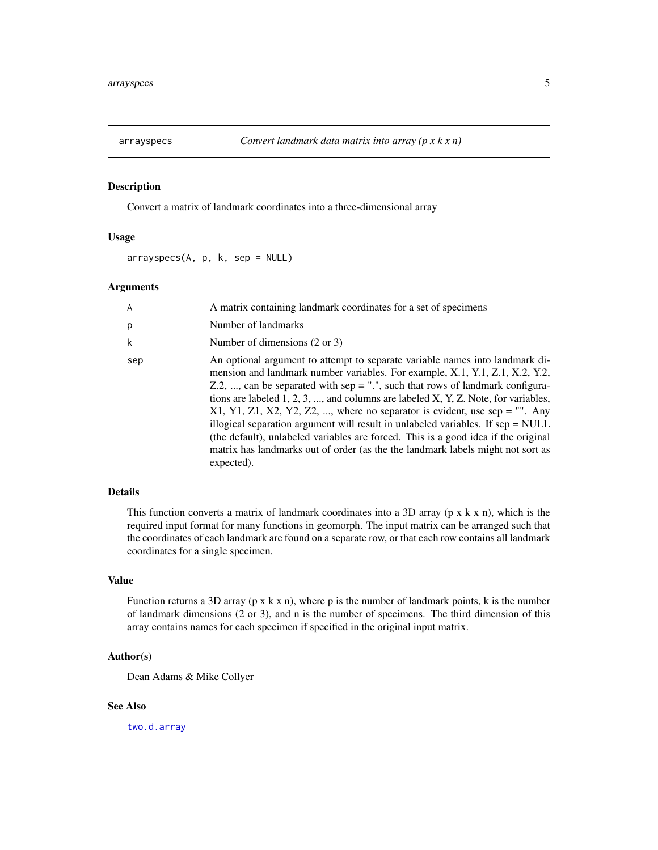<span id="page-4-0"></span>

# Description

Convert a matrix of landmark coordinates into a three-dimensional array

# Usage

 $arrayspecs(A, p, k, sep = NULL)$ 

# Arguments

| A   | A matrix containing landmark coordinates for a set of specimens                                                                                                                                                                                                                                                                                                                                                                                                                                                                                                                                                                                                                                                 |
|-----|-----------------------------------------------------------------------------------------------------------------------------------------------------------------------------------------------------------------------------------------------------------------------------------------------------------------------------------------------------------------------------------------------------------------------------------------------------------------------------------------------------------------------------------------------------------------------------------------------------------------------------------------------------------------------------------------------------------------|
| p   | Number of landmarks                                                                                                                                                                                                                                                                                                                                                                                                                                                                                                                                                                                                                                                                                             |
| k   | Number of dimensions $(2 \text{ or } 3)$                                                                                                                                                                                                                                                                                                                                                                                                                                                                                                                                                                                                                                                                        |
| sep | An optional argument to attempt to separate variable names into landmark di-<br>mension and landmark number variables. For example, X.1, Y.1, Z.1, X.2, Y.2,<br>Z.2, , can be separated with sep = ".", such that rows of landmark configura-<br>tions are labeled $1, 2, 3, \ldots$ , and columns are labeled X, Y, Z. Note, for variables,<br>$X1, Y1, Z1, X2, Y2, Z2, \ldots$ , where no separator is evident, use sep = "". Any<br>illogical separation argument will result in unlabeled variables. If $sep = NULL$<br>(the default), unlabeled variables are forced. This is a good idea if the original<br>matrix has landmarks out of order (as the the landmark labels might not sort as<br>expected). |

#### Details

This function converts a matrix of landmark coordinates into a 3D array ( $p \times k \times n$ ), which is the required input format for many functions in geomorph. The input matrix can be arranged such that the coordinates of each landmark are found on a separate row, or that each row contains all landmark coordinates for a single specimen.

#### Value

Function returns a 3D array (p x k x n), where p is the number of landmark points, k is the number of landmark dimensions (2 or 3), and n is the number of specimens. The third dimension of this array contains names for each specimen if specified in the original input matrix.

# Author(s)

Dean Adams & Mike Collyer

# See Also

[two.d.array](#page-151-1)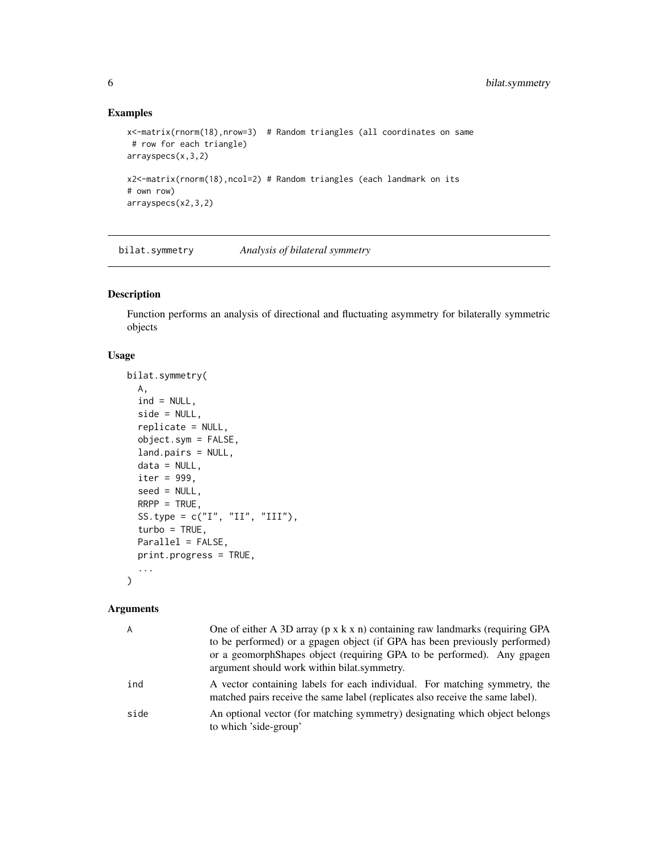# Examples

```
x<-matrix(rnorm(18),nrow=3) # Random triangles (all coordinates on same
# row for each triangle)
arrayspecs(x,3,2)
x2<-matrix(rnorm(18),ncol=2) # Random triangles (each landmark on its
# own row)
arrayspecs(x2,3,2)
```
<span id="page-5-1"></span>bilat.symmetry *Analysis of bilateral symmetry*

# Description

Function performs an analysis of directional and fluctuating asymmetry for bilaterally symmetric objects

# Usage

```
bilat.symmetry(
  A,
  ind = NULL,side = NULL,
  replicate = NULL,
  object.sym = FALSE,
  land.pairs = NULL,
  data = NULL,iter = 999,
  seed = NULL,
 RRPP = TRUE,
  SS.type = c("I", "II", "III"),turbo = TRUE,Parallel = FALSE,
 print.progress = TRUE,
  ...
\mathcal{L}
```
# Arguments

| $\overline{A}$ | One of either A 3D array ( $p \times k \times n$ ) containing raw landmarks (requiring GPA<br>to be performed) or a gpagen object (if GPA has been previously performed)<br>or a geomorphShapes object (requiring GPA to be performed). Any gpagen<br>argument should work within bilat symmetry. |
|----------------|---------------------------------------------------------------------------------------------------------------------------------------------------------------------------------------------------------------------------------------------------------------------------------------------------|
| ind            | A vector containing labels for each individual. For matching symmetry, the<br>matched pairs receive the same label (replicates also receive the same label).                                                                                                                                      |
| side           | An optional vector (for matching symmetry) designating which object belongs<br>to which 'side-group'                                                                                                                                                                                              |

<span id="page-5-0"></span>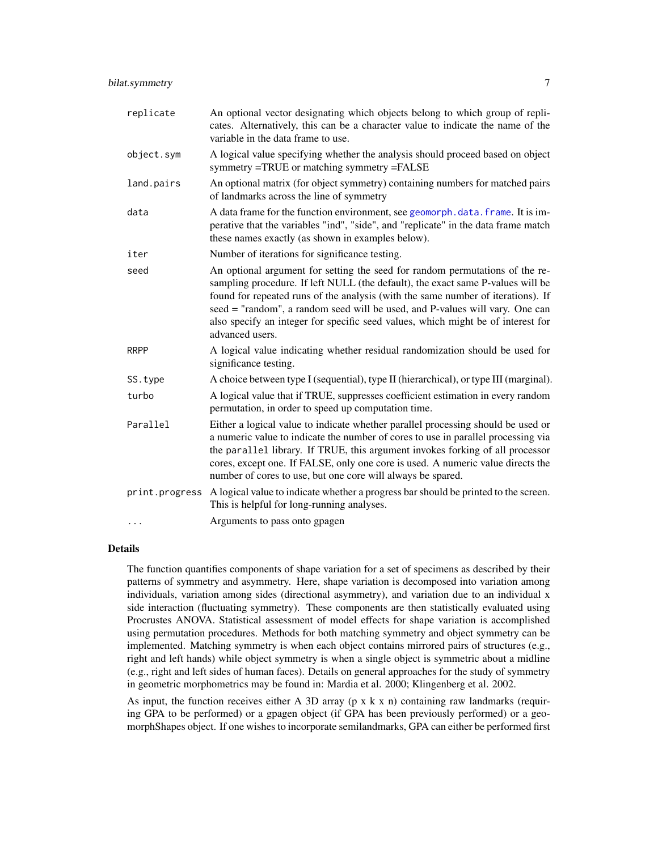| replicate      | An optional vector designating which objects belong to which group of repli-<br>cates. Alternatively, this can be a character value to indicate the name of the<br>variable in the data frame to use.                                                                                                                                                                                                                                      |
|----------------|--------------------------------------------------------------------------------------------------------------------------------------------------------------------------------------------------------------------------------------------------------------------------------------------------------------------------------------------------------------------------------------------------------------------------------------------|
| object.sym     | A logical value specifying whether the analysis should proceed based on object<br>symmetry =TRUE or matching symmetry =FALSE                                                                                                                                                                                                                                                                                                               |
| land.pairs     | An optional matrix (for object symmetry) containing numbers for matched pairs<br>of landmarks across the line of symmetry                                                                                                                                                                                                                                                                                                                  |
| data           | A data frame for the function environment, see geomorph. data. frame. It is im-<br>perative that the variables "ind", "side", and "replicate" in the data frame match<br>these names exactly (as shown in examples below).                                                                                                                                                                                                                 |
| iter           | Number of iterations for significance testing.                                                                                                                                                                                                                                                                                                                                                                                             |
| seed           | An optional argument for setting the seed for random permutations of the re-<br>sampling procedure. If left NULL (the default), the exact same P-values will be<br>found for repeated runs of the analysis (with the same number of iterations). If<br>seed = "random", a random seed will be used, and P-values will vary. One can<br>also specify an integer for specific seed values, which might be of interest for<br>advanced users. |
| <b>RRPP</b>    | A logical value indicating whether residual randomization should be used for<br>significance testing.                                                                                                                                                                                                                                                                                                                                      |
| SS.type        | A choice between type I (sequential), type II (hierarchical), or type III (marginal).                                                                                                                                                                                                                                                                                                                                                      |
| turbo          | A logical value that if TRUE, suppresses coefficient estimation in every random<br>permutation, in order to speed up computation time.                                                                                                                                                                                                                                                                                                     |
| Parallel       | Either a logical value to indicate whether parallel processing should be used or<br>a numeric value to indicate the number of cores to use in parallel processing via<br>the parallel library. If TRUE, this argument invokes forking of all processor<br>cores, except one. If FALSE, only one core is used. A numeric value directs the<br>number of cores to use, but one core will always be spared.                                   |
| print.progress | A logical value to indicate whether a progress bar should be printed to the screen.<br>This is helpful for long-running analyses.                                                                                                                                                                                                                                                                                                          |
| .              | Arguments to pass onto gpagen                                                                                                                                                                                                                                                                                                                                                                                                              |

# Details

The function quantifies components of shape variation for a set of specimens as described by their patterns of symmetry and asymmetry. Here, shape variation is decomposed into variation among individuals, variation among sides (directional asymmetry), and variation due to an individual x side interaction (fluctuating symmetry). These components are then statistically evaluated using Procrustes ANOVA. Statistical assessment of model effects for shape variation is accomplished using permutation procedures. Methods for both matching symmetry and object symmetry can be implemented. Matching symmetry is when each object contains mirrored pairs of structures (e.g., right and left hands) while object symmetry is when a single object is symmetric about a midline (e.g., right and left sides of human faces). Details on general approaches for the study of symmetry in geometric morphometrics may be found in: Mardia et al. 2000; Klingenberg et al. 2002.

As input, the function receives either A 3D array ( $p \times k \times n$ ) containing raw landmarks (requiring GPA to be performed) or a gpagen object (if GPA has been previously performed) or a geomorphShapes object. If one wishes to incorporate semilandmarks, GPA can either be performed first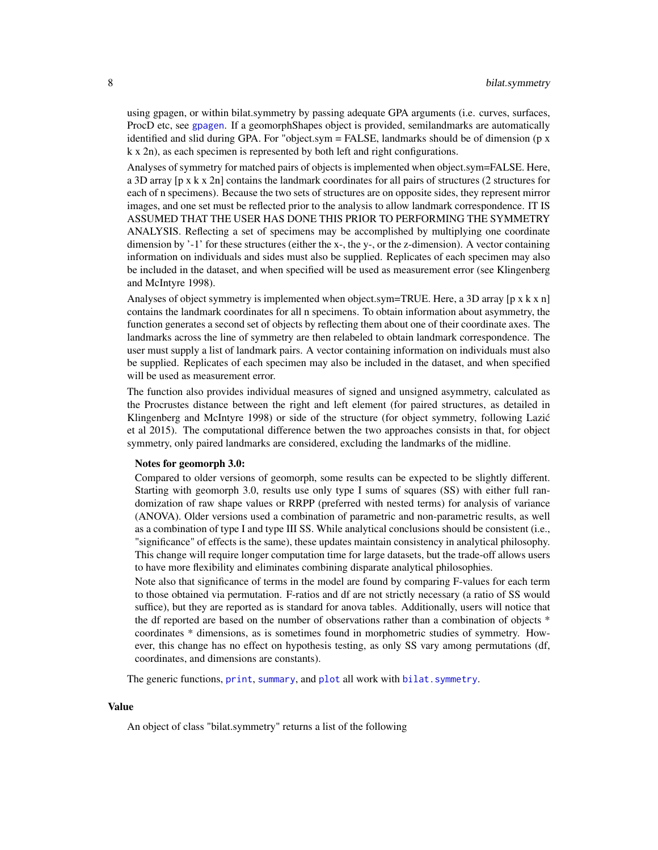using gpagen, or within bilat.symmetry by passing adequate GPA arguments (i.e. curves, surfaces, ProcD etc, see [gpagen](#page-49-1). If a geomorphShapes object is provided, semilandmarks are automatically identified and slid during GPA. For "object.sym = FALSE, landmarks should be of dimension (p x k x 2n), as each specimen is represented by both left and right configurations.

Analyses of symmetry for matched pairs of objects is implemented when object.sym=FALSE. Here, a 3D array [p x k x 2n] contains the landmark coordinates for all pairs of structures (2 structures for each of n specimens). Because the two sets of structures are on opposite sides, they represent mirror images, and one set must be reflected prior to the analysis to allow landmark correspondence. IT IS ASSUMED THAT THE USER HAS DONE THIS PRIOR TO PERFORMING THE SYMMETRY ANALYSIS. Reflecting a set of specimens may be accomplished by multiplying one coordinate dimension by  $-1$  for these structures (either the x-, the y-, or the z-dimension). A vector containing information on individuals and sides must also be supplied. Replicates of each specimen may also be included in the dataset, and when specified will be used as measurement error (see Klingenberg and McIntyre 1998).

Analyses of object symmetry is implemented when object.sym=TRUE. Here, a 3D array [p x k x n] contains the landmark coordinates for all n specimens. To obtain information about asymmetry, the function generates a second set of objects by reflecting them about one of their coordinate axes. The landmarks across the line of symmetry are then relabeled to obtain landmark correspondence. The user must supply a list of landmark pairs. A vector containing information on individuals must also be supplied. Replicates of each specimen may also be included in the dataset, and when specified will be used as measurement error.

The function also provides individual measures of signed and unsigned asymmetry, calculated as the Procrustes distance between the right and left element (for paired structures, as detailed in Klingenberg and McIntyre 1998) or side of the structure (for object symmetry, following Lazic´ et al 2015). The computational difference betwen the two approaches consists in that, for object symmetry, only paired landmarks are considered, excluding the landmarks of the midline.

#### Notes for geomorph 3.0:

Compared to older versions of geomorph, some results can be expected to be slightly different. Starting with geomorph 3.0, results use only type I sums of squares (SS) with either full randomization of raw shape values or RRPP (preferred with nested terms) for analysis of variance (ANOVA). Older versions used a combination of parametric and non-parametric results, as well as a combination of type I and type III SS. While analytical conclusions should be consistent (i.e., "significance" of effects is the same), these updates maintain consistency in analytical philosophy. This change will require longer computation time for large datasets, but the trade-off allows users to have more flexibility and eliminates combining disparate analytical philosophies.

Note also that significance of terms in the model are found by comparing F-values for each term to those obtained via permutation. F-ratios and df are not strictly necessary (a ratio of SS would suffice), but they are reported as is standard for anova tables. Additionally, users will notice that the df reported are based on the number of observations rather than a combination of objects \* coordinates \* dimensions, as is sometimes found in morphometric studies of symmetry. However, this change has no effect on hypothesis testing, as only SS vary among permutations (df, coordinates, and dimensions are constants).

The generic functions, [print](#page-0-0), [summary](#page-0-0), and [plot](#page-0-0) all work with bilat. symmetry.

#### Value

An object of class "bilat.symmetry" returns a list of the following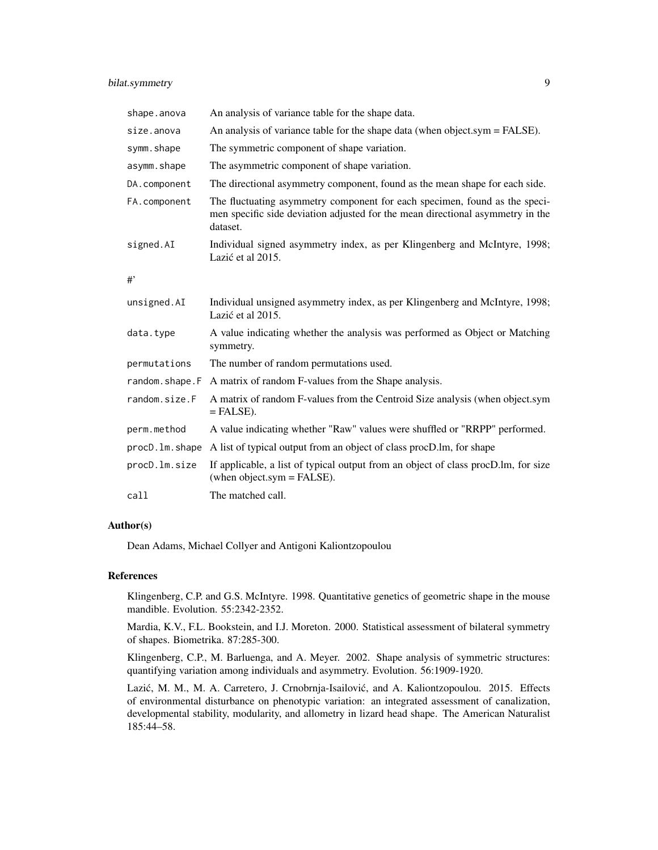| shape.anova    | An analysis of variance table for the shape data.                                                                                                                        |
|----------------|--------------------------------------------------------------------------------------------------------------------------------------------------------------------------|
| size.anova     | An analysis of variance table for the shape data (when object.sym = FALSE).                                                                                              |
| symm.shape     | The symmetric component of shape variation.                                                                                                                              |
| asymm.shape    | The asymmetric component of shape variation.                                                                                                                             |
| DA.component   | The directional asymmetry component, found as the mean shape for each side.                                                                                              |
| FA.component   | The fluctuating asymmetry component for each specimen, found as the speci-<br>men specific side deviation adjusted for the mean directional asymmetry in the<br>dataset. |
| signed.AI      | Individual signed asymmetry index, as per Klingenberg and McIntyre, 1998;<br>Lazić et al 2015.                                                                           |
| #              |                                                                                                                                                                          |
| unsigned.AI    | Individual unsigned asymmetry index, as per Klingenberg and McIntyre, 1998;<br>Lazić et al 2015.                                                                         |
| data.type      | A value indicating whether the analysis was performed as Object or Matching<br>symmetry.                                                                                 |
| permutations   | The number of random permutations used.                                                                                                                                  |
| random.shape.F | A matrix of random F-values from the Shape analysis.                                                                                                                     |
| random.size.F  | A matrix of random F-values from the Centroid Size analysis (when object.sym<br>$=$ FALSE).                                                                              |
| perm.method    | A value indicating whether "Raw" values were shuffled or "RRPP" performed.                                                                                               |
|                | procD. Im. shape A list of typical output from an object of class procD. Im, for shape                                                                                   |
| procD.lm.size  | If applicable, a list of typical output from an object of class procD.lm, for size<br>(when object.sym = $FALSE$ ).                                                      |
| call           | The matched call.                                                                                                                                                        |

# Author(s)

Dean Adams, Michael Collyer and Antigoni Kaliontzopoulou

# References

Klingenberg, C.P. and G.S. McIntyre. 1998. Quantitative genetics of geometric shape in the mouse mandible. Evolution. 55:2342-2352.

Mardia, K.V., F.L. Bookstein, and I.J. Moreton. 2000. Statistical assessment of bilateral symmetry of shapes. Biometrika. 87:285-300.

Klingenberg, C.P., M. Barluenga, and A. Meyer. 2002. Shape analysis of symmetric structures: quantifying variation among individuals and asymmetry. Evolution. 56:1909-1920.

Lazić, M. M., M. A. Carretero, J. Crnobrnja-Isailović, and A. Kaliontzopoulou. 2015. Effects of environmental disturbance on phenotypic variation: an integrated assessment of canalization, developmental stability, modularity, and allometry in lizard head shape. The American Naturalist 185:44–58.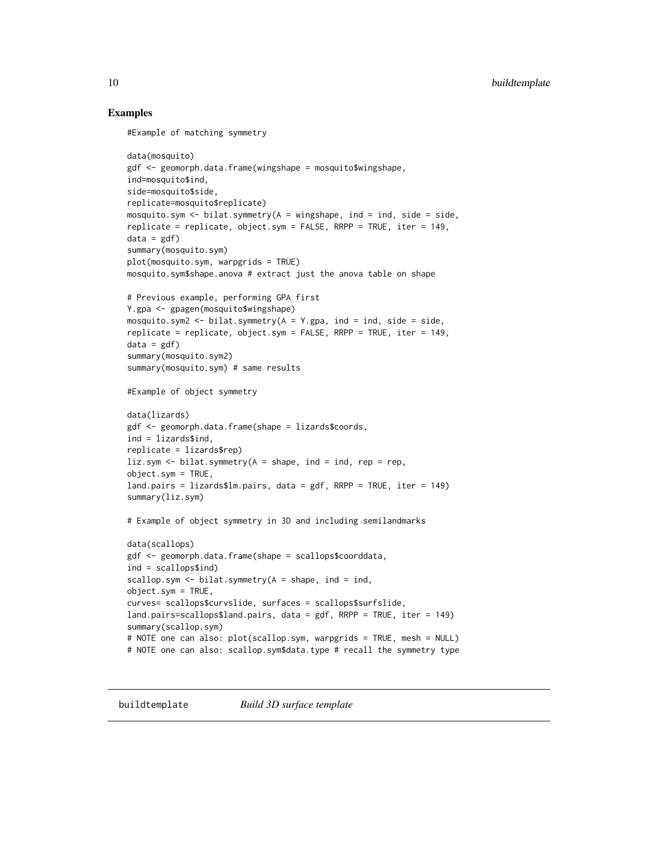# Examples

```
#Example of matching symmetry
data(mosquito)
gdf <- geomorph.data.frame(wingshape = mosquito$wingshape,
ind=mosquito$ind,
side=mosquito$side,
replicate=mosquito$replicate)
mosquito.sym \le bilat.symmetry(A = \text{wingshape}, \text{ind} = \text{ind}, \text{side} = \text{side},replicate = replicate, object.sym = FALSE, RRPP = TRUE, iter = 149,
data = gdf)
summary(mosquito.sym)
plot(mosquito.sym, warpgrids = TRUE)
mosquito.sym$shape.anova # extract just the anova table on shape
# Previous example, performing GPA first
Y.gpa <- gpagen(mosquito$wingshape)
mosquito.sym2 <- bilat.symmetry(A = Y.gpa, ind = ind, side = side,
replicate = replicate, object.sym = FALSE, RRPP = TRUE, iter = 149,
data = gdfsummary(mosquito.sym2)
summary(mosquito.sym) # same results
#Example of object symmetry
data(lizards)
gdf <- geomorph.data.frame(shape = lizards$coords,
ind = lizards$ind,
replicate = lizards$rep)
liz.sym \le bilat.symmetry(A = shape, ind = ind, rep = rep,
object.sym = TRUE,
land.pairs = lizards$lm.pairs, data = gdf, RRPP = TRUE, iter = 149)
summary(liz.sym)
# Example of object symmetry in 3D and including semilandmarks
data(scallops)
gdf <- geomorph.data.frame(shape = scallops$coorddata,
ind = scallops$ind)
scallop.sym \le bilat.symmetry(A = shape, ind = ind,
object.sym = TRUE,
curves= scallops$curvslide, surfaces = scallops$surfslide,
land.pairs=scallops$land.pairs, data = gdf, RRPP = TRUE, iter = 149)
summary(scallop.sym)
# NOTE one can also: plot(scallop.sym, warpgrids = TRUE, mesh = NULL)
# NOTE one can also: scallop.sym$data.type # recall the symmetry type
```
buildtemplate *Build 3D surface template*

<span id="page-9-0"></span>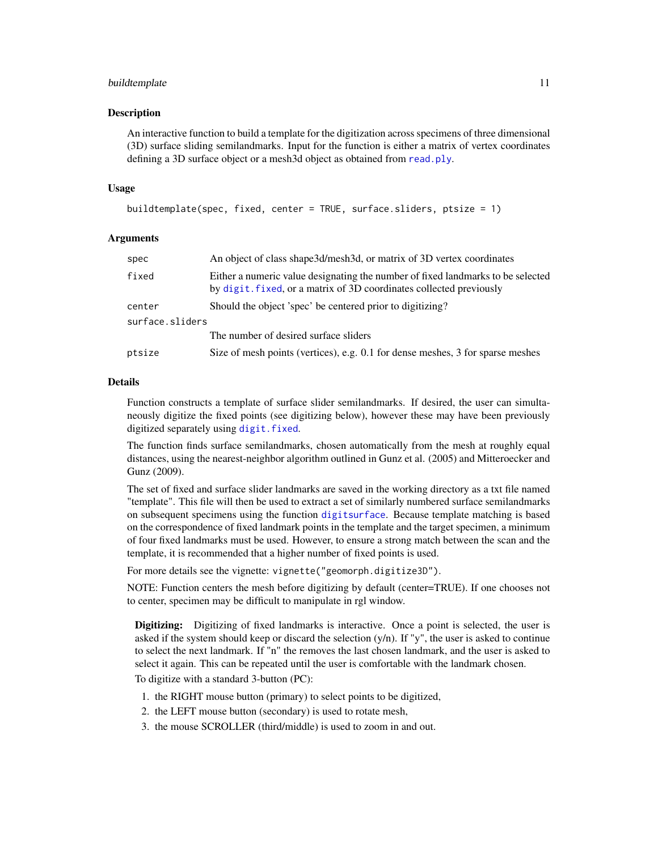#### buildtemplate 11

#### **Description**

An interactive function to build a template for the digitization across specimens of three dimensional (3D) surface sliding semilandmarks. Input for the function is either a matrix of vertex coordinates defining a 3D surface object or a mesh3d object as obtained from [read.ply](#page-124-1).

#### Usage

```
buildtemplate(spec, fixed, center = TRUE, surface.sliders, ptsize = 1)
```
#### Arguments

| An object of class shape 3d/mesh 3d, or matrix of 3D vertex coordinates<br>spec                                                                                 |  |
|-----------------------------------------------------------------------------------------------------------------------------------------------------------------|--|
| fixed<br>Either a numeric value designating the number of fixed landmarks to be selected<br>by digit, fixed, or a matrix of 3D coordinates collected previously |  |
| Should the object 'spec' be centered prior to digitizing?<br>center                                                                                             |  |
| surface.sliders                                                                                                                                                 |  |
| The number of desired surface sliders                                                                                                                           |  |
| Size of mesh points (vertices), e.g. 0.1 for dense meshes, 3 for sparse meshes<br>ptsize                                                                        |  |

#### Details

Function constructs a template of surface slider semilandmarks. If desired, the user can simultaneously digitize the fixed points (see digitizing below), however these may have been previously digitized separately using [digit.fixed](#page-32-1).

The function finds surface semilandmarks, chosen automatically from the mesh at roughly equal distances, using the nearest-neighbor algorithm outlined in Gunz et al. (2005) and Mitteroecker and Gunz (2009).

The set of fixed and surface slider landmarks are saved in the working directory as a txt file named "template". This file will then be used to extract a set of similarly numbered surface semilandmarks on subsequent specimens using the function [digitsurface](#page-36-1). Because template matching is based on the correspondence of fixed landmark points in the template and the target specimen, a minimum of four fixed landmarks must be used. However, to ensure a strong match between the scan and the template, it is recommended that a higher number of fixed points is used.

For more details see the vignette: vignette("geomorph.digitize3D").

NOTE: Function centers the mesh before digitizing by default (center=TRUE). If one chooses not to center, specimen may be difficult to manipulate in rgl window.

Digitizing: Digitizing of fixed landmarks is interactive. Once a point is selected, the user is asked if the system should keep or discard the selection  $(y/n)$ . If "y", the user is asked to continue to select the next landmark. If "n" the removes the last chosen landmark, and the user is asked to select it again. This can be repeated until the user is comfortable with the landmark chosen.

To digitize with a standard 3-button (PC):

- 1. the RIGHT mouse button (primary) to select points to be digitized,
- 2. the LEFT mouse button (secondary) is used to rotate mesh,
- 3. the mouse SCROLLER (third/middle) is used to zoom in and out.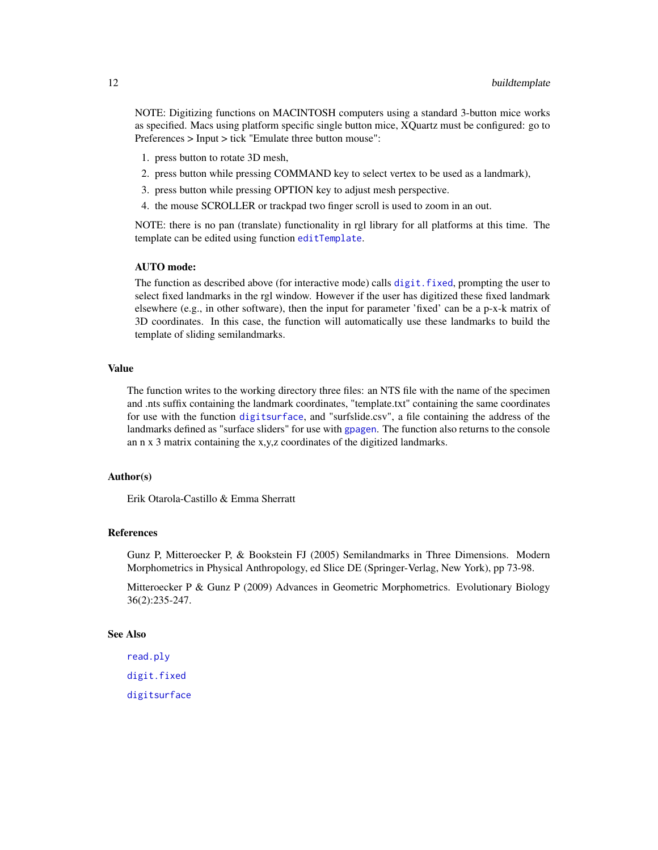NOTE: Digitizing functions on MACINTOSH computers using a standard 3-button mice works as specified. Macs using platform specific single button mice, XQuartz must be configured: go to Preferences > Input > tick "Emulate three button mouse":

- 1. press button to rotate 3D mesh,
- 2. press button while pressing COMMAND key to select vertex to be used as a landmark),
- 3. press button while pressing OPTION key to adjust mesh perspective.
- 4. the mouse SCROLLER or trackpad two finger scroll is used to zoom in an out.

NOTE: there is no pan (translate) functionality in rgl library for all platforms at this time. The template can be edited using function [editTemplate](#page-38-1).

# AUTO mode:

The function as described above (for interactive mode) calls [digit.fixed](#page-32-1), prompting the user to select fixed landmarks in the rgl window. However if the user has digitized these fixed landmark elsewhere (e.g., in other software), then the input for parameter 'fixed' can be a p-x-k matrix of 3D coordinates. In this case, the function will automatically use these landmarks to build the template of sliding semilandmarks.

#### Value

The function writes to the working directory three files: an NTS file with the name of the specimen and .nts suffix containing the landmark coordinates, "template.txt" containing the same coordinates for use with the function [digitsurface](#page-36-1), and "surfslide.csv", a file containing the address of the landmarks defined as "surface sliders" for use with [gpagen](#page-49-1). The function also returns to the console an n x 3 matrix containing the x,y,z coordinates of the digitized landmarks.

# Author(s)

Erik Otarola-Castillo & Emma Sherratt

#### References

Gunz P, Mitteroecker P, & Bookstein FJ (2005) Semilandmarks in Three Dimensions. Modern Morphometrics in Physical Anthropology, ed Slice DE (Springer-Verlag, New York), pp 73-98.

Mitteroecker P & Gunz P (2009) Advances in Geometric Morphometrics. Evolutionary Biology 36(2):235-247.

# See Also

[read.ply](#page-124-1) [digit.fixed](#page-32-1) [digitsurface](#page-36-1)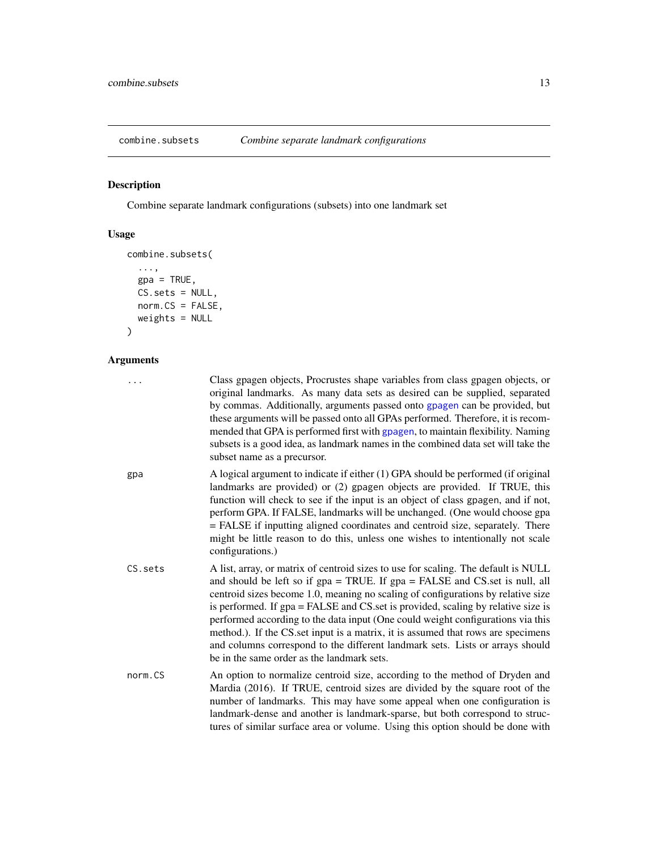<span id="page-12-0"></span>

# Description

Combine separate landmark configurations (subsets) into one landmark set

# Usage

```
combine.subsets(
  ...,
 gpa = TRUE,CS.sets = NULL,
 norm.CS = FALSE,
 weights = NULL
)
```
# Arguments

| .       | Class gpagen objects, Procrustes shape variables from class gpagen objects, or<br>original landmarks. As many data sets as desired can be supplied, separated<br>by commas. Additionally, arguments passed onto gpagen can be provided, but<br>these arguments will be passed onto all GPAs performed. Therefore, it is recom-<br>mended that GPA is performed first with gpagen, to maintain flexibility. Naming<br>subsets is a good idea, as landmark names in the combined data set will take the<br>subset name as a precursor.                                                                                                            |
|---------|-------------------------------------------------------------------------------------------------------------------------------------------------------------------------------------------------------------------------------------------------------------------------------------------------------------------------------------------------------------------------------------------------------------------------------------------------------------------------------------------------------------------------------------------------------------------------------------------------------------------------------------------------|
| gpa     | A logical argument to indicate if either (1) GPA should be performed (if original<br>landmarks are provided) or (2) gpagen objects are provided. If TRUE, this<br>function will check to see if the input is an object of class gpagen, and if not,<br>perform GPA. If FALSE, landmarks will be unchanged. (One would choose gpa<br>= FALSE if inputting aligned coordinates and centroid size, separately. There<br>might be little reason to do this, unless one wishes to intentionally not scale<br>configurations.)                                                                                                                        |
| CS.sets | A list, array, or matrix of centroid sizes to use for scaling. The default is NULL<br>and should be left so if gpa = TRUE. If gpa = FALSE and CS set is null, all<br>centroid sizes become 1.0, meaning no scaling of configurations by relative size<br>is performed. If gpa = FALSE and CS set is provided, scaling by relative size is<br>performed according to the data input (One could weight configurations via this<br>method.). If the CS set input is a matrix, it is assumed that rows are specimens<br>and columns correspond to the different landmark sets. Lists or arrays should<br>be in the same order as the landmark sets. |
| norm.CS | An option to normalize centroid size, according to the method of Dryden and<br>Mardia (2016). If TRUE, centroid sizes are divided by the square root of the<br>number of landmarks. This may have some appeal when one configuration is<br>landmark-dense and another is landmark-sparse, but both correspond to struc-<br>tures of similar surface area or volume. Using this option should be done with                                                                                                                                                                                                                                       |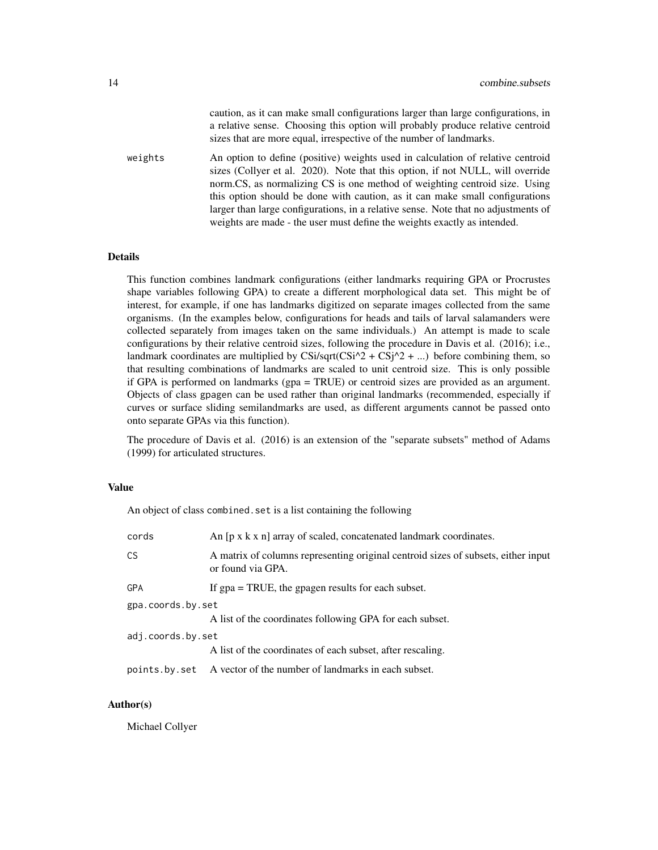caution, as it can make small configurations larger than large configurations, in a relative sense. Choosing this option will probably produce relative centroid sizes that are more equal, irrespective of the number of landmarks.

weights An option to define (positive) weights used in calculation of relative centroid sizes (Collyer et al. 2020). Note that this option, if not NULL, will override norm.CS, as normalizing CS is one method of weighting centroid size. Using this option should be done with caution, as it can make small configurations larger than large configurations, in a relative sense. Note that no adjustments of weights are made - the user must define the weights exactly as intended.

#### Details

This function combines landmark configurations (either landmarks requiring GPA or Procrustes shape variables following GPA) to create a different morphological data set. This might be of interest, for example, if one has landmarks digitized on separate images collected from the same organisms. (In the examples below, configurations for heads and tails of larval salamanders were collected separately from images taken on the same individuals.) An attempt is made to scale configurations by their relative centroid sizes, following the procedure in Davis et al. (2016); i.e., landmark coordinates are multiplied by CSi/sqrt(CSi^2 + CSj^2 + ...) before combining them, so that resulting combinations of landmarks are scaled to unit centroid size. This is only possible if GPA is performed on landmarks (gpa = TRUE) or centroid sizes are provided as an argument. Objects of class gpagen can be used rather than original landmarks (recommended, especially if curves or surface sliding semilandmarks are used, as different arguments cannot be passed onto onto separate GPAs via this function).

The procedure of Davis et al. (2016) is an extension of the "separate subsets" method of Adams (1999) for articulated structures.

#### Value

An object of class combined.set is a list containing the following

| cords             | An [p x k x n] array of scaled, concatenated landmark coordinates.                                     |
|-------------------|--------------------------------------------------------------------------------------------------------|
| CS                | A matrix of columns representing original centroid sizes of subsets, either input<br>or found via GPA. |
| <b>GPA</b>        | If $gpa = TRUE$ , the gpagen results for each subset.                                                  |
| gpa.coords.by.set |                                                                                                        |
|                   | A list of the coordinates following GPA for each subset.                                               |
| adj.coords.by.set |                                                                                                        |
|                   | A list of the coordinates of each subset, after rescaling.                                             |
| points.by.set     | A vector of the number of landmarks in each subset.                                                    |

# Author(s)

Michael Collyer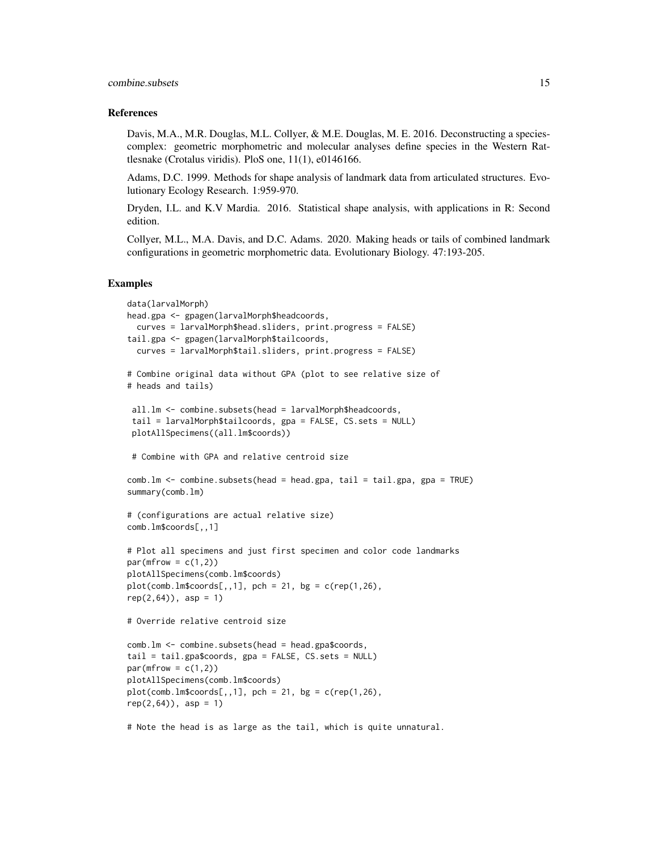#### References

Davis, M.A., M.R. Douglas, M.L. Collyer, & M.E. Douglas, M. E. 2016. Deconstructing a speciescomplex: geometric morphometric and molecular analyses define species in the Western Rattlesnake (Crotalus viridis). PloS one, 11(1), e0146166.

Adams, D.C. 1999. Methods for shape analysis of landmark data from articulated structures. Evolutionary Ecology Research. 1:959-970.

Dryden, I.L. and K.V Mardia. 2016. Statistical shape analysis, with applications in R: Second edition.

Collyer, M.L., M.A. Davis, and D.C. Adams. 2020. Making heads or tails of combined landmark configurations in geometric morphometric data. Evolutionary Biology. 47:193-205.

#### Examples

```
data(larvalMorph)
head.gpa <- gpagen(larvalMorph$headcoords,
 curves = larvalMorph$head.sliders, print.progress = FALSE)
tail.gpa <- gpagen(larvalMorph$tailcoords,
 curves = larvalMorph$tail.sliders, print.progress = FALSE)
# Combine original data without GPA (plot to see relative size of
# heads and tails)
 all.lm <- combine.subsets(head = larvalMorph$headcoords,
 tail = larvalMorph$tailcoords, gpa = FALSE, CS.sets = NULL)
 plotAllSpecimens((all.lm$coords))
 # Combine with GPA and relative centroid size
comb.lm <- combine.subsets(head = head.gpa, tail = tail.gpa, gpa = TRUE)
summary(comb.lm)
# (configurations are actual relative size)
comb.lm$coords[,,1]
# Plot all specimens and just first specimen and color code landmarks
par(mfrow = c(1,2))plotAllSpecimens(comb.lm$coords)
plot(comb.lm$coordinates[,, 1], pch = 21, bg = c(rep(1, 26),rep(2,64)), asp = 1)# Override relative centroid size
comb.lm <- combine.subsets(head = head.gpa$coords,
tail = tail.gpa$coords, gpa = FALSE, CS.sets = NULL)
par(mfrow = c(1,2))plotAllSpecimens(comb.lm$coords)
plot(comb.lm$coordinates[, 1], pch = 21, bg = c(rep(1,26),rep(2,64)), asp = 1)# Note the head is as large as the tail, which is quite unnatural.
```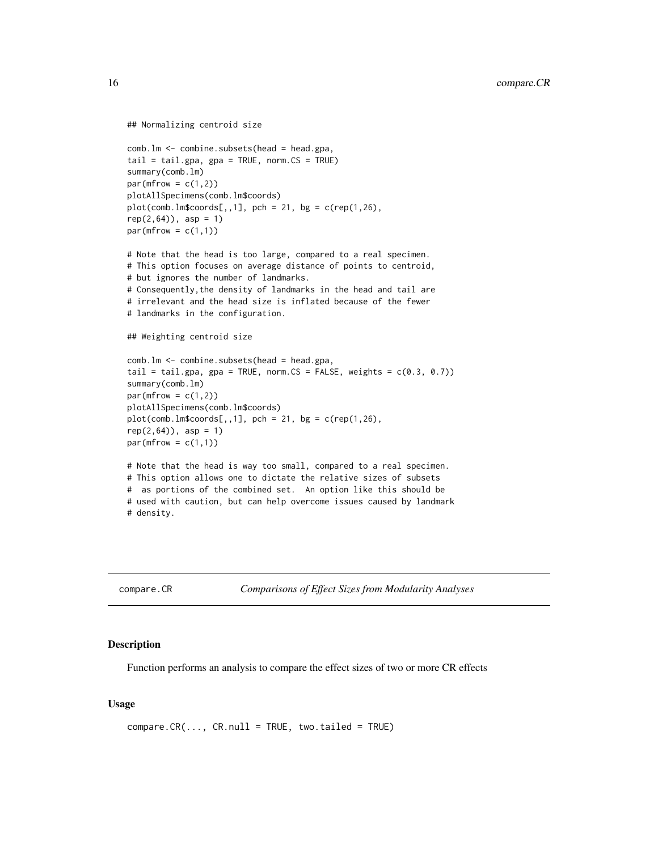```
## Normalizing centroid size
comb.lm <- combine.subsets(head = head.gpa,
tail = tail.gpa, gpa = TRUE, norm.CS = TRUE)
summary(comb.lm)
par(mfrow = c(1,2))plotAllSpecimens(comb.lm$coords)
plot(comb.lm$coordinates[, 1], pch = 21, bg = c(rep(1,26),rep(2,64)), asp = 1)par(mfrow = c(1,1))# Note that the head is too large, compared to a real specimen.
# This option focuses on average distance of points to centroid,
# but ignores the number of landmarks.
# Consequently,the density of landmarks in the head and tail are
# irrelevant and the head size is inflated because of the fewer
# landmarks in the configuration.
## Weighting centroid size
comb.lm <- combine.subsets(head = head.gpa,
tail = tail.gpa, gpa = TRUE, norm.CS = FALSE, weights = c(0.3, 0.7))
summary(comb.lm)
par(mfrow = c(1,2))plotAllSpecimens(comb.lm$coords)
plot(comb.lm$coordinates[, 1], pch = 21, bg = c(rep(1,26),rep(2,64)), asp = 1)par(mfrow = c(1,1))# Note that the head is way too small, compared to a real specimen.
# This option allows one to dictate the relative sizes of subsets
# as portions of the combined set. An option like this should be
# used with caution, but can help overcome issues caused by landmark
# density.
```
compare.CR *Comparisons of Effect Sizes from Modularity Analyses*

#### Description

Function performs an analysis to compare the effect sizes of two or more CR effects

#### Usage

 $compare.CR(..., CR.null = TRUE, two.tailed = TRUE)$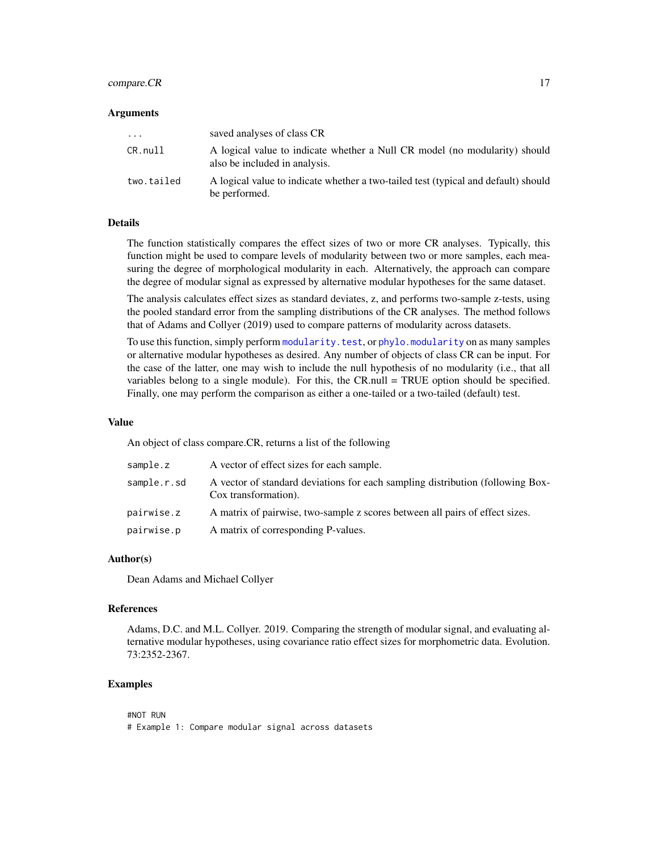# compare.CR 17

#### Arguments

| $\cdots$   | saved analyses of class CR                                                                                  |
|------------|-------------------------------------------------------------------------------------------------------------|
| CR.null    | A logical value to indicate whether a Null CR model (no modularity) should<br>also be included in analysis. |
| two.tailed | A logical value to indicate whether a two-tailed test (typical and default) should<br>be performed.         |

# Details

The function statistically compares the effect sizes of two or more CR analyses. Typically, this function might be used to compare levels of modularity between two or more samples, each measuring the degree of morphological modularity in each. Alternatively, the approach can compare the degree of modular signal as expressed by alternative modular hypotheses for the same dataset.

The analysis calculates effect sizes as standard deviates, z, and performs two-sample z-tests, using the pooled standard error from the sampling distributions of the CR analyses. The method follows that of Adams and Collyer (2019) used to compare patterns of modularity across datasets.

To use this function, simply perform [modularity.test](#page-66-1), or [phylo.modularity](#page-78-1) on as many samples or alternative modular hypotheses as desired. Any number of objects of class CR can be input. For the case of the latter, one may wish to include the null hypothesis of no modularity (i.e., that all variables belong to a single module). For this, the CR.null = TRUE option should be specified. Finally, one may perform the comparison as either a one-tailed or a two-tailed (default) test.

#### Value

An object of class compare.CR, returns a list of the following

| sample.z    | A vector of effect sizes for each sample.                                                              |
|-------------|--------------------------------------------------------------------------------------------------------|
| sample.r.sd | A vector of standard deviations for each sampling distribution (following Box-<br>Cox transformation). |
| pairwise.z  | A matrix of pairwise, two-sample z scores between all pairs of effect sizes.                           |
| pairwise.p  | A matrix of corresponding P-values.                                                                    |

#### Author(s)

Dean Adams and Michael Collyer

#### References

Adams, D.C. and M.L. Collyer. 2019. Comparing the strength of modular signal, and evaluating alternative modular hypotheses, using covariance ratio effect sizes for morphometric data. Evolution. 73:2352-2367.

### Examples

#NOT RUN # Example 1: Compare modular signal across datasets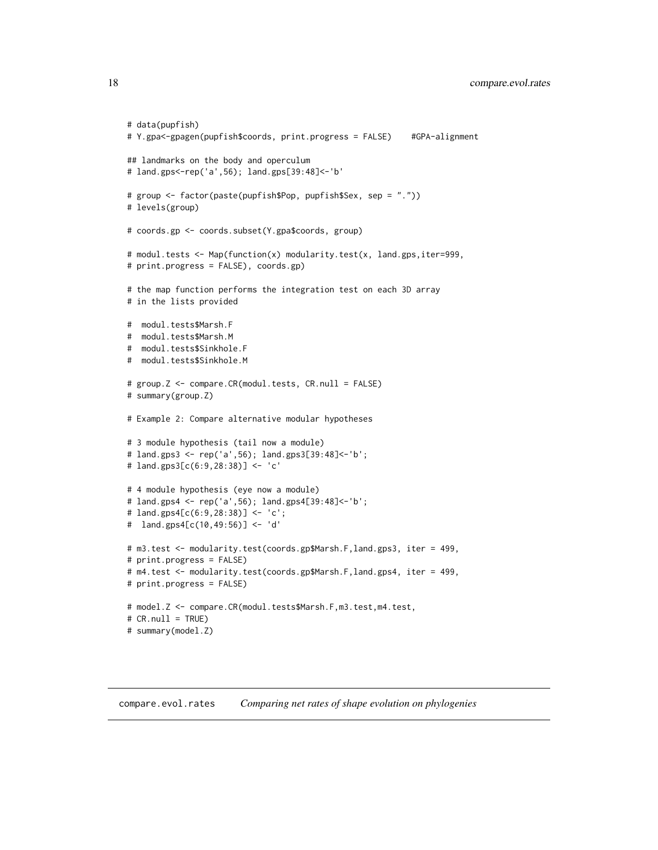```
# data(pupfish)
# Y.gpa<-gpagen(pupfish$coords, print.progress = FALSE) #GPA-alignment
## landmarks on the body and operculum
# land.gps<-rep('a',56); land.gps[39:48]<-'b'
# group <- factor(paste(pupfish$Pop, pupfish$Sex, sep = "."))
# levels(group)
# coords.gp <- coords.subset(Y.gpa$coords, group)
# modul.tests <- Map(function(x) modularity.test(x, land.gps,iter=999,
# print.progress = FALSE), coords.gp)
# the map function performs the integration test on each 3D array
# in the lists provided
# modul.tests$Marsh.F
# modul.tests$Marsh.M
# modul.tests$Sinkhole.F
# modul.tests$Sinkhole.M
# group.Z <- compare.CR(modul.tests, CR.null = FALSE)
# summary(group.Z)
# Example 2: Compare alternative modular hypotheses
# 3 module hypothesis (tail now a module)
# land.gps3 <- rep('a',56); land.gps3[39:48]<-'b';
# land.gps3[c(6:9,28:38)] <- 'c'
# 4 module hypothesis (eye now a module)
# land.gps4 <- rep('a',56); land.gps4[39:48]<-'b';
# land.gps4[c(6:9,28:38)] <- 'c';
# land.gps4[c(10,49:56)] <- 'd'
# m3.test <- modularity.test(coords.gp$Marsh.F,land.gps3, iter = 499,
# print.progress = FALSE)
# m4.test <- modularity.test(coords.gp$Marsh.F,land.gps4, iter = 499,
# print.progress = FALSE)
# model.Z <- compare.CR(modul.tests$Marsh.F,m3.test,m4.test,
# CR.null = TRUE)
# summary(model.Z)
```
<span id="page-17-0"></span>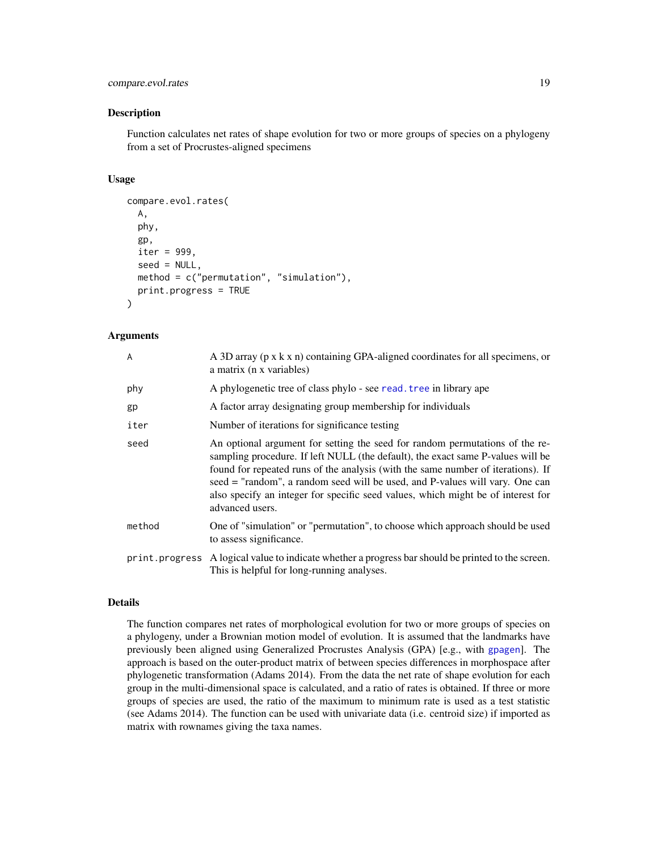# compare.evol.rates 19

#### Description

Function calculates net rates of shape evolution for two or more groups of species on a phylogeny from a set of Procrustes-aligned specimens

#### Usage

```
compare.evol.rates(
  A,
  phy,
  gp,
  iter = 999.
  seed = NULL,
 method = c("permutation", "simulation"),
 print.progress = TRUE
)
```
# Arguments

| A      | A 3D array (p x k x n) containing GPA-aligned coordinates for all specimens, or<br>a matrix (n x variables)                                                                                                                                                                                                                                                                                                                                |
|--------|--------------------------------------------------------------------------------------------------------------------------------------------------------------------------------------------------------------------------------------------------------------------------------------------------------------------------------------------------------------------------------------------------------------------------------------------|
| phy    | A phylogenetic tree of class phylo - see read. tree in library ape                                                                                                                                                                                                                                                                                                                                                                         |
| gp     | A factor array designating group membership for individuals                                                                                                                                                                                                                                                                                                                                                                                |
| iter   | Number of iterations for significance testing                                                                                                                                                                                                                                                                                                                                                                                              |
| seed   | An optional argument for setting the seed for random permutations of the re-<br>sampling procedure. If left NULL (the default), the exact same P-values will be<br>found for repeated runs of the analysis (with the same number of iterations). If<br>seed = "random", a random seed will be used, and P-values will vary. One can<br>also specify an integer for specific seed values, which might be of interest for<br>advanced users. |
| method | One of "simulation" or "permutation", to choose which approach should be used<br>to assess significance.                                                                                                                                                                                                                                                                                                                                   |
|        | print. progress A logical value to indicate whether a progress bar should be printed to the screen.<br>This is helpful for long-running analyses.                                                                                                                                                                                                                                                                                          |

# Details

The function compares net rates of morphological evolution for two or more groups of species on a phylogeny, under a Brownian motion model of evolution. It is assumed that the landmarks have previously been aligned using Generalized Procrustes Analysis (GPA) [e.g., with [gpagen](#page-49-1)]. The approach is based on the outer-product matrix of between species differences in morphospace after phylogenetic transformation (Adams 2014). From the data the net rate of shape evolution for each group in the multi-dimensional space is calculated, and a ratio of rates is obtained. If three or more groups of species are used, the ratio of the maximum to minimum rate is used as a test statistic (see Adams 2014). The function can be used with univariate data (i.e. centroid size) if imported as matrix with rownames giving the taxa names.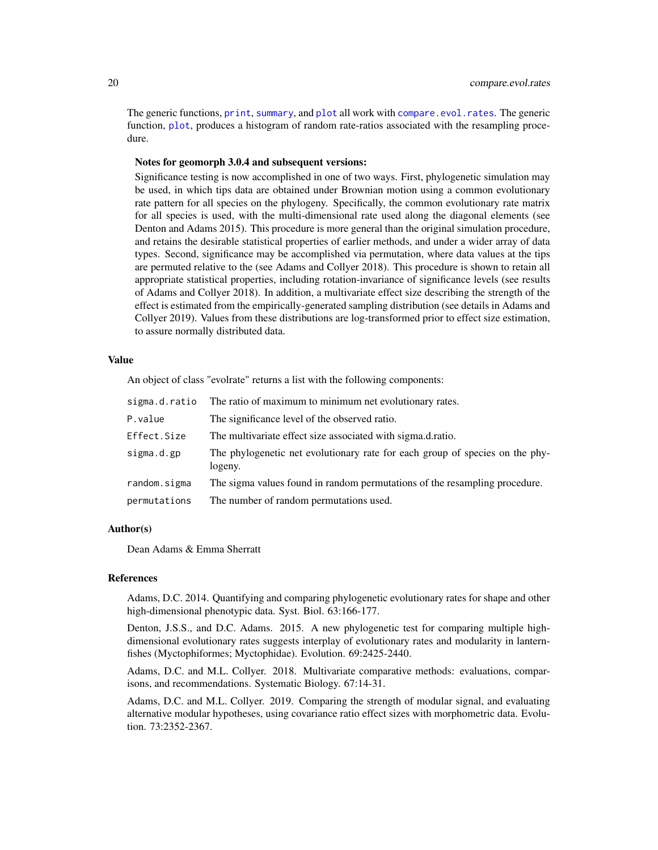The generic functions, [print](#page-0-0), [summary](#page-0-0), and [plot](#page-0-0) all work with [compare.evol.rates](#page-17-1). The generic function, [plot](#page-0-0), produces a histogram of random rate-ratios associated with the resampling procedure.

#### Notes for geomorph 3.0.4 and subsequent versions:

Significance testing is now accomplished in one of two ways. First, phylogenetic simulation may be used, in which tips data are obtained under Brownian motion using a common evolutionary rate pattern for all species on the phylogeny. Specifically, the common evolutionary rate matrix for all species is used, with the multi-dimensional rate used along the diagonal elements (see Denton and Adams 2015). This procedure is more general than the original simulation procedure, and retains the desirable statistical properties of earlier methods, and under a wider array of data types. Second, significance may be accomplished via permutation, where data values at the tips are permuted relative to the (see Adams and Collyer 2018). This procedure is shown to retain all appropriate statistical properties, including rotation-invariance of significance levels (see results of Adams and Collyer 2018). In addition, a multivariate effect size describing the strength of the effect is estimated from the empirically-generated sampling distribution (see details in Adams and Collyer 2019). Values from these distributions are log-transformed prior to effect size estimation, to assure normally distributed data.

# Value

An object of class "evolrate" returns a list with the following components:

| sigma.d.ratio | The ratio of maximum to minimum net evolutionary rates.                                 |
|---------------|-----------------------------------------------------------------------------------------|
| P.value       | The significance level of the observed ratio.                                           |
| Effect.Size   | The multivariate effect size associated with sigma.d.ratio.                             |
| sigma.d.gp    | The phylogenetic net evolutionary rate for each group of species on the phy-<br>logeny. |
| random.sigma  | The sigma values found in random permutations of the resampling procedure.              |
| permutations  | The number of random permutations used.                                                 |

# Author(s)

Dean Adams & Emma Sherratt

#### References

Adams, D.C. 2014. Quantifying and comparing phylogenetic evolutionary rates for shape and other high-dimensional phenotypic data. Syst. Biol. 63:166-177.

Denton, J.S.S., and D.C. Adams. 2015. A new phylogenetic test for comparing multiple highdimensional evolutionary rates suggests interplay of evolutionary rates and modularity in lanternfishes (Myctophiformes; Myctophidae). Evolution. 69:2425-2440.

Adams, D.C. and M.L. Collyer. 2018. Multivariate comparative methods: evaluations, comparisons, and recommendations. Systematic Biology. 67:14-31.

Adams, D.C. and M.L. Collyer. 2019. Comparing the strength of modular signal, and evaluating alternative modular hypotheses, using covariance ratio effect sizes with morphometric data. Evolution. 73:2352-2367.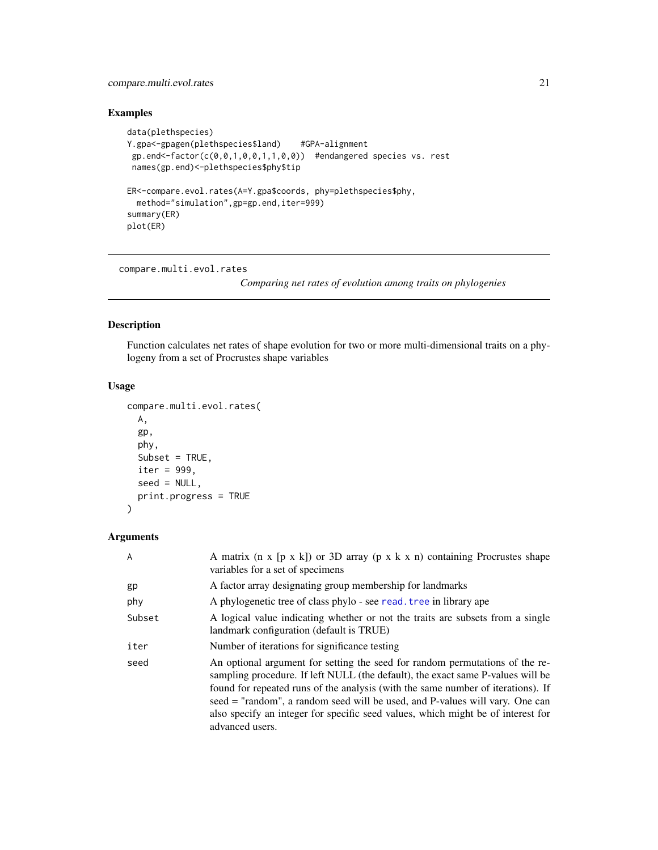# <span id="page-20-0"></span>compare.multi.evol.rates 21

# Examples

```
data(plethspecies)
Y.gpa<-gpagen(plethspecies$land) #GPA-alignment
 gp.end \leq-factor(c(0,0,1,0,0,1,1,0,0)) #endangered species vs. rest
 names(gp.end)<-plethspecies$phy$tip
ER<-compare.evol.rates(A=Y.gpa$coords, phy=plethspecies$phy,
  method="simulation",gp=gp.end,iter=999)
summary(ER)
plot(ER)
```
<span id="page-20-1"></span>compare.multi.evol.rates

*Comparing net rates of evolution among traits on phylogenies*

# Description

Function calculates net rates of shape evolution for two or more multi-dimensional traits on a phylogeny from a set of Procrustes shape variables

# Usage

```
compare.multi.evol.rates(
 A,
  gp,
 phy,
 Subset = TRUE,
  iter = 999,
  seed = NULL,
 print.progress = TRUE
)
```
# Arguments

| A      | A matrix $(n \times [p \times k])$ or 3D array $(p \times k \times n)$ containing Procrustes shape<br>variables for a set of specimens                                                                                                                                                                                                                                                                                                     |
|--------|--------------------------------------------------------------------------------------------------------------------------------------------------------------------------------------------------------------------------------------------------------------------------------------------------------------------------------------------------------------------------------------------------------------------------------------------|
| gp     | A factor array designating group membership for landmarks                                                                                                                                                                                                                                                                                                                                                                                  |
| phy    | A phylogenetic tree of class phylo - see read. tree in library ape                                                                                                                                                                                                                                                                                                                                                                         |
| Subset | A logical value indicating whether or not the traits are subsets from a single<br>landmark configuration (default is TRUE)                                                                                                                                                                                                                                                                                                                 |
| iter   | Number of iterations for significance testing                                                                                                                                                                                                                                                                                                                                                                                              |
| seed   | An optional argument for setting the seed for random permutations of the re-<br>sampling procedure. If left NULL (the default), the exact same P-values will be<br>found for repeated runs of the analysis (with the same number of iterations). If<br>seed = "random", a random seed will be used, and P-values will vary. One can<br>also specify an integer for specific seed values, which might be of interest for<br>advanced users. |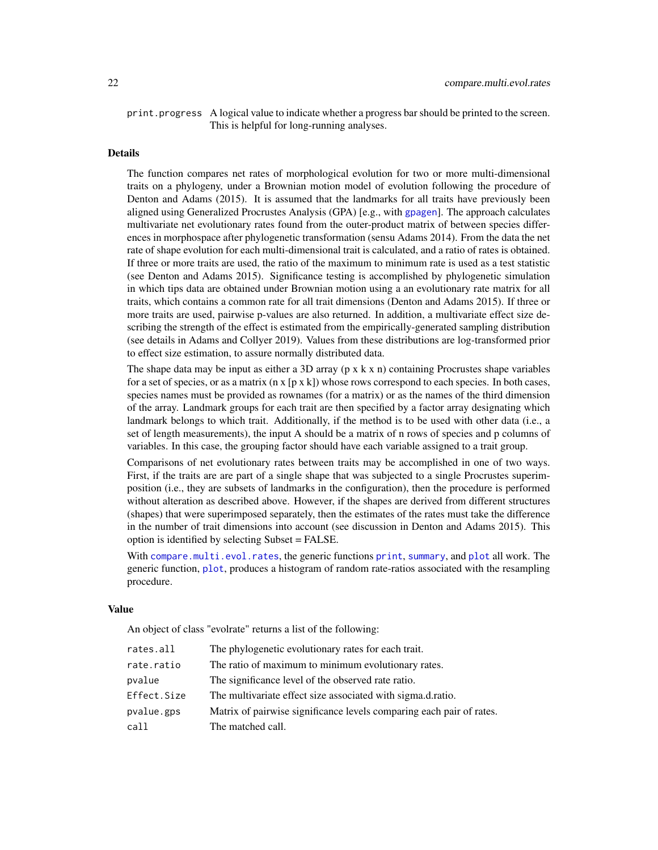print. progress A logical value to indicate whether a progress bar should be printed to the screen. This is helpful for long-running analyses.

# Details

The function compares net rates of morphological evolution for two or more multi-dimensional traits on a phylogeny, under a Brownian motion model of evolution following the procedure of Denton and Adams (2015). It is assumed that the landmarks for all traits have previously been aligned using Generalized Procrustes Analysis (GPA) [e.g., with [gpagen](#page-49-1)]. The approach calculates multivariate net evolutionary rates found from the outer-product matrix of between species differences in morphospace after phylogenetic transformation (sensu Adams 2014). From the data the net rate of shape evolution for each multi-dimensional trait is calculated, and a ratio of rates is obtained. If three or more traits are used, the ratio of the maximum to minimum rate is used as a test statistic (see Denton and Adams 2015). Significance testing is accomplished by phylogenetic simulation in which tips data are obtained under Brownian motion using a an evolutionary rate matrix for all traits, which contains a common rate for all trait dimensions (Denton and Adams 2015). If three or more traits are used, pairwise p-values are also returned. In addition, a multivariate effect size describing the strength of the effect is estimated from the empirically-generated sampling distribution (see details in Adams and Collyer 2019). Values from these distributions are log-transformed prior to effect size estimation, to assure normally distributed data.

The shape data may be input as either a 3D array  $(p \times k \times n)$  containing Procrustes shape variables for a set of species, or as a matrix  $(n \times [p \times k])$  whose rows correspond to each species. In both cases, species names must be provided as rownames (for a matrix) or as the names of the third dimension of the array. Landmark groups for each trait are then specified by a factor array designating which landmark belongs to which trait. Additionally, if the method is to be used with other data (i.e., a set of length measurements), the input A should be a matrix of n rows of species and p columns of variables. In this case, the grouping factor should have each variable assigned to a trait group.

Comparisons of net evolutionary rates between traits may be accomplished in one of two ways. First, if the traits are are part of a single shape that was subjected to a single Procrustes superimposition (i.e., they are subsets of landmarks in the configuration), then the procedure is performed without alteration as described above. However, if the shapes are derived from different structures (shapes) that were superimposed separately, then the estimates of the rates must take the difference in the number of trait dimensions into account (see discussion in Denton and Adams 2015). This option is identified by selecting Subset = FALSE.

With [compare.multi.evol.rates](#page-20-1), the generic functions [print](#page-0-0), [summary](#page-0-0), and [plot](#page-0-0) all work. The generic function, [plot](#page-0-0), produces a histogram of random rate-ratios associated with the resampling procedure.

#### Value

An object of class "evolrate" returns a list of the following:

| rates.all   | The phylogenetic evolutionary rates for each trait.                  |
|-------------|----------------------------------------------------------------------|
| rate.ratio  | The ratio of maximum to minimum evolutionary rates.                  |
| pvalue      | The significance level of the observed rate ratio.                   |
| Effect.Size | The multivariate effect size associated with sigma.d.ratio.          |
| pvalue.gps  | Matrix of pairwise significance levels comparing each pair of rates. |
| call        | The matched call.                                                    |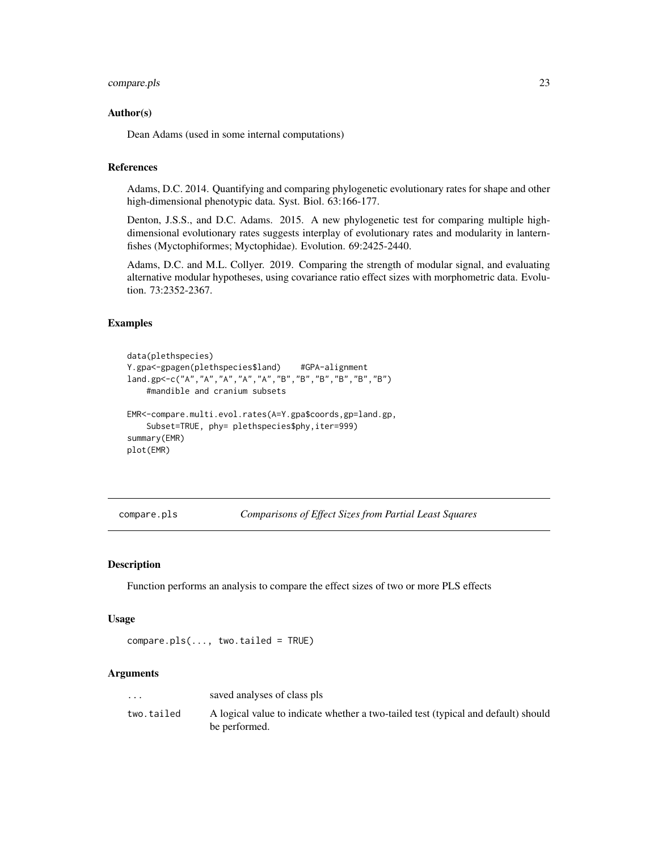# <span id="page-22-0"></span>compare.pls 23

#### Author(s)

Dean Adams (used in some internal computations)

#### References

Adams, D.C. 2014. Quantifying and comparing phylogenetic evolutionary rates for shape and other high-dimensional phenotypic data. Syst. Biol. 63:166-177.

Denton, J.S.S., and D.C. Adams. 2015. A new phylogenetic test for comparing multiple highdimensional evolutionary rates suggests interplay of evolutionary rates and modularity in lanternfishes (Myctophiformes; Myctophidae). Evolution. 69:2425-2440.

Adams, D.C. and M.L. Collyer. 2019. Comparing the strength of modular signal, and evaluating alternative modular hypotheses, using covariance ratio effect sizes with morphometric data. Evolution. 73:2352-2367.

#### Examples

```
data(plethspecies)
Y.gpa<-gpagen(plethspecies$land) #GPA-alignment
land.gp<-c("A","A","A","A","A","B","B","B","B","B","B")
    #mandible and cranium subsets
EMR<-compare.multi.evol.rates(A=Y.gpa$coords,gp=land.gp,
    Subset=TRUE, phy= plethspecies$phy, iter=999)
summary(EMR)
plot(EMR)
```
compare.pls *Comparisons of Effect Sizes from Partial Least Squares*

#### Description

Function performs an analysis to compare the effect sizes of two or more PLS effects

# Usage

compare.pls(..., two.tailed = TRUE)

# Arguments

| $\cdots$   | saved analyses of class pls                                                                         |
|------------|-----------------------------------------------------------------------------------------------------|
| two.tailed | A logical value to indicate whether a two-tailed test (typical and default) should<br>be performed. |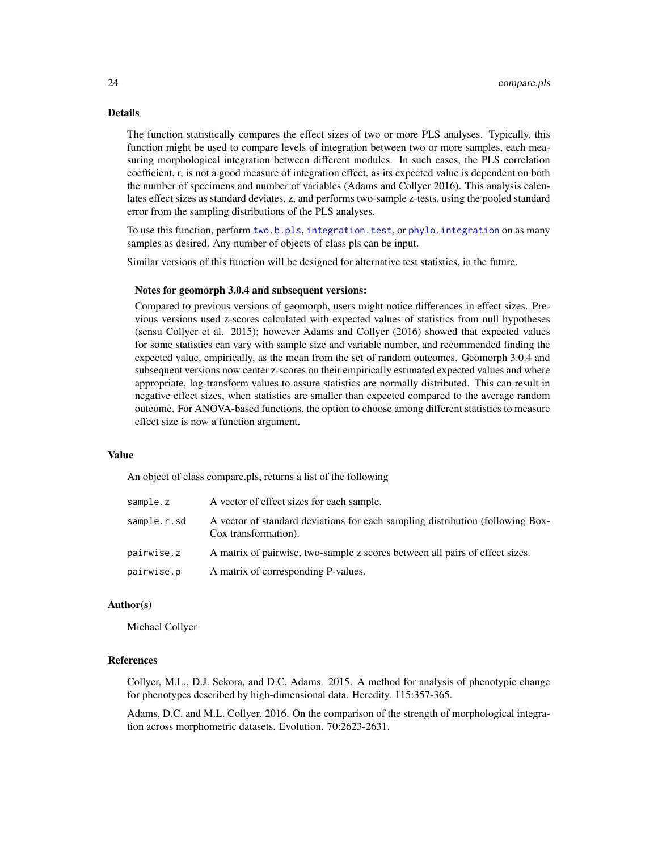#### Details

The function statistically compares the effect sizes of two or more PLS analyses. Typically, this function might be used to compare levels of integration between two or more samples, each measuring morphological integration between different modules. In such cases, the PLS correlation coefficient, r, is not a good measure of integration effect, as its expected value is dependent on both the number of specimens and number of variables (Adams and Collyer 2016). This analysis calculates effect sizes as standard deviates, z, and performs two-sample z-tests, using the pooled standard error from the sampling distributions of the PLS analyses.

To use this function, perform [two.b.pls](#page-148-1), [integration.test](#page-57-1), or [phylo.integration](#page-75-1) on as many samples as desired. Any number of objects of class pls can be input.

Similar versions of this function will be designed for alternative test statistics, in the future.

#### Notes for geomorph 3.0.4 and subsequent versions:

Compared to previous versions of geomorph, users might notice differences in effect sizes. Previous versions used z-scores calculated with expected values of statistics from null hypotheses (sensu Collyer et al. 2015); however Adams and Collyer (2016) showed that expected values for some statistics can vary with sample size and variable number, and recommended finding the expected value, empirically, as the mean from the set of random outcomes. Geomorph 3.0.4 and subsequent versions now center z-scores on their empirically estimated expected values and where appropriate, log-transform values to assure statistics are normally distributed. This can result in negative effect sizes, when statistics are smaller than expected compared to the average random outcome. For ANOVA-based functions, the option to choose among different statistics to measure effect size is now a function argument.

#### Value

An object of class compare.pls, returns a list of the following

| sample.z    | A vector of effect sizes for each sample.                                                              |
|-------------|--------------------------------------------------------------------------------------------------------|
| sample.r.sd | A vector of standard deviations for each sampling distribution (following Box-<br>Cox transformation). |
| pairwise.z  | A matrix of pairwise, two-sample z scores between all pairs of effect sizes.                           |
| pairwise.p  | A matrix of corresponding P-values.                                                                    |

#### Author(s)

Michael Collyer

# References

Collyer, M.L., D.J. Sekora, and D.C. Adams. 2015. A method for analysis of phenotypic change for phenotypes described by high-dimensional data. Heredity. 115:357-365.

Adams, D.C. and M.L. Collyer. 2016. On the comparison of the strength of morphological integration across morphometric datasets. Evolution. 70:2623-2631.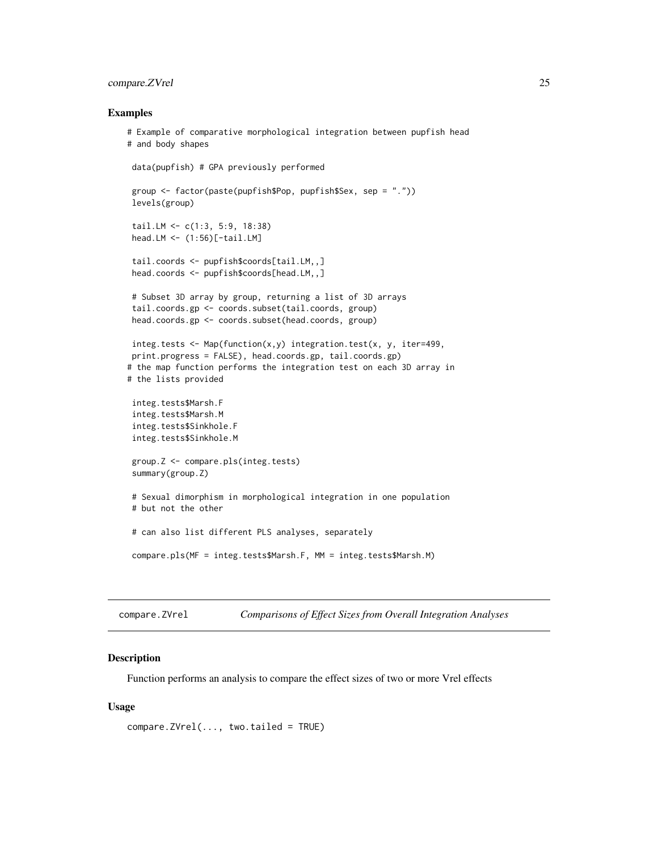# <span id="page-24-0"></span>compare.ZVrel 25

#### Examples

```
# Example of comparative morphological integration between pupfish head
# and body shapes
data(pupfish) # GPA previously performed
 group <- factor(paste(pupfish$Pop, pupfish$Sex, sep = "."))
levels(group)
 tail.LM <- c(1:3, 5:9, 18:38)
 head.LM <- (1:56)[-tail.LM]
 tail.coords <- pupfish$coords[tail.LM,,]
head.coords <- pupfish$coords[head.LM,,]
 # Subset 3D array by group, returning a list of 3D arrays
 tail.coords.gp <- coords.subset(tail.coords, group)
 head.coords.gp <- coords.subset(head.coords, group)
integ.tests <- Map(function(x,y) integration.test(x, y, iter=499,
print.progress = FALSE), head.coords.gp, tail.coords.gp)
# the map function performs the integration test on each 3D array in
# the lists provided
 integ.tests$Marsh.F
 integ.tests$Marsh.M
 integ.tests$Sinkhole.F
 integ.tests$Sinkhole.M
group.Z <- compare.pls(integ.tests)
summary(group.Z)
 # Sexual dimorphism in morphological integration in one population
 # but not the other
 # can also list different PLS analyses, separately
 compare.pls(MF = integ.tests$Marsh.F, MM = integ.tests$Marsh.M)
```
compare.ZVrel *Comparisons of Effect Sizes from Overall Integration Analyses*

#### Description

Function performs an analysis to compare the effect sizes of two or more Vrel effects

# Usage

```
compare.ZVrel(..., two.tailed = TRUE)
```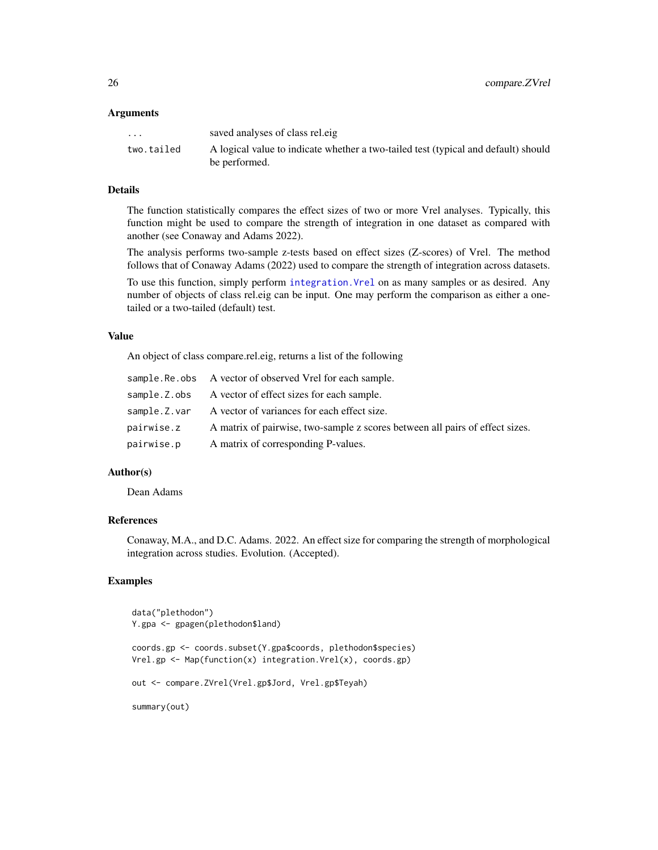#### **Arguments**

| $\cdots$   | saved analyses of class relege                                                     |
|------------|------------------------------------------------------------------------------------|
| two.tailed | A logical value to indicate whether a two-tailed test (typical and default) should |
|            | be performed.                                                                      |

# Details

The function statistically compares the effect sizes of two or more Vrel analyses. Typically, this function might be used to compare the strength of integration in one dataset as compared with another (see Conaway and Adams 2022).

The analysis performs two-sample z-tests based on effect sizes (Z-scores) of Vrel. The method follows that of Conaway Adams (2022) used to compare the strength of integration across datasets.

To use this function, simply perform [integration.Vrel](#page-61-1) on as many samples or as desired. Any number of objects of class rel.eig can be input. One may perform the comparison as either a onetailed or a two-tailed (default) test.

# Value

An object of class compare.rel.eig, returns a list of the following

|              | sample. Re. obs A vector of observed Vrel for each sample.                   |
|--------------|------------------------------------------------------------------------------|
| sample.Z.obs | A vector of effect sizes for each sample.                                    |
| sample.Z.var | A vector of variances for each effect size.                                  |
| pairwise.z   | A matrix of pairwise, two-sample z scores between all pairs of effect sizes. |
| pairwise.p   | A matrix of corresponding P-values.                                          |

# Author(s)

Dean Adams

# References

Conaway, M.A., and D.C. Adams. 2022. An effect size for comparing the strength of morphological integration across studies. Evolution. (Accepted).

# Examples

```
data("plethodon")
Y.gpa <- gpagen(plethodon$land)
coords.gp <- coords.subset(Y.gpa$coords, plethodon$species)
Vrel.gp <- Map(function(x) integration.Vrel(x), coords.gp)
out <- compare.ZVrel(Vrel.gp$Jord, Vrel.gp$Teyah)
summary(out)
```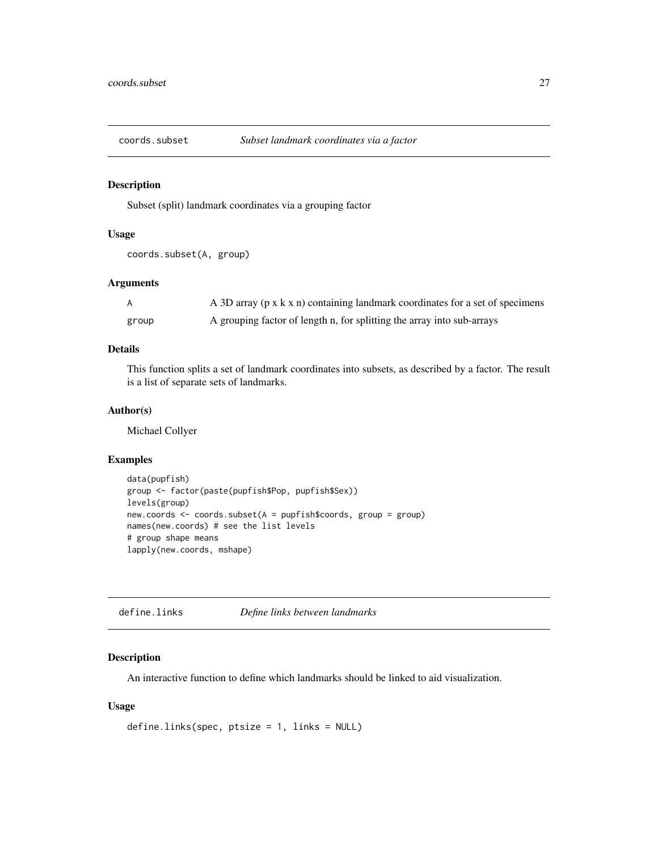<span id="page-26-0"></span>

# Description

Subset (split) landmark coordinates via a grouping factor

# Usage

```
coords.subset(A, group)
```
# Arguments

|       | A 3D array (p x k x n) containing landmark coordinates for a set of specimens |
|-------|-------------------------------------------------------------------------------|
| group | A grouping factor of length n, for splitting the array into sub-arrays        |

# Details

This function splits a set of landmark coordinates into subsets, as described by a factor. The result is a list of separate sets of landmarks.

#### Author(s)

Michael Collyer

# Examples

```
data(pupfish)
group <- factor(paste(pupfish$Pop, pupfish$Sex))
levels(group)
new.coords <- coords.subset(A = pupfish$coords, group = group)
names(new.coords) # see the list levels
# group shape means
lapply(new.coords, mshape)
```
define.links *Define links between landmarks*

# Description

An interactive function to define which landmarks should be linked to aid visualization.

# Usage

```
define.links(spec, ptsize = 1, links = NULL)
```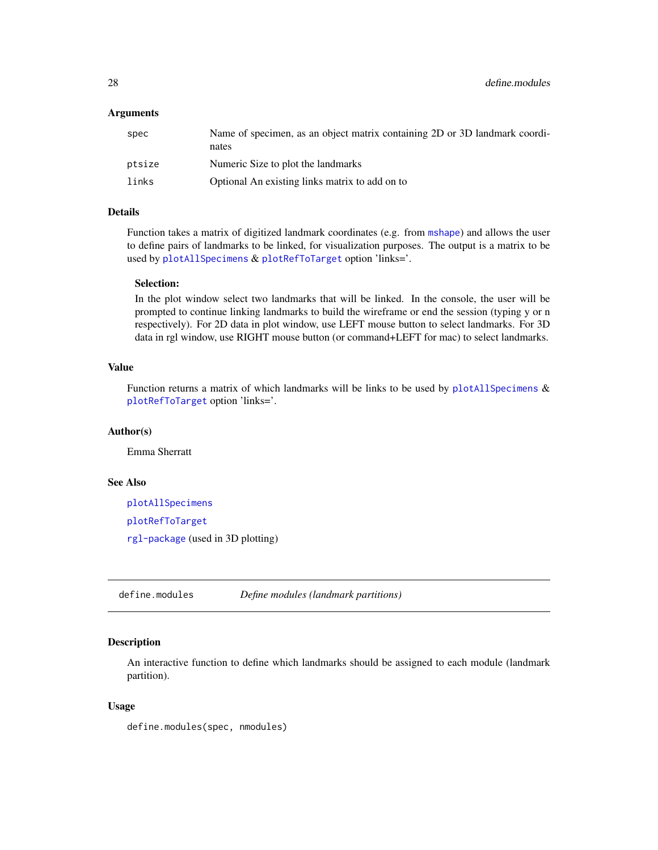# <span id="page-27-0"></span>Arguments

| spec   | Name of specimen, as an object matrix containing 2D or 3D landmark coordi-<br>nates |
|--------|-------------------------------------------------------------------------------------|
| ptsize | Numeric Size to plot the landmarks                                                  |
| links  | Optional An existing links matrix to add on to                                      |

# Details

Function takes a matrix of digitized landmark coordinates (e.g. from [mshape](#page-73-1)) and allows the user to define pairs of landmarks to be linked, for visualization purposes. The output is a matrix to be used by [plotAllSpecimens](#page-96-1) & [plotRefToTarget](#page-99-1) option 'links='.

# Selection:

In the plot window select two landmarks that will be linked. In the console, the user will be prompted to continue linking landmarks to build the wireframe or end the session (typing y or n respectively). For 2D data in plot window, use LEFT mouse button to select landmarks. For 3D data in rgl window, use RIGHT mouse button (or command+LEFT for mac) to select landmarks.

# Value

Function returns a matrix of which landmarks will be links to be used by [plotAllSpecimens](#page-96-1)  $\&$ [plotRefToTarget](#page-99-1) option 'links='.

# Author(s)

Emma Sherratt

# See Also

[plotAllSpecimens](#page-96-1) [plotRefToTarget](#page-99-1) [rgl-package](#page-0-0) (used in 3D plotting)

define.modules *Define modules (landmark partitions)*

#### Description

An interactive function to define which landmarks should be assigned to each module (landmark partition).

#### Usage

define.modules(spec, nmodules)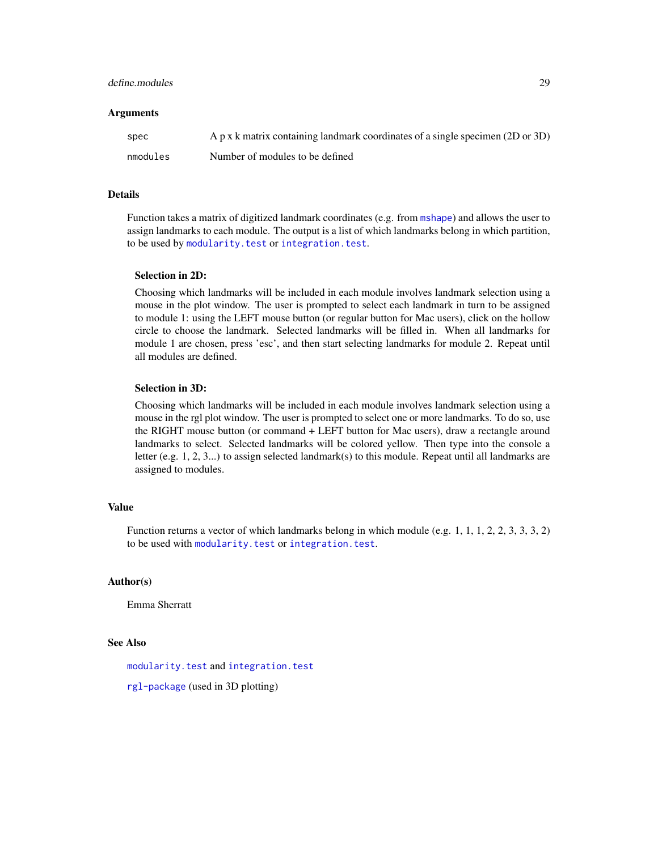# define.modules 29

#### **Arguments**

| spec     | A p x k matrix containing landmark coordinates of a single specimen (2D or 3D) |
|----------|--------------------------------------------------------------------------------|
| nmodules | Number of modules to be defined                                                |

# Details

Function takes a matrix of digitized landmark coordinates (e.g. from [mshape](#page-73-1)) and allows the user to assign landmarks to each module. The output is a list of which landmarks belong in which partition, to be used by [modularity.test](#page-66-1) or [integration.test](#page-57-1).

#### Selection in 2D:

Choosing which landmarks will be included in each module involves landmark selection using a mouse in the plot window. The user is prompted to select each landmark in turn to be assigned to module 1: using the LEFT mouse button (or regular button for Mac users), click on the hollow circle to choose the landmark. Selected landmarks will be filled in. When all landmarks for module 1 are chosen, press 'esc', and then start selecting landmarks for module 2. Repeat until all modules are defined.

# Selection in 3D:

Choosing which landmarks will be included in each module involves landmark selection using a mouse in the rgl plot window. The user is prompted to select one or more landmarks. To do so, use the RIGHT mouse button (or command + LEFT button for Mac users), draw a rectangle around landmarks to select. Selected landmarks will be colored yellow. Then type into the console a letter (e.g. 1, 2, 3...) to assign selected landmark(s) to this module. Repeat until all landmarks are assigned to modules.

# Value

Function returns a vector of which landmarks belong in which module (e.g. 1, 1, 1, 2, 2, 3, 3, 3, 2) to be used with [modularity.test](#page-66-1) or [integration.test](#page-57-1).

#### Author(s)

Emma Sherratt

# See Also

[modularity.test](#page-66-1) and [integration.test](#page-57-1)

[rgl-package](#page-0-0) (used in 3D plotting)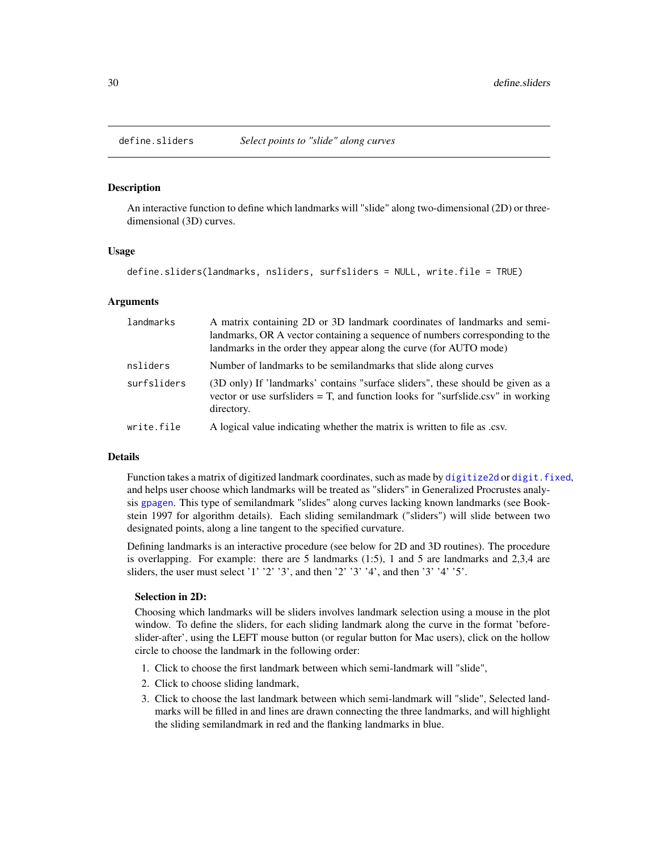<span id="page-29-1"></span><span id="page-29-0"></span>

# Description

An interactive function to define which landmarks will "slide" along two-dimensional (2D) or threedimensional (3D) curves.

#### Usage

```
define.sliders(landmarks, nsliders, surfsliders = NULL, write.file = TRUE)
```
# Arguments

| landmarks   | A matrix containing 2D or 3D landmark coordinates of landmarks and semi-<br>landmarks, OR A vector containing a sequence of numbers corresponding to the<br>landmarks in the order they appear along the curve (for AUTO mode) |
|-------------|--------------------------------------------------------------------------------------------------------------------------------------------------------------------------------------------------------------------------------|
| nsliders    | Number of landmarks to be semilandmarks that slide along curves                                                                                                                                                                |
| surfsliders | (3D only) If 'landmarks' contains "surface sliders", these should be given as a<br>vector or use surfsliders $=$ T, and function looks for "surfslide.csv" in working<br>directory.                                            |
| write.file  | A logical value indicating whether the matrix is written to file as .csv.                                                                                                                                                      |

#### Details

Function takes a matrix of digitized landmark coordinates, such as made by [digitize2d](#page-34-1) or [digit.fixed](#page-32-1), and helps user choose which landmarks will be treated as "sliders" in Generalized Procrustes analysis [gpagen](#page-49-1). This type of semilandmark "slides" along curves lacking known landmarks (see Bookstein 1997 for algorithm details). Each sliding semilandmark ("sliders") will slide between two designated points, along a line tangent to the specified curvature.

Defining landmarks is an interactive procedure (see below for 2D and 3D routines). The procedure is overlapping. For example: there are 5 landmarks (1:5), 1 and 5 are landmarks and 2,3,4 are sliders, the user must select '1' '2' '3', and then '2' '3' '4', and then '3' '4' '5'.

#### Selection in 2D:

Choosing which landmarks will be sliders involves landmark selection using a mouse in the plot window. To define the sliders, for each sliding landmark along the curve in the format 'beforeslider-after', using the LEFT mouse button (or regular button for Mac users), click on the hollow circle to choose the landmark in the following order:

- 1. Click to choose the first landmark between which semi-landmark will "slide",
- 2. Click to choose sliding landmark,
- 3. Click to choose the last landmark between which semi-landmark will "slide", Selected landmarks will be filled in and lines are drawn connecting the three landmarks, and will highlight the sliding semilandmark in red and the flanking landmarks in blue.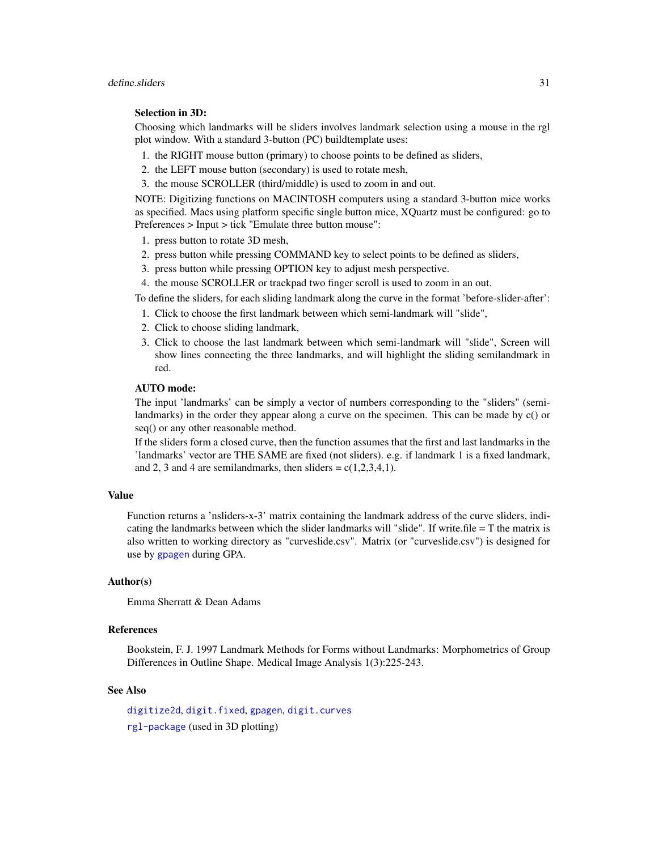# Selection in 3D:

Choosing which landmarks will be sliders involves landmark selection using a mouse in the rgl plot window. With a standard 3-button (PC) buildtemplate uses:

- 1. the RIGHT mouse button (primary) to choose points to be defined as sliders,
- 2. the LEFT mouse button (secondary) is used to rotate mesh,
- 3. the mouse SCROLLER (third/middle) is used to zoom in and out.

NOTE: Digitizing functions on MACINTOSH computers using a standard 3-button mice works as specified. Macs using platform specific single button mice, XQuartz must be configured: go to Preferences > Input > tick "Emulate three button mouse":

- 1. press button to rotate 3D mesh,
- 2. press button while pressing COMMAND key to select points to be defined as sliders,
- 3. press button while pressing OPTION key to adjust mesh perspective.
- 4. the mouse SCROLLER or trackpad two finger scroll is used to zoom in an out.

To define the sliders, for each sliding landmark along the curve in the format 'before-slider-after':

- 1. Click to choose the first landmark between which semi-landmark will "slide",
- 2. Click to choose sliding landmark,
- 3. Click to choose the last landmark between which semi-landmark will "slide", Screen will show lines connecting the three landmarks, and will highlight the sliding semilandmark in red.

# AUTO mode:

The input 'landmarks' can be simply a vector of numbers corresponding to the "sliders" (semilandmarks) in the order they appear along a curve on the specimen. This can be made by c() or seq() or any other reasonable method.

If the sliders form a closed curve, then the function assumes that the first and last landmarks in the 'landmarks' vector are THE SAME are fixed (not sliders). e.g. if landmark 1 is a fixed landmark, and 2, 3 and 4 are semilandmarks, then sliders =  $c(1,2,3,4,1)$ .

#### Value

Function returns a 'nsliders-x-3' matrix containing the landmark address of the curve sliders, indicating the landmarks between which the slider landmarks will "slide". If write  $file = T$  the matrix is also written to working directory as "curveslide.csv". Matrix (or "curveslide.csv") is designed for use by [gpagen](#page-49-1) during GPA.

# Author(s)

Emma Sherratt & Dean Adams

#### References

Bookstein, F. J. 1997 Landmark Methods for Forms without Landmarks: Morphometrics of Group Differences in Outline Shape. Medical Image Analysis 1(3):225-243.

# See Also

[digitize2d](#page-34-1), [digit.fixed](#page-32-1), [gpagen](#page-49-1), [digit.curves](#page-31-1) [rgl-package](#page-0-0) (used in 3D plotting)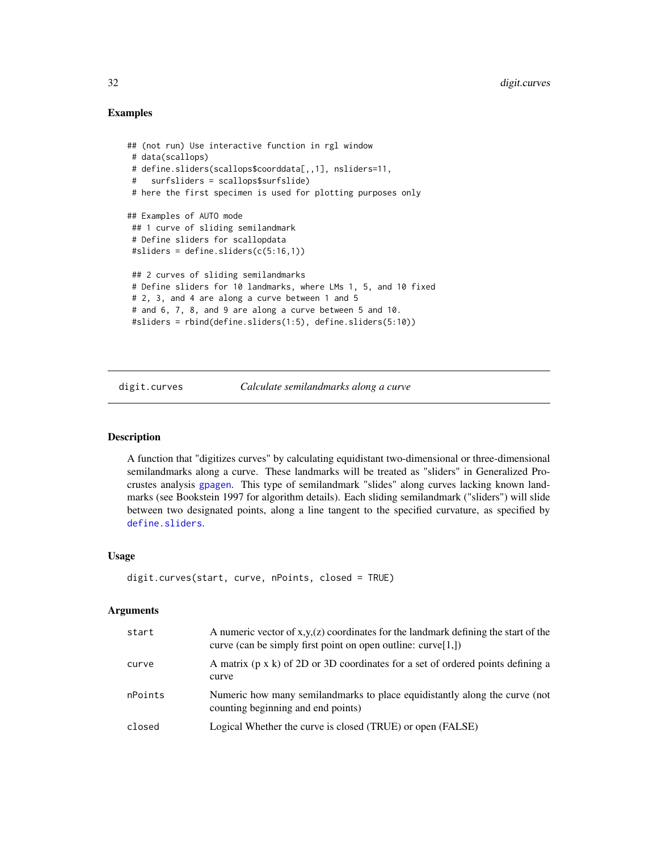# Examples

```
## (not run) Use interactive function in rgl window
# data(scallops)
# define.sliders(scallops$coorddata[,,1], nsliders=11,
# surfsliders = scallops$surfslide)
# here the first specimen is used for plotting purposes only
## Examples of AUTO mode
## 1 curve of sliding semilandmark
# Define sliders for scallopdata
#sliders = define.sliders(c(5:16,1))
 ## 2 curves of sliding semilandmarks
# Define sliders for 10 landmarks, where LMs 1, 5, and 10 fixed
# 2, 3, and 4 are along a curve between 1 and 5
 # and 6, 7, 8, and 9 are along a curve between 5 and 10.
 #sliders = rbind(define.sliders(1:5), define.sliders(5:10))
```
digit.curves *Calculate semilandmarks along a curve*

# Description

A function that "digitizes curves" by calculating equidistant two-dimensional or three-dimensional semilandmarks along a curve. These landmarks will be treated as "sliders" in Generalized Procrustes analysis [gpagen](#page-49-1). This type of semilandmark "slides" along curves lacking known landmarks (see Bookstein 1997 for algorithm details). Each sliding semilandmark ("sliders") will slide between two designated points, along a line tangent to the specified curvature, as specified by [define.sliders](#page-29-1).

#### Usage

```
digit.curves(start, curve, nPoints, closed = TRUE)
```
#### Arguments

| start   | A numeric vector of $x,y(z)$ coordinates for the landmark defining the start of the<br>curve (can be simply first point on open outline: curve $[1, ]$ ) |
|---------|----------------------------------------------------------------------------------------------------------------------------------------------------------|
| curve   | A matrix $(p \times k)$ of 2D or 3D coordinates for a set of ordered points defining a<br>curve                                                          |
| nPoints | Numeric how many semilandmarks to place equidistantly along the curve (not<br>counting beginning and end points)                                         |
| closed  | Logical Whether the curve is closed (TRUE) or open (FALSE)                                                                                               |

<span id="page-31-0"></span>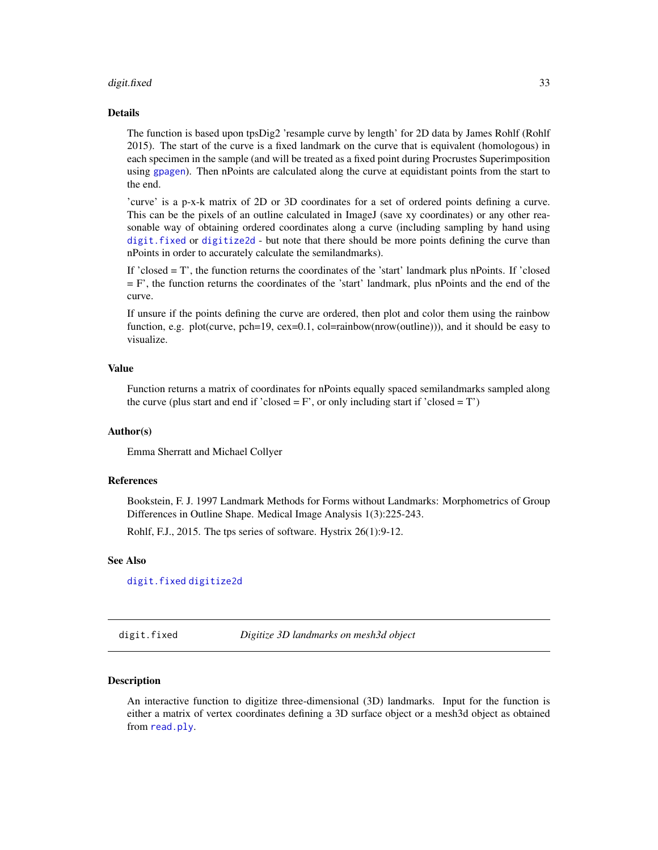#### <span id="page-32-0"></span>digit.fixed 33

#### Details

The function is based upon tpsDig2 'resample curve by length' for 2D data by James Rohlf (Rohlf 2015). The start of the curve is a fixed landmark on the curve that is equivalent (homologous) in each specimen in the sample (and will be treated as a fixed point during Procrustes Superimposition using [gpagen](#page-49-1)). Then nPoints are calculated along the curve at equidistant points from the start to the end.

'curve' is a p-x-k matrix of 2D or 3D coordinates for a set of ordered points defining a curve. This can be the pixels of an outline calculated in ImageJ (save xy coordinates) or any other reasonable way of obtaining ordered coordinates along a curve (including sampling by hand using [digit.fixed](#page-32-1) or [digitize2d](#page-34-1) - but note that there should be more points defining the curve than nPoints in order to accurately calculate the semilandmarks).

If 'closed = T', the function returns the coordinates of the 'start' landmark plus nPoints. If 'closed  $=$  F', the function returns the coordinates of the 'start' landmark, plus nPoints and the end of the curve.

If unsure if the points defining the curve are ordered, then plot and color them using the rainbow function, e.g. plot(curve, pch=19, cex=0.1, col=rainbow(nrow(outline))), and it should be easy to visualize.

#### Value

Function returns a matrix of coordinates for nPoints equally spaced semilandmarks sampled along the curve (plus start and end if 'closed =  $F'$ , or only including start if 'closed =  $T'$ )

#### Author(s)

Emma Sherratt and Michael Collyer

#### References

Bookstein, F. J. 1997 Landmark Methods for Forms without Landmarks: Morphometrics of Group Differences in Outline Shape. Medical Image Analysis 1(3):225-243.

Rohlf, F.J., 2015. The tps series of software. Hystrix 26(1):9-12.

# See Also

[digit.fixed](#page-32-1) [digitize2d](#page-34-1)

<span id="page-32-1"></span>digit.fixed *Digitize 3D landmarks on mesh3d object*

#### **Description**

An interactive function to digitize three-dimensional (3D) landmarks. Input for the function is either a matrix of vertex coordinates defining a 3D surface object or a mesh3d object as obtained from [read.ply](#page-124-1).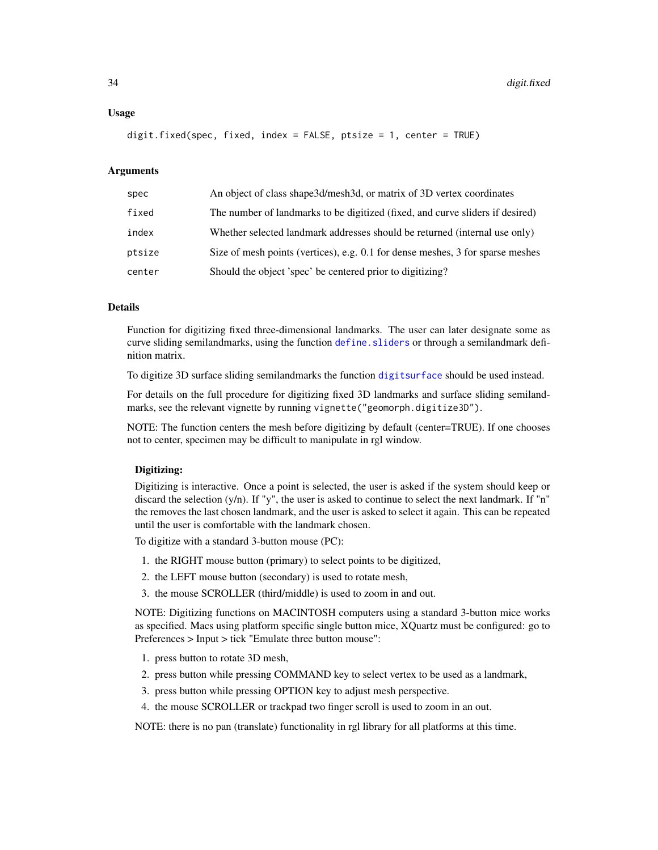#### Usage

digit.fixed(spec, fixed, index = FALSE, ptsize = 1, center = TRUE)

# **Arguments**

| spec   | An object of class shape 3d/mesh 3d, or matrix of 3D vertex coordinates        |
|--------|--------------------------------------------------------------------------------|
| fixed  | The number of landmarks to be digitized (fixed, and curve sliders if desired)  |
| index  | Whether selected landmark addresses should be returned (internal use only)     |
| ptsize | Size of mesh points (vertices), e.g. 0.1 for dense meshes, 3 for sparse meshes |
| center | Should the object 'spec' be centered prior to digitizing?                      |

# Details

Function for digitizing fixed three-dimensional landmarks. The user can later designate some as curve sliding semilandmarks, using the function [define.sliders](#page-29-1) or through a semilandmark definition matrix.

To digitize 3D surface sliding semilandmarks the function [digitsurface](#page-36-1) should be used instead.

For details on the full procedure for digitizing fixed 3D landmarks and surface sliding semilandmarks, see the relevant vignette by running vignette("geomorph.digitize3D").

NOTE: The function centers the mesh before digitizing by default (center=TRUE). If one chooses not to center, specimen may be difficult to manipulate in rgl window.

#### Digitizing:

Digitizing is interactive. Once a point is selected, the user is asked if the system should keep or discard the selection (y/n). If "y", the user is asked to continue to select the next landmark. If "n" the removes the last chosen landmark, and the user is asked to select it again. This can be repeated until the user is comfortable with the landmark chosen.

To digitize with a standard 3-button mouse (PC):

- 1. the RIGHT mouse button (primary) to select points to be digitized,
- 2. the LEFT mouse button (secondary) is used to rotate mesh,
- 3. the mouse SCROLLER (third/middle) is used to zoom in and out.

NOTE: Digitizing functions on MACINTOSH computers using a standard 3-button mice works as specified. Macs using platform specific single button mice, XQuartz must be configured: go to Preferences > Input > tick "Emulate three button mouse":

- 1. press button to rotate 3D mesh,
- 2. press button while pressing COMMAND key to select vertex to be used as a landmark,
- 3. press button while pressing OPTION key to adjust mesh perspective.
- 4. the mouse SCROLLER or trackpad two finger scroll is used to zoom in an out.

NOTE: there is no pan (translate) functionality in rgl library for all platforms at this time.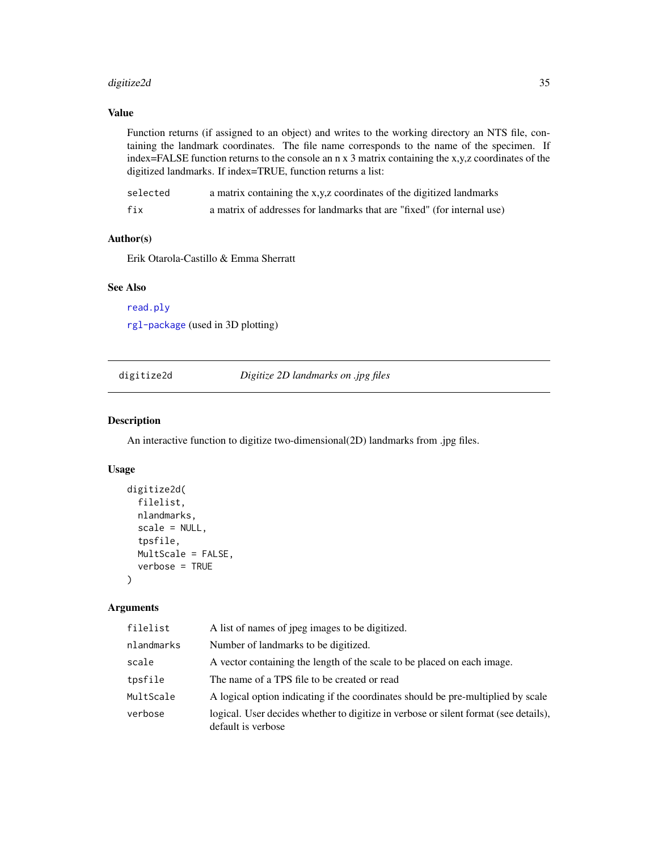# <span id="page-34-0"></span>digitize2d 35

# Value

Function returns (if assigned to an object) and writes to the working directory an NTS file, containing the landmark coordinates. The file name corresponds to the name of the specimen. If index=FALSE function returns to the console an n x 3 matrix containing the x,y,z coordinates of the digitized landmarks. If index=TRUE, function returns a list:

| selected | a matrix containing the x,y,z coordinates of the digitized landmarks    |
|----------|-------------------------------------------------------------------------|
| fix      | a matrix of addresses for landmarks that are "fixed" (for internal use) |

# Author(s)

Erik Otarola-Castillo & Emma Sherratt

# See Also

[read.ply](#page-124-1)

[rgl-package](#page-0-0) (used in 3D plotting)

<span id="page-34-1"></span>digitize2d *Digitize 2D landmarks on .jpg files*

# Description

An interactive function to digitize two-dimensional(2D) landmarks from .jpg files.

#### Usage

```
digitize2d(
  filelist,
  nlandmarks,
  scale = NULL,
  tpsfile,
 MultScale = FALSE,
  verbose = TRUE
)
```
#### Arguments

| filelist   | A list of names of jpeg images to be digitized.                                                            |
|------------|------------------------------------------------------------------------------------------------------------|
| nlandmarks | Number of landmarks to be digitized.                                                                       |
| scale      | A vector containing the length of the scale to be placed on each image.                                    |
| tpsfile    | The name of a TPS file to be created or read                                                               |
| MultScale  | A logical option indicating if the coordinates should be pre-multiplied by scale                           |
| verbose    | logical. User decides whether to digitize in verbose or silent format (see details),<br>default is verbose |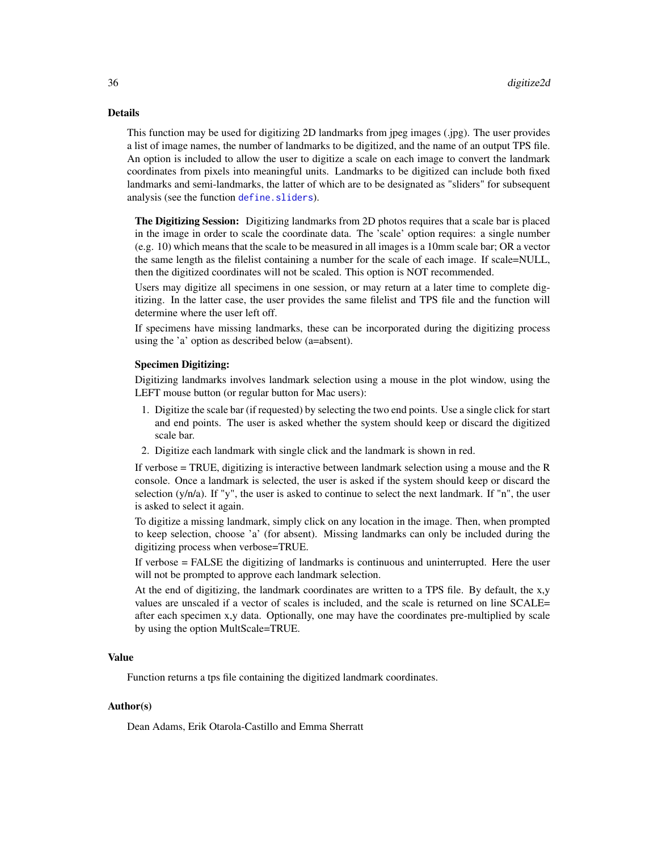#### Details

This function may be used for digitizing 2D landmarks from jpeg images (.jpg). The user provides a list of image names, the number of landmarks to be digitized, and the name of an output TPS file. An option is included to allow the user to digitize a scale on each image to convert the landmark coordinates from pixels into meaningful units. Landmarks to be digitized can include both fixed landmarks and semi-landmarks, the latter of which are to be designated as "sliders" for subsequent analysis (see the function [define.sliders](#page-29-1)).

The Digitizing Session: Digitizing landmarks from 2D photos requires that a scale bar is placed in the image in order to scale the coordinate data. The 'scale' option requires: a single number (e.g. 10) which means that the scale to be measured in all images is a 10mm scale bar; OR a vector the same length as the filelist containing a number for the scale of each image. If scale=NULL, then the digitized coordinates will not be scaled. This option is NOT recommended.

Users may digitize all specimens in one session, or may return at a later time to complete digitizing. In the latter case, the user provides the same filelist and TPS file and the function will determine where the user left off.

If specimens have missing landmarks, these can be incorporated during the digitizing process using the 'a' option as described below (a=absent).

### Specimen Digitizing:

Digitizing landmarks involves landmark selection using a mouse in the plot window, using the LEFT mouse button (or regular button for Mac users):

- 1. Digitize the scale bar (if requested) by selecting the two end points. Use a single click for start and end points. The user is asked whether the system should keep or discard the digitized scale bar.
- 2. Digitize each landmark with single click and the landmark is shown in red.

If verbose = TRUE, digitizing is interactive between landmark selection using a mouse and the R console. Once a landmark is selected, the user is asked if the system should keep or discard the selection  $(y/n/a)$ . If "y", the user is asked to continue to select the next landmark. If "n", the user is asked to select it again.

To digitize a missing landmark, simply click on any location in the image. Then, when prompted to keep selection, choose 'a' (for absent). Missing landmarks can only be included during the digitizing process when verbose=TRUE.

If verbose = FALSE the digitizing of landmarks is continuous and uninterrupted. Here the user will not be prompted to approve each landmark selection.

At the end of digitizing, the landmark coordinates are written to a TPS file. By default, the x,y values are unscaled if a vector of scales is included, and the scale is returned on line SCALE= after each specimen x,y data. Optionally, one may have the coordinates pre-multiplied by scale by using the option MultScale=TRUE.

# Value

Function returns a tps file containing the digitized landmark coordinates.

# Author(s)

Dean Adams, Erik Otarola-Castillo and Emma Sherratt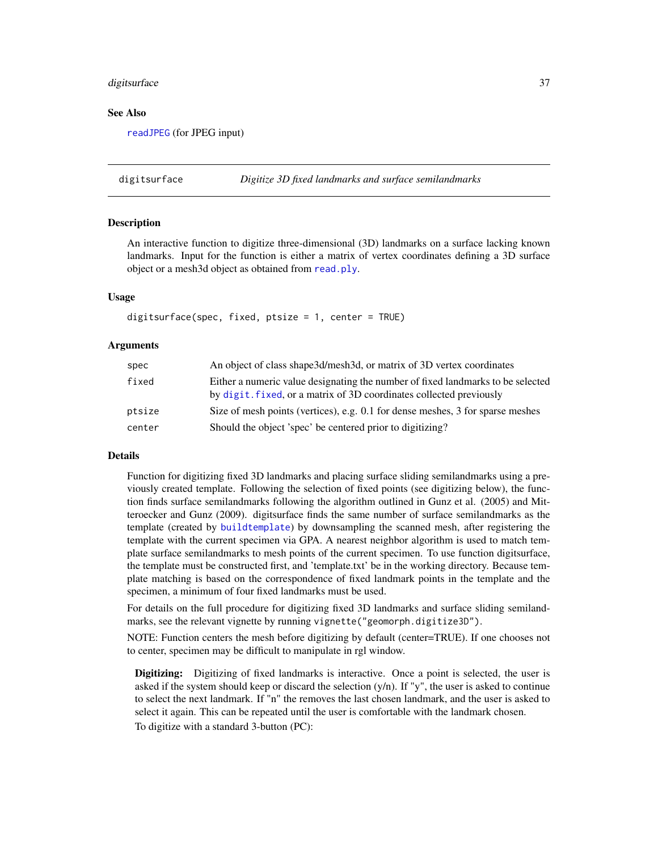#### digitsurface 37

#### See Also

[readJPEG](#page-0-0) (for JPEG input)

digitsurface *Digitize 3D fixed landmarks and surface semilandmarks*

## **Description**

An interactive function to digitize three-dimensional (3D) landmarks on a surface lacking known landmarks. Input for the function is either a matrix of vertex coordinates defining a 3D surface object or a mesh3d object as obtained from [read.ply](#page-124-0).

## Usage

```
digitsurface(spec, fixed, ptsize = 1, center = TRUE)
```
#### Arguments

| spec   | An object of class shape3d/mesh3d, or matrix of 3D vertex coordinates                                                                                  |
|--------|--------------------------------------------------------------------------------------------------------------------------------------------------------|
| fixed  | Either a numeric value designating the number of fixed landmarks to be selected<br>by digit, fixed, or a matrix of 3D coordinates collected previously |
| ptsize | Size of mesh points (vertices), e.g. $0.1$ for dense meshes, 3 for sparse meshes                                                                       |
| center | Should the object 'spec' be centered prior to digitizing?                                                                                              |

#### Details

Function for digitizing fixed 3D landmarks and placing surface sliding semilandmarks using a previously created template. Following the selection of fixed points (see digitizing below), the function finds surface semilandmarks following the algorithm outlined in Gunz et al. (2005) and Mitteroecker and Gunz (2009). digitsurface finds the same number of surface semilandmarks as the template (created by [buildtemplate](#page-9-0)) by downsampling the scanned mesh, after registering the template with the current specimen via GPA. A nearest neighbor algorithm is used to match template surface semilandmarks to mesh points of the current specimen. To use function digitsurface, the template must be constructed first, and 'template.txt' be in the working directory. Because template matching is based on the correspondence of fixed landmark points in the template and the specimen, a minimum of four fixed landmarks must be used.

For details on the full procedure for digitizing fixed 3D landmarks and surface sliding semilandmarks, see the relevant vignette by running vignette("geomorph.digitize3D").

NOTE: Function centers the mesh before digitizing by default (center=TRUE). If one chooses not to center, specimen may be difficult to manipulate in rgl window.

Digitizing: Digitizing of fixed landmarks is interactive. Once a point is selected, the user is asked if the system should keep or discard the selection  $(y/n)$ . If "y", the user is asked to continue to select the next landmark. If "n" the removes the last chosen landmark, and the user is asked to select it again. This can be repeated until the user is comfortable with the landmark chosen. To digitize with a standard 3-button (PC):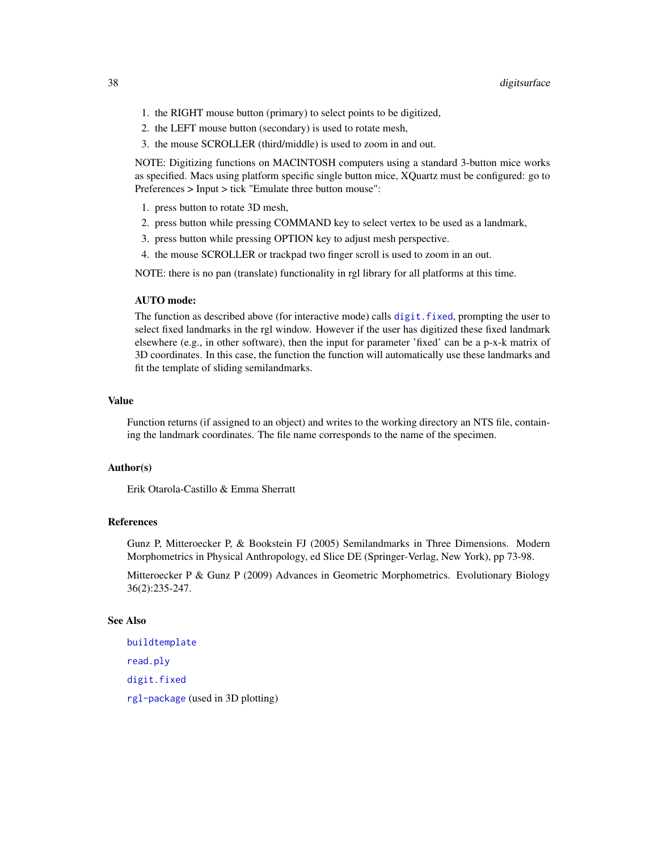- 1. the RIGHT mouse button (primary) to select points to be digitized,
- 2. the LEFT mouse button (secondary) is used to rotate mesh,
- 3. the mouse SCROLLER (third/middle) is used to zoom in and out.

NOTE: Digitizing functions on MACINTOSH computers using a standard 3-button mice works as specified. Macs using platform specific single button mice, XQuartz must be configured: go to Preferences > Input > tick "Emulate three button mouse":

- 1. press button to rotate 3D mesh,
- 2. press button while pressing COMMAND key to select vertex to be used as a landmark,
- 3. press button while pressing OPTION key to adjust mesh perspective.
- 4. the mouse SCROLLER or trackpad two finger scroll is used to zoom in an out.

NOTE: there is no pan (translate) functionality in rgl library for all platforms at this time.

## AUTO mode:

The function as described above (for interactive mode) calls [digit.fixed](#page-32-0), prompting the user to select fixed landmarks in the rgl window. However if the user has digitized these fixed landmark elsewhere (e.g., in other software), then the input for parameter 'fixed' can be a p-x-k matrix of 3D coordinates. In this case, the function the function will automatically use these landmarks and fit the template of sliding semilandmarks.

## Value

Function returns (if assigned to an object) and writes to the working directory an NTS file, containing the landmark coordinates. The file name corresponds to the name of the specimen.

## Author(s)

Erik Otarola-Castillo & Emma Sherratt

# References

Gunz P, Mitteroecker P, & Bookstein FJ (2005) Semilandmarks in Three Dimensions. Modern Morphometrics in Physical Anthropology, ed Slice DE (Springer-Verlag, New York), pp 73-98.

Mitteroecker P & Gunz P (2009) Advances in Geometric Morphometrics. Evolutionary Biology 36(2):235-247.

## See Also

[buildtemplate](#page-9-0) [read.ply](#page-124-0) [digit.fixed](#page-32-0) [rgl-package](#page-0-0) (used in 3D plotting)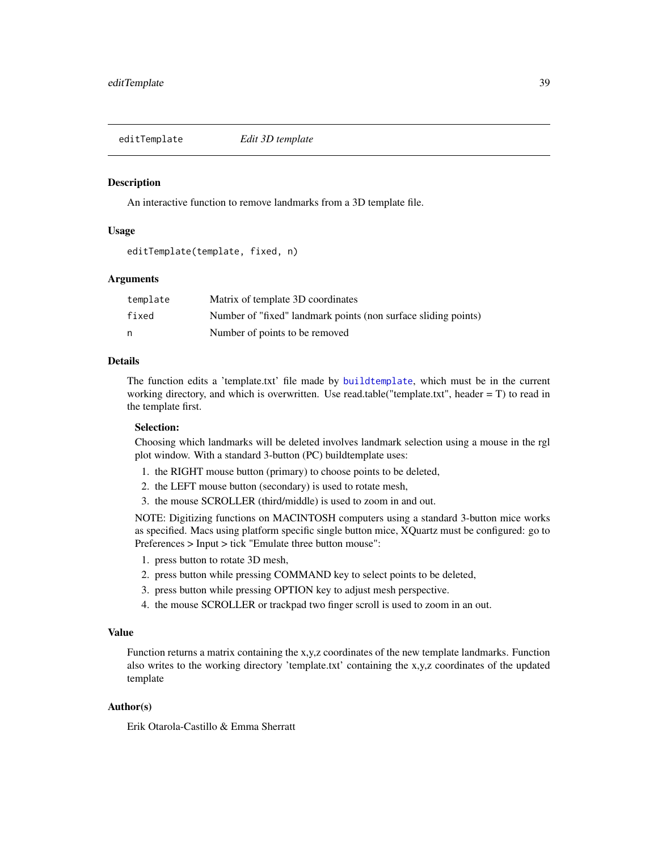editTemplate *Edit 3D template*

#### Description

An interactive function to remove landmarks from a 3D template file.

## Usage

editTemplate(template, fixed, n)

## Arguments

| template | Matrix of template 3D coordinates                              |
|----------|----------------------------------------------------------------|
| fixed    | Number of "fixed" landmark points (non surface sliding points) |
|          | Number of points to be removed                                 |

# Details

The function edits a 'template.txt' file made by [buildtemplate](#page-9-0), which must be in the current working directory, and which is overwritten. Use read.table("template.txt", header = T) to read in the template first.

#### Selection:

Choosing which landmarks will be deleted involves landmark selection using a mouse in the rgl plot window. With a standard 3-button (PC) buildtemplate uses:

- 1. the RIGHT mouse button (primary) to choose points to be deleted,
- 2. the LEFT mouse button (secondary) is used to rotate mesh,
- 3. the mouse SCROLLER (third/middle) is used to zoom in and out.

NOTE: Digitizing functions on MACINTOSH computers using a standard 3-button mice works as specified. Macs using platform specific single button mice, XQuartz must be configured: go to Preferences > Input > tick "Emulate three button mouse":

- 1. press button to rotate 3D mesh,
- 2. press button while pressing COMMAND key to select points to be deleted,
- 3. press button while pressing OPTION key to adjust mesh perspective.
- 4. the mouse SCROLLER or trackpad two finger scroll is used to zoom in an out.

# Value

Function returns a matrix containing the x,y,z coordinates of the new template landmarks. Function also writes to the working directory 'template.txt' containing the x,y,z coordinates of the updated template

## Author(s)

Erik Otarola-Castillo & Emma Sherratt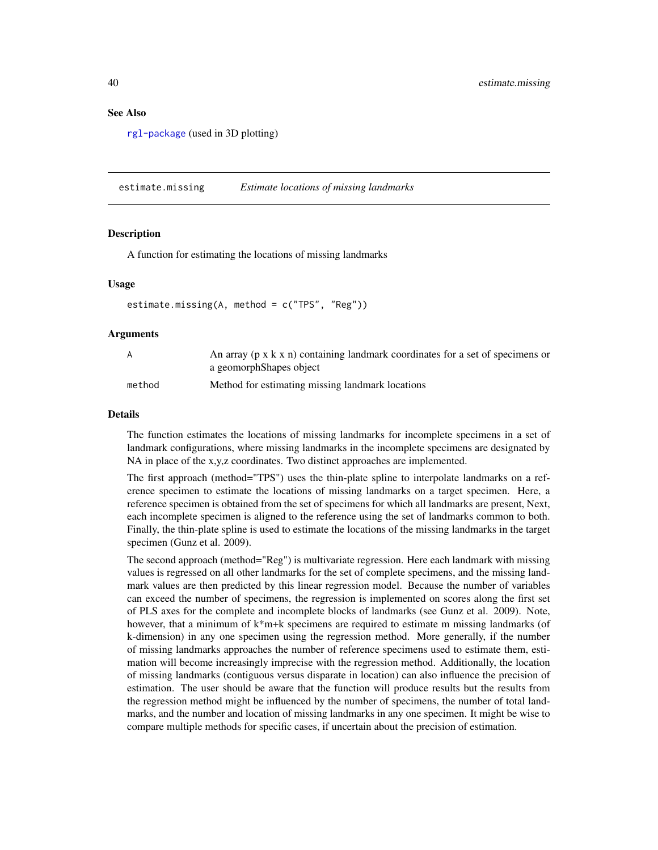#### See Also

[rgl-package](#page-0-0) (used in 3D plotting)

estimate.missing *Estimate locations of missing landmarks*

## **Description**

A function for estimating the locations of missing landmarks

#### Usage

```
estimate.missing(A, method = c("TPS", "Reg"))
```
#### Arguments

| A      | An array ( $p \times k \times n$ ) containing landmark coordinates for a set of specimens or<br>a geomorphShapes object |
|--------|-------------------------------------------------------------------------------------------------------------------------|
| method | Method for estimating missing landmark locations                                                                        |

# Details

The function estimates the locations of missing landmarks for incomplete specimens in a set of landmark configurations, where missing landmarks in the incomplete specimens are designated by NA in place of the x,y,z coordinates. Two distinct approaches are implemented.

The first approach (method="TPS") uses the thin-plate spline to interpolate landmarks on a reference specimen to estimate the locations of missing landmarks on a target specimen. Here, a reference specimen is obtained from the set of specimens for which all landmarks are present, Next, each incomplete specimen is aligned to the reference using the set of landmarks common to both. Finally, the thin-plate spline is used to estimate the locations of the missing landmarks in the target specimen (Gunz et al. 2009).

The second approach (method="Reg") is multivariate regression. Here each landmark with missing values is regressed on all other landmarks for the set of complete specimens, and the missing landmark values are then predicted by this linear regression model. Because the number of variables can exceed the number of specimens, the regression is implemented on scores along the first set of PLS axes for the complete and incomplete blocks of landmarks (see Gunz et al. 2009). Note, however, that a minimum of k\*m+k specimens are required to estimate m missing landmarks (of k-dimension) in any one specimen using the regression method. More generally, if the number of missing landmarks approaches the number of reference specimens used to estimate them, estimation will become increasingly imprecise with the regression method. Additionally, the location of missing landmarks (contiguous versus disparate in location) can also influence the precision of estimation. The user should be aware that the function will produce results but the results from the regression method might be influenced by the number of specimens, the number of total landmarks, and the number and location of missing landmarks in any one specimen. It might be wise to compare multiple methods for specific cases, if uncertain about the precision of estimation.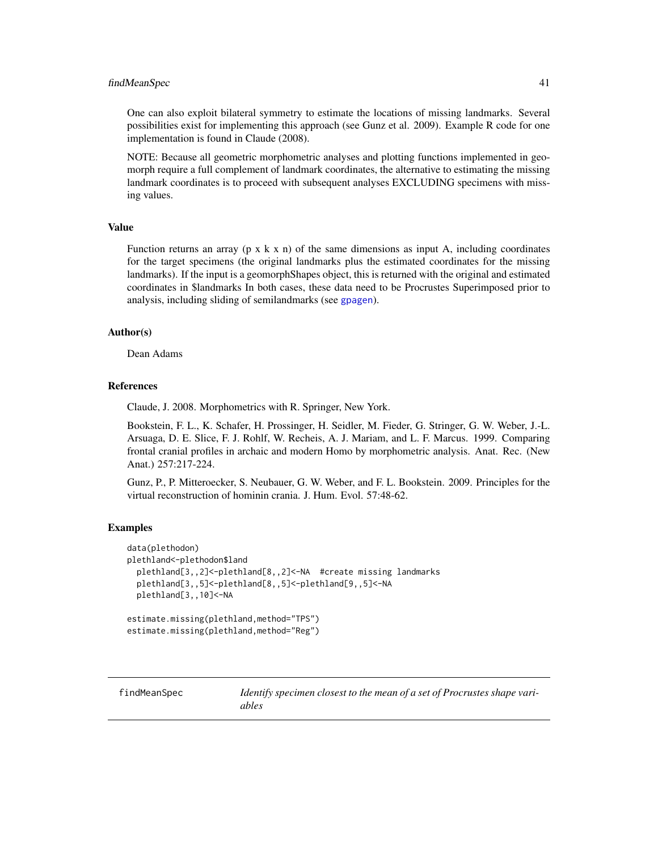## findMeanSpec 41

One can also exploit bilateral symmetry to estimate the locations of missing landmarks. Several possibilities exist for implementing this approach (see Gunz et al. 2009). Example R code for one implementation is found in Claude (2008).

NOTE: Because all geometric morphometric analyses and plotting functions implemented in geomorph require a full complement of landmark coordinates, the alternative to estimating the missing landmark coordinates is to proceed with subsequent analyses EXCLUDING specimens with missing values.

#### Value

Function returns an array ( $p \times k \times n$ ) of the same dimensions as input A, including coordinates for the target specimens (the original landmarks plus the estimated coordinates for the missing landmarks). If the input is a geomorphShapes object, this is returned with the original and estimated coordinates in \$landmarks In both cases, these data need to be Procrustes Superimposed prior to analysis, including sliding of semilandmarks (see [gpagen](#page-49-0)).

## Author(s)

Dean Adams

## References

Claude, J. 2008. Morphometrics with R. Springer, New York.

Bookstein, F. L., K. Schafer, H. Prossinger, H. Seidler, M. Fieder, G. Stringer, G. W. Weber, J.-L. Arsuaga, D. E. Slice, F. J. Rohlf, W. Recheis, A. J. Mariam, and L. F. Marcus. 1999. Comparing frontal cranial profiles in archaic and modern Homo by morphometric analysis. Anat. Rec. (New Anat.) 257:217-224.

Gunz, P., P. Mitteroecker, S. Neubauer, G. W. Weber, and F. L. Bookstein. 2009. Principles for the virtual reconstruction of hominin crania. J. Hum. Evol. 57:48-62.

#### Examples

```
data(plethodon)
plethland<-plethodon$land
 plethland[3,,2]<-plethland[8,,2]<-NA #create missing landmarks
 plethland[3,,5]<-plethland[8,,5]<-plethland[9,,5]<-NA
 plethland[3,,10]<-NA
estimate.missing(plethland,method="TPS")
estimate.missing(plethland,method="Reg")
```
findMeanSpec *Identify specimen closest to the mean of a set of Procrustes shape variables*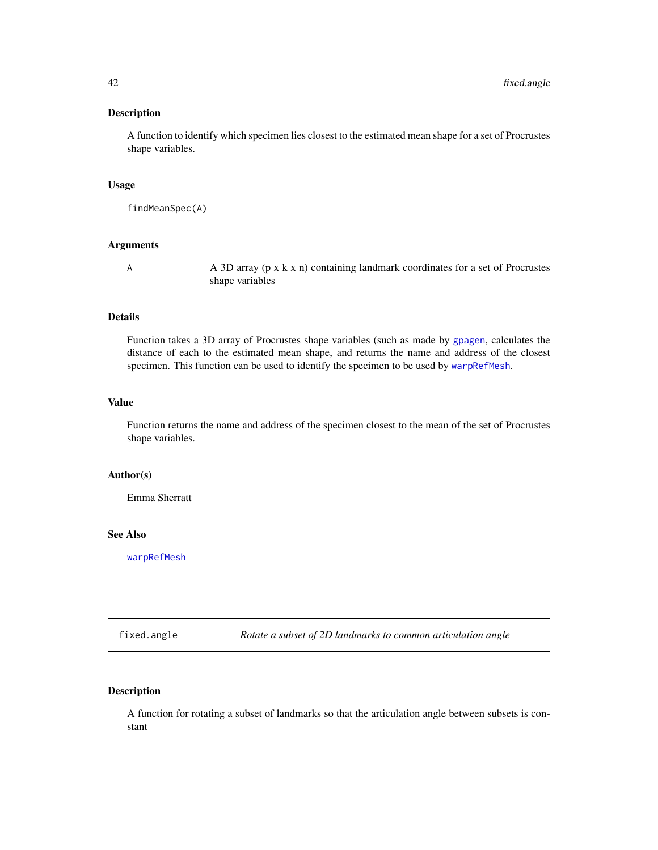# Description

A function to identify which specimen lies closest to the estimated mean shape for a set of Procrustes shape variables.

# Usage

findMeanSpec(A)

## Arguments

A A 3D array (p x k x n) containing landmark coordinates for a set of Procrustes shape variables

#### Details

Function takes a 3D array of Procrustes shape variables (such as made by [gpagen](#page-49-0), calculates the distance of each to the estimated mean shape, and returns the name and address of the closest specimen. This function can be used to identify the specimen to be used by [warpRefMesh](#page-152-0).

## Value

Function returns the name and address of the specimen closest to the mean of the set of Procrustes shape variables.

# Author(s)

Emma Sherratt

#### See Also

[warpRefMesh](#page-152-0)

fixed.angle *Rotate a subset of 2D landmarks to common articulation angle*

## Description

A function for rotating a subset of landmarks so that the articulation angle between subsets is constant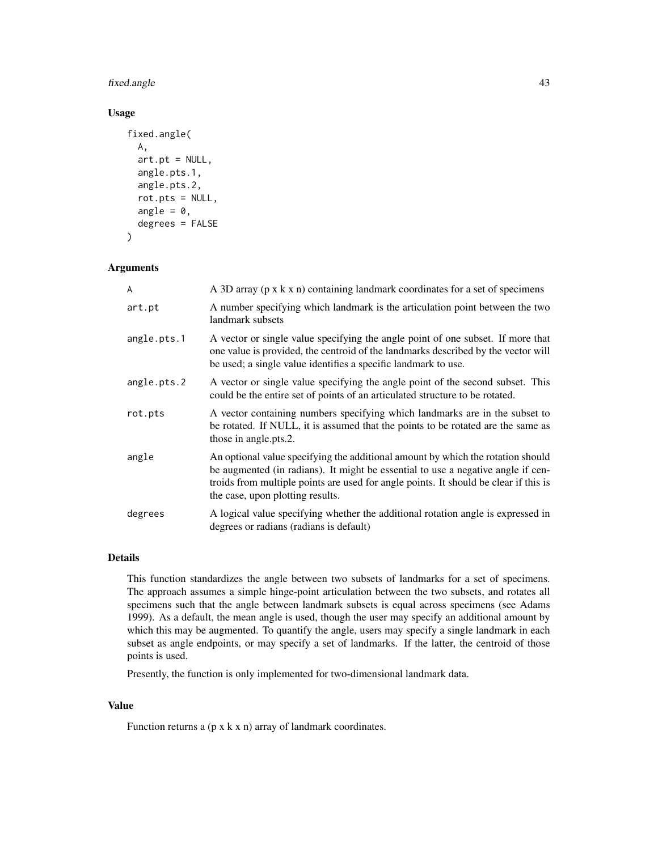# fixed.angle 43

# Usage

```
fixed.angle(
  A,
  art.pt = NULL,angle.pts.1,
  angle.pts.2,
  rot.pts = NULL,angle = 0,
  degrees = FALSE
\mathcal{E}
```
## Arguments

| A           | A 3D array (p x k x n) containing landmark coordinates for a set of specimens                                                                                                                                                                                                                   |
|-------------|-------------------------------------------------------------------------------------------------------------------------------------------------------------------------------------------------------------------------------------------------------------------------------------------------|
| art.pt      | A number specifying which landmark is the articulation point between the two<br>landmark subsets                                                                                                                                                                                                |
| angle.pts.1 | A vector or single value specifying the angle point of one subset. If more that<br>one value is provided, the centroid of the landmarks described by the vector will<br>be used; a single value identifies a specific landmark to use.                                                          |
| angle.pts.2 | A vector or single value specifying the angle point of the second subset. This<br>could be the entire set of points of an articulated structure to be rotated.                                                                                                                                  |
| rot.pts     | A vector containing numbers specifying which landmarks are in the subset to<br>be rotated. If NULL, it is assumed that the points to be rotated are the same as<br>those in angle.pts.2.                                                                                                        |
| angle       | An optional value specifying the additional amount by which the rotation should<br>be augmented (in radians). It might be essential to use a negative angle if cen-<br>troids from multiple points are used for angle points. It should be clear if this is<br>the case, upon plotting results. |
| degrees     | A logical value specifying whether the additional rotation angle is expressed in<br>degrees or radians (radians is default)                                                                                                                                                                     |

## Details

This function standardizes the angle between two subsets of landmarks for a set of specimens. The approach assumes a simple hinge-point articulation between the two subsets, and rotates all specimens such that the angle between landmark subsets is equal across specimens (see Adams 1999). As a default, the mean angle is used, though the user may specify an additional amount by which this may be augmented. To quantify the angle, users may specify a single landmark in each subset as angle endpoints, or may specify a set of landmarks. If the latter, the centroid of those points is used.

Presently, the function is only implemented for two-dimensional landmark data.

## Value

Function returns a  $(p \times k \times n)$  array of landmark coordinates.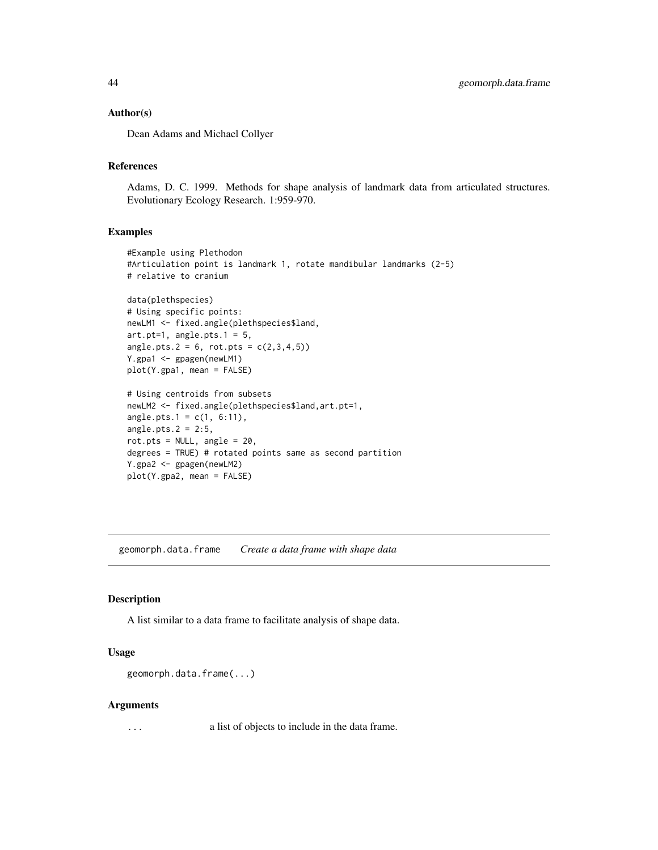## Author(s)

Dean Adams and Michael Collyer

## References

Adams, D. C. 1999. Methods for shape analysis of landmark data from articulated structures. Evolutionary Ecology Research. 1:959-970.

#### Examples

```
#Example using Plethodon
#Articulation point is landmark 1, rotate mandibular landmarks (2-5)
# relative to cranium
data(plethspecies)
# Using specific points:
newLM1 <- fixed.angle(plethspecies$land,
art.pt=1, angle.pts.1 = 5,
angle.pts.2 = 6, rot.pts = c(2,3,4,5)Y.gpa1 <- gpagen(newLM1)
plot(Y.gpa1, mean = FALSE)
# Using centroids from subsets
newLM2 <- fixed.angle(plethspecies$land,art.pt=1,
angle.pts.1 = c(1, 6:11),angle.pts.2 = 2:5,
rot.pts = NULL, angle = 20,
degrees = TRUE) # rotated points same as second partition
Y.gpa2 <- gpagen(newLM2)
plot(Y.gpa2, mean = FALSE)
```
<span id="page-43-0"></span>geomorph.data.frame *Create a data frame with shape data*

#### Description

A list similar to a data frame to facilitate analysis of shape data.

# Usage

```
geomorph.data.frame(...)
```
## Arguments

... a list of objects to include in the data frame.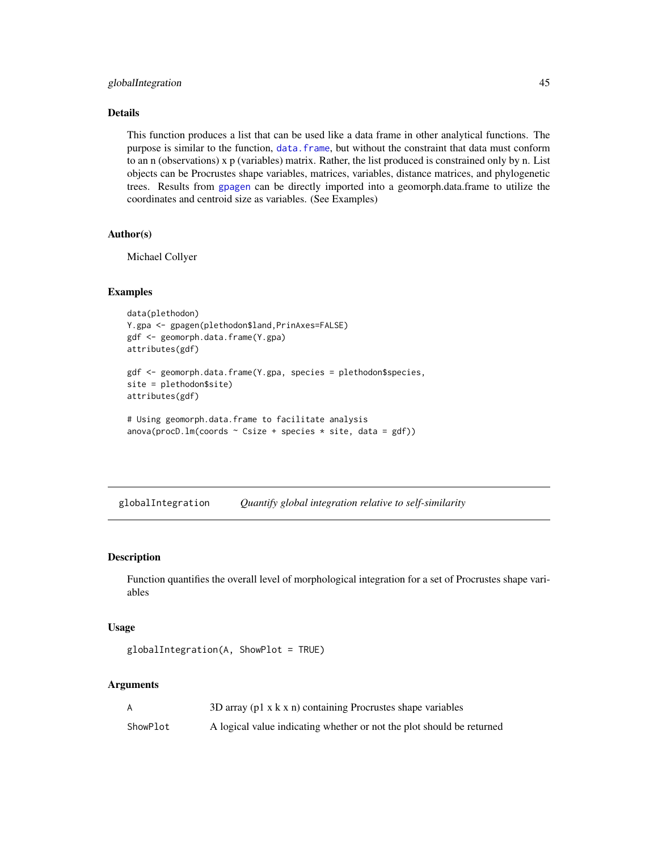# globalIntegration 45

## Details

This function produces a list that can be used like a data frame in other analytical functions. The purpose is similar to the function, [data.frame](#page-0-0), but without the constraint that data must conform to an n (observations) x p (variables) matrix. Rather, the list produced is constrained only by n. List objects can be Procrustes shape variables, matrices, variables, distance matrices, and phylogenetic trees. Results from [gpagen](#page-49-0) can be directly imported into a geomorph.data.frame to utilize the coordinates and centroid size as variables. (See Examples)

## Author(s)

Michael Collyer

## Examples

```
data(plethodon)
Y.gpa <- gpagen(plethodon$land,PrinAxes=FALSE)
gdf <- geomorph.data.frame(Y.gpa)
attributes(gdf)
```

```
gdf <- geomorph.data.frame(Y.gpa, species = plethodon$species,
site = plethodon$site)
attributes(gdf)
```

```
# Using geomorph.data.frame to facilitate analysis
anova(procD.lm(coords ~ Csize ~ + species ~ * site, data = gdf))
```
globalIntegration *Quantify global integration relative to self-similarity*

#### Description

Function quantifies the overall level of morphological integration for a set of Procrustes shape variables

#### Usage

```
globalIntegration(A, ShowPlot = TRUE)
```
## Arguments

|          | 3D array ( $p1 \times k \times n$ ) containing Procrustes shape variables |
|----------|---------------------------------------------------------------------------|
| ShowPlot | A logical value indicating whether or not the plot should be returned     |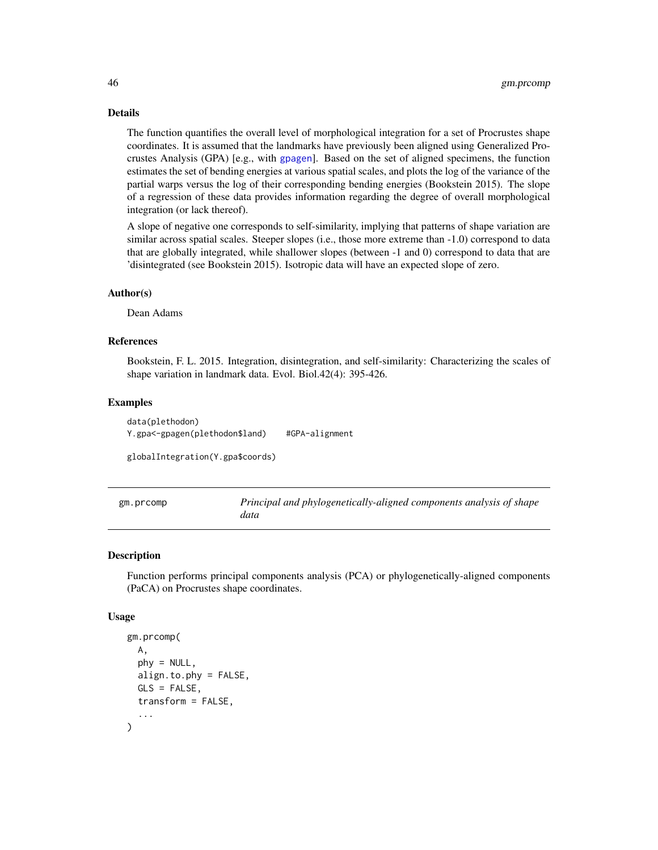Details

The function quantifies the overall level of morphological integration for a set of Procrustes shape coordinates. It is assumed that the landmarks have previously been aligned using Generalized Procrustes Analysis (GPA) [e.g., with [gpagen](#page-49-0)]. Based on the set of aligned specimens, the function estimates the set of bending energies at various spatial scales, and plots the log of the variance of the partial warps versus the log of their corresponding bending energies (Bookstein 2015). The slope of a regression of these data provides information regarding the degree of overall morphological integration (or lack thereof).

A slope of negative one corresponds to self-similarity, implying that patterns of shape variation are similar across spatial scales. Steeper slopes (i.e., those more extreme than -1.0) correspond to data that are globally integrated, while shallower slopes (between -1 and 0) correspond to data that are 'disintegrated (see Bookstein 2015). Isotropic data will have an expected slope of zero.

#### Author(s)

Dean Adams

## References

Bookstein, F. L. 2015. Integration, disintegration, and self-similarity: Characterizing the scales of shape variation in landmark data. Evol. Biol.42(4): 395-426.

#### Examples

data(plethodon) Y.gpa<-gpagen(plethodon\$land) #GPA-alignment

globalIntegration(Y.gpa\$coords)

| gm.prcomp | Principal and phylogenetically-aligned components analysis of shape |
|-----------|---------------------------------------------------------------------|
|           | data                                                                |

# **Description**

Function performs principal components analysis (PCA) or phylogenetically-aligned components (PaCA) on Procrustes shape coordinates.

#### Usage

```
gm.prcomp(
  A,
 phy = NULL,
  align.to.phy = FALSE,
  GLS = FALSE,
  transform = FALSE,
  ...
)
```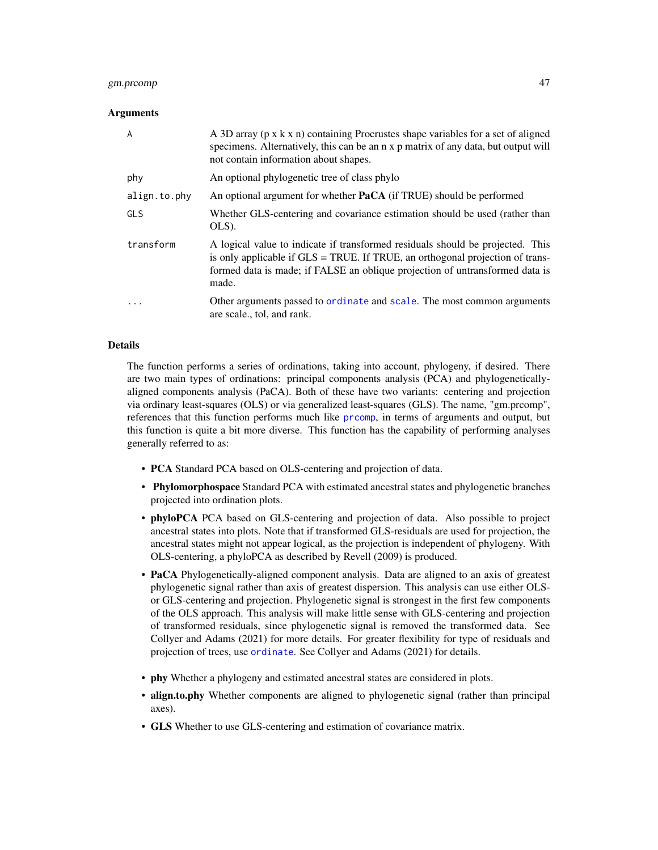# gm.prcomp 47

## Arguments

| $\overline{A}$ | A 3D array (p x k x n) containing Procrustes shape variables for a set of aligned<br>specimens. Alternatively, this can be an n x p matrix of any data, but output will<br>not contain information about shapes.                                         |
|----------------|----------------------------------------------------------------------------------------------------------------------------------------------------------------------------------------------------------------------------------------------------------|
| phy            | An optional phylogenetic tree of class phylo                                                                                                                                                                                                             |
| align.to.phy   | An optional argument for whether <b>PaCA</b> (if TRUE) should be performed                                                                                                                                                                               |
| <b>GLS</b>     | Whether GLS-centering and covariance estimation should be used (rather than<br>OLS).                                                                                                                                                                     |
| transform      | A logical value to indicate if transformed residuals should be projected. This<br>is only applicable if GLS = TRUE. If TRUE, an orthogonal projection of trans-<br>formed data is made; if FALSE an oblique projection of untransformed data is<br>made. |
| $\cdot$        | Other arguments passed to ordinate and scale. The most common arguments<br>are scale., tol, and rank.                                                                                                                                                    |

## Details

The function performs a series of ordinations, taking into account, phylogeny, if desired. There are two main types of ordinations: principal components analysis (PCA) and phylogeneticallyaligned components analysis (PaCA). Both of these have two variants: centering and projection via ordinary least-squares (OLS) or via generalized least-squares (GLS). The name, "gm.prcomp", references that this function performs much like [prcomp](#page-0-0), in terms of arguments and output, but this function is quite a bit more diverse. This function has the capability of performing analyses generally referred to as:

- PCA Standard PCA based on OLS-centering and projection of data.
- Phylomorphospace Standard PCA with estimated ancestral states and phylogenetic branches projected into ordination plots.
- **phyloPCA** PCA based on GLS-centering and projection of data. Also possible to project ancestral states into plots. Note that if transformed GLS-residuals are used for projection, the ancestral states might not appear logical, as the projection is independent of phylogeny. With OLS-centering, a phyloPCA as described by Revell (2009) is produced.
- PaCA Phylogenetically-aligned component analysis. Data are aligned to an axis of greatest phylogenetic signal rather than axis of greatest dispersion. This analysis can use either OLSor GLS-centering and projection. Phylogenetic signal is strongest in the first few components of the OLS approach. This analysis will make little sense with GLS-centering and projection of transformed residuals, since phylogenetic signal is removed the transformed data. See Collyer and Adams (2021) for more details. For greater flexibility for type of residuals and projection of trees, use [ordinate](#page-0-0). See Collyer and Adams (2021) for details.
- phy Whether a phylogeny and estimated ancestral states are considered in plots.
- align.to.phy Whether components are aligned to phylogenetic signal (rather than principal axes).
- GLS Whether to use GLS-centering and estimation of covariance matrix.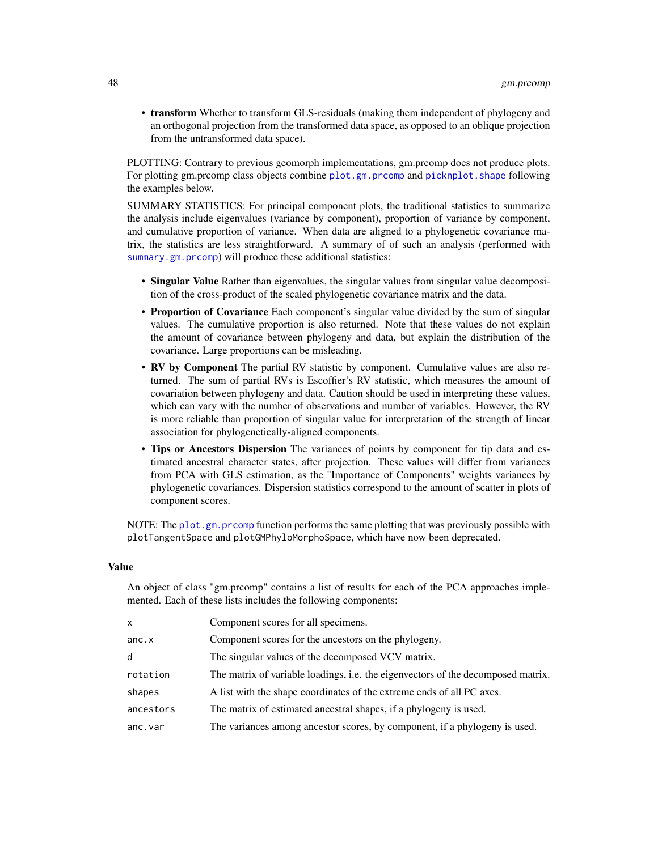• transform Whether to transform GLS-residuals (making them independent of phylogeny and an orthogonal projection from the transformed data space, as opposed to an oblique projection from the untransformed data space).

PLOTTING: Contrary to previous geomorph implementations, gm.prcomp does not produce plots. For plotting gm.prcomp class objects combine [plot.gm.prcomp](#page-88-0) and [picknplot.shape](#page-83-0) following the examples below.

SUMMARY STATISTICS: For principal component plots, the traditional statistics to summarize the analysis include eigenvalues (variance by component), proportion of variance by component, and cumulative proportion of variance. When data are aligned to a phylogenetic covariance matrix, the statistics are less straightforward. A summary of of such an analysis (performed with [summary.gm.prcomp](#page-145-0)) will produce these additional statistics:

- Singular Value Rather than eigenvalues, the singular values from singular value decomposition of the cross-product of the scaled phylogenetic covariance matrix and the data.
- Proportion of Covariance Each component's singular value divided by the sum of singular values. The cumulative proportion is also returned. Note that these values do not explain the amount of covariance between phylogeny and data, but explain the distribution of the covariance. Large proportions can be misleading.
- RV by Component The partial RV statistic by component. Cumulative values are also returned. The sum of partial RVs is Escoffier's RV statistic, which measures the amount of covariation between phylogeny and data. Caution should be used in interpreting these values, which can vary with the number of observations and number of variables. However, the RV is more reliable than proportion of singular value for interpretation of the strength of linear association for phylogenetically-aligned components.
- Tips or Ancestors Dispersion The variances of points by component for tip data and estimated ancestral character states, after projection. These values will differ from variances from PCA with GLS estimation, as the "Importance of Components" weights variances by phylogenetic covariances. Dispersion statistics correspond to the amount of scatter in plots of component scores.

NOTE: The [plot.gm.prcomp](#page-88-0) function performs the same plotting that was previously possible with plotTangentSpace and plotGMPhyloMorphoSpace, which have now been deprecated.

# Value

An object of class "gm.prcomp" contains a list of results for each of the PCA approaches implemented. Each of these lists includes the following components:

| x         | Component scores for all specimens.                                              |
|-----------|----------------------------------------------------------------------------------|
| anc.x     | Component scores for the ancestors on the phylogeny.                             |
| d         | The singular values of the decomposed VCV matrix.                                |
| rotation  | The matrix of variable loadings, i.e. the eigenvectors of the decomposed matrix. |
| shapes    | A list with the shape coordinates of the extreme ends of all PC axes.            |
| ancestors | The matrix of estimated ancestral shapes, if a phylogeny is used.                |
| anc.var   | The variances among ancestor scores, by component, if a phylogeny is used.       |
|           |                                                                                  |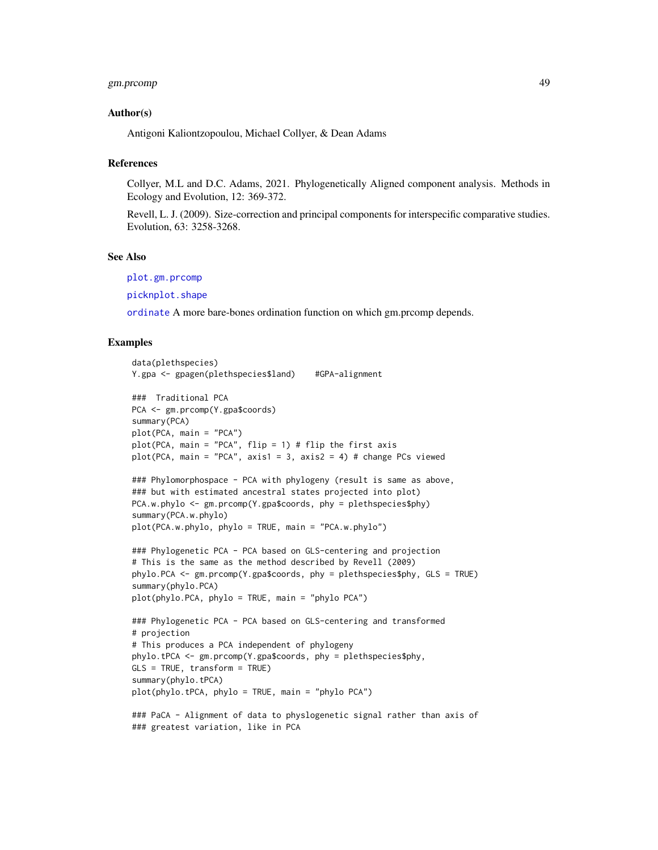# gm.prcomp 49

## Author(s)

Antigoni Kaliontzopoulou, Michael Collyer, & Dean Adams

#### References

Collyer, M.L and D.C. Adams, 2021. Phylogenetically Aligned component analysis. Methods in Ecology and Evolution, 12: 369-372.

Revell, L. J. (2009). Size-correction and principal components for interspecific comparative studies. Evolution, 63: 3258-3268.

#### See Also

[plot.gm.prcomp](#page-88-0)

[picknplot.shape](#page-83-0)

[ordinate](#page-0-0) A more bare-bones ordination function on which gm.prcomp depends.

## Examples

```
data(plethspecies)
Y.gpa <- gpagen(plethspecies$land) #GPA-alignment
### Traditional PCA
PCA <- gm.prcomp(Y.gpa$coords)
summary(PCA)
plot(PCA, main = "PCA")
plot(PCA, main = "PCA", flip = 1) # flip the first axisplot(PCA, main = "PCA", axis1 = 3, axis2 = 4) # change PCs viewed
### Phylomorphospace - PCA with phylogeny (result is same as above,
### but with estimated ancestral states projected into plot)
PCA.w.phylo <- gm.prcomp(Y.gpa$coords, phy = plethspecies$phy)
summary(PCA.w.phylo)
plot(PCA.w.phylo, phylo = TRUE, main = "PCA.w.phylo")
### Phylogenetic PCA - PCA based on GLS-centering and projection
# This is the same as the method described by Revell (2009)
phylo.PCA <- gm.prcomp(Y.gpa$coords, phy = plethspecies$phy, GLS = TRUE)
summary(phylo.PCA)
plot(phylo.PCA, phylo = TRUE, main = "phylo PCA")
### Phylogenetic PCA - PCA based on GLS-centering and transformed
# projection
# This produces a PCA independent of phylogeny
phylo.tPCA <- gm.prcomp(Y.gpa$coords, phy = plethspecies$phy,
GLS = TRUE, transform = TRUE)
summary(phylo.tPCA)
plot(phylo.tPCA, phylo = TRUE, main = "phylo PCA")
### PaCA - Alignment of data to physlogenetic signal rather than axis of
### greatest variation, like in PCA
```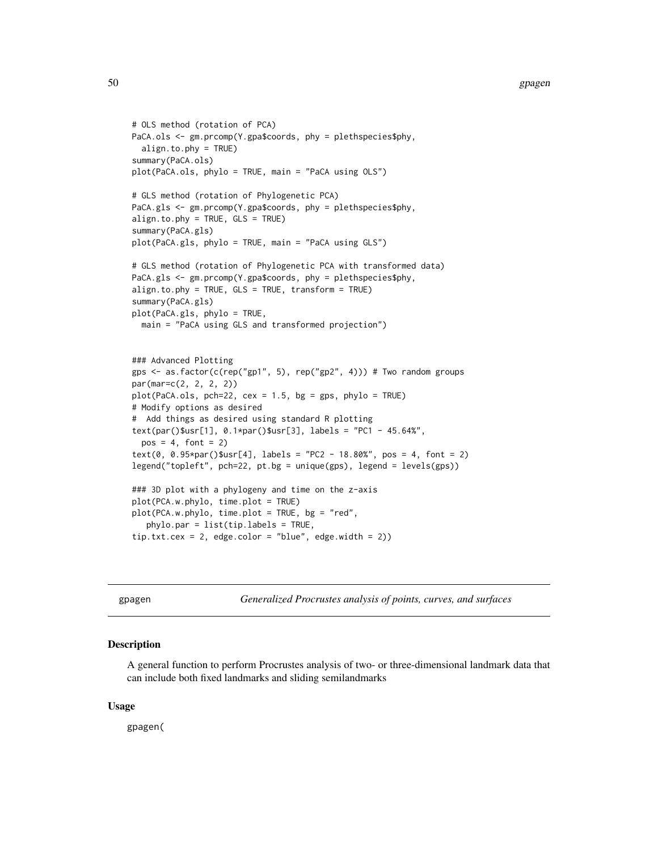```
# OLS method (rotation of PCA)
PaCA.ols <- gm.prcomp(Y.gpa$coords, phy = plethspecies$phy,
  align.to.phy = TRUE)
summary(PaCA.ols)
plot(PaCA.ols, phylo = TRUE, main = "PaCA using OLS")
# GLS method (rotation of Phylogenetic PCA)
PaCA.gls <- gm.prcomp(Y.gpa$coords, phy = plethspecies$phy,
align.to.phy = TRUE, GLS = TRUE)
summary(PaCA.gls)
plot(PaCA.gls, phylo = TRUE, main = "PaCA using GLS")
# GLS method (rotation of Phylogenetic PCA with transformed data)
PaCA.gls <- gm.prcomp(Y.gpa$coords, phy = plethspecies$phy,
align.to.phy = TRUE, GLS = TRUE, transform = TRUE)
summary(PaCA.gls)
plot(PaCA.gls, phylo = TRUE,
  main = "PaCA using GLS and transformed projection")
### Advanced Plotting
gps <- as.factor(c(rep("gp1", 5), rep("gp2", 4))) # Two random groups
par(mar=c(2, 2, 2, 2))
plot(PaCA.ols, pch=22, cex = 1.5, bg = gps, phylo = TRUE)
# Modify options as desired
# Add things as desired using standard R plotting
text(par()$usr[1], 0.1*par()$usr[3], labels = "PC1 - 45.64%",
  pos = 4, font = 2)
text(0, 0.95*par()$usr[4], labels = "PC2 - 18.80%", pos = 4, font = 2)legend("topleft", pch=22, pt.bg = unique(gps), legend = levels(gps))
### 3D plot with a phylogeny and time on the z-axis
plot(PCA.w.phylo, time.plot = TRUE)
plot(PCA.w.phylo, time.plot = TRUE, bg = "red",
   phylo.par = list(tip.labels = TRUE,
tip.txt.cex = 2, edge.color = "blue", edge.width = 2))
```
<span id="page-49-0"></span>gpagen *Generalized Procrustes analysis of points, curves, and surfaces*

#### Description

A general function to perform Procrustes analysis of two- or three-dimensional landmark data that can include both fixed landmarks and sliding semilandmarks

## Usage

gpagen(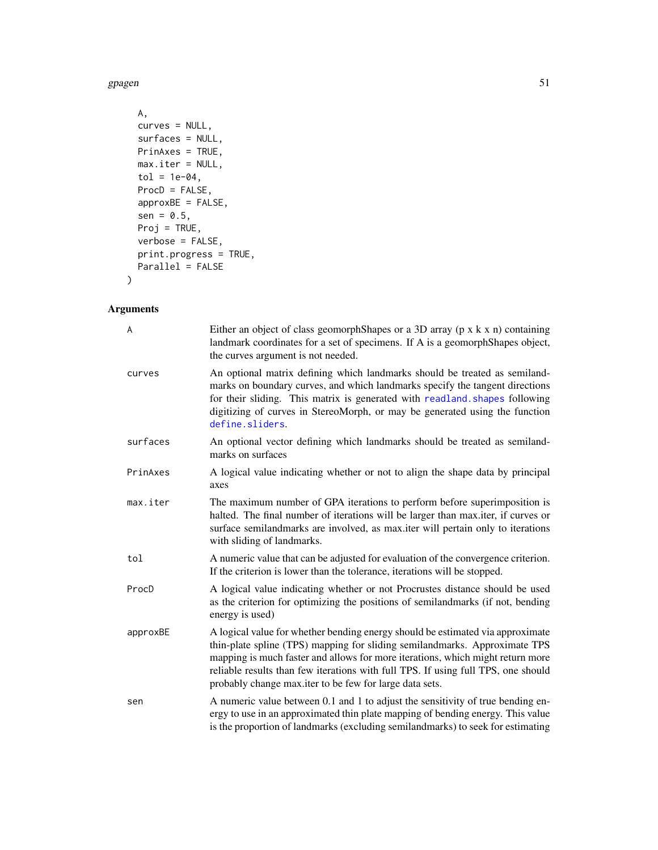gpagen 51 and 51 and 52 and 52 and 52 and 52 and 52 and 52 and 53 and 53 and 53 and 54 and 54 and 54 and 54 and 55 and 55 and 55 and 55 and 55 and 55 and 55 and 55 and 55 and 55 and 55 and 55 and 55 and 55 and 55 and 55 an

```
A,
curves = NULL,
surfaces = NULL,
PrinAxes = TRUE,
max.iter = NULL,
tol = 1e-04,ProcD = FALSE,
approxBE = FALSE,sen = 0.5,
Proj = TRUE,
verbose = FALSE,
print.progress = TRUE,
Parallel = FALSE
```
# Arguments

 $\mathcal{L}$ 

| A        | Either an object of class geomorph Shapes or a 3D array ( $p \times k \times n$ ) containing<br>landmark coordinates for a set of specimens. If A is a geomorphShapes object,<br>the curves argument is not needed.                                                                                                                                                                            |
|----------|------------------------------------------------------------------------------------------------------------------------------------------------------------------------------------------------------------------------------------------------------------------------------------------------------------------------------------------------------------------------------------------------|
| curves   | An optional matrix defining which landmarks should be treated as semiland-<br>marks on boundary curves, and which landmarks specify the tangent directions<br>for their sliding. This matrix is generated with readland. shapes following<br>digitizing of curves in StereoMorph, or may be generated using the function<br>define.sliders.                                                    |
| surfaces | An optional vector defining which landmarks should be treated as semiland-<br>marks on surfaces                                                                                                                                                                                                                                                                                                |
| PrinAxes | A logical value indicating whether or not to align the shape data by principal<br>axes                                                                                                                                                                                                                                                                                                         |
| max.iter | The maximum number of GPA iterations to perform before superimposition is<br>halted. The final number of iterations will be larger than max.iter, if curves or<br>surface semilandmarks are involved, as max.iter will pertain only to iterations<br>with sliding of landmarks.                                                                                                                |
| tol      | A numeric value that can be adjusted for evaluation of the convergence criterion.<br>If the criterion is lower than the tolerance, iterations will be stopped.                                                                                                                                                                                                                                 |
| ProcD    | A logical value indicating whether or not Procrustes distance should be used<br>as the criterion for optimizing the positions of semilandmarks (if not, bending<br>energy is used)                                                                                                                                                                                                             |
| approxBE | A logical value for whether bending energy should be estimated via approximate<br>thin-plate spline (TPS) mapping for sliding semilandmarks. Approximate TPS<br>mapping is much faster and allows for more iterations, which might return more<br>reliable results than few iterations with full TPS. If using full TPS, one should<br>probably change max.iter to be few for large data sets. |
| sen      | A numeric value between 0.1 and 1 to adjust the sensitivity of true bending en-<br>ergy to use in an approximated thin plate mapping of bending energy. This value<br>is the proportion of landmarks (excluding semilandmarks) to seek for estimating                                                                                                                                          |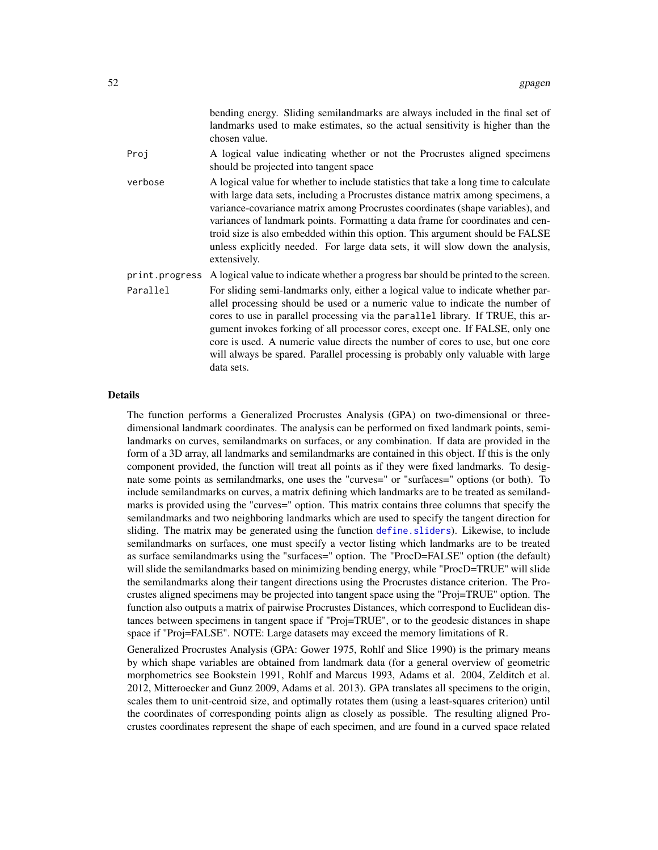|                | bending energy. Sliding semilandmarks are always included in the final set of<br>landmarks used to make estimates, so the actual sensitivity is higher than the<br>chosen value.                                                                                                                                                                                                                                                                                                                                               |
|----------------|--------------------------------------------------------------------------------------------------------------------------------------------------------------------------------------------------------------------------------------------------------------------------------------------------------------------------------------------------------------------------------------------------------------------------------------------------------------------------------------------------------------------------------|
| Proj           | A logical value indicating whether or not the Procrustes aligned specimens<br>should be projected into tangent space                                                                                                                                                                                                                                                                                                                                                                                                           |
| verbose        | A logical value for whether to include statistics that take a long time to calculate<br>with large data sets, including a Procrustes distance matrix among specimens, a<br>variance-covariance matrix among Procrustes coordinates (shape variables), and<br>variances of landmark points. Formatting a data frame for coordinates and cen-<br>troid size is also embedded within this option. This argument should be FALSE<br>unless explicitly needed. For large data sets, it will slow down the analysis,<br>extensively. |
| print.progress | A logical value to indicate whether a progress bar should be printed to the screen.                                                                                                                                                                                                                                                                                                                                                                                                                                            |
| Parallel       | For sliding semi-landmarks only, either a logical value to indicate whether par-<br>allel processing should be used or a numeric value to indicate the number of<br>cores to use in parallel processing via the parallel library. If TRUE, this ar-<br>gument invokes forking of all processor cores, except one. If FALSE, only one<br>core is used. A numeric value directs the number of cores to use, but one core<br>will always be spared. Parallel processing is probably only valuable with large<br>data sets.        |

## Details

The function performs a Generalized Procrustes Analysis (GPA) on two-dimensional or threedimensional landmark coordinates. The analysis can be performed on fixed landmark points, semilandmarks on curves, semilandmarks on surfaces, or any combination. If data are provided in the form of a 3D array, all landmarks and semilandmarks are contained in this object. If this is the only component provided, the function will treat all points as if they were fixed landmarks. To designate some points as semilandmarks, one uses the "curves=" or "surfaces=" options (or both). To include semilandmarks on curves, a matrix defining which landmarks are to be treated as semilandmarks is provided using the "curves=" option. This matrix contains three columns that specify the semilandmarks and two neighboring landmarks which are used to specify the tangent direction for sliding. The matrix may be generated using the function [define.sliders](#page-29-0)). Likewise, to include semilandmarks on surfaces, one must specify a vector listing which landmarks are to be treated as surface semilandmarks using the "surfaces=" option. The "ProcD=FALSE" option (the default) will slide the semilandmarks based on minimizing bending energy, while "ProcD=TRUE" will slide the semilandmarks along their tangent directions using the Procrustes distance criterion. The Procrustes aligned specimens may be projected into tangent space using the "Proj=TRUE" option. The function also outputs a matrix of pairwise Procrustes Distances, which correspond to Euclidean distances between specimens in tangent space if "Proj=TRUE", or to the geodesic distances in shape space if "Proj=FALSE". NOTE: Large datasets may exceed the memory limitations of R.

Generalized Procrustes Analysis (GPA: Gower 1975, Rohlf and Slice 1990) is the primary means by which shape variables are obtained from landmark data (for a general overview of geometric morphometrics see Bookstein 1991, Rohlf and Marcus 1993, Adams et al. 2004, Zelditch et al. 2012, Mitteroecker and Gunz 2009, Adams et al. 2013). GPA translates all specimens to the origin, scales them to unit-centroid size, and optimally rotates them (using a least-squares criterion) until the coordinates of corresponding points align as closely as possible. The resulting aligned Procrustes coordinates represent the shape of each specimen, and are found in a curved space related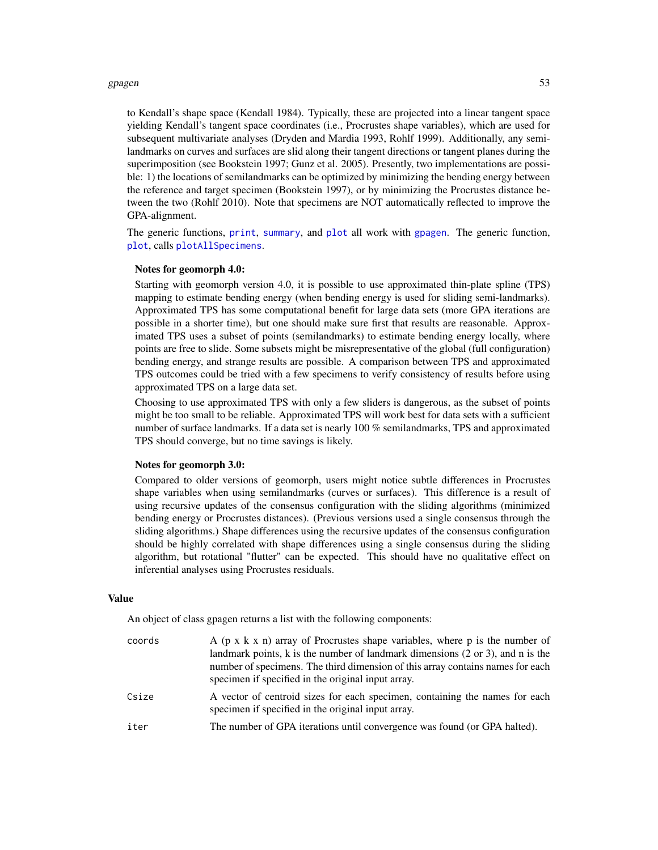#### gpagen 53 and 53 and 53 and 53 and 53 and 53 and 53 and 53 and 53 and 53 and 53 and 53 and 53 and 53 and 53 and 53 and 54 and 55 and 55 and 55 and 55 and 55 and 55 and 55 and 55 and 55 and 55 and 55 and 55 and 55 and 55 an

to Kendall's shape space (Kendall 1984). Typically, these are projected into a linear tangent space yielding Kendall's tangent space coordinates (i.e., Procrustes shape variables), which are used for subsequent multivariate analyses (Dryden and Mardia 1993, Rohlf 1999). Additionally, any semilandmarks on curves and surfaces are slid along their tangent directions or tangent planes during the superimposition (see Bookstein 1997; Gunz et al. 2005). Presently, two implementations are possible: 1) the locations of semilandmarks can be optimized by minimizing the bending energy between the reference and target specimen (Bookstein 1997), or by minimizing the Procrustes distance between the two (Rohlf 2010). Note that specimens are NOT automatically reflected to improve the GPA-alignment.

The generic functions, [print](#page-0-0), [summary](#page-0-0), and [plot](#page-0-0) all work with [gpagen](#page-49-0). The generic function, [plot](#page-0-0), calls [plotAllSpecimens](#page-96-0).

#### Notes for geomorph 4.0:

Starting with geomorph version 4.0, it is possible to use approximated thin-plate spline (TPS) mapping to estimate bending energy (when bending energy is used for sliding semi-landmarks). Approximated TPS has some computational benefit for large data sets (more GPA iterations are possible in a shorter time), but one should make sure first that results are reasonable. Approximated TPS uses a subset of points (semilandmarks) to estimate bending energy locally, where points are free to slide. Some subsets might be misrepresentative of the global (full configuration) bending energy, and strange results are possible. A comparison between TPS and approximated TPS outcomes could be tried with a few specimens to verify consistency of results before using approximated TPS on a large data set.

Choosing to use approximated TPS with only a few sliders is dangerous, as the subset of points might be too small to be reliable. Approximated TPS will work best for data sets with a sufficient number of surface landmarks. If a data set is nearly 100 % semilandmarks, TPS and approximated TPS should converge, but no time savings is likely.

#### Notes for geomorph 3.0:

Compared to older versions of geomorph, users might notice subtle differences in Procrustes shape variables when using semilandmarks (curves or surfaces). This difference is a result of using recursive updates of the consensus configuration with the sliding algorithms (minimized bending energy or Procrustes distances). (Previous versions used a single consensus through the sliding algorithms.) Shape differences using the recursive updates of the consensus configuration should be highly correlated with shape differences using a single consensus during the sliding algorithm, but rotational "flutter" can be expected. This should have no qualitative effect on inferential analyses using Procrustes residuals.

#### Value

An object of class gpagen returns a list with the following components:

| coords | A ( $p \times k \times n$ ) array of Procrustes shape variables, where p is the number of<br>landmark points, k is the number of landmark dimensions $(2 \text{ or } 3)$ , and n is the<br>number of specimens. The third dimension of this array contains names for each<br>specimen if specified in the original input array. |
|--------|---------------------------------------------------------------------------------------------------------------------------------------------------------------------------------------------------------------------------------------------------------------------------------------------------------------------------------|
| Csize  | A vector of centroid sizes for each specimen, containing the names for each<br>specimen if specified in the original input array.                                                                                                                                                                                               |
| iter   | The number of GPA iterations until convergence was found (or GPA halted).                                                                                                                                                                                                                                                       |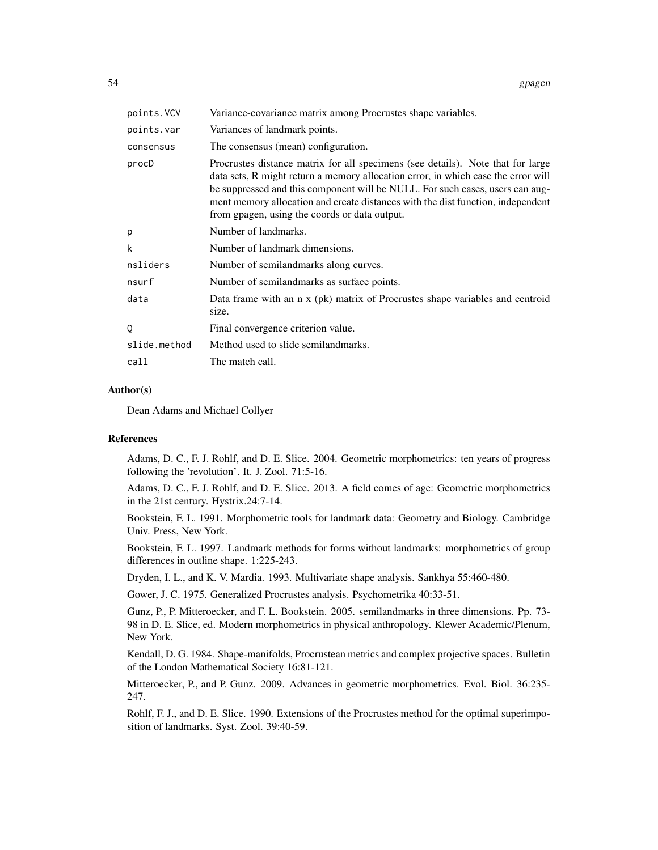| points. VCV  | Variance-covariance matrix among Procrustes shape variables.                                                                                                                                                                                                                                                                                                                              |
|--------------|-------------------------------------------------------------------------------------------------------------------------------------------------------------------------------------------------------------------------------------------------------------------------------------------------------------------------------------------------------------------------------------------|
| points.var   | Variances of landmark points.                                                                                                                                                                                                                                                                                                                                                             |
| consensus    | The consensus (mean) configuration.                                                                                                                                                                                                                                                                                                                                                       |
| procD        | Procrustes distance matrix for all specimens (see details). Note that for large<br>data sets, R might return a memory allocation error, in which case the error will<br>be suppressed and this component will be NULL. For such cases, users can aug-<br>ment memory allocation and create distances with the dist function, independent<br>from gpagen, using the coords or data output. |
| р            | Number of landmarks.                                                                                                                                                                                                                                                                                                                                                                      |
| k            | Number of landmark dimensions.                                                                                                                                                                                                                                                                                                                                                            |
| nsliders     | Number of semiland marks along curves.                                                                                                                                                                                                                                                                                                                                                    |
| nsurf        | Number of semiland marks as surface points.                                                                                                                                                                                                                                                                                                                                               |
| data         | Data frame with an n x (pk) matrix of Procrustes shape variables and centroid<br>size.                                                                                                                                                                                                                                                                                                    |
| Q            | Final convergence criterion value.                                                                                                                                                                                                                                                                                                                                                        |
| slide.method | Method used to slide semiland marks.                                                                                                                                                                                                                                                                                                                                                      |
| call         | The match call.                                                                                                                                                                                                                                                                                                                                                                           |

#### Author(s)

Dean Adams and Michael Collyer

#### References

Adams, D. C., F. J. Rohlf, and D. E. Slice. 2004. Geometric morphometrics: ten years of progress following the 'revolution'. It. J. Zool. 71:5-16.

Adams, D. C., F. J. Rohlf, and D. E. Slice. 2013. A field comes of age: Geometric morphometrics in the 21st century. Hystrix.24:7-14.

Bookstein, F. L. 1991. Morphometric tools for landmark data: Geometry and Biology. Cambridge Univ. Press, New York.

Bookstein, F. L. 1997. Landmark methods for forms without landmarks: morphometrics of group differences in outline shape. 1:225-243.

Dryden, I. L., and K. V. Mardia. 1993. Multivariate shape analysis. Sankhya 55:460-480.

Gower, J. C. 1975. Generalized Procrustes analysis. Psychometrika 40:33-51.

Gunz, P., P. Mitteroecker, and F. L. Bookstein. 2005. semilandmarks in three dimensions. Pp. 73- 98 in D. E. Slice, ed. Modern morphometrics in physical anthropology. Klewer Academic/Plenum, New York.

Kendall, D. G. 1984. Shape-manifolds, Procrustean metrics and complex projective spaces. Bulletin of the London Mathematical Society 16:81-121.

Mitteroecker, P., and P. Gunz. 2009. Advances in geometric morphometrics. Evol. Biol. 36:235- 247.

Rohlf, F. J., and D. E. Slice. 1990. Extensions of the Procrustes method for the optimal superimposition of landmarks. Syst. Zool. 39:40-59.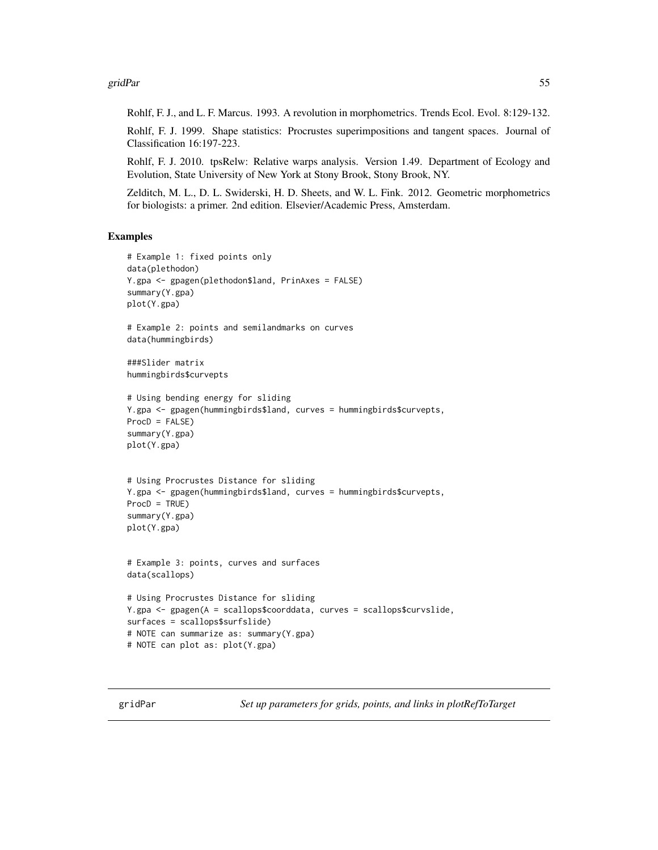gridPar 55

Rohlf, F. J., and L. F. Marcus. 1993. A revolution in morphometrics. Trends Ecol. Evol. 8:129-132.

Rohlf, F. J. 1999. Shape statistics: Procrustes superimpositions and tangent spaces. Journal of Classification 16:197-223.

Rohlf, F. J. 2010. tpsRelw: Relative warps analysis. Version 1.49. Department of Ecology and Evolution, State University of New York at Stony Brook, Stony Brook, NY.

Zelditch, M. L., D. L. Swiderski, H. D. Sheets, and W. L. Fink. 2012. Geometric morphometrics for biologists: a primer. 2nd edition. Elsevier/Academic Press, Amsterdam.

## Examples

```
# Example 1: fixed points only
data(plethodon)
Y.gpa <- gpagen(plethodon$land, PrinAxes = FALSE)
summary(Y.gpa)
plot(Y.gpa)
# Example 2: points and semilandmarks on curves
data(hummingbirds)
###Slider matrix
hummingbirds$curvepts
# Using bending energy for sliding
Y.gpa <- gpagen(hummingbirds$land, curves = hummingbirds$curvepts,
ProcD = FALSE)
summary(Y.gpa)
plot(Y.gpa)
# Using Procrustes Distance for sliding
Y.gpa <- gpagen(hummingbirds$land, curves = hummingbirds$curvepts,
ProcD = TRUE)
summary(Y.gpa)
plot(Y.gpa)
# Example 3: points, curves and surfaces
data(scallops)
# Using Procrustes Distance for sliding
Y.gpa <- gpagen(A = scallops$coorddata, curves = scallops$curvslide,
surfaces = scallops$surfslide)
# NOTE can summarize as: summary(Y.gpa)
# NOTE can plot as: plot(Y.gpa)
```
gridPar *Set up parameters for grids, points, and links in plotRefToTarget*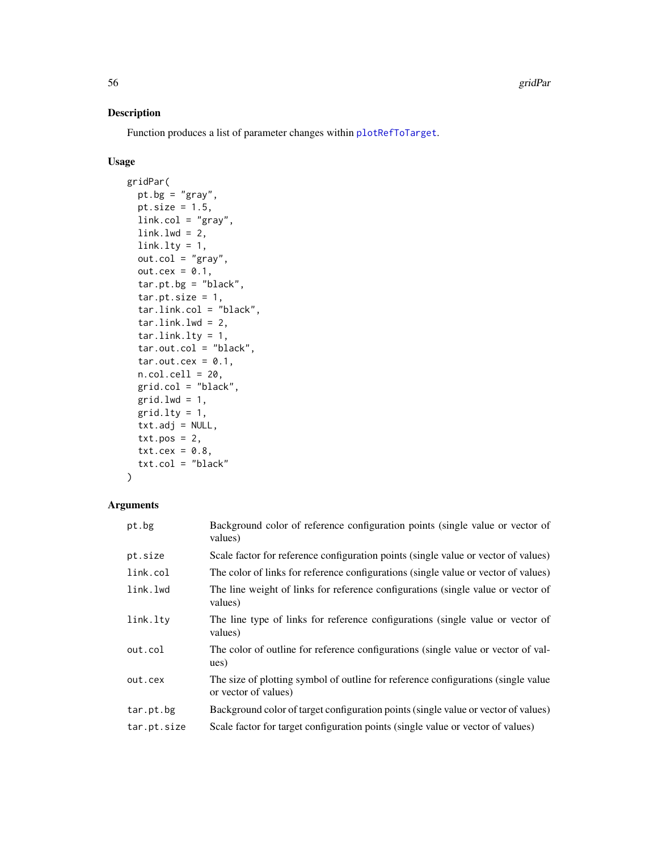# Description

Function produces a list of parameter changes within [plotRefToTarget](#page-99-0).

# Usage

```
gridPar(
 pt.bg = "gray",
 pt.size = 1.5,
 link.co1 = "gray",link.lwd = 2,link.lty = 1,
 out.col = "gray",out.cex = 0.1,
  tar.pt.bg = "black",tar.pt.size = 1,
  tar.link.col = "black",
  tar.link.lwd = 2,tar.link.lty = 1,tar.out.col = "black",
  tar.out. cex = 0.1,
 n.col.cell = 20,
 grid,col = "black",grid.lwd = 1,grid.lty = 1,
 txt.adj = NULL,
 txt.pos = 2,txt.cex = 0.8,
  txt.col = "black"
)
```
# Arguments

| pt.bg       | Background color of reference configuration points (single value or vector of<br>values)                   |
|-------------|------------------------------------------------------------------------------------------------------------|
| pt.size     | Scale factor for reference configuration points (single value or vector of values)                         |
| link.col    | The color of links for reference configurations (single value or vector of values)                         |
| link.lwd    | The line weight of links for reference configurations (single value or vector of<br>values)                |
| link.lty    | The line type of links for reference configurations (single value or vector of<br>values)                  |
| out.col     | The color of outline for reference configurations (single value or vector of val-<br>ues)                  |
| out.cex     | The size of plotting symbol of outline for reference configurations (single value)<br>or vector of values) |
| tar.pt.bg   | Background color of target configuration points (single value or vector of values)                         |
| tar.pt.size | Scale factor for target configuration points (single value or vector of values)                            |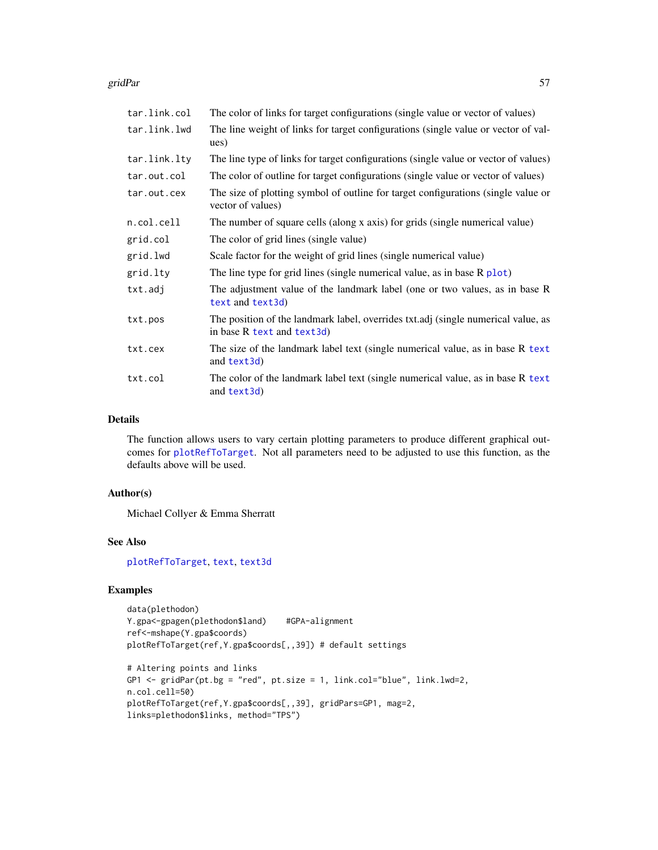## gridPar 57

| tar.link.col | The color of links for target configurations (single value or vector of values)                                 |
|--------------|-----------------------------------------------------------------------------------------------------------------|
| tar.link.lwd | The line weight of links for target configurations (single value or vector of val-<br>ues)                      |
| tar.link.lty | The line type of links for target configurations (single value or vector of values)                             |
| tar.out.col  | The color of outline for target configurations (single value or vector of values)                               |
| tar.out.cex  | The size of plotting symbol of outline for target configurations (single value or<br>vector of values)          |
| n.col.cell   | The number of square cells (along x axis) for grids (single numerical value)                                    |
| grid.col     | The color of grid lines (single value)                                                                          |
| grid.lwd     | Scale factor for the weight of grid lines (single numerical value)                                              |
| grid.lty     | The line type for grid lines (single numerical value, as in base $R$ plot)                                      |
| txt.adj      | The adjustment value of the landmark label (one or two values, as in base R<br>text and text3d)                 |
| txt.pos      | The position of the landmark label, overrides txt.adj (single numerical value, as<br>in base R text and text3d) |
| txt.cex      | The size of the landmark label text (single numerical value, as in base R text)<br>and text3d)                  |
| txt.col      | The color of the landmark label text (single numerical value, as in base R text)<br>and text3d)                 |

# Details

The function allows users to vary certain plotting parameters to produce different graphical outcomes for [plotRefToTarget](#page-99-0). Not all parameters need to be adjusted to use this function, as the defaults above will be used.

## Author(s)

Michael Collyer & Emma Sherratt

## See Also

[plotRefToTarget](#page-99-0), [text](#page-0-0), [text3d](#page-0-0)

# Examples

```
data(plethodon)
Y.gpa<-gpagen(plethodon$land) #GPA-alignment
ref<-mshape(Y.gpa$coords)
plotRefToTarget(ref,Y.gpa$coords[,,39]) # default settings
```

```
# Altering points and links
GP1 <- gridPar(pt.bg = "red", pt.size = 1, link.col="blue", link.lwd=2,
n.col.cell=50)
plotRefToTarget(ref,Y.gpa$coords[,,39], gridPars=GP1, mag=2,
links=plethodon$links, method="TPS")
```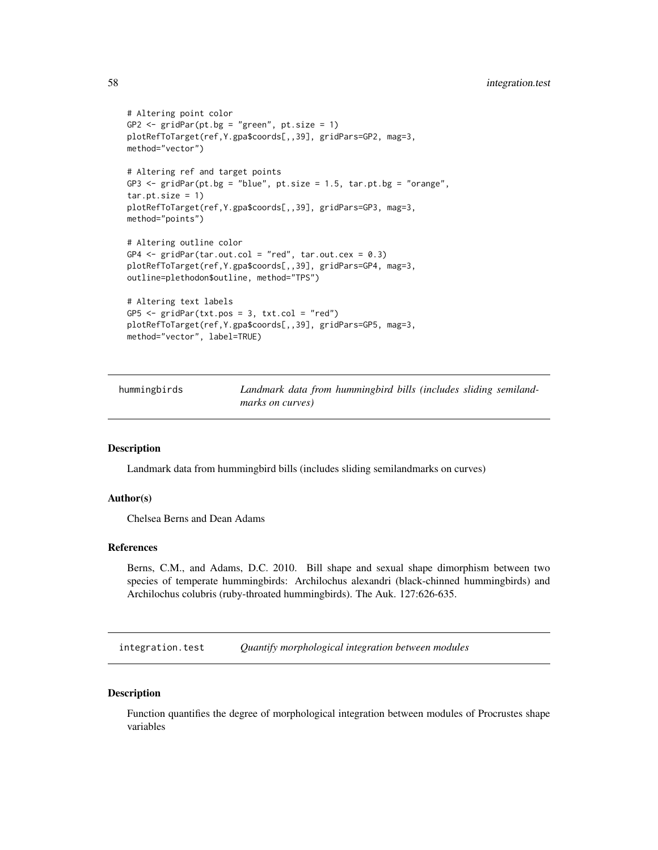```
# Altering point color
GP2 \leq -\text{gridPar}(\text{pt.bg} = \text{"green", pt.size = 1})plotRefToTarget(ref,Y.gpa$coords[,,39], gridPars=GP2, mag=3,
method="vector")
# Altering ref and target points
GP3 \le gridPar(pt.bg = "blue", pt.size = 1.5, tar.pt.bg = "orange",
tar.pt.size = 1)plotRefToTarget(ref,Y.gpa$coords[,,39], gridPars=GP3, mag=3,
method="points")
# Altering outline color
GP4 \le gridPar(tar.out.col = "red", tar.out.cex = 0.3)
plotRefToTarget(ref,Y.gpa$coords[,,39], gridPars=GP4, mag=3,
outline=plethodon$outline, method="TPS")
# Altering text labels
GP5 <- gridPar(txt.pos = 3, txt.col = "red")
plotRefToTarget(ref,Y.gpa$coords[,,39], gridPars=GP5, mag=3,
method="vector", label=TRUE)
```
hummingbirds *Landmark data from hummingbird bills (includes sliding semilandmarks on curves)*

# **Description**

Landmark data from hummingbird bills (includes sliding semilandmarks on curves)

#### Author(s)

Chelsea Berns and Dean Adams

## References

Berns, C.M., and Adams, D.C. 2010. Bill shape and sexual shape dimorphism between two species of temperate hummingbirds: Archilochus alexandri (black-chinned hummingbirds) and Archilochus colubris (ruby-throated hummingbirds). The Auk. 127:626-635.

<span id="page-57-0"></span>integration.test *Quantify morphological integration between modules*

#### **Description**

Function quantifies the degree of morphological integration between modules of Procrustes shape variables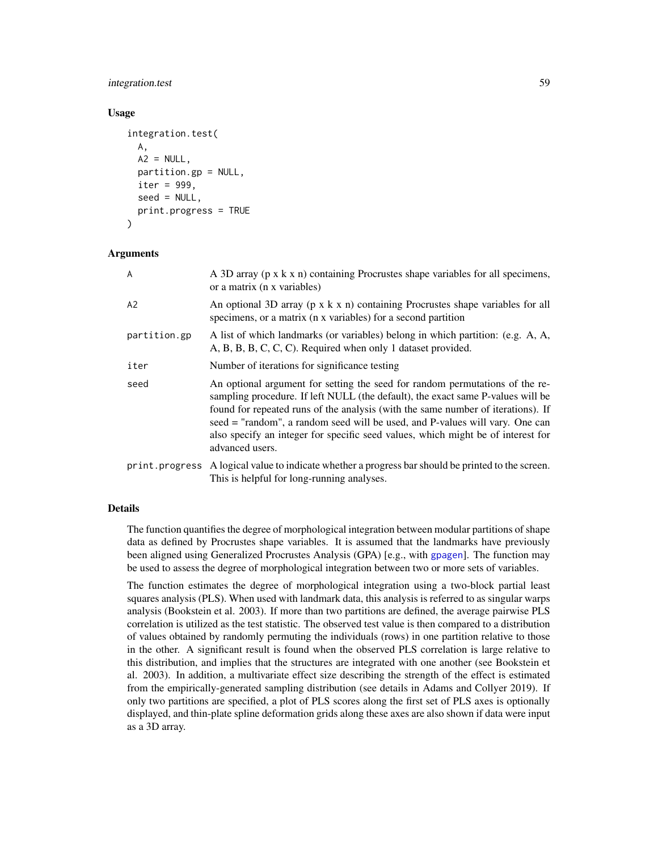# integration.test 59

## Usage

```
integration.test(
  A,
 A2 = NULL,partition.gp = NULL,
  iter = 999,
  seed = NULL,
  print.progress = TRUE
)
```
## Arguments

| A              | A 3D array (p x k x n) containing Procrustes shape variables for all specimens,<br>or a matrix (n x variables)                                                                                                                                                                                                                                                                                                                             |
|----------------|--------------------------------------------------------------------------------------------------------------------------------------------------------------------------------------------------------------------------------------------------------------------------------------------------------------------------------------------------------------------------------------------------------------------------------------------|
| A2             | An optional 3D array ( $p \times k \times n$ ) containing Procrustes shape variables for all<br>specimens, or a matrix (n x variables) for a second partition                                                                                                                                                                                                                                                                              |
| partition.gp   | A list of which landmarks (or variables) belong in which partition: (e.g. A, A,<br>A, B, B, C, C, C). Required when only 1 dataset provided.                                                                                                                                                                                                                                                                                               |
| iter           | Number of iterations for significance testing                                                                                                                                                                                                                                                                                                                                                                                              |
| seed           | An optional argument for setting the seed for random permutations of the re-<br>sampling procedure. If left NULL (the default), the exact same P-values will be<br>found for repeated runs of the analysis (with the same number of iterations). If<br>seed = "random", a random seed will be used, and P-values will vary. One can<br>also specify an integer for specific seed values, which might be of interest for<br>advanced users. |
| print.progress | A logical value to indicate whether a progress bar should be printed to the screen.<br>This is helpful for long-running analyses.                                                                                                                                                                                                                                                                                                          |

## Details

The function quantifies the degree of morphological integration between modular partitions of shape data as defined by Procrustes shape variables. It is assumed that the landmarks have previously been aligned using Generalized Procrustes Analysis (GPA) [e.g., with [gpagen](#page-49-0)]. The function may be used to assess the degree of morphological integration between two or more sets of variables.

The function estimates the degree of morphological integration using a two-block partial least squares analysis (PLS). When used with landmark data, this analysis is referred to as singular warps analysis (Bookstein et al. 2003). If more than two partitions are defined, the average pairwise PLS correlation is utilized as the test statistic. The observed test value is then compared to a distribution of values obtained by randomly permuting the individuals (rows) in one partition relative to those in the other. A significant result is found when the observed PLS correlation is large relative to this distribution, and implies that the structures are integrated with one another (see Bookstein et al. 2003). In addition, a multivariate effect size describing the strength of the effect is estimated from the empirically-generated sampling distribution (see details in Adams and Collyer 2019). If only two partitions are specified, a plot of PLS scores along the first set of PLS axes is optionally displayed, and thin-plate spline deformation grids along these axes are also shown if data were input as a 3D array.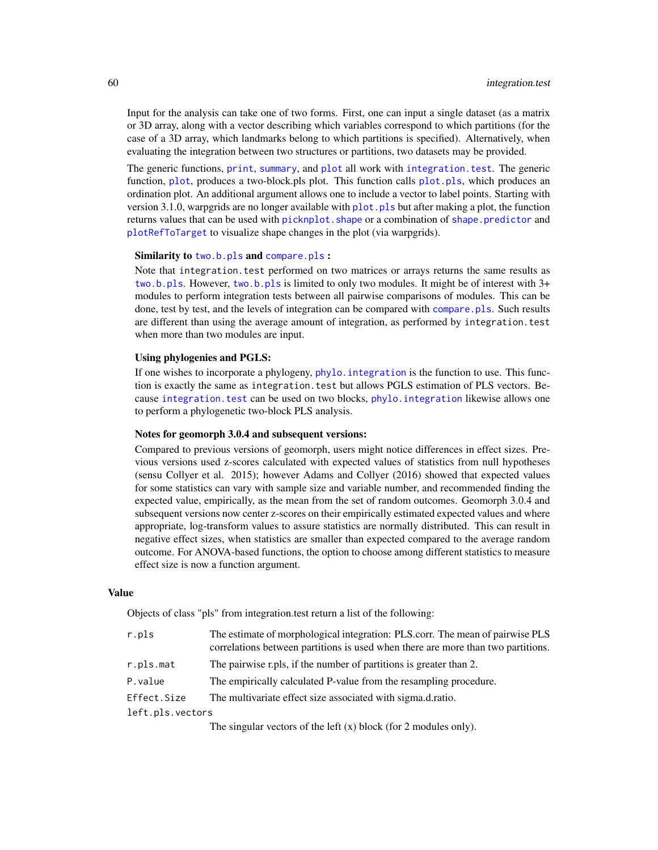Input for the analysis can take one of two forms. First, one can input a single dataset (as a matrix or 3D array, along with a vector describing which variables correspond to which partitions (for the case of a 3D array, which landmarks belong to which partitions is specified). Alternatively, when evaluating the integration between two structures or partitions, two datasets may be provided.

The generic functions, [print](#page-0-0), [summary](#page-0-0), and [plot](#page-0-0) all work with [integration.test](#page-57-0). The generic function, [plot](#page-0-0), produces a two-block.pls plot. This function calls [plot.pls](#page-91-0), which produces an ordination plot. An additional argument allows one to include a vector to label points. Starting with version 3.1.0, warpgrids are no longer available with  $plot$ ,  $pls$  but after making a plot, the function returns values that can be used with picknplot. shape or a combination of shape. predictor and [plotRefToTarget](#page-99-0) to visualize shape changes in the plot (via warpgrids).

## Similarity to [two.b.pls](#page-148-0) and [compare.pls](#page-22-0) :

Note that integration. test performed on two matrices or arrays returns the same results as [two.b.pls](#page-148-0). However, [two.b.pls](#page-148-0) is limited to only two modules. It might be of interest with 3+ modules to perform integration tests between all pairwise comparisons of modules. This can be done, test by test, and the levels of integration can be compared with compare. pls. Such results are different than using the average amount of integration, as performed by integration.test when more than two modules are input.

# Using phylogenies and PGLS:

If one wishes to incorporate a phylogeny, [phylo.integration](#page-75-0) is the function to use. This function is exactly the same as integration.test but allows PGLS estimation of PLS vectors. Because integration, test can be used on two blocks, phylo, integration likewise allows one to perform a phylogenetic two-block PLS analysis.

#### Notes for geomorph 3.0.4 and subsequent versions:

Compared to previous versions of geomorph, users might notice differences in effect sizes. Previous versions used z-scores calculated with expected values of statistics from null hypotheses (sensu Collyer et al. 2015); however Adams and Collyer (2016) showed that expected values for some statistics can vary with sample size and variable number, and recommended finding the expected value, empirically, as the mean from the set of random outcomes. Geomorph 3.0.4 and subsequent versions now center z-scores on their empirically estimated expected values and where appropriate, log-transform values to assure statistics are normally distributed. This can result in negative effect sizes, when statistics are smaller than expected compared to the average random outcome. For ANOVA-based functions, the option to choose among different statistics to measure effect size is now a function argument.

#### Value

Objects of class "pls" from integration.test return a list of the following:

| r.pls            | The estimate of morphological integration: PLS.corr. The mean of pairwise PLS<br>correlations between partitions is used when there are more than two partitions. |
|------------------|-------------------------------------------------------------------------------------------------------------------------------------------------------------------|
| r.pls.mat        | The pairwise r.pls, if the number of partitions is greater than 2.                                                                                                |
| P.value          | The empirically calculated P-value from the resampling procedure.                                                                                                 |
| Effect.Size      | The multivariate effect size associated with sigma.d.ratio.                                                                                                       |
| left.pls.vectors |                                                                                                                                                                   |
|                  | The singular vectors of the left $(x)$ block (for 2 modules only).                                                                                                |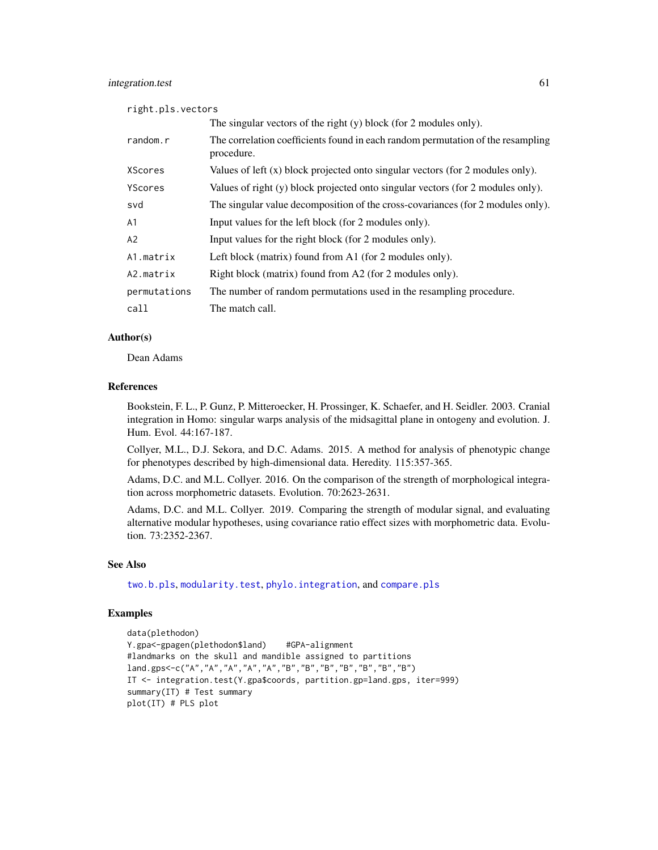## integration.test 61

right.pls.vectors

|              | The singular vectors of the right $(y)$ block (for 2 modules only).                           |
|--------------|-----------------------------------------------------------------------------------------------|
| random.r     | The correlation coefficients found in each random permutation of the resampling<br>procedure. |
| XScores      | Values of left $(x)$ block projected onto singular vectors (for 2 modules only).              |
| YScores      | Values of right (y) block projected onto singular vectors (for 2 modules only).               |
| svd          | The singular value decomposition of the cross-covariances (for 2 modules only).               |
| A1           | Input values for the left block (for 2 modules only).                                         |
| A2           | Input values for the right block (for 2 modules only).                                        |
| A1.matrix    | Left block (matrix) found from A1 (for 2 modules only).                                       |
| A2.matrix    | Right block (matrix) found from A2 (for 2 modules only).                                      |
| permutations | The number of random permutations used in the resampling procedure.                           |
| call         | The match call.                                                                               |

## Author(s)

Dean Adams

## References

Bookstein, F. L., P. Gunz, P. Mitteroecker, H. Prossinger, K. Schaefer, and H. Seidler. 2003. Cranial integration in Homo: singular warps analysis of the midsagittal plane in ontogeny and evolution. J. Hum. Evol. 44:167-187.

Collyer, M.L., D.J. Sekora, and D.C. Adams. 2015. A method for analysis of phenotypic change for phenotypes described by high-dimensional data. Heredity. 115:357-365.

Adams, D.C. and M.L. Collyer. 2016. On the comparison of the strength of morphological integration across morphometric datasets. Evolution. 70:2623-2631.

Adams, D.C. and M.L. Collyer. 2019. Comparing the strength of modular signal, and evaluating alternative modular hypotheses, using covariance ratio effect sizes with morphometric data. Evolution. 73:2352-2367.

## See Also

[two.b.pls](#page-148-0), [modularity.test](#page-66-0), [phylo.integration](#page-75-0), and [compare.pls](#page-22-0)

## Examples

```
data(plethodon)
Y.gpa<-gpagen(plethodon$land) #GPA-alignment
#landmarks on the skull and mandible assigned to partitions
land.gps<-c("A","A","A","A","A","B","B","B","B","B","B","B")
IT <- integration.test(Y.gpa$coords, partition.gp=land.gps, iter=999)
summary(IT) # Test summary
plot(IT) # PLS plot
```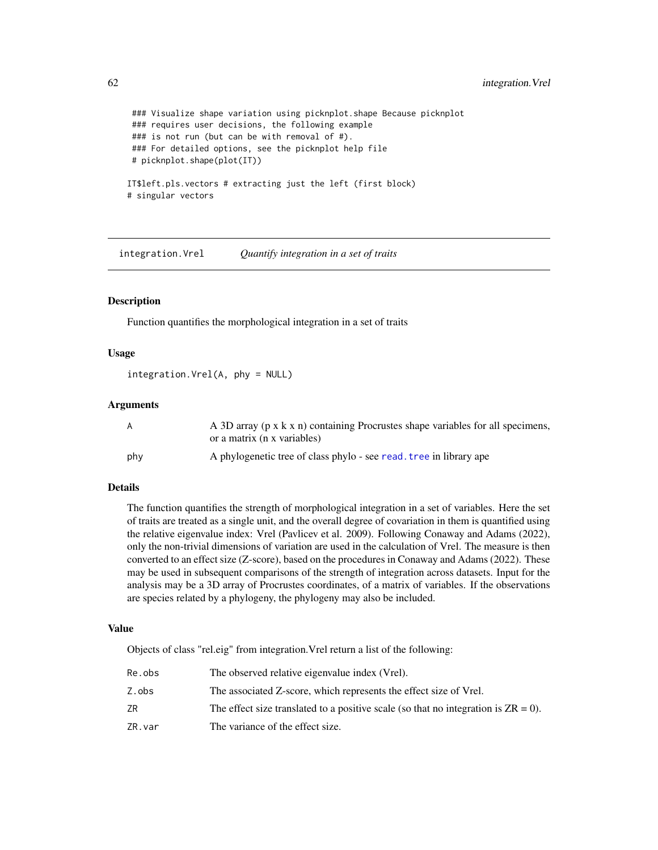```
### Visualize shape variation using picknplot.shape Because picknplot
### requires user decisions, the following example
### is not run (but can be with removal of #).
### For detailed options, see the picknplot help file
# picknplot.shape(plot(IT))
IT$left.pls.vectors # extracting just the left (first block)
# singular vectors
```
integration.Vrel *Quantify integration in a set of traits*

# **Description**

Function quantifies the morphological integration in a set of traits

# Usage

integration.Vrel(A, phy = NULL)

## Arguments

| A   | A 3D array (p x k x n) containing Procrustes shape variables for all specimens,<br>or a matrix (n x variables) |
|-----|----------------------------------------------------------------------------------------------------------------|
| phy | A phylogenetic tree of class phylo - see read, tree in library ape                                             |

#### Details

The function quantifies the strength of morphological integration in a set of variables. Here the set of traits are treated as a single unit, and the overall degree of covariation in them is quantified using the relative eigenvalue index: Vrel (Pavlicev et al. 2009). Following Conaway and Adams (2022), only the non-trivial dimensions of variation are used in the calculation of Vrel. The measure is then converted to an effect size (Z-score), based on the procedures in Conaway and Adams (2022). These may be used in subsequent comparisons of the strength of integration across datasets. Input for the analysis may be a 3D array of Procrustes coordinates, of a matrix of variables. If the observations are species related by a phylogeny, the phylogeny may also be included.

#### Value

Objects of class "rel.eig" from integration.Vrel return a list of the following:

| Re.obs | The observed relative eigenvalue index (Vrel).                                        |
|--------|---------------------------------------------------------------------------------------|
| Z.obs  | The associated Z-score, which represents the effect size of Vrel.                     |
| ZR     | The effect size translated to a positive scale (so that no integration is $ZR = 0$ ). |
| ZR.var | The variance of the effect size.                                                      |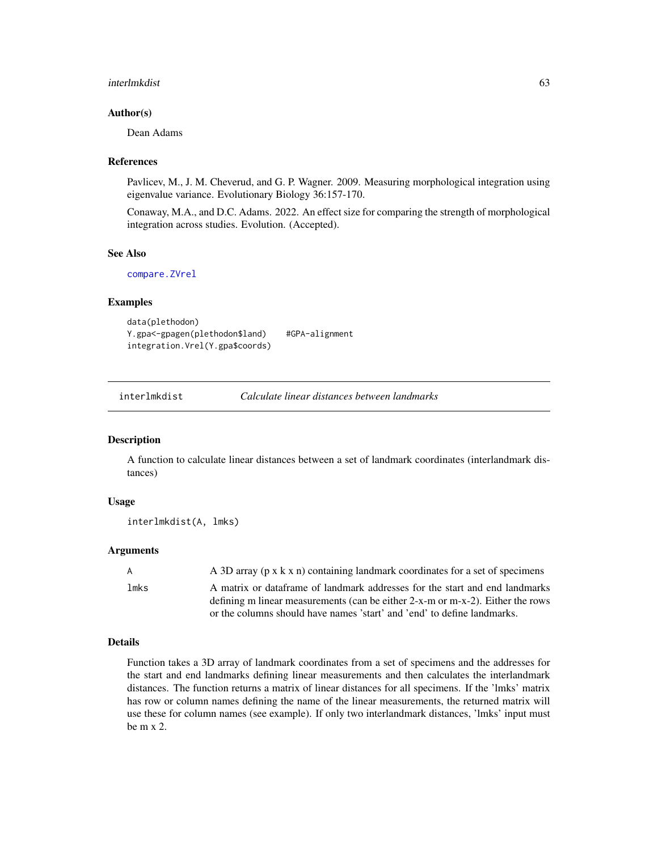#### interlmkdist 63

## Author(s)

Dean Adams

#### References

Pavlicev, M., J. M. Cheverud, and G. P. Wagner. 2009. Measuring morphological integration using eigenvalue variance. Evolutionary Biology 36:157-170.

Conaway, M.A., and D.C. Adams. 2022. An effect size for comparing the strength of morphological integration across studies. Evolution. (Accepted).

# See Also

[compare.ZVrel](#page-24-0)

#### Examples

```
data(plethodon)
Y.gpa<-gpagen(plethodon$land) #GPA-alignment
integration.Vrel(Y.gpa$coords)
```
# Description

A function to calculate linear distances between a set of landmark coordinates (interlandmark distances)

# Usage

```
interlmkdist(A, lmks)
```
## **Arguments**

| A    | A 3D array ( $p \times k \times n$ ) containing landmark coordinates for a set of specimens                                                                                                                                              |
|------|------------------------------------------------------------------------------------------------------------------------------------------------------------------------------------------------------------------------------------------|
| lmks | A matrix or dataframe of landmark addresses for the start and end landmarks<br>defining m linear measurements (can be either 2-x-m or m-x-2). Either the rows<br>or the columns should have names 'start' and 'end' to define landmarks. |
|      |                                                                                                                                                                                                                                          |

# Details

Function takes a 3D array of landmark coordinates from a set of specimens and the addresses for the start and end landmarks defining linear measurements and then calculates the interlandmark distances. The function returns a matrix of linear distances for all specimens. If the 'lmks' matrix has row or column names defining the name of the linear measurements, the returned matrix will use these for column names (see example). If only two interlandmark distances, 'lmks' input must be m x 2.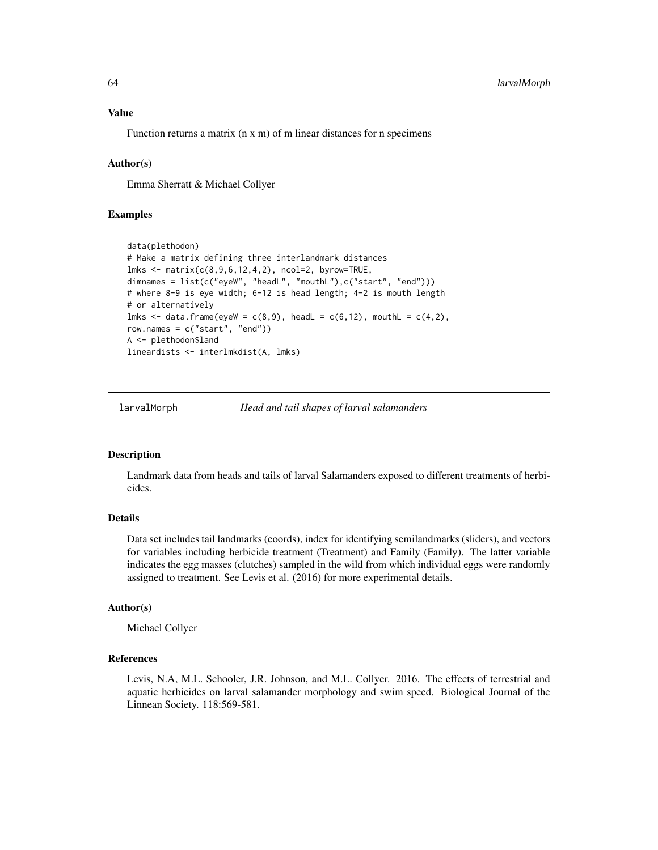Function returns a matrix (n x m) of m linear distances for n specimens

## Author(s)

Emma Sherratt & Michael Collyer

## Examples

```
data(plethodon)
# Make a matrix defining three interlandmark distances
lmks < - matrix(c(8, 9, 6, 12, 4, 2), ncol=2, byrow=TRUE,
dimnames = list(c("eyeW", "headL", "mouthL"),c("start", "end")))
# where 8-9 is eye width; 6-12 is head length; 4-2 is mouth length
# or alternatively
lmks \leq data.frame(eyeW = c(8,9), headL = c(6,12), mouthL = c(4,2),
row.names = c("start", "end"))
A <- plethodon$land
lineardists <- interlmkdist(A, lmks)
```
larvalMorph *Head and tail shapes of larval salamanders*

## Description

Landmark data from heads and tails of larval Salamanders exposed to different treatments of herbicides.

## Details

Data set includes tail landmarks (coords), index for identifying semilandmarks (sliders), and vectors for variables including herbicide treatment (Treatment) and Family (Family). The latter variable indicates the egg masses (clutches) sampled in the wild from which individual eggs were randomly assigned to treatment. See Levis et al. (2016) for more experimental details.

#### Author(s)

Michael Collyer

# References

Levis, N.A, M.L. Schooler, J.R. Johnson, and M.L. Collyer. 2016. The effects of terrestrial and aquatic herbicides on larval salamander morphology and swim speed. Biological Journal of the Linnean Society. 118:569-581.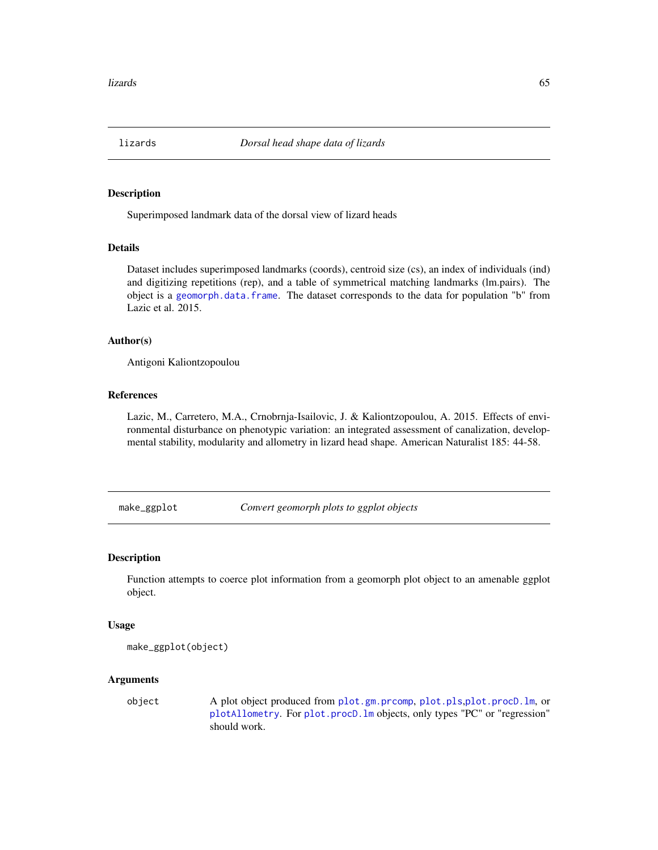# Description

Superimposed landmark data of the dorsal view of lizard heads

# Details

Dataset includes superimposed landmarks (coords), centroid size (cs), an index of individuals (ind) and digitizing repetitions (rep), and a table of symmetrical matching landmarks (lm.pairs). The object is a [geomorph.data.frame](#page-43-0). The dataset corresponds to the data for population "b" from Lazic et al. 2015.

## Author(s)

Antigoni Kaliontzopoulou

# References

Lazic, M., Carretero, M.A., Crnobrnja-Isailovic, J. & Kaliontzopoulou, A. 2015. Effects of environmental disturbance on phenotypic variation: an integrated assessment of canalization, developmental stability, modularity and allometry in lizard head shape. American Naturalist 185: 44-58.

make\_ggplot *Convert geomorph plots to ggplot objects*

## Description

Function attempts to coerce plot information from a geomorph plot object to an amenable ggplot object.

#### Usage

```
make_ggplot(object)
```
## Arguments

object A plot object produced from [plot.gm.prcomp](#page-88-0), [plot.pls](#page-91-0),[plot.procD.lm](#page-91-1), or [plotAllometry](#page-92-0). For [plot.procD.lm](#page-91-1) objects, only types "PC" or "regression" should work.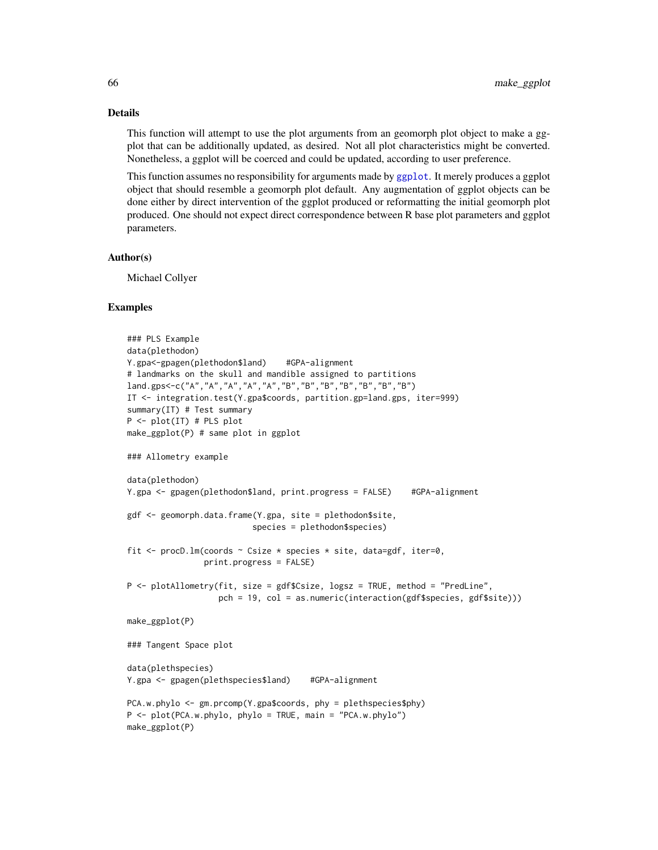#### Details

This function will attempt to use the plot arguments from an geomorph plot object to make a ggplot that can be additionally updated, as desired. Not all plot characteristics might be converted. Nonetheless, a ggplot will be coerced and could be updated, according to user preference.

This function assumes no responsibility for arguments made by [ggplot](#page-0-0). It merely produces a ggplot object that should resemble a geomorph plot default. Any augmentation of ggplot objects can be done either by direct intervention of the ggplot produced or reformatting the initial geomorph plot produced. One should not expect direct correspondence between R base plot parameters and ggplot parameters.

#### Author(s)

Michael Collyer

## Examples

```
### PLS Example
data(plethodon)
Y.gpa<-gpagen(plethodon$land) #GPA-alignment
# landmarks on the skull and mandible assigned to partitions
land.gps<-c("A","A","A","A","A","B","B","B","B","B","B","B")
IT <- integration.test(Y.gpa$coords, partition.gp=land.gps, iter=999)
summary(IT) # Test summary
P <- plot(IT) # PLS plot
make_ggplot(P) # same plot in ggplot
### Allometry example
data(plethodon)
Y.gpa <- gpagen(plethodon$land, print.progress = FALSE) #GPA-alignment
gdf <- geomorph.data.frame(Y.gpa, site = plethodon$site,
                          species = plethodon$species)
fit \le procD. lm(coords \sim Csize * species * site, data=gdf, iter=0,
                print.progress = FALSE)
P <- plotAllometry(fit, size = gdf$Csize, logsz = TRUE, method = "PredLine",
                   pch = 19, col = as.numeric(interaction(gdf$species, gdf$site)))
make_ggplot(P)
### Tangent Space plot
data(plethspecies)
Y.gpa <- gpagen(plethspecies$land) #GPA-alignment
PCA.w.phylo <- gm.prcomp(Y.gpa$coords, phy = plethspecies$phy)
P <- plot(PCA.w.phylo, phylo = TRUE, main = "PCA.w.phylo")
make_ggplot(P)
```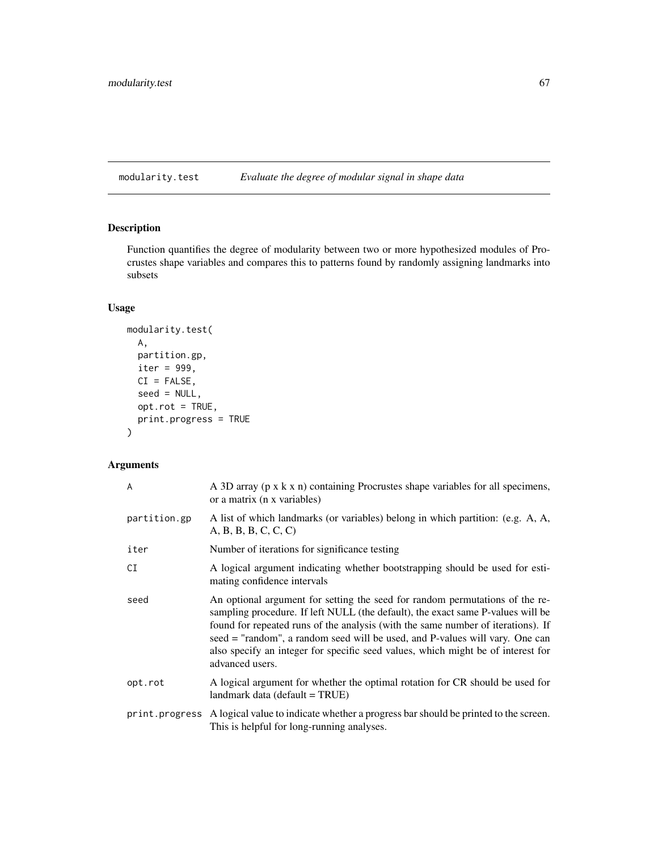# <span id="page-66-0"></span>modularity.test *Evaluate the degree of modular signal in shape data*

# Description

Function quantifies the degree of modularity between two or more hypothesized modules of Procrustes shape variables and compares this to patterns found by randomly assigning landmarks into subsets

# Usage

```
modularity.test(
 A,
 partition.gp,
 iter = 999,
 CI = FALSE,seed = NULL,
 opt.rot = TRUE,
 print.progress = TRUE
)
```
# Arguments

| A            | A 3D array (p x k x n) containing Procrustes shape variables for all specimens,<br>or a matrix (n x variables)                                                                                                                                                                                                                                                                                                                             |
|--------------|--------------------------------------------------------------------------------------------------------------------------------------------------------------------------------------------------------------------------------------------------------------------------------------------------------------------------------------------------------------------------------------------------------------------------------------------|
| partition.gp | A list of which landmarks (or variables) belong in which partition: (e.g. A, A,<br>A, B, B, B, C, C, C                                                                                                                                                                                                                                                                                                                                     |
| iter         | Number of iterations for significance testing                                                                                                                                                                                                                                                                                                                                                                                              |
| CI           | A logical argument indicating whether bootstrapping should be used for esti-<br>mating confidence intervals                                                                                                                                                                                                                                                                                                                                |
| seed         | An optional argument for setting the seed for random permutations of the re-<br>sampling procedure. If left NULL (the default), the exact same P-values will be<br>found for repeated runs of the analysis (with the same number of iterations). If<br>seed = "random", a random seed will be used, and P-values will vary. One can<br>also specify an integer for specific seed values, which might be of interest for<br>advanced users. |
| opt.rot      | A logical argument for whether the optimal rotation for CR should be used for<br>landmark data (default = TRUE)                                                                                                                                                                                                                                                                                                                            |
|              | print. progress A logical value to indicate whether a progress bar should be printed to the screen.<br>This is helpful for long-running analyses.                                                                                                                                                                                                                                                                                          |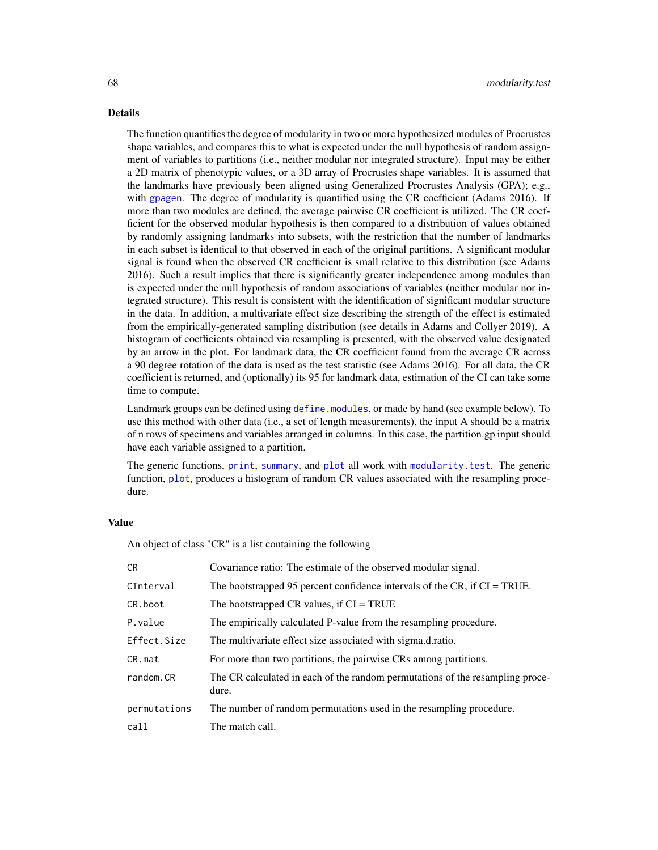#### Details

The function quantifies the degree of modularity in two or more hypothesized modules of Procrustes shape variables, and compares this to what is expected under the null hypothesis of random assignment of variables to partitions (i.e., neither modular nor integrated structure). Input may be either a 2D matrix of phenotypic values, or a 3D array of Procrustes shape variables. It is assumed that the landmarks have previously been aligned using Generalized Procrustes Analysis (GPA); e.g., with [gpagen](#page-49-0). The degree of modularity is quantified using the CR coefficient (Adams 2016). If more than two modules are defined, the average pairwise CR coefficient is utilized. The CR coefficient for the observed modular hypothesis is then compared to a distribution of values obtained by randomly assigning landmarks into subsets, with the restriction that the number of landmarks in each subset is identical to that observed in each of the original partitions. A significant modular signal is found when the observed CR coefficient is small relative to this distribution (see Adams 2016). Such a result implies that there is significantly greater independence among modules than is expected under the null hypothesis of random associations of variables (neither modular nor integrated structure). This result is consistent with the identification of significant modular structure in the data. In addition, a multivariate effect size describing the strength of the effect is estimated from the empirically-generated sampling distribution (see details in Adams and Collyer 2019). A histogram of coefficients obtained via resampling is presented, with the observed value designated by an arrow in the plot. For landmark data, the CR coefficient found from the average CR across a 90 degree rotation of the data is used as the test statistic (see Adams 2016). For all data, the CR coefficient is returned, and (optionally) its 95 for landmark data, estimation of the CI can take some time to compute.

Landmark groups can be defined using [define.modules](#page-27-0), or made by hand (see example below). To use this method with other data (i.e., a set of length measurements), the input A should be a matrix of n rows of specimens and variables arranged in columns. In this case, the partition.gp input should have each variable assigned to a partition.

The generic functions, [print](#page-0-0), [summary](#page-0-0), and [plot](#page-0-0) all work with [modularity.test](#page-66-0). The generic function, [plot](#page-0-0), produces a histogram of random CR values associated with the resampling procedure.

#### Value

An object of class "CR" is a list containing the following

| CR.          | Covariance ratio: The estimate of the observed modular signal.                         |
|--------------|----------------------------------------------------------------------------------------|
| CInterval    | The bootstrapped 95 percent confidence intervals of the CR, if $CI = TRUE$ .           |
| CR.boot      | The bootstrapped CR values, if $CI = TRUE$                                             |
| P.value      | The empirically calculated P-value from the resampling procedure.                      |
| Effect.Size  | The multivariate effect size associated with sigma.d.ratio.                            |
| CR.mat       | For more than two partitions, the pairwise CRs among partitions.                       |
| random.CR    | The CR calculated in each of the random permutations of the resampling proce-<br>dure. |
| permutations | The number of random permutations used in the resampling procedure.                    |
| call         | The match call.                                                                        |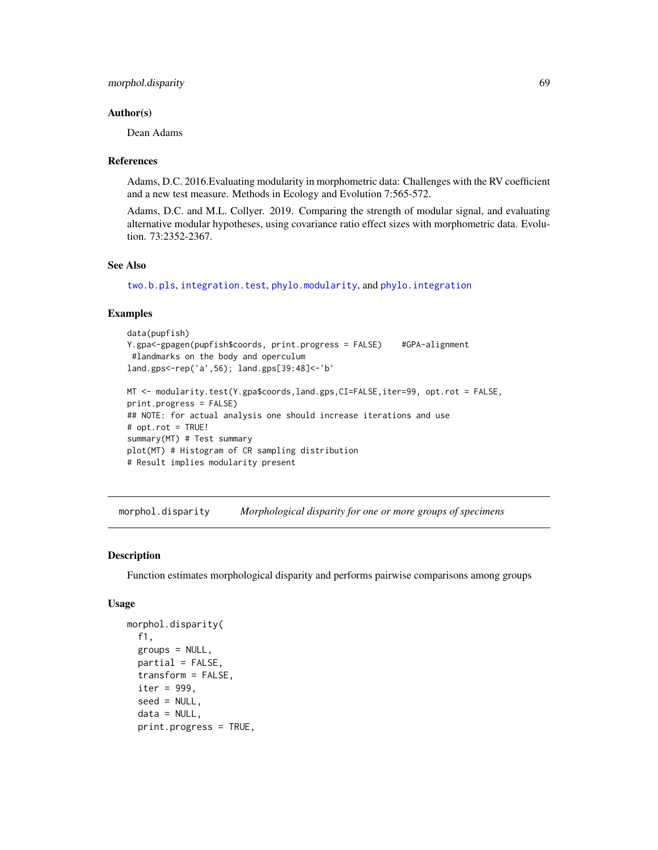#### Author(s)

Dean Adams

#### References

Adams, D.C. 2016.Evaluating modularity in morphometric data: Challenges with the RV coefficient and a new test measure. Methods in Ecology and Evolution 7:565-572.

Adams, D.C. and M.L. Collyer. 2019. Comparing the strength of modular signal, and evaluating alternative modular hypotheses, using covariance ratio effect sizes with morphometric data. Evolution. 73:2352-2367.

## See Also

[two.b.pls](#page-148-0), [integration.test](#page-57-0), [phylo.modularity](#page-78-0), and [phylo.integration](#page-75-0)

## Examples

```
data(pupfish)
Y.gpa<-gpagen(pupfish$coords, print.progress = FALSE) #GPA-alignment
 #landmarks on the body and operculum
land.gps<-rep('a',56); land.gps[39:48]<-'b'
MT <- modularity.test(Y.gpa$coords,land.gps,CI=FALSE,iter=99, opt.rot = FALSE,
print.progress = FALSE)
## NOTE: for actual analysis one should increase iterations and use
# opt.rot = TRUE!
summary(MT) # Test summary
plot(MT) # Histogram of CR sampling distribution
```
# Result implies modularity present

morphol.disparity *Morphological disparity for one or more groups of specimens*

#### Description

Function estimates morphological disparity and performs pairwise comparisons among groups

#### Usage

```
morphol.disparity(
  f1,
  groups = NULL,
  partial = FALSE,
  transform = FALSE,
  iter = 999.
  seed = NULL,
  data = NULL,print.progress = TRUE,
```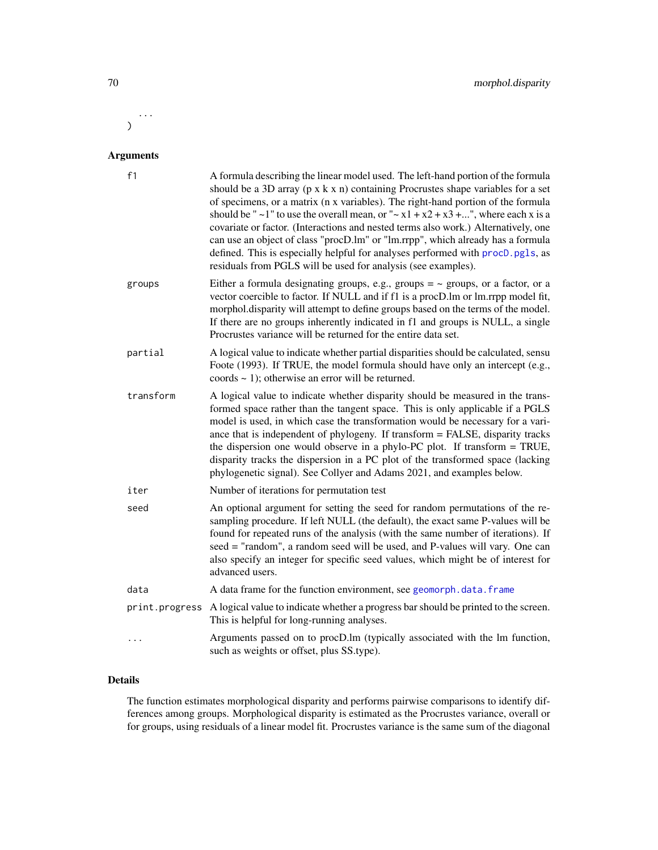... )

# Arguments

| f1             | A formula describing the linear model used. The left-hand portion of the formula<br>should be a 3D array ( $p \times k \times n$ ) containing Procrustes shape variables for a set<br>of specimens, or a matrix (n x variables). The right-hand portion of the formula<br>should be " $\sim$ 1" to use the overall mean, or " $\sim$ x1 + x2 + x3 +", where each x is a<br>covariate or factor. (Interactions and nested terms also work.) Alternatively, one<br>can use an object of class "procD.lm" or "lm.rrpp", which already has a formula<br>defined. This is especially helpful for analyses performed with procD.pgls, as<br>residuals from PGLS will be used for analysis (see examples). |
|----------------|-----------------------------------------------------------------------------------------------------------------------------------------------------------------------------------------------------------------------------------------------------------------------------------------------------------------------------------------------------------------------------------------------------------------------------------------------------------------------------------------------------------------------------------------------------------------------------------------------------------------------------------------------------------------------------------------------------|
| groups         | Either a formula designating groups, e.g., groups $=$ $\sim$ groups, or a factor, or a<br>vector coercible to factor. If NULL and if f1 is a procD. Im or lm.rrpp model fit,<br>morphol.disparity will attempt to define groups based on the terms of the model.<br>If there are no groups inherently indicated in f1 and groups is NULL, a single<br>Procrustes variance will be returned for the entire data set.                                                                                                                                                                                                                                                                                 |
| partial        | A logical value to indicate whether partial disparities should be calculated, sensu<br>Foote (1993). If TRUE, the model formula should have only an intercept (e.g.,<br>coords $\sim$ 1); otherwise an error will be returned.                                                                                                                                                                                                                                                                                                                                                                                                                                                                      |
| transform      | A logical value to indicate whether disparity should be measured in the trans-<br>formed space rather than the tangent space. This is only applicable if a PGLS<br>model is used, in which case the transformation would be necessary for a vari-<br>ance that is independent of phylogeny. If transform = FALSE, disparity tracks<br>the dispersion one would observe in a phylo-PC plot. If transform = TRUE,<br>disparity tracks the dispersion in a PC plot of the transformed space (lacking<br>phylogenetic signal). See Collyer and Adams 2021, and examples below.                                                                                                                          |
| iter           | Number of iterations for permutation test                                                                                                                                                                                                                                                                                                                                                                                                                                                                                                                                                                                                                                                           |
| seed           | An optional argument for setting the seed for random permutations of the re-<br>sampling procedure. If left NULL (the default), the exact same P-values will be<br>found for repeated runs of the analysis (with the same number of iterations). If<br>seed = "random", a random seed will be used, and P-values will vary. One can<br>also specify an integer for specific seed values, which might be of interest for<br>advanced users.                                                                                                                                                                                                                                                          |
| data           | A data frame for the function environment, see geomorph.data.frame                                                                                                                                                                                                                                                                                                                                                                                                                                                                                                                                                                                                                                  |
| print.progress | A logical value to indicate whether a progress bar should be printed to the screen.<br>This is helpful for long-running analyses.                                                                                                                                                                                                                                                                                                                                                                                                                                                                                                                                                                   |
| .              | Arguments passed on to procD.lm (typically associated with the lm function,<br>such as weights or offset, plus SS.type).                                                                                                                                                                                                                                                                                                                                                                                                                                                                                                                                                                            |

# Details

The function estimates morphological disparity and performs pairwise comparisons to identify differences among groups. Morphological disparity is estimated as the Procrustes variance, overall or for groups, using residuals of a linear model fit. Procrustes variance is the same sum of the diagonal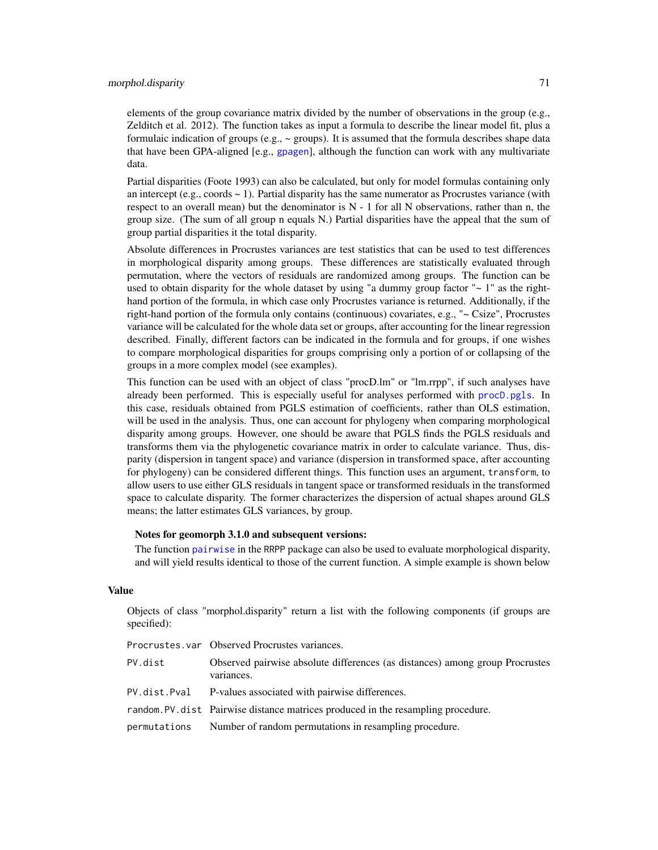# morphol.disparity 71

elements of the group covariance matrix divided by the number of observations in the group (e.g., Zelditch et al. 2012). The function takes as input a formula to describe the linear model fit, plus a formulaic indication of groups (e.g.,  $\sim$  groups). It is assumed that the formula describes shape data that have been GPA-aligned [e.g., [gpagen](#page-49-0)], although the function can work with any multivariate data.

Partial disparities (Foote 1993) can also be calculated, but only for model formulas containing only an intercept (e.g., coords  $\sim$  1). Partial disparity has the same numerator as Procrustes variance (with respect to an overall mean) but the denominator is  $N - 1$  for all N observations, rather than n, the group size. (The sum of all group n equals N.) Partial disparities have the appeal that the sum of group partial disparities it the total disparity.

Absolute differences in Procrustes variances are test statistics that can be used to test differences in morphological disparity among groups. These differences are statistically evaluated through permutation, where the vectors of residuals are randomized among groups. The function can be used to obtain disparity for the whole dataset by using "a dummy group factor " $\sim 1$ " as the righthand portion of the formula, in which case only Procrustes variance is returned. Additionally, if the right-hand portion of the formula only contains (continuous) covariates, e.g., "~ Csize", Procrustes variance will be calculated for the whole data set or groups, after accounting for the linear regression described. Finally, different factors can be indicated in the formula and for groups, if one wishes to compare morphological disparities for groups comprising only a portion of or collapsing of the groups in a more complex model (see examples).

This function can be used with an object of class "procD.lm" or "lm.rrpp", if such analyses have already been performed. This is especially useful for analyses performed with [procD.pgls](#page-118-0). In this case, residuals obtained from PGLS estimation of coefficients, rather than OLS estimation, will be used in the analysis. Thus, one can account for phylogeny when comparing morphological disparity among groups. However, one should be aware that PGLS finds the PGLS residuals and transforms them via the phylogenetic covariance matrix in order to calculate variance. Thus, disparity (dispersion in tangent space) and variance (dispersion in transformed space, after accounting for phylogeny) can be considered different things. This function uses an argument, transform, to allow users to use either GLS residuals in tangent space or transformed residuals in the transformed space to calculate disparity. The former characterizes the dispersion of actual shapes around GLS means; the latter estimates GLS variances, by group.

## Notes for geomorph 3.1.0 and subsequent versions:

The function [pairwise](#page-0-0) in the RRPP package can also be used to evaluate morphological disparity, and will yield results identical to those of the current function. A simple example is shown below

# Value

Objects of class "morphol.disparity" return a list with the following components (if groups are specified):

|              | Procrustes. var Observed Procrustes variances.                                             |
|--------------|--------------------------------------------------------------------------------------------|
| PV.dist      | Observed pairwise absolute differences (as distances) among group Procrustes<br>variances. |
|              | PV. dist. Pval P-values associated with pairwise differences.                              |
|              | random. PV. dist Pairwise distance matrices produced in the resampling procedure.          |
| permutations | Number of random permutations in resampling procedure.                                     |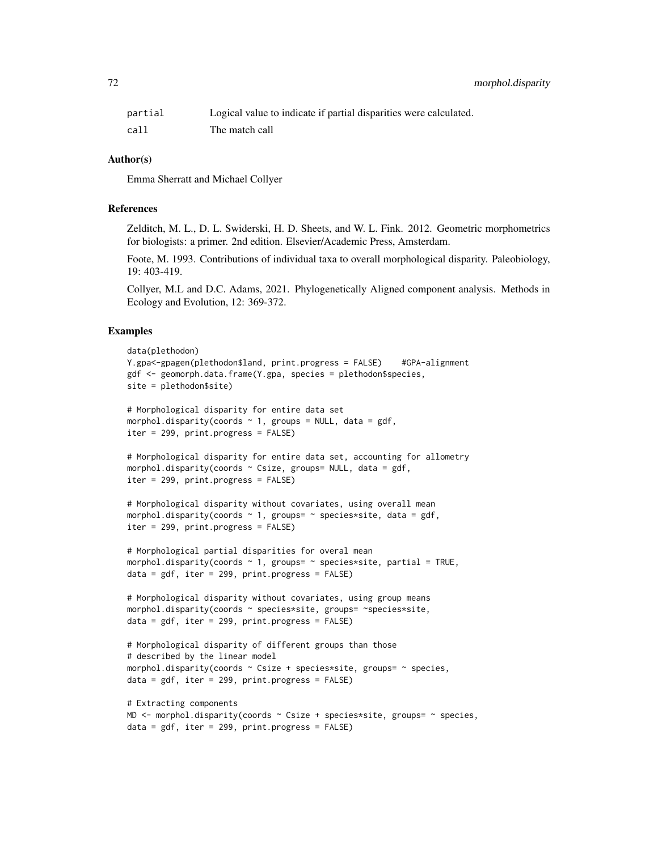| partial | Logical value to indicate if partial disparities were calculated. |
|---------|-------------------------------------------------------------------|
| call    | The match call                                                    |

## Author(s)

Emma Sherratt and Michael Collyer

## References

Zelditch, M. L., D. L. Swiderski, H. D. Sheets, and W. L. Fink. 2012. Geometric morphometrics for biologists: a primer. 2nd edition. Elsevier/Academic Press, Amsterdam.

Foote, M. 1993. Contributions of individual taxa to overall morphological disparity. Paleobiology, 19: 403-419.

Collyer, M.L and D.C. Adams, 2021. Phylogenetically Aligned component analysis. Methods in Ecology and Evolution, 12: 369-372.

## Examples

```
data(plethodon)
Y.gpa<-gpagen(plethodon$land, print.progress = FALSE) #GPA-alignment
gdf <- geomorph.data.frame(Y.gpa, species = plethodon$species,
site = plethodon$site)
# Morphological disparity for entire data set
morphol.disparity(coords \sim 1, groups = NULL, data = gdf,
iter = 299, print.progress = FALSE)
# Morphological disparity for entire data set, accounting for allometry
morphol.disparity(coords \sim Csize, groups= NULL, data = gdf,
iter = 299, print.progress = FALSE)
# Morphological disparity without covariates, using overall mean
morphol.disparity(coords \sim 1, groups= \sim species*site, data = gdf,
iter = 299, print.progress = FALSE)
# Morphological partial disparities for overal mean
morphol.disparity(coords \sim 1, groups= \sim species*site, partial = TRUE,
data = gdf, iter = 299, print.progress = FALSE)
# Morphological disparity without covariates, using group means
morphol.disparity(coords ~ species*site, groups= ~species*site,
data = gdf, iter = 299, print.progress = FALSE)
# Morphological disparity of different groups than those
# described by the linear model
morphol.disparity(coords ~ Csize + species*site, groups= ~ species,
data = gdf, iter = 299, print.progress = FALSE)
# Extracting components
```

```
MD \le morphol.disparity(coords \sim Csize + species*site, groups= \sim species,
data = gdf, iter = 299, print.progress = FALSE)
```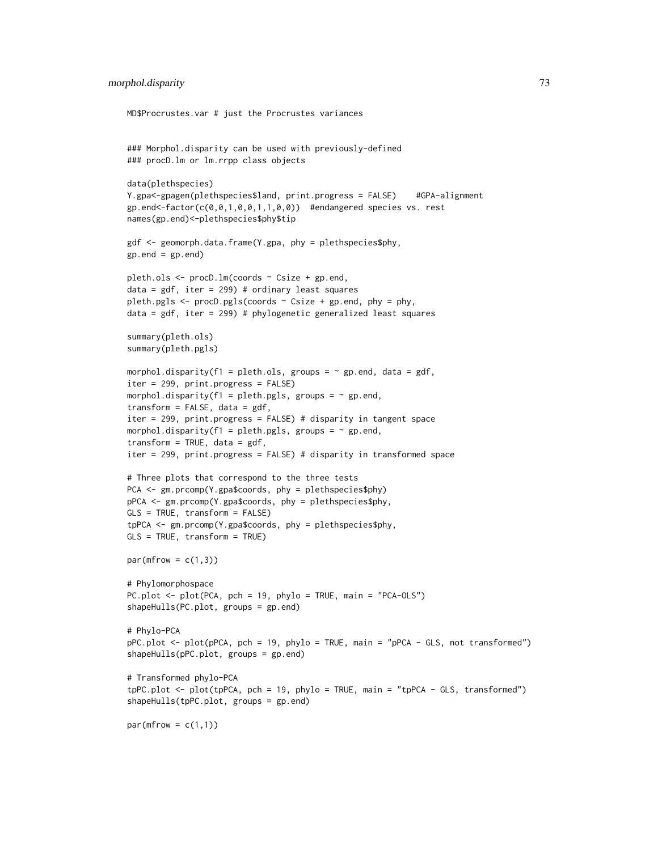```
MD$Procrustes.var # just the Procrustes variances
### Morphol.disparity can be used with previously-defined
### procD.lm or lm.rrpp class objects
data(plethspecies)
Y.gpa<-gpagen(plethspecies$land, print.progress = FALSE) #GPA-alignment
gp.end \leq-factor(c(0, 0, 1, 0, 0, 1, 1, 0, 0)) #endangered species vs. rest
names(gp.end)<-plethspecies$phy$tip
gdf <- geomorph.data.frame(Y.gpa, phy = plethspecies$phy,
gp.end = gp.end)
pleth.ols <- procD.lm(coords ~ Csize + gp.end,
data = gdf, iter = 299) # ordinary least squares
pleth.pgls \leq procD.pgls(coords \sim Csize + gp.end, phy = phy,
data = gdf, iter = 299) # phylogenetic generalized least squares
summary(pleth.ols)
summary(pleth.pgls)
morphol.disparity(f1 = pleth.ols, groups = \sim gp.end, data = gdf,
iter = 299, print.progress = FALSE)
morphol.disparity(f1 = pleth.pgls, groups = \sim gp.end,
transform = FALSE, data = gdf,
iter = 299, print.progress = FALSE) # disparity in tangent space
morphol.disparity(f1 = pleth.pgls, groups = \sim gp.end,
transform = TRUE, data = gdf,
iter = 299, print.progress = FALSE) # disparity in transformed space
# Three plots that correspond to the three tests
PCA <- gm.prcomp(Y.gpa$coords, phy = plethspecies$phy)
pPCA <- gm.prcomp(Y.gpa$coords, phy = plethspecies$phy,
GLS = TRUE, transform = FALSE)
tpPCA <- gm.prcomp(Y.gpa$coords, phy = plethspecies$phy,
GLS = TRUE, transform = TRUE)
par(mfrow = c(1,3))# Phylomorphospace
PC.plot <- plot(PCA, pch = 19, phylo = TRUE, main = "PCA-OLS")
shapeHulls(PC.plot, groups = gp.end)
# Phylo-PCA
pPC.plot <- plot(pPCA, pch = 19, phylo = TRUE, main = "pPCA - GLS, not transformed")
shapeHulls(pPC.plot, groups = gp.end)
# Transformed phylo-PCA
tpPC.plot <- plot(tpPCA, pch = 19, phylo = TRUE, main = "tpPCA - GLS, transformed")
shapeHulls(tpPC.plot, groups = gp.end)
par(mfrow = c(1,1))
```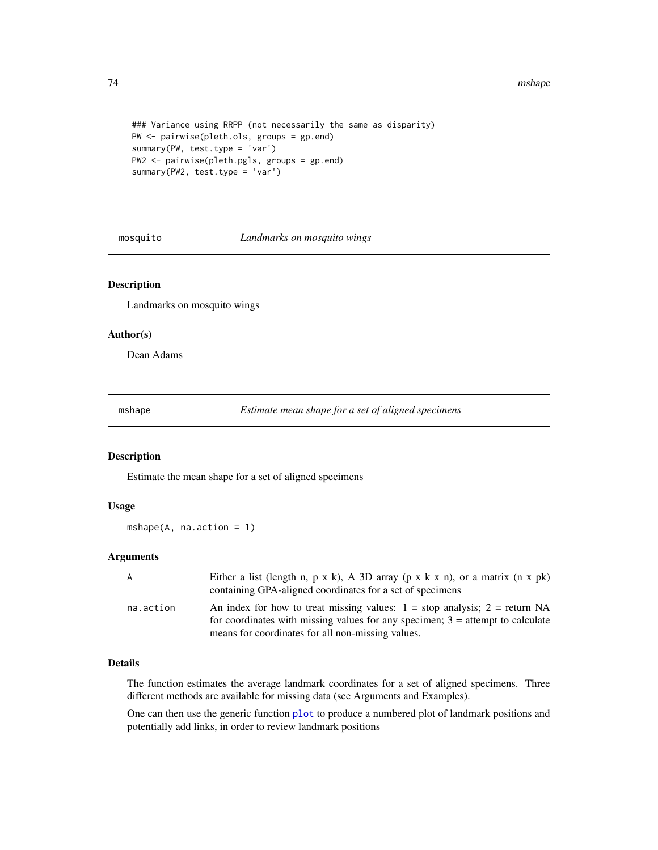#### 74 mshape

```
### Variance using RRPP (not necessarily the same as disparity)
PW <- pairwise(pleth.ols, groups = gp.end)
summary(PW, test.type = 'var')
PW2 <- pairwise(pleth.pgls, groups = gp.end)
summary(PW2, test.type = 'var')
```
mosquito *Landmarks on mosquito wings*

# Description

Landmarks on mosquito wings

#### Author(s)

Dean Adams

<span id="page-73-0"></span>mshape *Estimate mean shape for a set of aligned specimens*

#### Description

Estimate the mean shape for a set of aligned specimens

## Usage

 $mshape(A, na.action = 1)$ 

# Arguments

| A         | Either a list (length n, p x k), A 3D array (p x k x n), or a matrix (n x pk)<br>containing GPA-aligned coordinates for a set of specimens                                                                              |
|-----------|-------------------------------------------------------------------------------------------------------------------------------------------------------------------------------------------------------------------------|
| na.action | An index for how to treat missing values: $1 = stop$ analysis; $2 = return NA$<br>for coordinates with missing values for any specimen; $3 =$ attempt to calculate<br>means for coordinates for all non-missing values. |

## Details

The function estimates the average landmark coordinates for a set of aligned specimens. Three different methods are available for missing data (see Arguments and Examples).

One can then use the generic function [plot](#page-0-0) to produce a numbered plot of landmark positions and potentially add links, in order to review landmark positions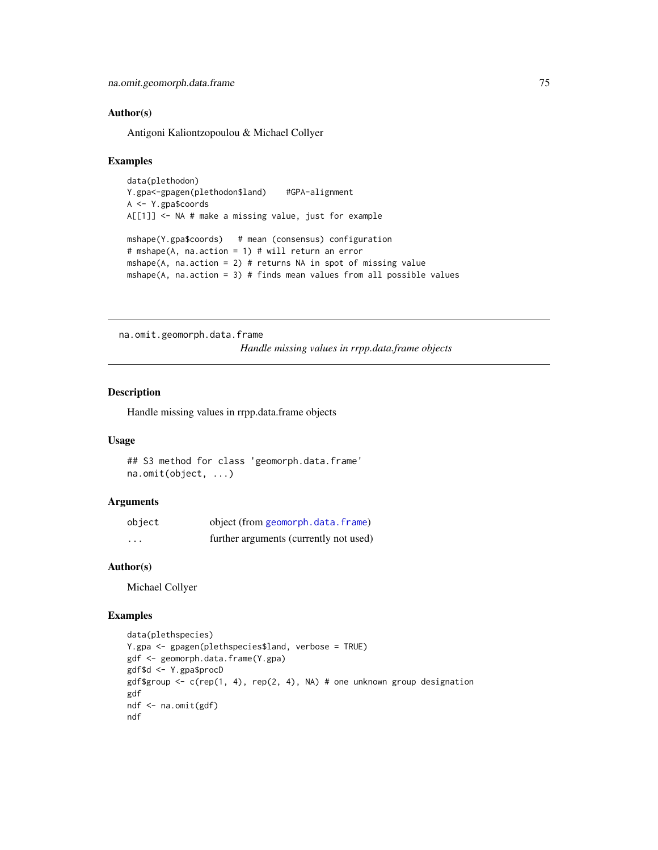## Author(s)

Antigoni Kaliontzopoulou & Michael Collyer

#### Examples

```
data(plethodon)
Y.gpa<-gpagen(plethodon$land) #GPA-alignment
A <- Y.gpa$coords
A[[1]] <- NA # make a missing value, just for example
mshape(Y.gpa$coords) # mean (consensus) configuration
# mshape(A, na.action = 1) # will return an error
mshape(A, na.action = 2) # returns NA in spot of missing value
mshape(A, na.action = 3) # finds mean values from all possible values
```
na.omit.geomorph.data.frame

*Handle missing values in rrpp.data.frame objects*

# Description

Handle missing values in rrpp.data.frame objects

#### Usage

```
## S3 method for class 'geomorph.data.frame'
na.omit(object, ...)
```
## Arguments

| object   | object (from geomorph.data.frame)      |
|----------|----------------------------------------|
| $\cdots$ | further arguments (currently not used) |

## Author(s)

Michael Collyer

## Examples

```
data(plethspecies)
Y.gpa <- gpagen(plethspecies$land, verbose = TRUE)
gdf <- geomorph.data.frame(Y.gpa)
gdf$d <- Y.gpa$procD
gdf$group <- c(rep(1, 4), rep(2, 4), NA) # one unknown group designation
gdf
ndf <- na.omit(gdf)
ndf
```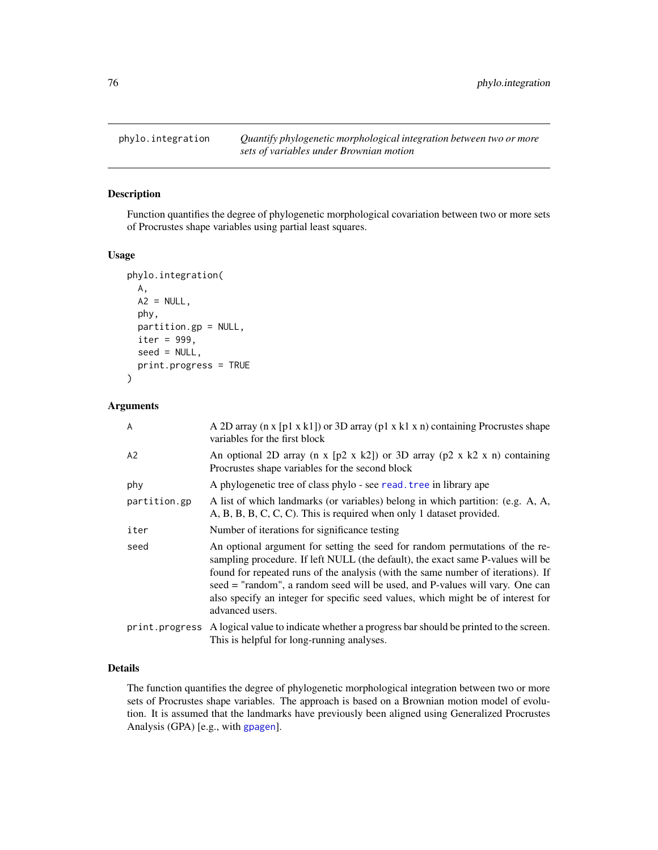<span id="page-75-0"></span>

Function quantifies the degree of phylogenetic morphological covariation between two or more sets of Procrustes shape variables using partial least squares.

#### Usage

```
phylo.integration(
  A,
 A2 = NULL,phy,
 partition.gp = NULL,
  iter = 999,
  seed = NULL,
  print.progress = TRUE
\mathcal{E}
```
# Arguments

| A              | A 2D array ( $n \times [p1 \times k1]$ ) or 3D array ( $p1 \times k1 \times n$ ) containing Procrustes shape<br>variables for the first block                                                                                                                                                                                                                                                                                              |
|----------------|--------------------------------------------------------------------------------------------------------------------------------------------------------------------------------------------------------------------------------------------------------------------------------------------------------------------------------------------------------------------------------------------------------------------------------------------|
| A2             | An optional 2D array (n x [p2 x k2]) or 3D array (p2 x k2 x n) containing<br>Procrustes shape variables for the second block                                                                                                                                                                                                                                                                                                               |
| phy            | A phylogenetic tree of class phylo - see read. tree in library ape                                                                                                                                                                                                                                                                                                                                                                         |
| partition.gp   | A list of which landmarks (or variables) belong in which partition: (e.g. A, A,<br>A, B, B, C, C, C). This is required when only 1 dataset provided.                                                                                                                                                                                                                                                                                       |
| iter           | Number of iterations for significance testing                                                                                                                                                                                                                                                                                                                                                                                              |
| seed           | An optional argument for setting the seed for random permutations of the re-<br>sampling procedure. If left NULL (the default), the exact same P-values will be<br>found for repeated runs of the analysis (with the same number of iterations). If<br>seed = "random", a random seed will be used, and P-values will vary. One can<br>also specify an integer for specific seed values, which might be of interest for<br>advanced users. |
| print.progress | A logical value to indicate whether a progress bar should be printed to the screen.<br>This is helpful for long-running analyses.                                                                                                                                                                                                                                                                                                          |

# Details

The function quantifies the degree of phylogenetic morphological integration between two or more sets of Procrustes shape variables. The approach is based on a Brownian motion model of evolution. It is assumed that the landmarks have previously been aligned using Generalized Procrustes Analysis (GPA) [e.g., with [gpagen](#page-49-0)].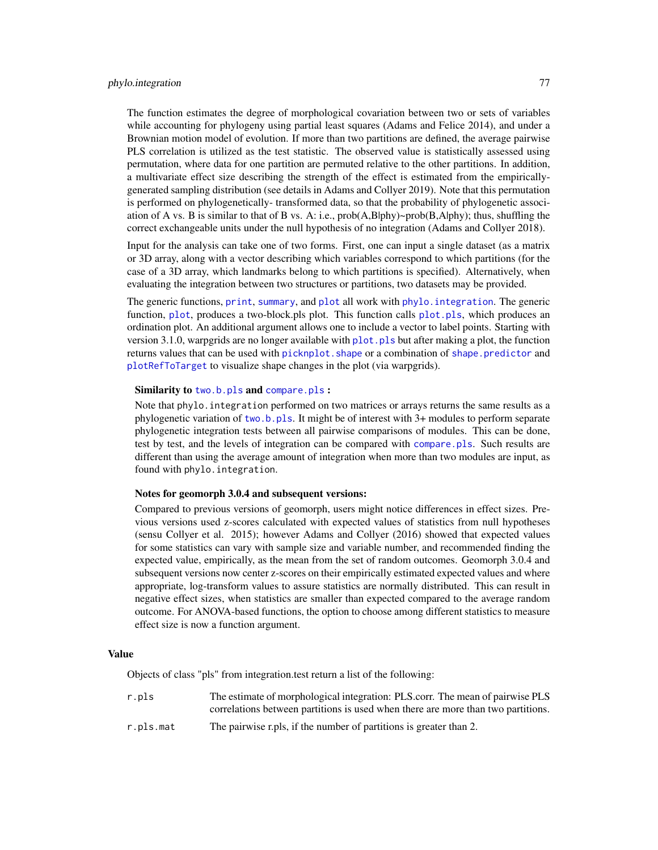#### phylo.integration 77

The function estimates the degree of morphological covariation between two or sets of variables while accounting for phylogeny using partial least squares (Adams and Felice 2014), and under a Brownian motion model of evolution. If more than two partitions are defined, the average pairwise PLS correlation is utilized as the test statistic. The observed value is statistically assessed using permutation, where data for one partition are permuted relative to the other partitions. In addition, a multivariate effect size describing the strength of the effect is estimated from the empiricallygenerated sampling distribution (see details in Adams and Collyer 2019). Note that this permutation is performed on phylogenetically- transformed data, so that the probability of phylogenetic association of A vs. B is similar to that of B vs. A: i.e.,  $prob(A,B|phy)$ ~ $prob(B,A|phy)$ ; thus, shuffling the correct exchangeable units under the null hypothesis of no integration (Adams and Collyer 2018).

Input for the analysis can take one of two forms. First, one can input a single dataset (as a matrix or 3D array, along with a vector describing which variables correspond to which partitions (for the case of a 3D array, which landmarks belong to which partitions is specified). Alternatively, when evaluating the integration between two structures or partitions, two datasets may be provided.

The generic functions, [print](#page-0-0), [summary](#page-0-0), and [plot](#page-0-0) all work with phylo. integration. The generic function, [plot](#page-0-0), produces a two-block.pls plot. This function calls [plot.pls](#page-91-0), which produces an ordination plot. An additional argument allows one to include a vector to label points. Starting with version 3.1.0, warpgrids are no longer available with  $plot$ ,  $pls$  but after making a plot, the function returns values that can be used with picknplot. shape or a combination of shape. predictor and [plotRefToTarget](#page-99-0) to visualize shape changes in the plot (via warpgrids).

#### Similarity to [two.b.pls](#page-148-0) and [compare.pls](#page-22-0) :

Note that phylo. integration performed on two matrices or arrays returns the same results as a phylogenetic variation of [two.b.pls](#page-148-0). It might be of interest with 3+ modules to perform separate phylogenetic integration tests between all pairwise comparisons of modules. This can be done, test by test, and the levels of integration can be compared with [compare.pls](#page-22-0). Such results are different than using the average amount of integration when more than two modules are input, as found with phylo.integration.

#### Notes for geomorph 3.0.4 and subsequent versions:

Compared to previous versions of geomorph, users might notice differences in effect sizes. Previous versions used z-scores calculated with expected values of statistics from null hypotheses (sensu Collyer et al. 2015); however Adams and Collyer (2016) showed that expected values for some statistics can vary with sample size and variable number, and recommended finding the expected value, empirically, as the mean from the set of random outcomes. Geomorph 3.0.4 and subsequent versions now center z-scores on their empirically estimated expected values and where appropriate, log-transform values to assure statistics are normally distributed. This can result in negative effect sizes, when statistics are smaller than expected compared to the average random outcome. For ANOVA-based functions, the option to choose among different statistics to measure effect size is now a function argument.

#### Value

Objects of class "pls" from integration.test return a list of the following:

| r.pls     | The estimate of morphological integration: PLS.corr. The mean of pairwise PLS    |
|-----------|----------------------------------------------------------------------------------|
|           | correlations between partitions is used when there are more than two partitions. |
| r.pls.mat | The pairwise r.pls, if the number of partitions is greater than 2.               |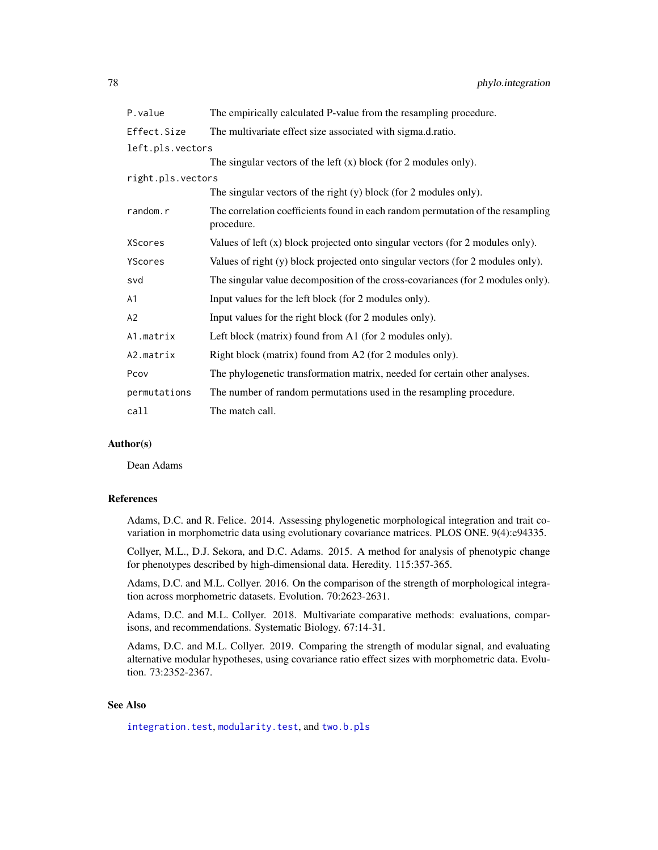| P.value           | The empirically calculated P-value from the resampling procedure.                             |
|-------------------|-----------------------------------------------------------------------------------------------|
| Effect.Size       | The multivariate effect size associated with sigma.d.ratio.                                   |
| left.pls.vectors  |                                                                                               |
|                   | The singular vectors of the left $(x)$ block (for 2 modules only).                            |
| right.pls.vectors |                                                                                               |
|                   | The singular vectors of the right $(y)$ block (for 2 modules only).                           |
| random.r          | The correlation coefficients found in each random permutation of the resampling<br>procedure. |
| XScores           | Values of left $(x)$ block projected onto singular vectors (for 2 modules only).              |
| YScores           | Values of right (y) block projected onto singular vectors (for 2 modules only).               |
| svd               | The singular value decomposition of the cross-covariances (for 2 modules only).               |
| А1                | Input values for the left block (for 2 modules only).                                         |
| А2                | Input values for the right block (for 2 modules only).                                        |
| A1.matrix         | Left block (matrix) found from A1 (for 2 modules only).                                       |
| A2.matrix         | Right block (matrix) found from A2 (for 2 modules only).                                      |
| Pcov              | The phylogenetic transformation matrix, needed for certain other analyses.                    |
| permutations      | The number of random permutations used in the resampling procedure.                           |
| call              | The match call.                                                                               |

#### Author(s)

Dean Adams

#### References

Adams, D.C. and R. Felice. 2014. Assessing phylogenetic morphological integration and trait covariation in morphometric data using evolutionary covariance matrices. PLOS ONE. 9(4):e94335.

Collyer, M.L., D.J. Sekora, and D.C. Adams. 2015. A method for analysis of phenotypic change for phenotypes described by high-dimensional data. Heredity. 115:357-365.

Adams, D.C. and M.L. Collyer. 2016. On the comparison of the strength of morphological integration across morphometric datasets. Evolution. 70:2623-2631.

Adams, D.C. and M.L. Collyer. 2018. Multivariate comparative methods: evaluations, comparisons, and recommendations. Systematic Biology. 67:14-31.

Adams, D.C. and M.L. Collyer. 2019. Comparing the strength of modular signal, and evaluating alternative modular hypotheses, using covariance ratio effect sizes with morphometric data. Evolution. 73:2352-2367.

## See Also

[integration.test](#page-57-0), [modularity.test](#page-66-0), and [two.b.pls](#page-148-0)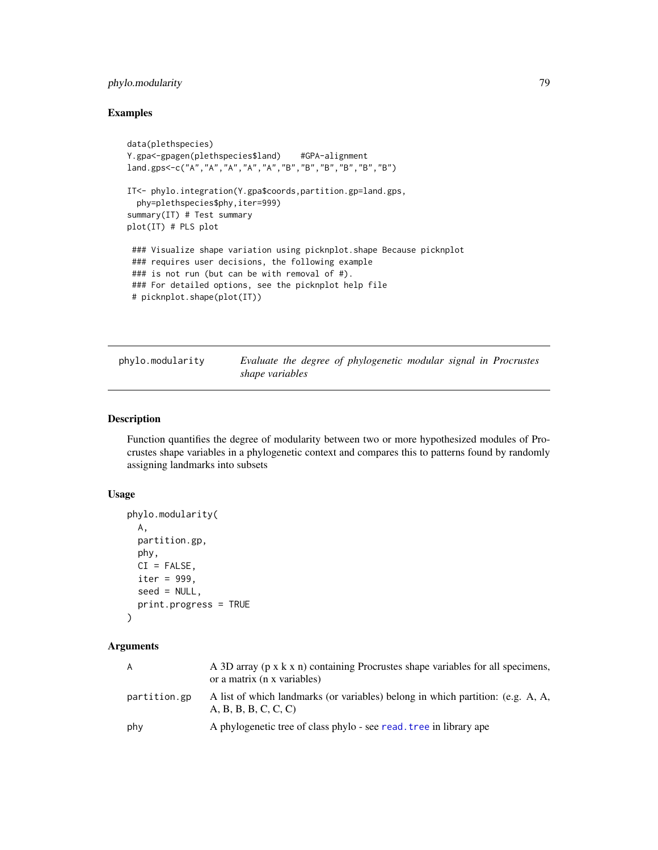# phylo.modularity 79

# Examples

```
data(plethspecies)
Y.gpa<-gpagen(plethspecies$land) #GPA-alignment
land.gps<-c("A","A","A","A","A","B","B","B","B","B","B")
IT<- phylo.integration(Y.gpa$coords,partition.gp=land.gps,
  phy=plethspecies$phy,iter=999)
summary(IT) # Test summary
plot(IT) # PLS plot
 ### Visualize shape variation using picknplot.shape Because picknplot
 ### requires user decisions, the following example
 ### is not run (but can be with removal of #).
 ### For detailed options, see the picknplot help file
 # picknplot.shape(plot(IT))
```
<span id="page-78-0"></span>

| phylo.modularity |                 |  | Evaluate the degree of phylogenetic modular signal in Procrustes |  |  |
|------------------|-----------------|--|------------------------------------------------------------------|--|--|
|                  | shape variables |  |                                                                  |  |  |

# Description

Function quantifies the degree of modularity between two or more hypothesized modules of Procrustes shape variables in a phylogenetic context and compares this to patterns found by randomly assigning landmarks into subsets

## Usage

```
phylo.modularity(
 A,
 partition.gp,
 phy,
 CI = FALSE,iter = 999,
 seed = NULL,
 print.progress = TRUE
)
```
## Arguments

| A            | A 3D array (p x k x n) containing Procrustes shape variables for all specimens,<br>or a matrix (n x variables) |
|--------------|----------------------------------------------------------------------------------------------------------------|
| partition.gp | A list of which landmarks (or variables) belong in which partition: (e.g. A, A,<br>A, B, B, B, C, C, C)        |
| phy          | A phylogenetic tree of class phylo - see read. tree in library ape                                             |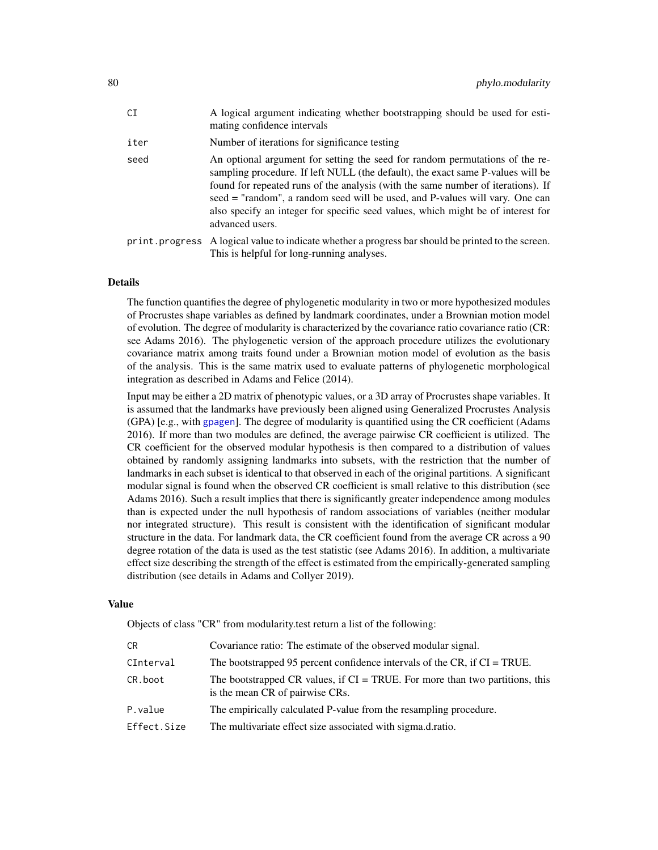| CT.  | A logical argument indicating whether bootstrapping should be used for esti-<br>mating confidence intervals                                                                                                                                                                                                                                                                                                                                |
|------|--------------------------------------------------------------------------------------------------------------------------------------------------------------------------------------------------------------------------------------------------------------------------------------------------------------------------------------------------------------------------------------------------------------------------------------------|
| iter | Number of iterations for significance testing                                                                                                                                                                                                                                                                                                                                                                                              |
| seed | An optional argument for setting the seed for random permutations of the re-<br>sampling procedure. If left NULL (the default), the exact same P-values will be<br>found for repeated runs of the analysis (with the same number of iterations). If<br>seed = "random", a random seed will be used, and P-values will vary. One can<br>also specify an integer for specific seed values, which might be of interest for<br>advanced users. |
|      | print. progress A logical value to indicate whether a progress bar should be printed to the screen.<br>This is helpful for long-running analyses.                                                                                                                                                                                                                                                                                          |

## Details

The function quantifies the degree of phylogenetic modularity in two or more hypothesized modules of Procrustes shape variables as defined by landmark coordinates, under a Brownian motion model of evolution. The degree of modularity is characterized by the covariance ratio covariance ratio (CR: see Adams 2016). The phylogenetic version of the approach procedure utilizes the evolutionary covariance matrix among traits found under a Brownian motion model of evolution as the basis of the analysis. This is the same matrix used to evaluate patterns of phylogenetic morphological integration as described in Adams and Felice (2014).

Input may be either a 2D matrix of phenotypic values, or a 3D array of Procrustes shape variables. It is assumed that the landmarks have previously been aligned using Generalized Procrustes Analysis (GPA) [e.g., with [gpagen](#page-49-0)]. The degree of modularity is quantified using the CR coefficient (Adams 2016). If more than two modules are defined, the average pairwise CR coefficient is utilized. The CR coefficient for the observed modular hypothesis is then compared to a distribution of values obtained by randomly assigning landmarks into subsets, with the restriction that the number of landmarks in each subset is identical to that observed in each of the original partitions. A significant modular signal is found when the observed CR coefficient is small relative to this distribution (see Adams 2016). Such a result implies that there is significantly greater independence among modules than is expected under the null hypothesis of random associations of variables (neither modular nor integrated structure). This result is consistent with the identification of significant modular structure in the data. For landmark data, the CR coefficient found from the average CR across a 90 degree rotation of the data is used as the test statistic (see Adams 2016). In addition, a multivariate effect size describing the strength of the effect is estimated from the empirically-generated sampling distribution (see details in Adams and Collyer 2019).

#### Value

Objects of class "CR" from modularity.test return a list of the following:

| СR          | Covariance ratio: The estimate of the observed modular signal.                                                     |
|-------------|--------------------------------------------------------------------------------------------------------------------|
| CInterval   | The bootstrapped 95 percent confidence intervals of the CR, if $CI = TRUE$ .                                       |
| CR.boot     | The bootstrapped CR values, if $CI = TRUE$ . For more than two partitions, this<br>is the mean CR of pairwise CRs. |
| P.value     | The empirically calculated P-value from the resampling procedure.                                                  |
| Effect.Size | The multivariate effect size associated with sigma.d.ratio.                                                        |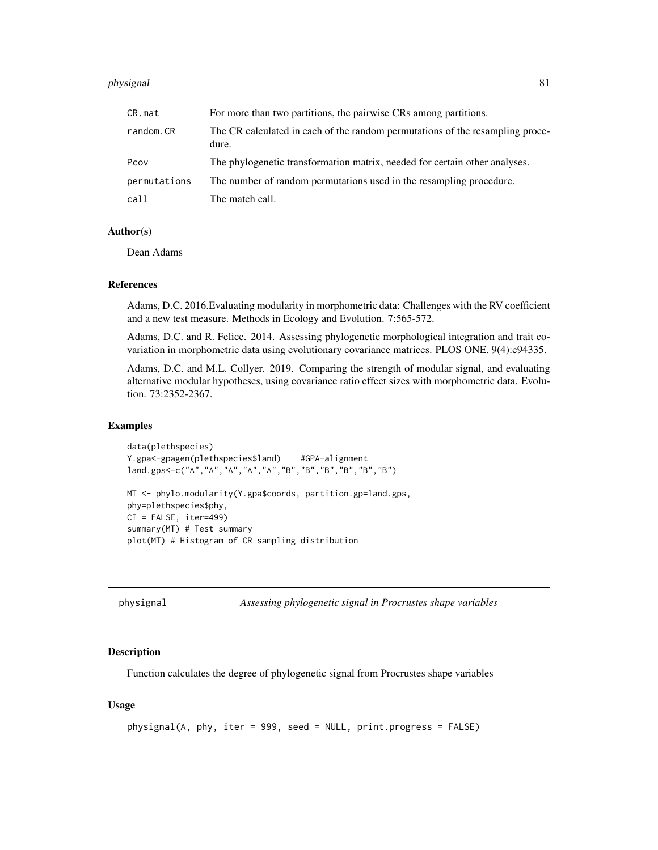#### physignal 81

| CR.mat       | For more than two partitions, the pairwise CRs among partitions.                       |
|--------------|----------------------------------------------------------------------------------------|
| random.CR    | The CR calculated in each of the random permutations of the resampling proce-<br>dure. |
| Pcov         | The phylogenetic transformation matrix, needed for certain other analyses.             |
| permutations | The number of random permutations used in the resampling procedure.                    |
| call         | The match call.                                                                        |

#### Author(s)

Dean Adams

## References

Adams, D.C. 2016.Evaluating modularity in morphometric data: Challenges with the RV coefficient and a new test measure. Methods in Ecology and Evolution. 7:565-572.

Adams, D.C. and R. Felice. 2014. Assessing phylogenetic morphological integration and trait covariation in morphometric data using evolutionary covariance matrices. PLOS ONE. 9(4):e94335.

Adams, D.C. and M.L. Collyer. 2019. Comparing the strength of modular signal, and evaluating alternative modular hypotheses, using covariance ratio effect sizes with morphometric data. Evolution. 73:2352-2367.

## Examples

```
data(plethspecies)
Y.gpa<-gpagen(plethspecies$land) #GPA-alignment
land.gps<-c("A","A","A","A","A","B","B","B","B","B","B")
MT <- phylo.modularity(Y.gpa$coords, partition.gp=land.gps,
phy=plethspecies$phy,
CI = FALSE, iter=499)
```
summary(MT) # Test summary plot(MT) # Histogram of CR sampling distribution

<span id="page-80-0"></span>physignal *Assessing phylogenetic signal in Procrustes shape variables*

#### Description

Function calculates the degree of phylogenetic signal from Procrustes shape variables

## Usage

```
physignal(A, phy, iter = 999, seed = NULL, print.progress = FALSE)
```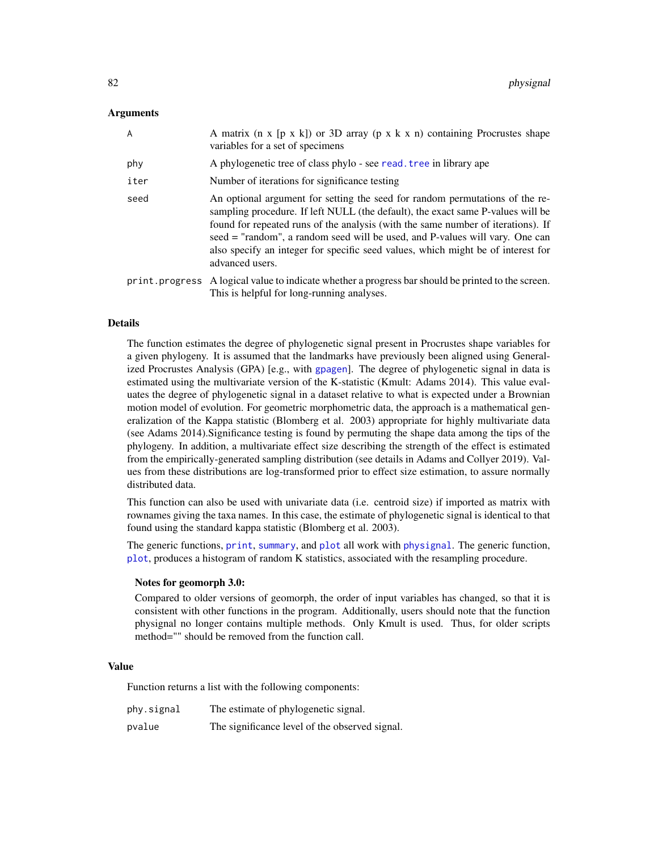## **Arguments**

| $\overline{A}$ | A matrix ( $n \times [p \times k]$ ) or 3D array ( $p \times k \times n$ ) containing Procrustes shape<br>variables for a set of specimens                                                                                                                                                                                                                                                                                                 |
|----------------|--------------------------------------------------------------------------------------------------------------------------------------------------------------------------------------------------------------------------------------------------------------------------------------------------------------------------------------------------------------------------------------------------------------------------------------------|
| phy            | A phylogenetic tree of class phylo - see read. tree in library ape                                                                                                                                                                                                                                                                                                                                                                         |
| iter           | Number of iterations for significance testing                                                                                                                                                                                                                                                                                                                                                                                              |
| seed           | An optional argument for setting the seed for random permutations of the re-<br>sampling procedure. If left NULL (the default), the exact same P-values will be<br>found for repeated runs of the analysis (with the same number of iterations). If<br>seed = "random", a random seed will be used, and P-values will vary. One can<br>also specify an integer for specific seed values, which might be of interest for<br>advanced users. |
|                | print. progress A logical value to indicate whether a progress bar should be printed to the screen.<br>This is helpful for long-running analyses.                                                                                                                                                                                                                                                                                          |

#### Details

The function estimates the degree of phylogenetic signal present in Procrustes shape variables for a given phylogeny. It is assumed that the landmarks have previously been aligned using Generalized Procrustes Analysis (GPA) [e.g., with [gpagen](#page-49-0)]. The degree of phylogenetic signal in data is estimated using the multivariate version of the K-statistic (Kmult: Adams 2014). This value evaluates the degree of phylogenetic signal in a dataset relative to what is expected under a Brownian motion model of evolution. For geometric morphometric data, the approach is a mathematical generalization of the Kappa statistic (Blomberg et al. 2003) appropriate for highly multivariate data (see Adams 2014).Significance testing is found by permuting the shape data among the tips of the phylogeny. In addition, a multivariate effect size describing the strength of the effect is estimated from the empirically-generated sampling distribution (see details in Adams and Collyer 2019). Values from these distributions are log-transformed prior to effect size estimation, to assure normally distributed data.

This function can also be used with univariate data (i.e. centroid size) if imported as matrix with rownames giving the taxa names. In this case, the estimate of phylogenetic signal is identical to that found using the standard kappa statistic (Blomberg et al. 2003).

The generic functions, [print](#page-0-0), [summary](#page-0-0), and [plot](#page-0-0) all work with [physignal](#page-80-0). The generic function, [plot](#page-0-0), produces a histogram of random K statistics, associated with the resampling procedure.

#### Notes for geomorph 3.0:

Compared to older versions of geomorph, the order of input variables has changed, so that it is consistent with other functions in the program. Additionally, users should note that the function physignal no longer contains multiple methods. Only Kmult is used. Thus, for older scripts method="" should be removed from the function call.

## Value

Function returns a list with the following components:

| phy.signal | The estimate of phylogenetic signal.           |
|------------|------------------------------------------------|
| pvalue     | The significance level of the observed signal. |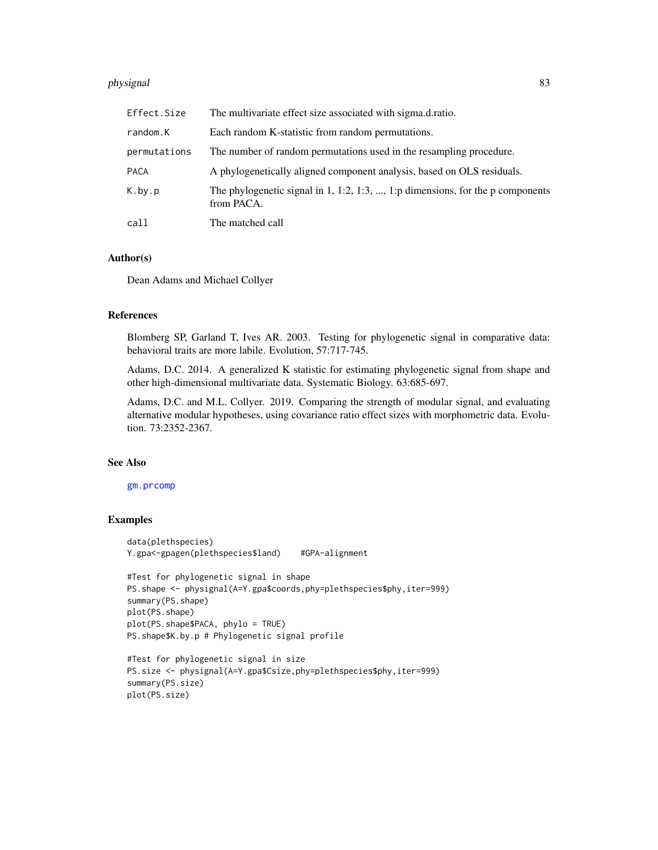#### physignal 83

| Effect.Size  | The multivariate effect size associated with sigma.d.ratio.                                  |
|--------------|----------------------------------------------------------------------------------------------|
| random.K     | Each random K-statistic from random permutations.                                            |
| permutations | The number of random permutations used in the resampling procedure.                          |
| PACA         | A phylogenetically aligned component analysis, based on OLS residuals.                       |
| K.by.p       | The phylogenetic signal in 1, 1:2, 1:3, , 1:p dimensions, for the p components<br>from PACA. |
| call         | The matched call                                                                             |

#### Author(s)

Dean Adams and Michael Collyer

#### References

Blomberg SP, Garland T, Ives AR. 2003. Testing for phylogenetic signal in comparative data: behavioral traits are more labile. Evolution, 57:717-745.

Adams, D.C. 2014. A generalized K statistic for estimating phylogenetic signal from shape and other high-dimensional multivariate data. Systematic Biology. 63:685-697.

Adams, D.C. and M.L. Collyer. 2019. Comparing the strength of modular signal, and evaluating alternative modular hypotheses, using covariance ratio effect sizes with morphometric data. Evolution. 73:2352-2367.

#### See Also

#### [gm.prcomp](#page-45-0)

## Examples

```
data(plethspecies)
Y.gpa<-gpagen(plethspecies$land) #GPA-alignment
#Test for phylogenetic signal in shape
PS.shape <- physignal(A=Y.gpa$coords,phy=plethspecies$phy,iter=999)
summary(PS.shape)
plot(PS.shape)
plot(PS.shape$PACA, phylo = TRUE)
PS.shape$K.by.p # Phylogenetic signal profile
#Test for phylogenetic signal in size
```

```
PS.size <- physignal(A=Y.gpa$Csize,phy=plethspecies$phy,iter=999)
summary(PS.size)
plot(PS.size)
```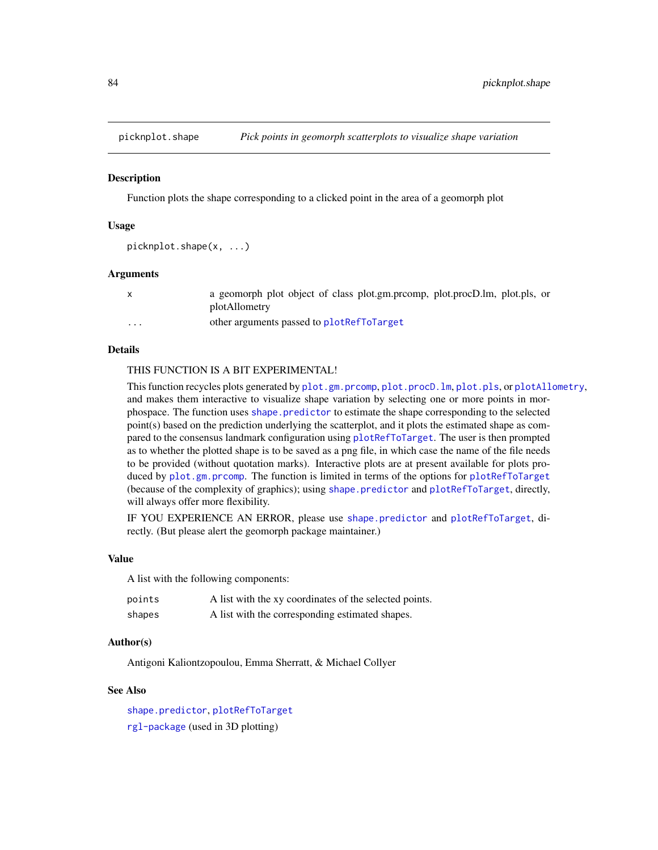<span id="page-83-0"></span>

Function plots the shape corresponding to a clicked point in the area of a geomorph plot

#### Usage

```
picknplot.shape(x, ...)
```
#### Arguments

|          | a geomorph plot object of class plot.gm.prcomp, plot.procD.lm, plot.pls, or<br>plotAllometry |
|----------|----------------------------------------------------------------------------------------------|
| $\cdots$ | other arguments passed to plotRefToTarget                                                    |

# Details

#### THIS FUNCTION IS A BIT EXPERIMENTAL!

This function recycles plots generated by [plot.gm.prcomp](#page-88-0), [plot.procD.lm](#page-91-1), [plot.pls](#page-91-0), or [plotAllometry](#page-92-0), and makes them interactive to visualize shape variation by selecting one or more points in morphospace. The function uses [shape.predictor](#page-135-0) to estimate the shape corresponding to the selected point(s) based on the prediction underlying the scatterplot, and it plots the estimated shape as compared to the consensus landmark configuration using [plotRefToTarget](#page-99-0). The user is then prompted as to whether the plotted shape is to be saved as a png file, in which case the name of the file needs to be provided (without quotation marks). Interactive plots are at present available for plots produced by [plot.gm.prcomp](#page-88-0). The function is limited in terms of the options for [plotRefToTarget](#page-99-0) (because of the complexity of graphics); using [shape.predictor](#page-135-0) and [plotRefToTarget](#page-99-0), directly, will always offer more flexibility.

IF YOU EXPERIENCE AN ERROR, please use [shape.predictor](#page-135-0) and [plotRefToTarget](#page-99-0), directly. (But please alert the geomorph package maintainer.)

#### Value

A list with the following components:

| points | A list with the xy coordinates of the selected points. |
|--------|--------------------------------------------------------|
| shapes | A list with the corresponding estimated shapes.        |

## Author(s)

Antigoni Kaliontzopoulou, Emma Sherratt, & Michael Collyer

# See Also

[shape.predictor](#page-135-0), [plotRefToTarget](#page-99-0) [rgl-package](#page-0-0) (used in 3D plotting)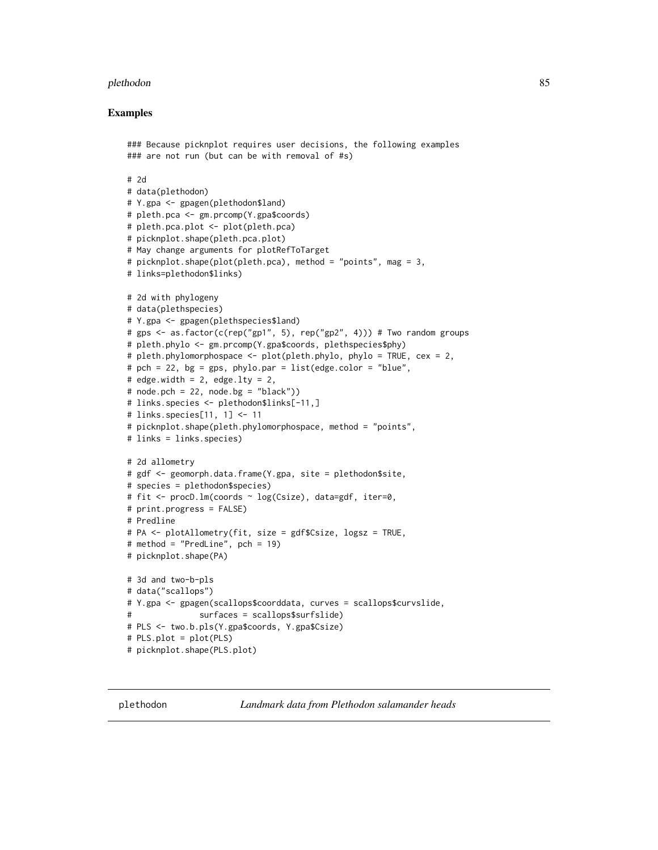#### plethodon 85

## Examples

```
### Because picknplot requires user decisions, the following examples
### are not run (but can be with removal of #s)
# 2d
# data(plethodon)
# Y.gpa <- gpagen(plethodon$land)
# pleth.pca <- gm.prcomp(Y.gpa$coords)
# pleth.pca.plot <- plot(pleth.pca)
# picknplot.shape(pleth.pca.plot)
# May change arguments for plotRefToTarget
# picknplot.shape(plot(pleth.pca), method = "points", mag = 3,
# links=plethodon$links)
# 2d with phylogeny
# data(plethspecies)
# Y.gpa <- gpagen(plethspecies$land)
# gps <- as.factor(c(rep("gp1", 5), rep("gp2", 4))) # Two random groups
# pleth.phylo <- gm.prcomp(Y.gpa$coords, plethspecies$phy)
# pleth.phylomorphospace <- plot(pleth.phylo, phylo = TRUE, cex = 2,
# pch = 22, bg = gps, phylo.par = list(edge.color = "blue",
# edge.width = 2, edge.lty = 2,
# node.pch = 22, node.bg = "black"))
# links.species <- plethodon$links[-11,]
# links.species[11, 1] <- 11
# picknplot.shape(pleth.phylomorphospace, method = "points",
# links = links.species)
# 2d allometry
# gdf <- geomorph.data.frame(Y.gpa, site = plethodon$site,
# species = plethodon$species)
# fit <- procD.lm(coords ~ log(Csize), data=gdf, iter=0,
# print.progress = FALSE)
# Predline
# PA <- plotAllometry(fit, size = gdf$Csize, logsz = TRUE,
# method = "PredLine", pch = 19)
# picknplot.shape(PA)
# 3d and two-b-pls
# data("scallops")
# Y.gpa <- gpagen(scallops$coorddata, curves = scallops$curvslide,
               surfaces = scallops$surfslide)
# PLS <- two.b.pls(Y.gpa$coords, Y.gpa$Csize)
# PLS.plot = plot(PLS)
# picknplot.shape(PLS.plot)
```
plethodon *Landmark data from Plethodon salamander heads*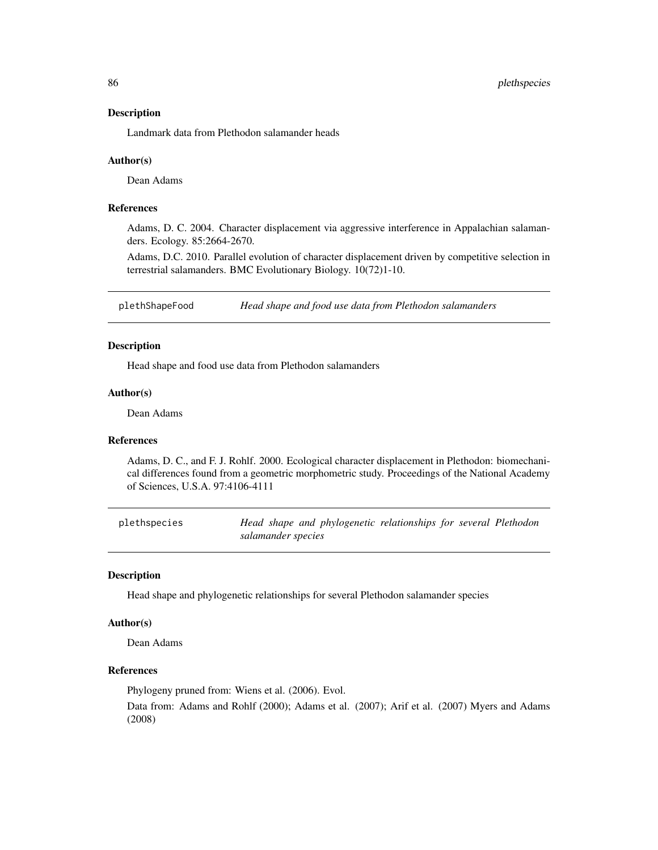86 plethspecies

#### Description

Landmark data from Plethodon salamander heads

#### Author(s)

Dean Adams

# References

Adams, D. C. 2004. Character displacement via aggressive interference in Appalachian salamanders. Ecology. 85:2664-2670.

Adams, D.C. 2010. Parallel evolution of character displacement driven by competitive selection in terrestrial salamanders. BMC Evolutionary Biology. 10(72)1-10.

plethShapeFood *Head shape and food use data from Plethodon salamanders*

## Description

Head shape and food use data from Plethodon salamanders

## Author(s)

Dean Adams

# References

Adams, D. C., and F. J. Rohlf. 2000. Ecological character displacement in Plethodon: biomechanical differences found from a geometric morphometric study. Proceedings of the National Academy of Sciences, U.S.A. 97:4106-4111

plethspecies *Head shape and phylogenetic relationships for several Plethodon salamander species*

#### Description

Head shape and phylogenetic relationships for several Plethodon salamander species

#### Author(s)

Dean Adams

## References

Phylogeny pruned from: Wiens et al. (2006). Evol.

Data from: Adams and Rohlf (2000); Adams et al. (2007); Arif et al. (2007) Myers and Adams (2008)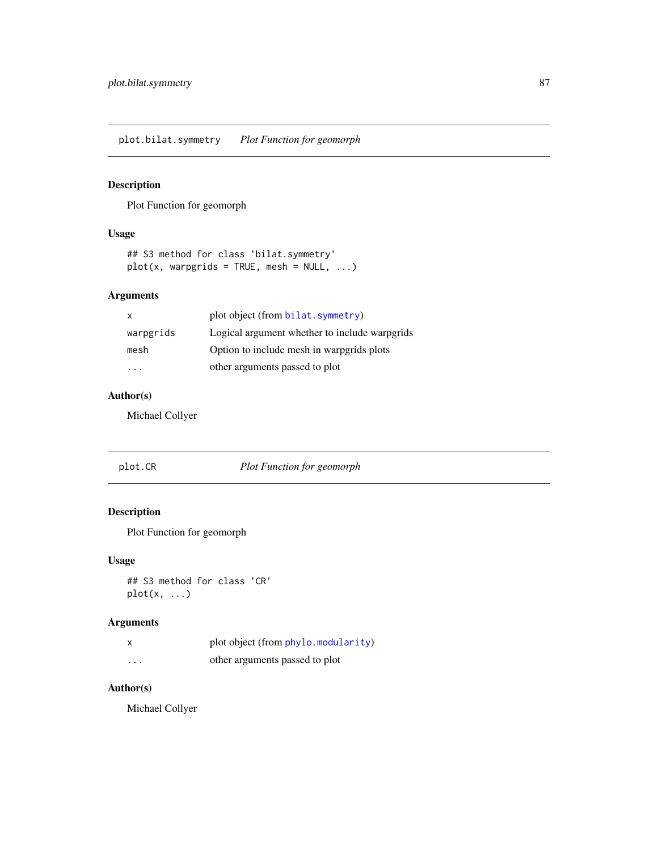plot.bilat.symmetry *Plot Function for geomorph*

# Description

Plot Function for geomorph

# Usage

```
## S3 method for class 'bilat.symmetry'
plot(x, warpgrids = TRUE, mesh = NULL, ...)
```
# Arguments

|           | plot object (from bilat. symmetry)            |
|-----------|-----------------------------------------------|
| warpgrids | Logical argument whether to include warpgrids |
| mesh      | Option to include mesh in warpgrids plots     |
| .         | other arguments passed to plot                |

# Author(s)

Michael Collyer

| plot.CR | <b>Plot Function for geomorph</b> |
|---------|-----------------------------------|
|---------|-----------------------------------|

# Description

Plot Function for geomorph

# Usage

## S3 method for class 'CR' plot(x, ...)

# Arguments

| X        | plot object (from phylo. modularity) |
|----------|--------------------------------------|
| $\cdots$ | other arguments passed to plot       |

# Author(s)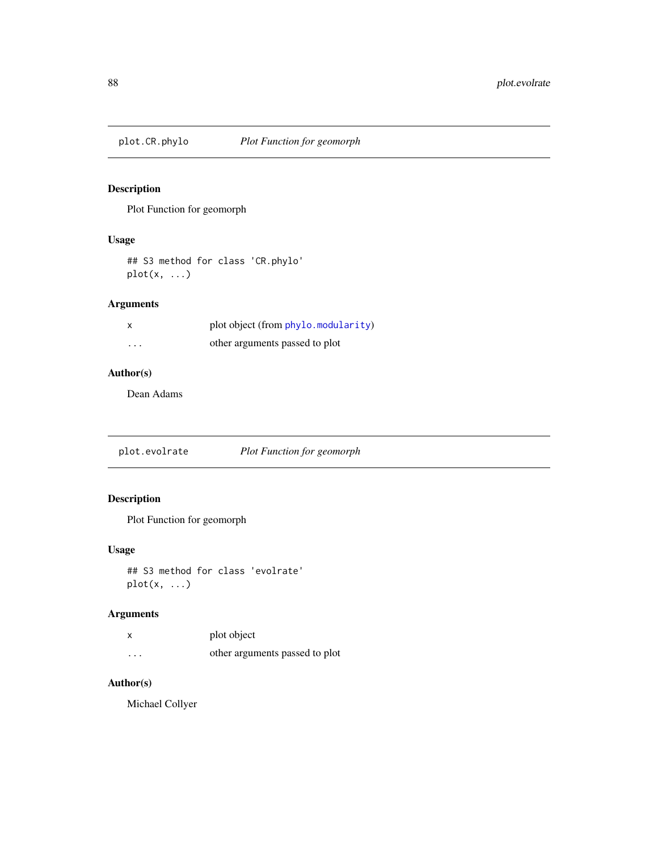Plot Function for geomorph

## Usage

## S3 method for class 'CR.phylo'  $plot(x, \ldots)$ 

# Arguments

|          | plot object (from phylo.modularity) |
|----------|-------------------------------------|
| $\cdots$ | other arguments passed to plot      |

# Author(s)

Dean Adams

plot.evolrate *Plot Function for geomorph*

# Description

Plot Function for geomorph

## Usage

## S3 method for class 'evolrate' plot(x, ...)

# Arguments

|          | plot object                    |
|----------|--------------------------------|
| $\cdots$ | other arguments passed to plot |

# Author(s)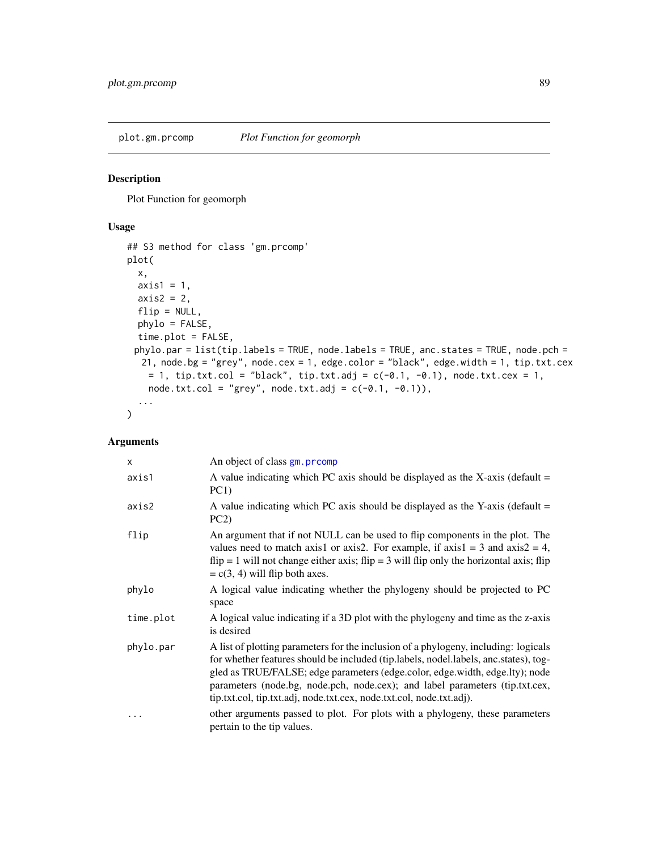<span id="page-88-0"></span>

Plot Function for geomorph

#### Usage

```
## S3 method for class 'gm.prcomp'
plot(
 x,
 axis1 = 1,
 axis2 = 2,
 flip = NULL,
 phylo = FALSE,
 time.plot = FALSE,
 phylo.par = list(tip.labels = TRUE, node.labels = TRUE, anc.states = TRUE, node.pch =
  21, node.bg = "grey", node.cex = 1, edge.color = "black", edge.width = 1, tip.txt.cex
   = 1, tip.txt.col = "black", tip.txt.adj = c(-0.1, -0.1), node.txt.cex = 1,
   node.txt.col = "grey", node.txt.adj = c(-0.1, -0.1)),
  ...
\mathcal{L}
```
# Arguments

| $\times$  | An object of class gm. prcomp                                                                                                                                                                                                                                                                                                                                                                                       |
|-----------|---------------------------------------------------------------------------------------------------------------------------------------------------------------------------------------------------------------------------------------------------------------------------------------------------------------------------------------------------------------------------------------------------------------------|
| axis1     | A value indicating which PC axis should be displayed as the X-axis (default $=$<br>PC1)                                                                                                                                                                                                                                                                                                                             |
| axis2     | A value indicating which PC axis should be displayed as the Y-axis (default $=$<br>PC2                                                                                                                                                                                                                                                                                                                              |
| flip      | An argument that if not NULL can be used to flip components in the plot. The<br>values need to match axis1 or axis2. For example, if $axis1 = 3$ and $axis2 = 4$ ,<br>$flip = 1$ will not change either axis; $flip = 3$ will flip only the horizontal axis; flip<br>$= c(3, 4)$ will flip both axes.                                                                                                               |
| phylo     | A logical value indicating whether the phylogeny should be projected to PC<br>space                                                                                                                                                                                                                                                                                                                                 |
| time.plot | A logical value indicating if a 3D plot with the phylogeny and time as the z-axis<br>is desired                                                                                                                                                                                                                                                                                                                     |
| phylo.par | A list of plotting parameters for the inclusion of a phylogeny, including: logicals<br>for whether features should be included (tip.labels, nodel.labels, anc.states), tog-<br>gled as TRUE/FALSE; edge parameters (edge.color, edge.width, edge.lty); node<br>parameters (node.bg, node.pch, node.cex); and label parameters (tip.txt.cex,<br>tip.txt.col, tip.txt.adj, node.txt.cex, node.txt.col, node.txt.adj). |
| .         | other arguments passed to plot. For plots with a phylogeny, these parameters<br>pertain to the tip values.                                                                                                                                                                                                                                                                                                          |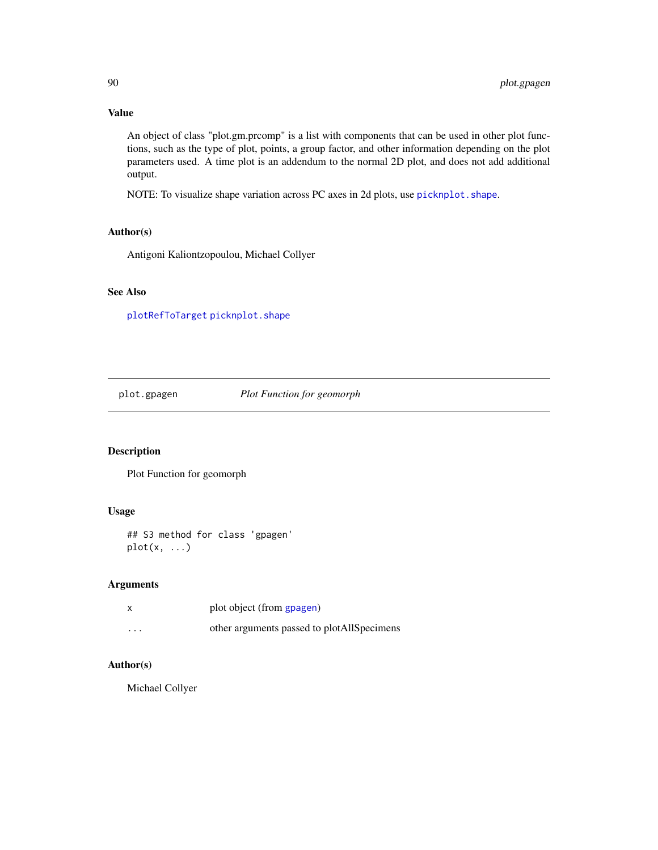# Value

An object of class "plot.gm.prcomp" is a list with components that can be used in other plot functions, such as the type of plot, points, a group factor, and other information depending on the plot parameters used. A time plot is an addendum to the normal 2D plot, and does not add additional output.

NOTE: To visualize shape variation across PC axes in 2d plots, use [picknplot.shape](#page-83-0).

# Author(s)

Antigoni Kaliontzopoulou, Michael Collyer

## See Also

[plotRefToTarget](#page-99-0) [picknplot.shape](#page-83-0)

plot.gpagen *Plot Function for geomorph*

## Description

Plot Function for geomorph

#### Usage

## S3 method for class 'gpagen'  $plot(x, \ldots)$ 

# Arguments

|                   | plot object (from gpagen)                  |
|-------------------|--------------------------------------------|
| $\cdot\cdot\cdot$ | other arguments passed to plotAllSpecimens |

## Author(s)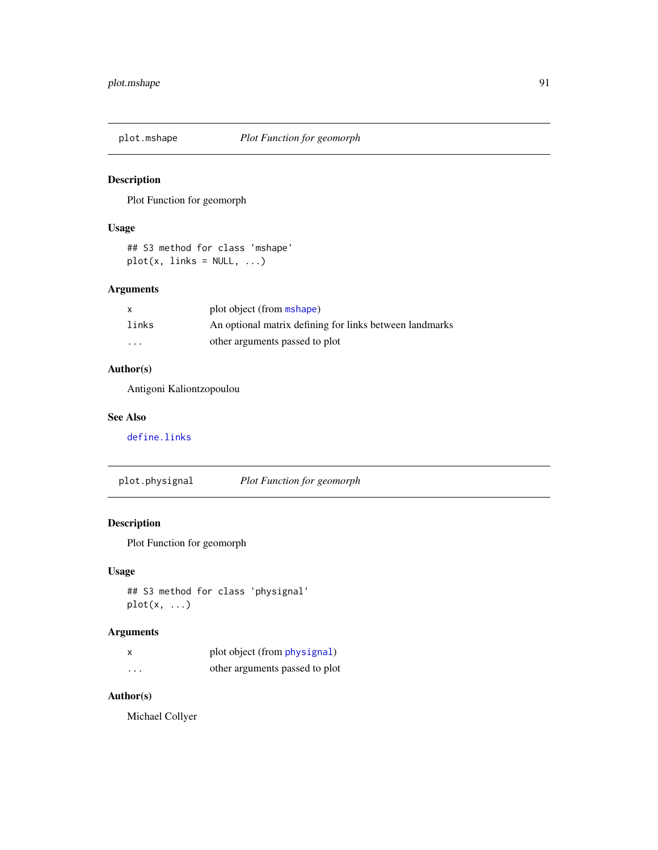Plot Function for geomorph

## Usage

## S3 method for class 'mshape'  $plot(x, links = NULL, ...)$ 

# Arguments

| $\mathsf{x}$ | plot object (from mshape)                               |
|--------------|---------------------------------------------------------|
| links        | An optional matrix defining for links between landmarks |
| $\cdots$     | other arguments passed to plot                          |

# Author(s)

Antigoni Kaliontzopoulou

#### See Also

[define.links](#page-26-0)

plot.physignal *Plot Function for geomorph*

# Description

Plot Function for geomorph

# Usage

```
## S3 method for class 'physignal'
plot(x, ...)
```
# Arguments

|          | plot object (from physignal)   |
|----------|--------------------------------|
| $\cdots$ | other arguments passed to plot |

# Author(s)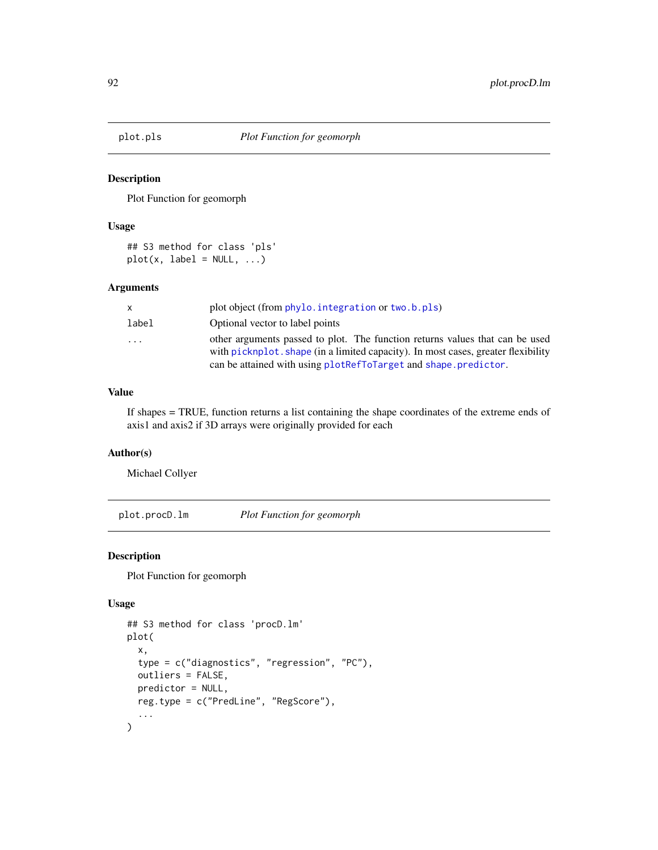<span id="page-91-0"></span>

Plot Function for geomorph

## Usage

## S3 method for class 'pls'  $plot(x, label = NULL, ...)$ 

## Arguments

| x.       | plot object (from phylo. integration or two. b. pls)                                                                                                                                                                                 |
|----------|--------------------------------------------------------------------------------------------------------------------------------------------------------------------------------------------------------------------------------------|
| label    | Optional vector to label points                                                                                                                                                                                                      |
| $\cdots$ | other arguments passed to plot. The function returns values that can be used<br>with picknplot, shape (in a limited capacity). In most cases, greater flexibility<br>can be attained with using plotRefToTarget and shape.predictor. |

# Value

If shapes = TRUE, function returns a list containing the shape coordinates of the extreme ends of axis1 and axis2 if 3D arrays were originally provided for each

## Author(s)

Michael Collyer

<span id="page-91-1"></span>plot.procD.lm *Plot Function for geomorph*

## Description

Plot Function for geomorph

## Usage

```
## S3 method for class 'procD.lm'
plot(
  x,
  type = c("diagnostics", "regression", "PC"),
 outliers = FALSE,
 predictor = NULL,
 reg.type = c("PredLine", "RegScore"),
  ...
\mathcal{E}
```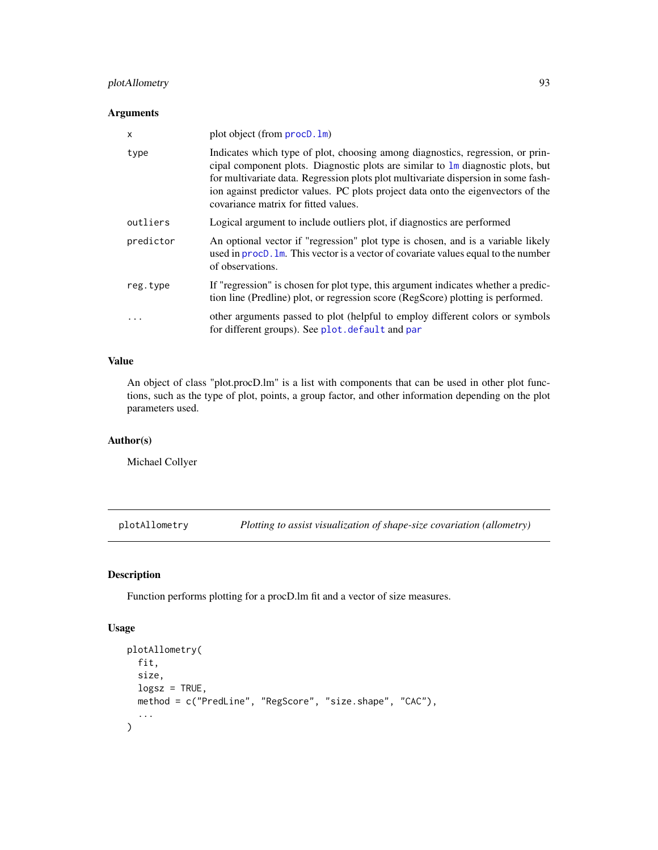# plotAllometry 93

## Arguments

| $\mathsf{x}$ | plot object (from procD. 1m)                                                                                                                                                                                                                                                                                                                                                                 |
|--------------|----------------------------------------------------------------------------------------------------------------------------------------------------------------------------------------------------------------------------------------------------------------------------------------------------------------------------------------------------------------------------------------------|
| type         | Indicates which type of plot, choosing among diagnostics, regression, or prin-<br>cipal component plots. Diagnostic plots are similar to $\text{Im}$ diagnostic plots, but<br>for multivariate data. Regression plots plot multivariate dispersion in some fash-<br>ion against predictor values. PC plots project data onto the eigenvectors of the<br>covariance matrix for fitted values. |
| outliers     | Logical argument to include outliers plot, if diagnostics are performed                                                                                                                                                                                                                                                                                                                      |
| predictor    | An optional vector if "regression" plot type is chosen, and is a variable likely<br>used in procD. Im. This vector is a vector of covariate values equal to the number<br>of observations.                                                                                                                                                                                                   |
| reg.type     | If "regression" is chosen for plot type, this argument indicates whether a predic-<br>tion line (Predline) plot, or regression score (RegScore) plotting is performed.                                                                                                                                                                                                                       |
| $\ddotsc$    | other arguments passed to plot (helpful to employ different colors or symbols<br>for different groups). See plot. default and par                                                                                                                                                                                                                                                            |

# Value

An object of class "plot.procD.lm" is a list with components that can be used in other plot functions, such as the type of plot, points, a group factor, and other information depending on the plot parameters used.

## Author(s)

Michael Collyer

<span id="page-92-0"></span>plotAllometry *Plotting to assist visualization of shape-size covariation (allometry)*

## Description

Function performs plotting for a procD.lm fit and a vector of size measures.

#### Usage

```
plotAllometry(
  fit,
  size,
  logsz = TRUE,method = c("PredLine", "RegScore", "size.shape", "CAC"),
  ...
\mathcal{E}
```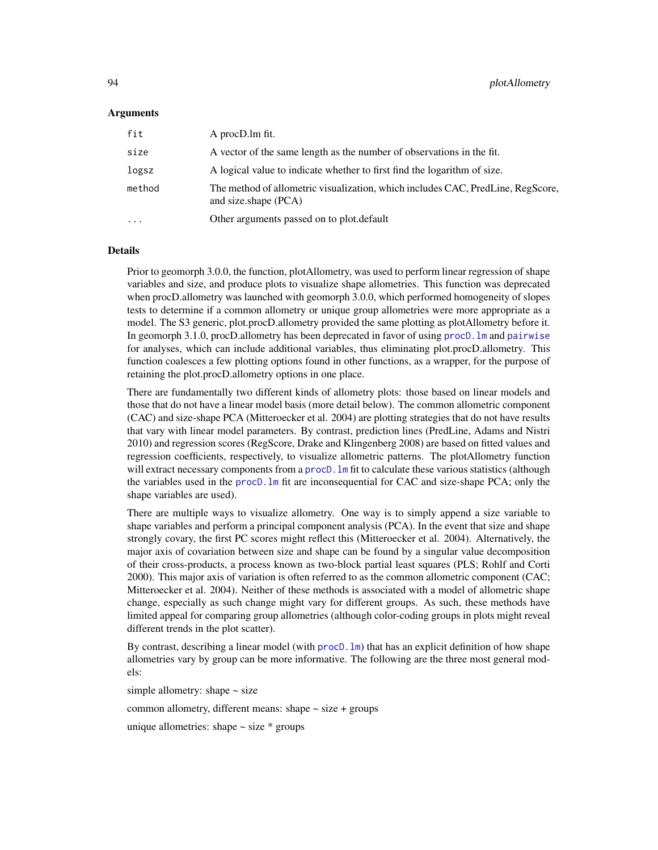#### Arguments

| fit      | A procD.lm fit.                                                                                         |
|----------|---------------------------------------------------------------------------------------------------------|
| size     | A vector of the same length as the number of observations in the fit.                                   |
| logsz    | A logical value to indicate whether to first find the logarithm of size.                                |
| method   | The method of allometric visualization, which includes CAC, PredLine, RegScore,<br>and size.shape (PCA) |
| $\cdots$ | Other arguments passed on to plot.default                                                               |

#### Details

Prior to geomorph 3.0.0, the function, plotAllometry, was used to perform linear regression of shape variables and size, and produce plots to visualize shape allometries. This function was deprecated when procD.allometry was launched with geomorph 3.0.0, which performed homogeneity of slopes tests to determine if a common allometry or unique group allometries were more appropriate as a model. The S3 generic, plot.procD.allometry provided the same plotting as plotAllometry before it. In geomorph 3.1.0, procD.allometry has been deprecated in favor of using procD.  $\text{Im}$  and [pairwise](#page-0-0) for analyses, which can include additional variables, thus eliminating plot.procD.allometry. This function coalesces a few plotting options found in other functions, as a wrapper, for the purpose of retaining the plot.procD.allometry options in one place.

There are fundamentally two different kinds of allometry plots: those based on linear models and those that do not have a linear model basis (more detail below). The common allometric component (CAC) and size-shape PCA (Mitteroecker et al. 2004) are plotting strategies that do not have results that vary with linear model parameters. By contrast, prediction lines (PredLine, Adams and Nistri 2010) and regression scores (RegScore, Drake and Klingenberg 2008) are based on fitted values and regression coefficients, respectively, to visualize allometric patterns. The plotAllometry function will extract necessary components from a procD.  $\text{lm}$  fit to calculate these various statistics (although the variables used in the [procD.lm](#page-111-0) fit are inconsequential for CAC and size-shape PCA; only the shape variables are used).

There are multiple ways to visualize allometry. One way is to simply append a size variable to shape variables and perform a principal component analysis (PCA). In the event that size and shape strongly covary, the first PC scores might reflect this (Mitteroecker et al. 2004). Alternatively, the major axis of covariation between size and shape can be found by a singular value decomposition of their cross-products, a process known as two-block partial least squares (PLS; Rohlf and Corti 2000). This major axis of variation is often referred to as the common allometric component (CAC; Mitteroecker et al. 2004). Neither of these methods is associated with a model of allometric shape change, especially as such change might vary for different groups. As such, these methods have limited appeal for comparing group allometries (although color-coding groups in plots might reveal different trends in the plot scatter).

By contrast, describing a linear model (with procD.  $lm$ ) that has an explicit definition of how shape allometries vary by group can be more informative. The following are the three most general models:

simple allometry: shape  $\sim$  size

common allometry, different means: shape  $\sim$  size  $+$  groups

unique allometries: shape  $\sim$  size  $*$  groups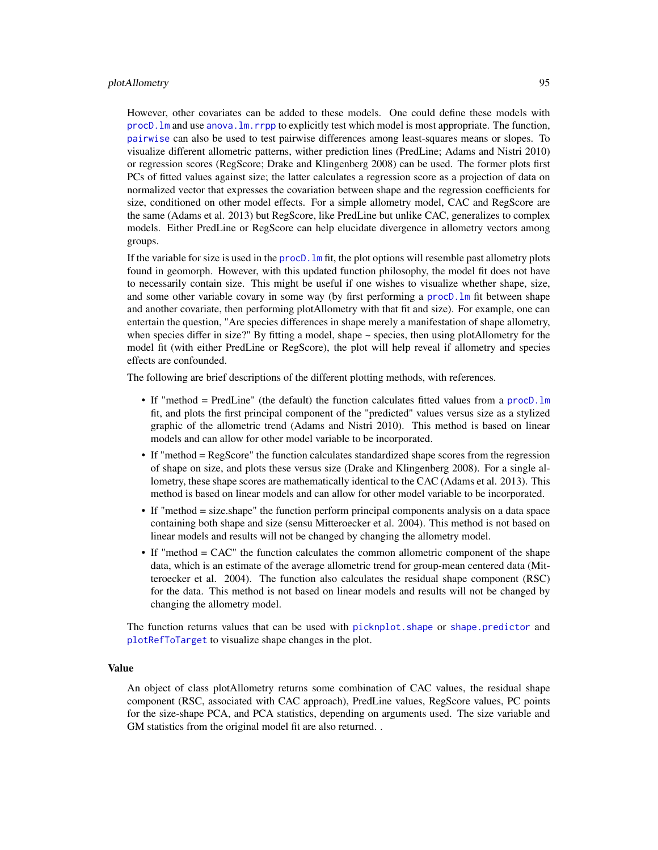#### plotAllometry 95

However, other covariates can be added to these models. One could define these models with [procD.lm](#page-111-0) and use [anova.lm.rrpp](#page-0-0) to explicitly test which model is most appropriate. The function, [pairwise](#page-0-0) can also be used to test pairwise differences among least-squares means or slopes. To visualize different allometric patterns, wither prediction lines (PredLine; Adams and Nistri 2010) or regression scores (RegScore; Drake and Klingenberg 2008) can be used. The former plots first PCs of fitted values against size; the latter calculates a regression score as a projection of data on normalized vector that expresses the covariation between shape and the regression coefficients for size, conditioned on other model effects. For a simple allometry model, CAC and RegScore are the same (Adams et al. 2013) but RegScore, like PredLine but unlike CAC, generalizes to complex models. Either PredLine or RegScore can help elucidate divergence in allometry vectors among groups.

If the variable for size is used in the proc $D \cdot \ln n$  fit, the plot options will resemble past allometry plots found in geomorph. However, with this updated function philosophy, the model fit does not have to necessarily contain size. This might be useful if one wishes to visualize whether shape, size, and some other variable covary in some way (by first performing a [procD.lm](#page-111-0) fit between shape and another covariate, then performing plotAllometry with that fit and size). For example, one can entertain the question, "Are species differences in shape merely a manifestation of shape allometry, when species differ in size?" By fitting a model, shape  $\sim$  species, then using plotAllometry for the model fit (with either PredLine or RegScore), the plot will help reveal if allometry and species effects are confounded.

The following are brief descriptions of the different plotting methods, with references.

- If "method = PredLine" (the default) the function calculates fitted values from a [procD.lm](#page-111-0) fit, and plots the first principal component of the "predicted" values versus size as a stylized graphic of the allometric trend (Adams and Nistri 2010). This method is based on linear models and can allow for other model variable to be incorporated.
- If "method = RegScore" the function calculates standardized shape scores from the regression of shape on size, and plots these versus size (Drake and Klingenberg 2008). For a single allometry, these shape scores are mathematically identical to the CAC (Adams et al. 2013). This method is based on linear models and can allow for other model variable to be incorporated.
- If "method = size.shape" the function perform principal components analysis on a data space containing both shape and size (sensu Mitteroecker et al. 2004). This method is not based on linear models and results will not be changed by changing the allometry model.
- If "method = CAC" the function calculates the common allometric component of the shape data, which is an estimate of the average allometric trend for group-mean centered data (Mitteroecker et al. 2004). The function also calculates the residual shape component (RSC) for the data. This method is not based on linear models and results will not be changed by changing the allometry model.

The function returns values that can be used with [picknplot.shape](#page-83-0) or [shape.predictor](#page-135-0) and [plotRefToTarget](#page-99-0) to visualize shape changes in the plot.

#### Value

An object of class plotAllometry returns some combination of CAC values, the residual shape component (RSC, associated with CAC approach), PredLine values, RegScore values, PC points for the size-shape PCA, and PCA statistics, depending on arguments used. The size variable and GM statistics from the original model fit are also returned. .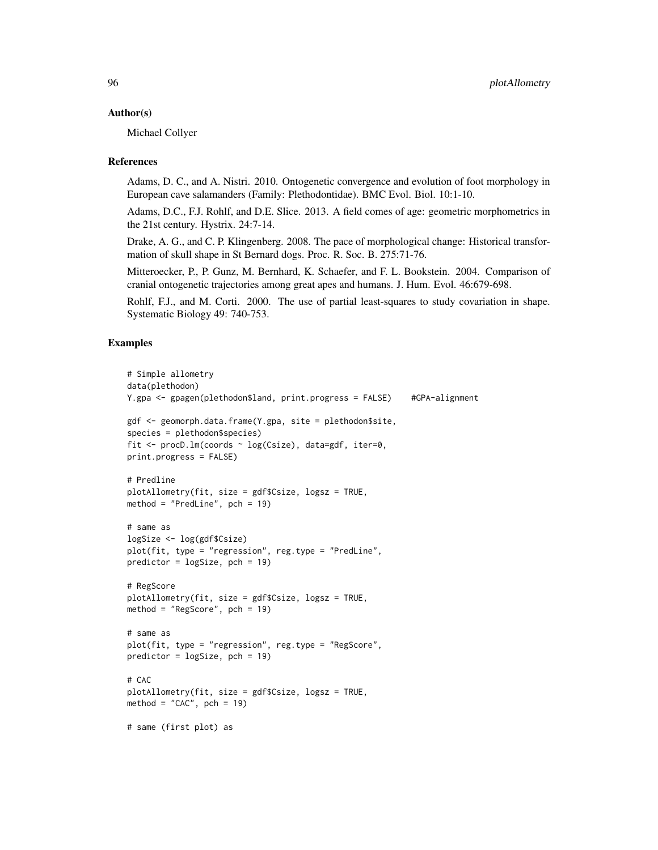#### Author(s)

Michael Collyer

#### References

Adams, D. C., and A. Nistri. 2010. Ontogenetic convergence and evolution of foot morphology in European cave salamanders (Family: Plethodontidae). BMC Evol. Biol. 10:1-10.

Adams, D.C., F.J. Rohlf, and D.E. Slice. 2013. A field comes of age: geometric morphometrics in the 21st century. Hystrix. 24:7-14.

Drake, A. G., and C. P. Klingenberg. 2008. The pace of morphological change: Historical transformation of skull shape in St Bernard dogs. Proc. R. Soc. B. 275:71-76.

Mitteroecker, P., P. Gunz, M. Bernhard, K. Schaefer, and F. L. Bookstein. 2004. Comparison of cranial ontogenetic trajectories among great apes and humans. J. Hum. Evol. 46:679-698.

Rohlf, F.J., and M. Corti. 2000. The use of partial least-squares to study covariation in shape. Systematic Biology 49: 740-753.

## Examples

```
# Simple allometry
data(plethodon)
Y.gpa <- gpagen(plethodon$land, print.progress = FALSE) #GPA-alignment
gdf <- geomorph.data.frame(Y.gpa, site = plethodon$site,
species = plethodon$species)
fit \leq procD.lm(coords \sim log(Csize), data=gdf, iter=0,
print.progress = FALSE)
# Predline
plotAllometry(fit, size = gdf$Csize, logsz = TRUE,
method = "PredLine", pch = 19)
# same as
logSize <- log(gdf$Csize)
plot(fit, type = "regression", reg.type = "PredLine",
predictor = logSize, pch = 19)
# RegScore
plotAllometry(fit, size = gdf$Csize, logsz = TRUE,
method = "RegScore", pch = 19)
# same as
plot(fit, type = "regression", reg.type = "RegScore",
predictor = logSize, pch = 19)
# CAC
plotAllometry(fit, size = gdf$Csize, logsz = TRUE,
method = "CAC", pch = 19)
# same (first plot) as
```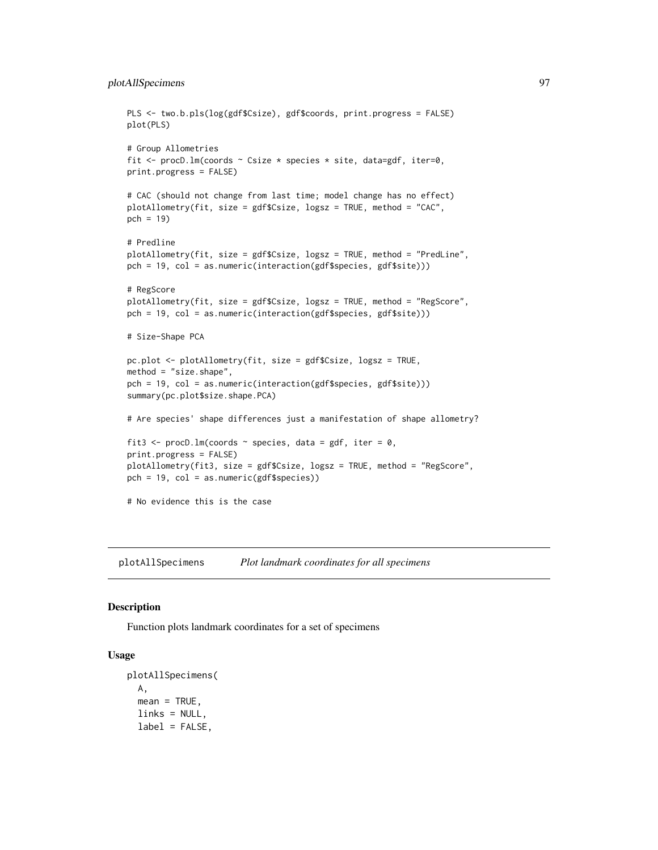```
PLS <- two.b.pls(log(gdf$Csize), gdf$coords, print.progress = FALSE)
plot(PLS)
# Group Allometries
fit \leq procD. lm(coords \sim Csize * species * site, data=gdf, iter=0,
print.progress = FALSE)
# CAC (should not change from last time; model change has no effect)
plotAllometry(fit, size = gdf$Csize, logsz = TRUE, method = "CAC",
pch = 19)
# Predline
plotAllometry(fit, size = gdf$Csize, logsz = TRUE, method = "PredLine",
pch = 19, col = as.numeric(interaction(gdf$species, gdf$site)))
# RegScore
plotAllometry(fit, size = gdf$Csize, logsz = TRUE, method = "RegScore",
pch = 19, col = as.numeric(interaction(gdf$species, gdf$site)))
# Size-Shape PCA
pc.plot <- plotAllometry(fit, size = gdf$Csize, logsz = TRUE,
method = "size.shape",
pch = 19, col = as.numeric(interaction(gdf$species, gdf$site)))
summary(pc.plot$size.shape.PCA)
# Are species' shape differences just a manifestation of shape allometry?
fit3 <- procD.lm(coords \sim species, data = gdf, iter = 0,
print.progress = FALSE)
plotAllometry(fit3, size = gdf$Csize, logsz = TRUE, method = "RegScore",
pch = 19, col = as.numeric(gdf$species))
# No evidence this is the case
```
<span id="page-96-0"></span>plotAllSpecimens *Plot landmark coordinates for all specimens*

## **Description**

Function plots landmark coordinates for a set of specimens

#### Usage

```
plotAllSpecimens(
 A,
 mean = TRUE,links = NULL,
 label = FALSE,
```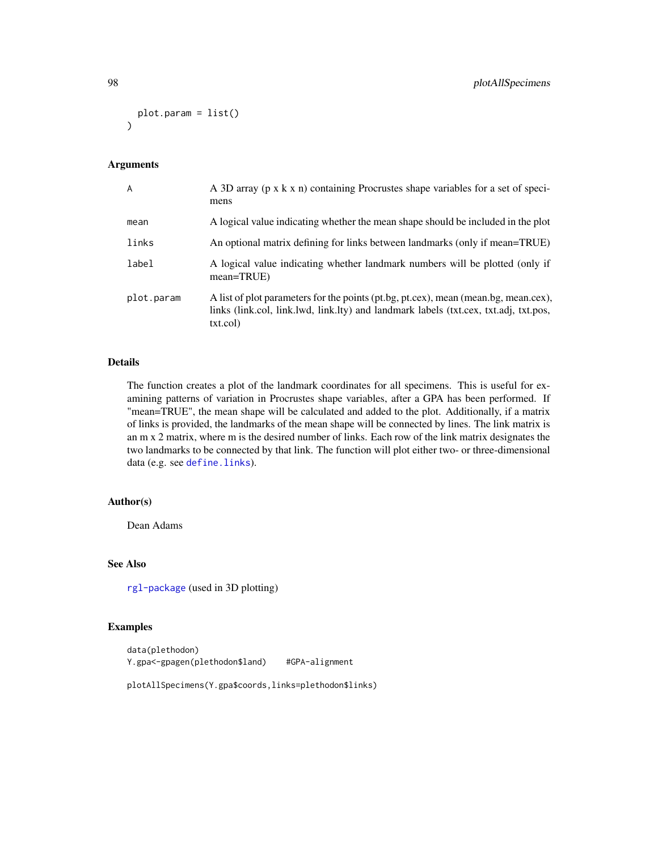```
plot.param = list()
)
```
# Arguments

| A          | A 3D array (p x k x n) containing Procrustes shape variables for a set of speci-<br>mens                                                                                                |
|------------|-----------------------------------------------------------------------------------------------------------------------------------------------------------------------------------------|
| mean       | A logical value indicating whether the mean shape should be included in the plot                                                                                                        |
| links      | An optional matrix defining for links between landmarks (only if mean=TRUE)                                                                                                             |
| label      | A logical value indicating whether landmark numbers will be plotted (only if<br>$mean = TRUE$ )                                                                                         |
| plot.param | A list of plot parameters for the points (pt.bg, pt.cex), mean (mean.bg, mean.cex),<br>links (link.col, link.lwd, link.lty) and landmark labels (txt.cex, txt.adj, txt.pos,<br>txt.col) |

## Details

The function creates a plot of the landmark coordinates for all specimens. This is useful for examining patterns of variation in Procrustes shape variables, after a GPA has been performed. If "mean=TRUE", the mean shape will be calculated and added to the plot. Additionally, if a matrix of links is provided, the landmarks of the mean shape will be connected by lines. The link matrix is an m x 2 matrix, where m is the desired number of links. Each row of the link matrix designates the two landmarks to be connected by that link. The function will plot either two- or three-dimensional data (e.g. see [define.links](#page-26-0)).

# Author(s)

Dean Adams

## See Also

[rgl-package](#page-0-0) (used in 3D plotting)

## Examples

```
data(plethodon)
Y.gpa<-gpagen(plethodon$land) #GPA-alignment
```
plotAllSpecimens(Y.gpa\$coords,links=plethodon\$links)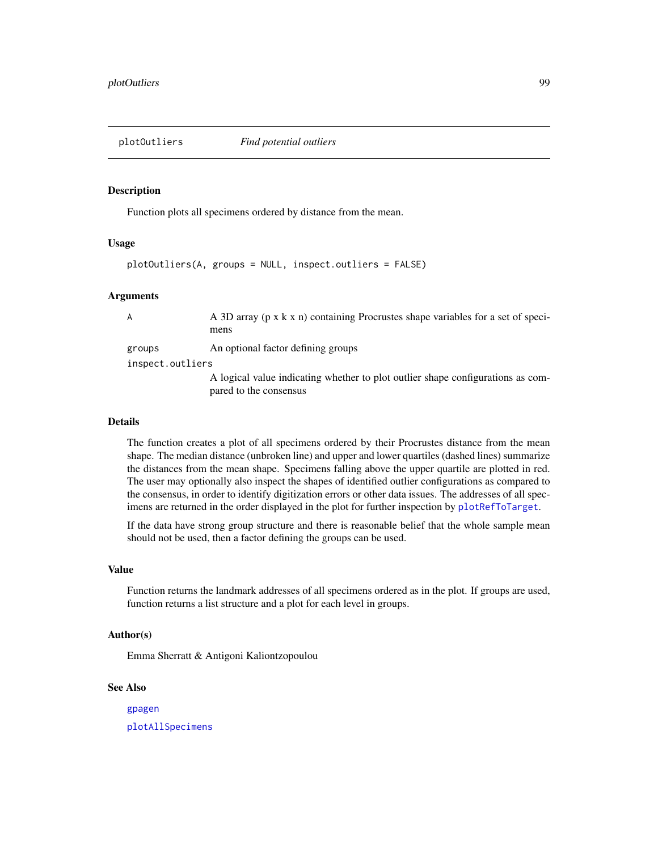Function plots all specimens ordered by distance from the mean.

#### Usage

plotOutliers(A, groups = NULL, inspect.outliers = FALSE)

#### Arguments

| A                | A 3D array (p x k x n) containing Procrustes shape variables for a set of speci-<br>mens |
|------------------|------------------------------------------------------------------------------------------|
| groups           | An optional factor defining groups                                                       |
| inspect.outliers |                                                                                          |
|                  | A logical value indicating whether to plot outlier shape configurations as com-          |
|                  | pared to the consensus                                                                   |

#### Details

The function creates a plot of all specimens ordered by their Procrustes distance from the mean shape. The median distance (unbroken line) and upper and lower quartiles (dashed lines) summarize the distances from the mean shape. Specimens falling above the upper quartile are plotted in red. The user may optionally also inspect the shapes of identified outlier configurations as compared to the consensus, in order to identify digitization errors or other data issues. The addresses of all specimens are returned in the order displayed in the plot for further inspection by [plotRefToTarget](#page-99-0).

If the data have strong group structure and there is reasonable belief that the whole sample mean should not be used, then a factor defining the groups can be used.

#### Value

Function returns the landmark addresses of all specimens ordered as in the plot. If groups are used, function returns a list structure and a plot for each level in groups.

## Author(s)

Emma Sherratt & Antigoni Kaliontzopoulou

## See Also

[gpagen](#page-49-0)

[plotAllSpecimens](#page-96-0)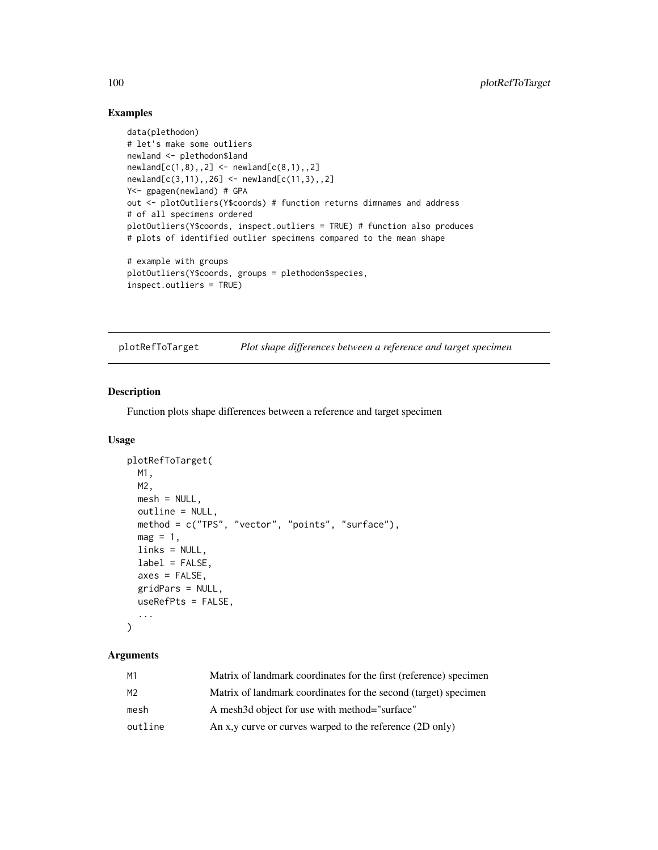## Examples

```
data(plethodon)
# let's make some outliers
newland <- plethodon$land
newland[c(1,8),,2] < - newland[c(8,1),,2]newland[c(3,11),,26] <- newland[c(11,3),,2]
Y<- gpagen(newland) # GPA
out <- plotOutliers(Y$coords) # function returns dimnames and address
# of all specimens ordered
plotOutliers(Y$coords, inspect.outliers = TRUE) # function also produces
# plots of identified outlier specimens compared to the mean shape
# example with groups
plotOutliers(Y$coords, groups = plethodon$species,
```

```
inspect.outliers = TRUE)
```
<span id="page-99-0"></span>plotRefToTarget *Plot shape differences between a reference and target specimen*

# Description

Function plots shape differences between a reference and target specimen

# Usage

```
plotRefToTarget(
 M1,
 M2,
 mesh = NULL,outline = NULL,
 method = c("TPS", "vector", "points", "surface"),
 mag = 1,
  links = NULL,
  label = FALSE,
  axes = FALSE,
  gridPars = NULL,
  useRefPts = FALSE,
  ...
\mathcal{L}
```
# Arguments

| M1             | Matrix of landmark coordinates for the first (reference) specimen |
|----------------|-------------------------------------------------------------------|
| M <sub>2</sub> | Matrix of landmark coordinates for the second (target) specimen   |
| mesh           | A mesh3d object for use with method="surface"                     |
| outline        | An x, y curve or curves warped to the reference (2D only)         |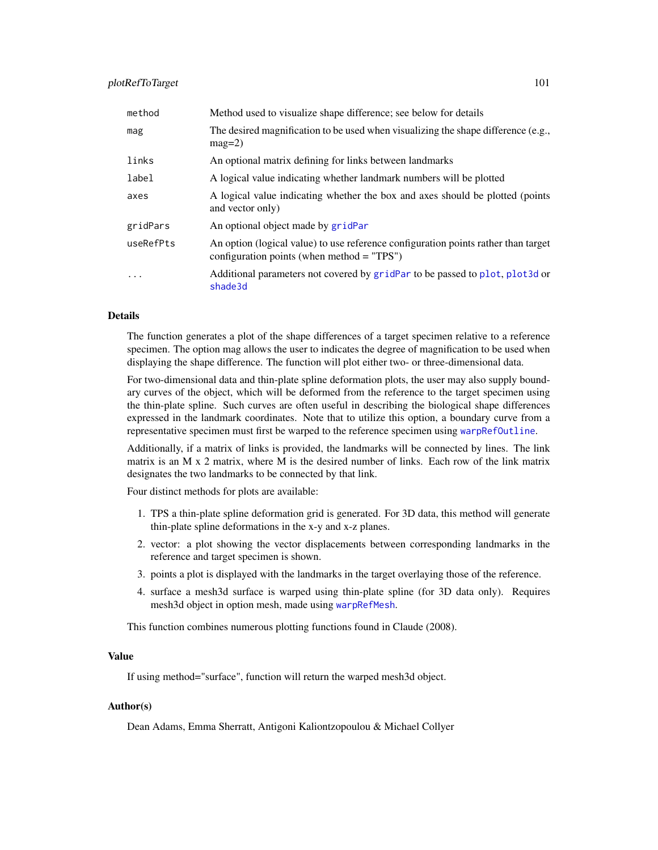# plotRefToTarget 101

| method    | Method used to visualize shape difference; see below for details                                                                   |
|-----------|------------------------------------------------------------------------------------------------------------------------------------|
| mag       | The desired magnification to be used when visualizing the shape difference (e.g.,<br>$mag=2$ )                                     |
| links     | An optional matrix defining for links between landmarks                                                                            |
| label     | A logical value indicating whether landmark numbers will be plotted                                                                |
| axes      | A logical value indicating whether the box and axes should be plotted (points<br>and vector only)                                  |
| gridPars  | An optional object made by gridPar                                                                                                 |
| useRefPts | An option (logical value) to use reference configuration points rather than target<br>configuration points (when method $=$ "TPS") |
| $\ddotsc$ | Additional parameters not covered by gridPar to be passed to plot, plot3d or<br>shade3d                                            |

#### Details

The function generates a plot of the shape differences of a target specimen relative to a reference specimen. The option mag allows the user to indicates the degree of magnification to be used when displaying the shape difference. The function will plot either two- or three-dimensional data.

For two-dimensional data and thin-plate spline deformation plots, the user may also supply boundary curves of the object, which will be deformed from the reference to the target specimen using the thin-plate spline. Such curves are often useful in describing the biological shape differences expressed in the landmark coordinates. Note that to utilize this option, a boundary curve from a representative specimen must first be warped to the reference specimen using [warpRefOutline](#page-153-0).

Additionally, if a matrix of links is provided, the landmarks will be connected by lines. The link matrix is an M x 2 matrix, where M is the desired number of links. Each row of the link matrix designates the two landmarks to be connected by that link.

Four distinct methods for plots are available:

- 1. TPS a thin-plate spline deformation grid is generated. For 3D data, this method will generate thin-plate spline deformations in the x-y and x-z planes.
- 2. vector: a plot showing the vector displacements between corresponding landmarks in the reference and target specimen is shown.
- 3. points a plot is displayed with the landmarks in the target overlaying those of the reference.
- 4. surface a mesh3d surface is warped using thin-plate spline (for 3D data only). Requires mesh3d object in option mesh, made using [warpRefMesh](#page-152-0).

This function combines numerous plotting functions found in Claude (2008).

#### Value

If using method="surface", function will return the warped mesh3d object.

## Author(s)

Dean Adams, Emma Sherratt, Antigoni Kaliontzopoulou & Michael Collyer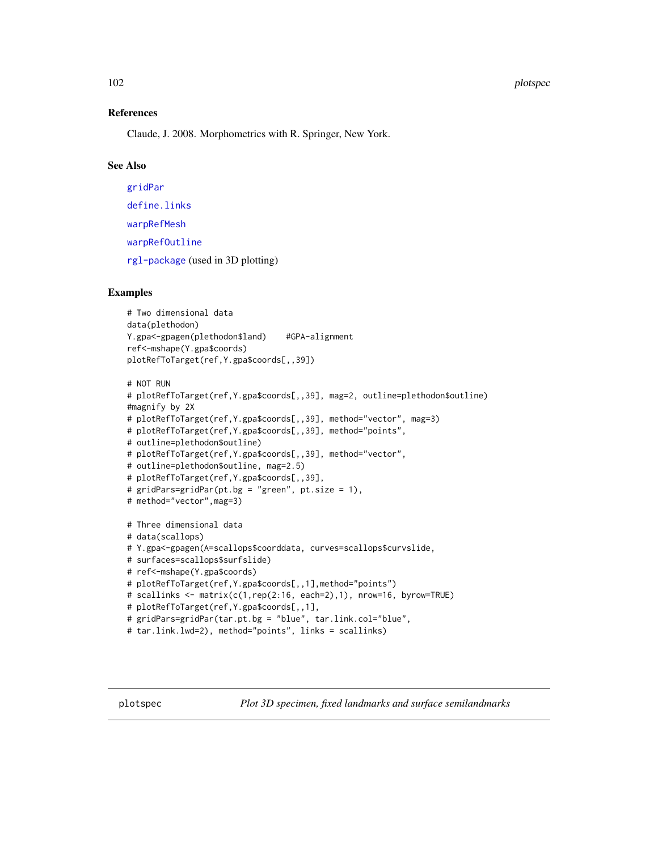#### 102 plotspec

#### References

Claude, J. 2008. Morphometrics with R. Springer, New York.

## See Also

[gridPar](#page-54-0) [define.links](#page-26-0) [warpRefMesh](#page-152-0) [warpRefOutline](#page-153-0) [rgl-package](#page-0-0) (used in 3D plotting)

## Examples

```
# Two dimensional data
data(plethodon)
Y.gpa<-gpagen(plethodon$land) #GPA-alignment
ref<-mshape(Y.gpa$coords)
plotRefToTarget(ref,Y.gpa$coords[,,39])
```

```
# NOT RUN
# plotRefToTarget(ref,Y.gpa$coords[,,39], mag=2, outline=plethodon$outline)
#magnify by 2X
# plotRefToTarget(ref,Y.gpa$coords[,,39], method="vector", mag=3)
# plotRefToTarget(ref,Y.gpa$coords[,,39], method="points",
# outline=plethodon$outline)
# plotRefToTarget(ref,Y.gpa$coords[,,39], method="vector",
# outline=plethodon$outline, mag=2.5)
# plotRefToTarget(ref,Y.gpa$coords[,,39],
# gridPars=gridPar(pt.bg = "green", pt.size = 1),
# method="vector",mag=3)
# Three dimensional data
# data(scallops)
# Y.gpa<-gpagen(A=scallops$coorddata, curves=scallops$curvslide,
# surfaces=scallops$surfslide)
# ref<-mshape(Y.gpa$coords)
# plotRefToTarget(ref,Y.gpa$coords[,,1],method="points")
# scallinks <- matrix(c(1,rep(2:16, each=2),1), nrow=16, byrow=TRUE)
# plotRefToTarget(ref,Y.gpa$coords[,,1],
# gridPars=gridPar(tar.pt.bg = "blue", tar.link.col="blue",
# tar.link.lwd=2), method="points", links = scallinks)
```
plotspec *Plot 3D specimen, fixed landmarks and surface semilandmarks*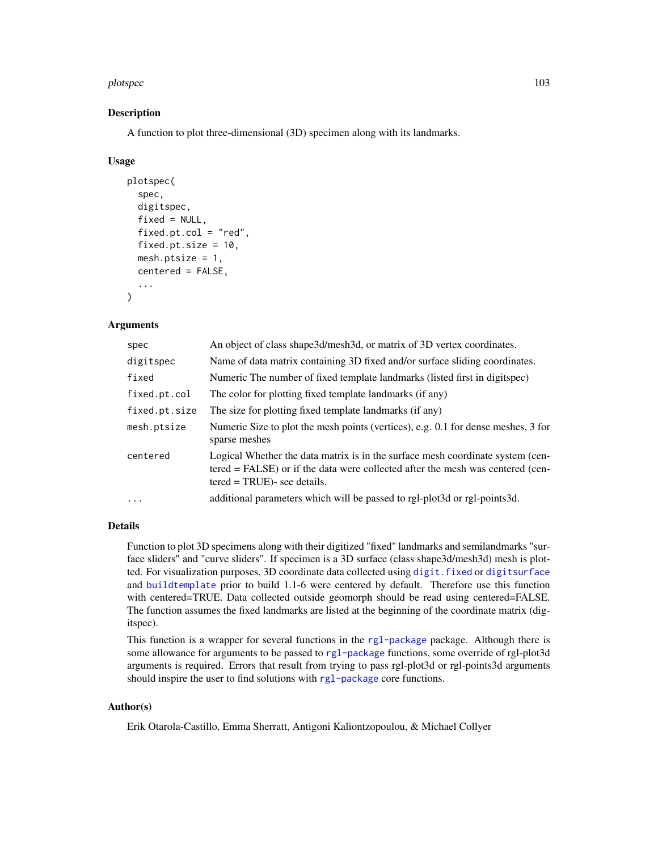#### plotspec and the state of the state of the state of the state of the state of the state of the state of the state of the state of the state of the state of the state of the state of the state of the state of the state of t

## Description

A function to plot three-dimensional (3D) specimen along with its landmarks.

## Usage

```
plotspec(
  spec,
  digitspec,
  fixed = NULL,fixed.pt.col = "red",fixed.pt.size = 10,
 mesh.ptsize = 1,
  centered = FALSE,
  ...
)
```
## Arguments

| spec          | An object of class shape3d/mesh3d, or matrix of 3D vertex coordinates.                                                                                                                             |
|---------------|----------------------------------------------------------------------------------------------------------------------------------------------------------------------------------------------------|
| digitspec     | Name of data matrix containing 3D fixed and/or surface sliding coordinates.                                                                                                                        |
| fixed         | Numeric The number of fixed template landmarks (listed first in digitspec)                                                                                                                         |
| fixed.pt.col  | The color for plotting fixed template landmarks (if any)                                                                                                                                           |
| fixed.pt.size | The size for plotting fixed template landmarks (if any)                                                                                                                                            |
| mesh.ptsize   | Numeric Size to plot the mesh points (vertices), e.g. 0.1 for dense meshes, 3 for<br>sparse meshes                                                                                                 |
| centered      | Logical Whether the data matrix is in the surface mesh coordinate system (cen-<br>tered = FALSE) or if the data were collected after the mesh was centered (cen-<br>$tered = TRUE$ )- see details. |
| $\cdots$      | additional parameters which will be passed to rgl-plot3d or rgl-points3d.                                                                                                                          |
|               |                                                                                                                                                                                                    |

# Details

Function to plot 3D specimens along with their digitized "fixed" landmarks and semilandmarks "surface sliders" and "curve sliders". If specimen is a 3D surface (class shape3d/mesh3d) mesh is plotted. For visualization purposes, 3D coordinate data collected using [digit.fixed](#page-32-0) or [digitsurface](#page-36-0) and [buildtemplate](#page-9-0) prior to build 1.1-6 were centered by default. Therefore use this function with centered=TRUE. Data collected outside geomorph should be read using centered=FALSE. The function assumes the fixed landmarks are listed at the beginning of the coordinate matrix (digitspec).

This function is a wrapper for several functions in the [rgl-package](#page-0-0) package. Although there is some allowance for arguments to be passed to [rgl-package](#page-0-0) functions, some override of rgl-plot3d arguments is required. Errors that result from trying to pass rgl-plot3d or rgl-points3d arguments should inspire the user to find solutions with [rgl-package](#page-0-0) core functions.

## Author(s)

Erik Otarola-Castillo, Emma Sherratt, Antigoni Kaliontzopoulou, & Michael Collyer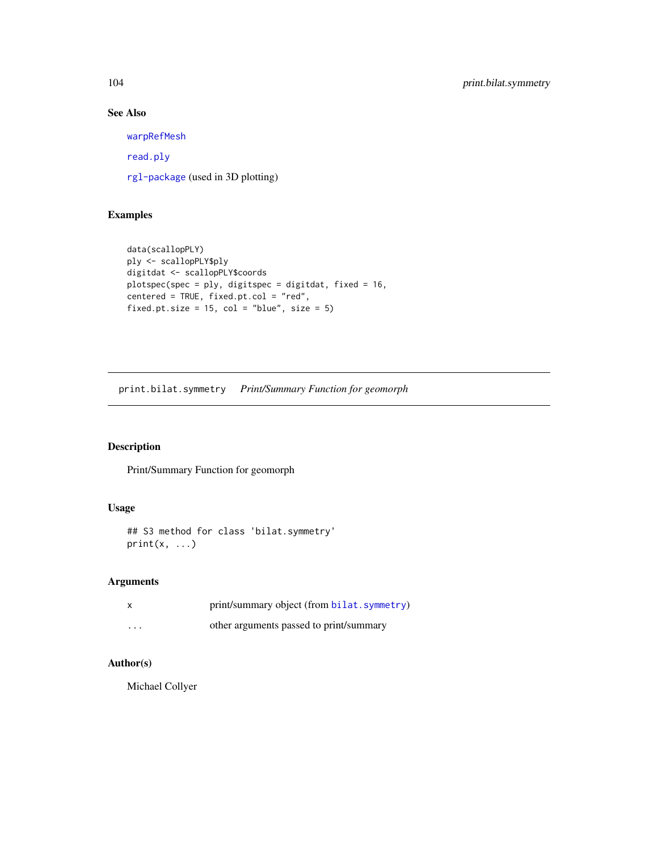# See Also

[warpRefMesh](#page-152-0)

[read.ply](#page-124-0)

[rgl-package](#page-0-0) (used in 3D plotting)

# Examples

```
data(scallopPLY)
ply <- scallopPLY$ply
digitdat <- scallopPLY$coords
plotspec(spec = ply, digitspec = digitdat, fixed = 16,
centered = TRUE, fixed.pt.col = "red",
fixed.pt.size = 15, col = "blue", size = 5)
```
print.bilat.symmetry *Print/Summary Function for geomorph*

# Description

Print/Summary Function for geomorph

# Usage

```
## S3 method for class 'bilat.symmetry'
print(x, \ldots)
```
# Arguments

|         | print/summary object (from bilat. symmetry) |
|---------|---------------------------------------------|
| $\cdot$ | other arguments passed to print/summary     |

# Author(s)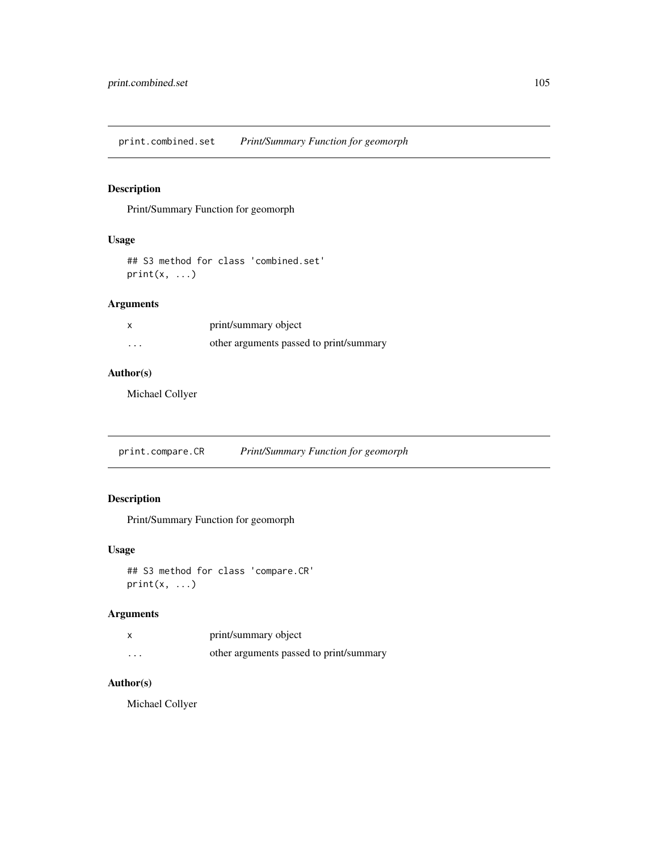print.combined.set *Print/Summary Function for geomorph*

# Description

Print/Summary Function for geomorph

## Usage

```
## S3 method for class 'combined.set'
print(x, \ldots)
```
# Arguments

|          | print/summary object                    |
|----------|-----------------------------------------|
| $\cdots$ | other arguments passed to print/summary |

# Author(s)

Michael Collyer

print.compare.CR *Print/Summary Function for geomorph*

# Description

Print/Summary Function for geomorph

## Usage

```
## S3 method for class 'compare.CR'
print(x, \ldots)
```
# Arguments

|          | print/summary object                    |
|----------|-----------------------------------------|
| $\cdots$ | other arguments passed to print/summary |

# Author(s)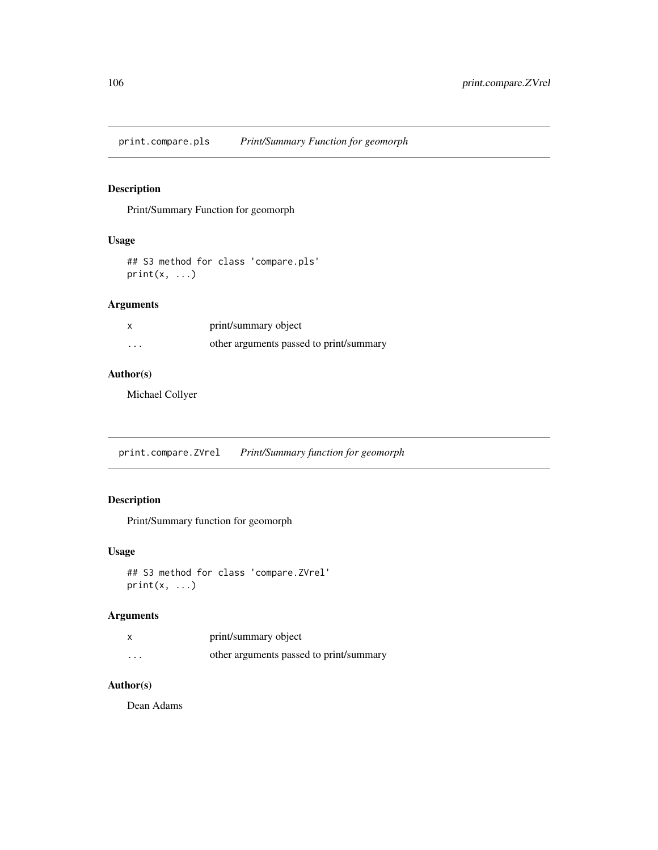print.compare.pls *Print/Summary Function for geomorph*

# Description

Print/Summary Function for geomorph

## Usage

## S3 method for class 'compare.pls'  $print(x, \ldots)$ 

# Arguments

|   | print/summary object                    |
|---|-----------------------------------------|
| . | other arguments passed to print/summary |

## Author(s)

Michael Collyer

print.compare.ZVrel *Print/Summary function for geomorph*

# Description

Print/Summary function for geomorph

## Usage

```
## S3 method for class 'compare.ZVrel'
print(x, \ldots)
```
# Arguments

|          | print/summary object                    |
|----------|-----------------------------------------|
| $\cdots$ | other arguments passed to print/summary |

# Author(s)

Dean Adams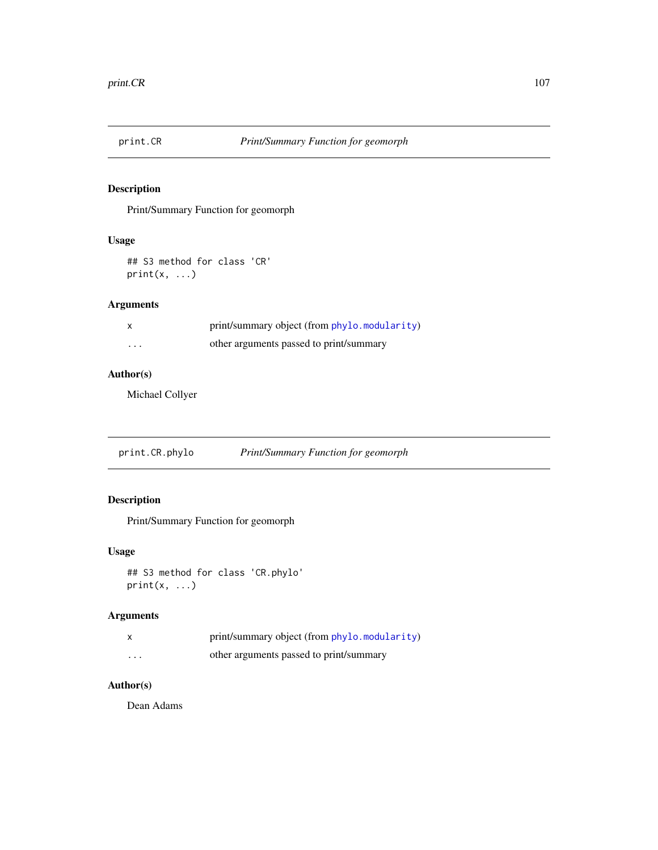Print/Summary Function for geomorph

## Usage

## S3 method for class 'CR'  $print(x, \ldots)$ 

# Arguments

|          | print/summary object (from phylo.modularity) |
|----------|----------------------------------------------|
| $\cdots$ | other arguments passed to print/summary      |

## Author(s)

Michael Collyer

print.CR.phylo *Print/Summary Function for geomorph*

# Description

Print/Summary Function for geomorph

# Usage

```
## S3 method for class 'CR.phylo'
print(x, \ldots)
```
# Arguments

|                   | print/summary object (from phylo. modularity) |
|-------------------|-----------------------------------------------|
| $\cdot\cdot\cdot$ | other arguments passed to print/summary       |

# Author(s)

Dean Adams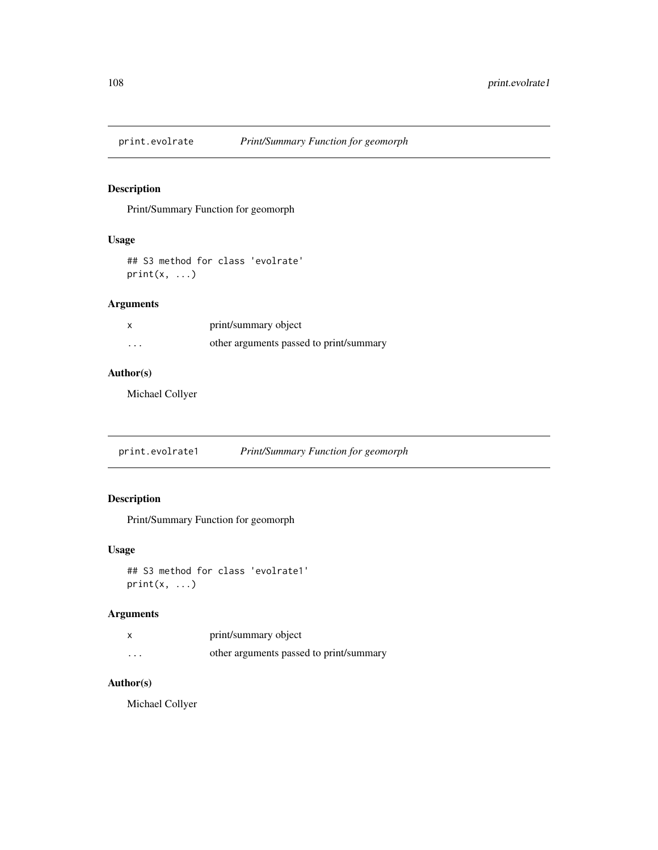Print/Summary Function for geomorph

## Usage

## S3 method for class 'evolrate'  $print(x, \ldots)$ 

# Arguments

|   | print/summary object                    |
|---|-----------------------------------------|
| . | other arguments passed to print/summary |

# Author(s)

Michael Collyer

print.evolrate1 *Print/Summary Function for geomorph*

# Description

Print/Summary Function for geomorph

## Usage

```
## S3 method for class 'evolrate1'
print(x, \ldots)
```
# Arguments

|          | print/summary object                    |
|----------|-----------------------------------------|
| $\cdots$ | other arguments passed to print/summary |

# Author(s)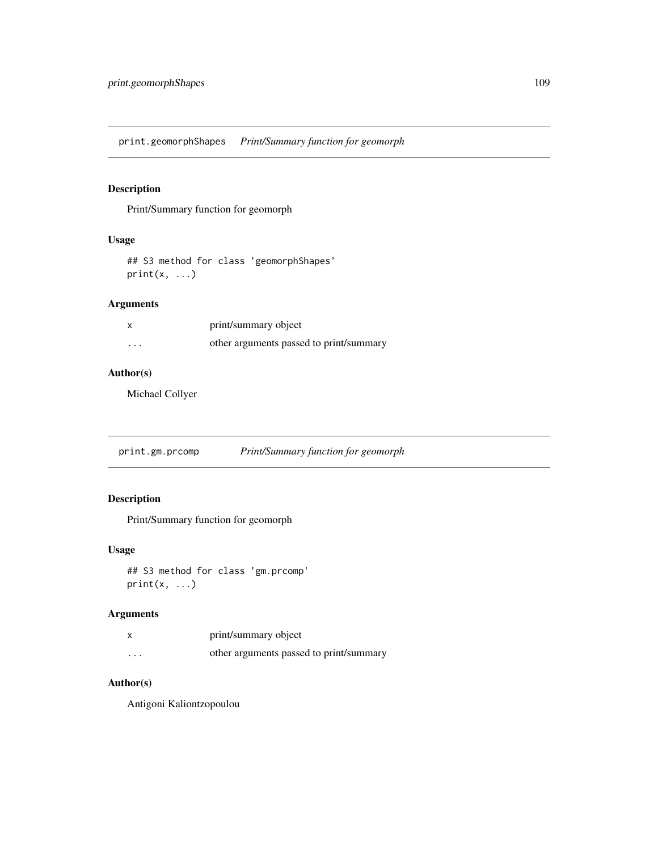print.geomorphShapes *Print/Summary function for geomorph*

# Description

Print/Summary function for geomorph

## Usage

## S3 method for class 'geomorphShapes'  $print(x, \ldots)$ 

# Arguments

|          | print/summary object                    |
|----------|-----------------------------------------|
| $\cdots$ | other arguments passed to print/summary |

# Author(s)

Michael Collyer

print.gm.prcomp *Print/Summary function for geomorph*

# Description

Print/Summary function for geomorph

## Usage

```
## S3 method for class 'gm.prcomp'
print(x, \ldots)
```
# Arguments

|          | print/summary object                    |
|----------|-----------------------------------------|
| $\cdots$ | other arguments passed to print/summary |

# Author(s)

Antigoni Kaliontzopoulou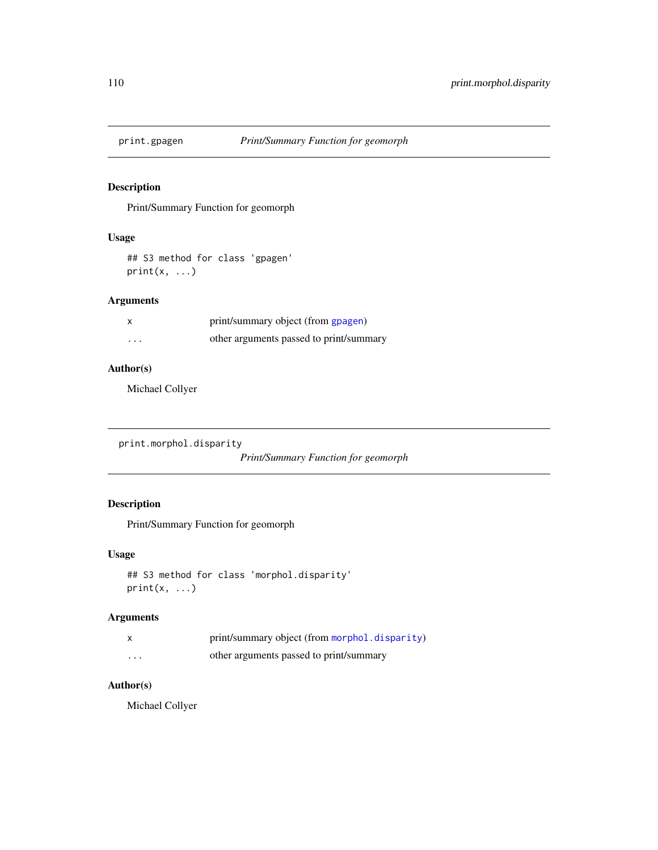Print/Summary Function for geomorph

# Usage

## S3 method for class 'gpagen'  $print(x, \ldots)$ 

# Arguments

|   | print/summary object (from gpagen)      |
|---|-----------------------------------------|
| . | other arguments passed to print/summary |

## Author(s)

Michael Collyer

```
print.morphol.disparity
```
*Print/Summary Function for geomorph*

# Description

Print/Summary Function for geomorph

# Usage

```
## S3 method for class 'morphol.disparity'
print(x, \ldots)
```
# Arguments

|   | print/summary object (from morphol.disparity) |
|---|-----------------------------------------------|
| . | other arguments passed to print/summary       |

# Author(s)

Michael Collyer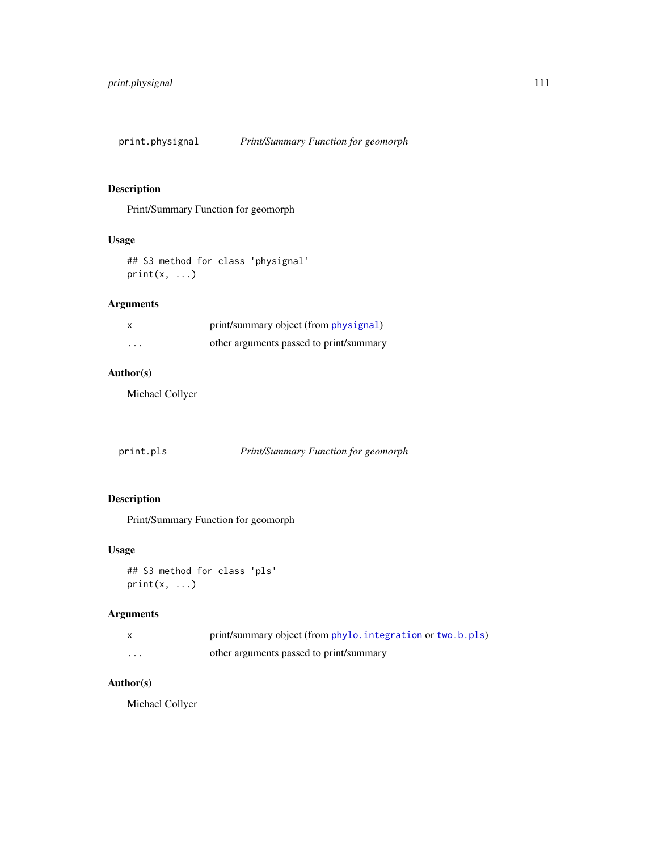print.physignal *Print/Summary Function for geomorph*

# Description

Print/Summary Function for geomorph

# Usage

```
## S3 method for class 'physignal'
print(x, \ldots)
```
# Arguments

|          | print/summary object (from physignal)   |
|----------|-----------------------------------------|
| $\cdots$ | other arguments passed to print/summary |

# Author(s)

Michael Collyer

print.pls *Print/Summary Function for geomorph*

# Description

Print/Summary Function for geomorph

## Usage

```
## S3 method for class 'pls'
print(x, \ldots)
```
# Arguments

|   | print/summary object (from phylo. integration or two.b.pls) |
|---|-------------------------------------------------------------|
| . | other arguments passed to print/summary                     |

# Author(s)

Michael Collyer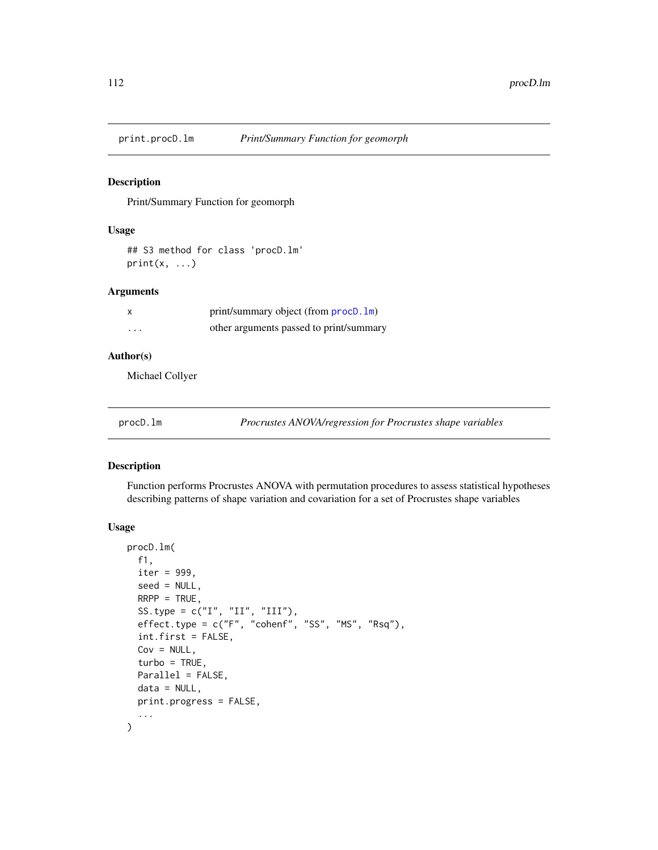Print/Summary Function for geomorph

# Usage

## S3 method for class 'procD.lm'  $print(x, \ldots)$ 

## Arguments

|          | print/summary object (from $\text{procD}.\text{lm}$ ) |
|----------|-------------------------------------------------------|
| $\cdots$ | other arguments passed to print/summary               |

#### Author(s)

Michael Collyer

<span id="page-111-0"></span>procD.lm *Procrustes ANOVA/regression for Procrustes shape variables*

# Description

Function performs Procrustes ANOVA with permutation procedures to assess statistical hypotheses describing patterns of shape variation and covariation for a set of Procrustes shape variables

#### Usage

```
procD.lm(
  f1,
  iter = 999,
  seed = NULL,
 RRP = TRUE,
  SS.type = c("I", "II", "III"),effect.type = c("F", "cohenf", "SS", "MS", "Rsq"),
  int.first = FALSE,
  Cov = NULL,turbo = TRUE,Parallel = FALSE,
  data = NULL,print.progress = FALSE,
  ...
\mathcal{L}
```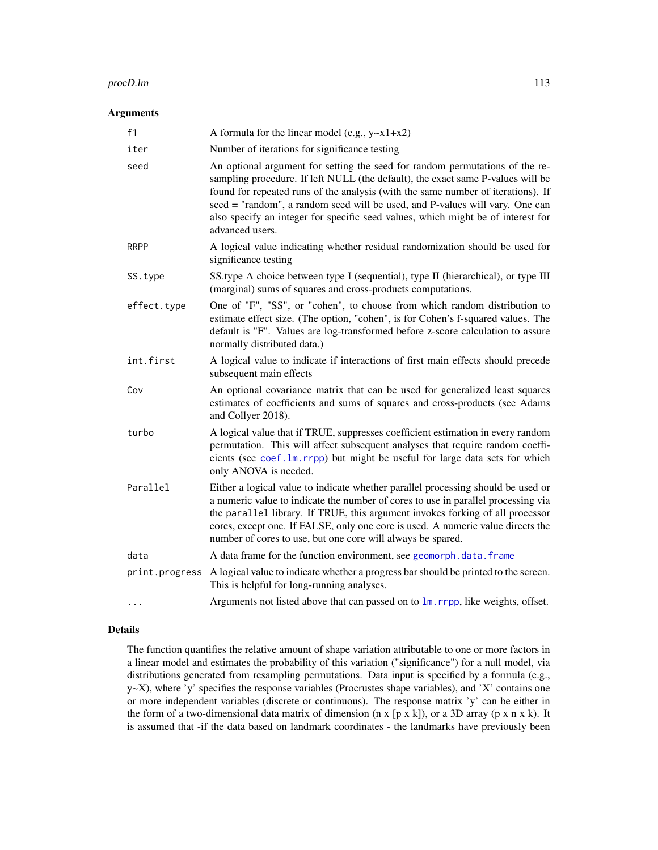#### procD.lm 113

## Arguments

| f1             | A formula for the linear model (e.g., $y \sim x1 + x2$ )                                                                                                                                                                                                                                                                                                                                                                                   |
|----------------|--------------------------------------------------------------------------------------------------------------------------------------------------------------------------------------------------------------------------------------------------------------------------------------------------------------------------------------------------------------------------------------------------------------------------------------------|
| iter           | Number of iterations for significance testing                                                                                                                                                                                                                                                                                                                                                                                              |
| seed           | An optional argument for setting the seed for random permutations of the re-<br>sampling procedure. If left NULL (the default), the exact same P-values will be<br>found for repeated runs of the analysis (with the same number of iterations). If<br>seed = "random", a random seed will be used, and P-values will vary. One can<br>also specify an integer for specific seed values, which might be of interest for<br>advanced users. |
| <b>RRPP</b>    | A logical value indicating whether residual randomization should be used for<br>significance testing                                                                                                                                                                                                                                                                                                                                       |
| SS.type        | SS type A choice between type I (sequential), type II (hierarchical), or type III<br>(marginal) sums of squares and cross-products computations.                                                                                                                                                                                                                                                                                           |
| effect.type    | One of "F", "SS", or "cohen", to choose from which random distribution to<br>estimate effect size. (The option, "cohen", is for Cohen's f-squared values. The<br>default is "F". Values are log-transformed before z-score calculation to assure<br>normally distributed data.)                                                                                                                                                            |
| int.first      | A logical value to indicate if interactions of first main effects should precede<br>subsequent main effects                                                                                                                                                                                                                                                                                                                                |
| Cov            | An optional covariance matrix that can be used for generalized least squares<br>estimates of coefficients and sums of squares and cross-products (see Adams<br>and Collyer 2018).                                                                                                                                                                                                                                                          |
| turbo          | A logical value that if TRUE, suppresses coefficient estimation in every random<br>permutation. This will affect subsequent analyses that require random coeffi-<br>cients (see coef.lm.rrpp) but might be useful for large data sets for which<br>only ANOVA is needed.                                                                                                                                                                   |
| Parallel       | Either a logical value to indicate whether parallel processing should be used or<br>a numeric value to indicate the number of cores to use in parallel processing via<br>the parallel library. If TRUE, this argument invokes forking of all processor<br>cores, except one. If FALSE, only one core is used. A numeric value directs the<br>number of cores to use, but one core will always be spared.                                   |
| data           | A data frame for the function environment, see geomorph.data.frame                                                                                                                                                                                                                                                                                                                                                                         |
| print.progress | A logical value to indicate whether a progress bar should be printed to the screen.<br>This is helpful for long-running analyses.                                                                                                                                                                                                                                                                                                          |
|                | Arguments not listed above that can passed on to lm. rrpp, like weights, offset.                                                                                                                                                                                                                                                                                                                                                           |

## Details

The function quantifies the relative amount of shape variation attributable to one or more factors in a linear model and estimates the probability of this variation ("significance") for a null model, via distributions generated from resampling permutations. Data input is specified by a formula (e.g., y~X), where 'y' specifies the response variables (Procrustes shape variables), and 'X' contains one or more independent variables (discrete or continuous). The response matrix 'y' can be either in the form of a two-dimensional data matrix of dimension (n x [p x k]), or a 3D array (p x n x k). It is assumed that -if the data based on landmark coordinates - the landmarks have previously been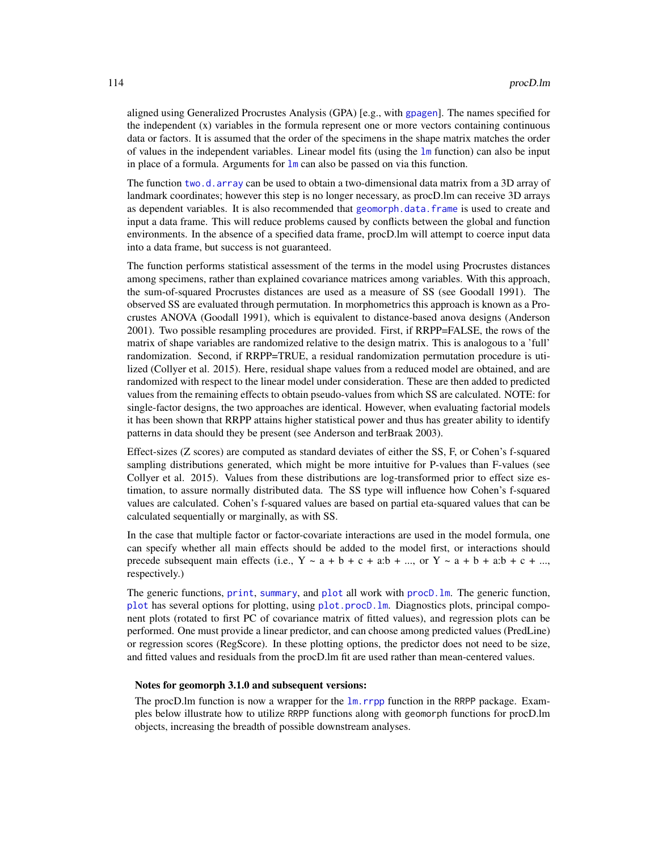aligned using Generalized Procrustes Analysis (GPA) [e.g., with [gpagen](#page-49-0)]. The names specified for the independent  $(x)$  variables in the formula represent one or more vectors containing continuous data or factors. It is assumed that the order of the specimens in the shape matrix matches the order of values in the independent variables. Linear model fits (using the [lm](#page-0-0) function) can also be input in place of a formula. Arguments for  $\text{Im}$  can also be passed on via this function.

The function [two.d.array](#page-151-0) can be used to obtain a two-dimensional data matrix from a 3D array of landmark coordinates; however this step is no longer necessary, as procD.lm can receive 3D arrays as dependent variables. It is also recommended that [geomorph.data.frame](#page-43-0) is used to create and input a data frame. This will reduce problems caused by conflicts between the global and function environments. In the absence of a specified data frame, procD.lm will attempt to coerce input data into a data frame, but success is not guaranteed.

The function performs statistical assessment of the terms in the model using Procrustes distances among specimens, rather than explained covariance matrices among variables. With this approach, the sum-of-squared Procrustes distances are used as a measure of SS (see Goodall 1991). The observed SS are evaluated through permutation. In morphometrics this approach is known as a Procrustes ANOVA (Goodall 1991), which is equivalent to distance-based anova designs (Anderson 2001). Two possible resampling procedures are provided. First, if RRPP=FALSE, the rows of the matrix of shape variables are randomized relative to the design matrix. This is analogous to a 'full' randomization. Second, if RRPP=TRUE, a residual randomization permutation procedure is utilized (Collyer et al. 2015). Here, residual shape values from a reduced model are obtained, and are randomized with respect to the linear model under consideration. These are then added to predicted values from the remaining effects to obtain pseudo-values from which SS are calculated. NOTE: for single-factor designs, the two approaches are identical. However, when evaluating factorial models it has been shown that RRPP attains higher statistical power and thus has greater ability to identify patterns in data should they be present (see Anderson and terBraak 2003).

Effect-sizes (Z scores) are computed as standard deviates of either the SS, F, or Cohen's f-squared sampling distributions generated, which might be more intuitive for P-values than F-values (see Collyer et al. 2015). Values from these distributions are log-transformed prior to effect size estimation, to assure normally distributed data. The SS type will influence how Cohen's f-squared values are calculated. Cohen's f-squared values are based on partial eta-squared values that can be calculated sequentially or marginally, as with SS.

In the case that multiple factor or factor-covariate interactions are used in the model formula, one can specify whether all main effects should be added to the model first, or interactions should precede subsequent main effects (i.e.,  $Y \sim a + b + c + a:b + ...$ , or  $Y \sim a + b + a:b + c + ...$ , respectively.)

The generic functions, [print](#page-0-0), [summary](#page-0-0), and [plot](#page-0-0) all work with [procD.lm](#page-111-0). The generic function, [plot](#page-0-0) has several options for plotting, using [plot.procD.lm](#page-91-0). Diagnostics plots, principal component plots (rotated to first PC of covariance matrix of fitted values), and regression plots can be performed. One must provide a linear predictor, and can choose among predicted values (PredLine) or regression scores (RegScore). In these plotting options, the predictor does not need to be size, and fitted values and residuals from the procD.lm fit are used rather than mean-centered values.

#### Notes for geomorph 3.1.0 and subsequent versions:

The procD.lm function is now a wrapper for the [lm.rrpp](#page-0-0) function in the RRPP package. Examples below illustrate how to utilize RRPP functions along with geomorph functions for procD.lm objects, increasing the breadth of possible downstream analyses.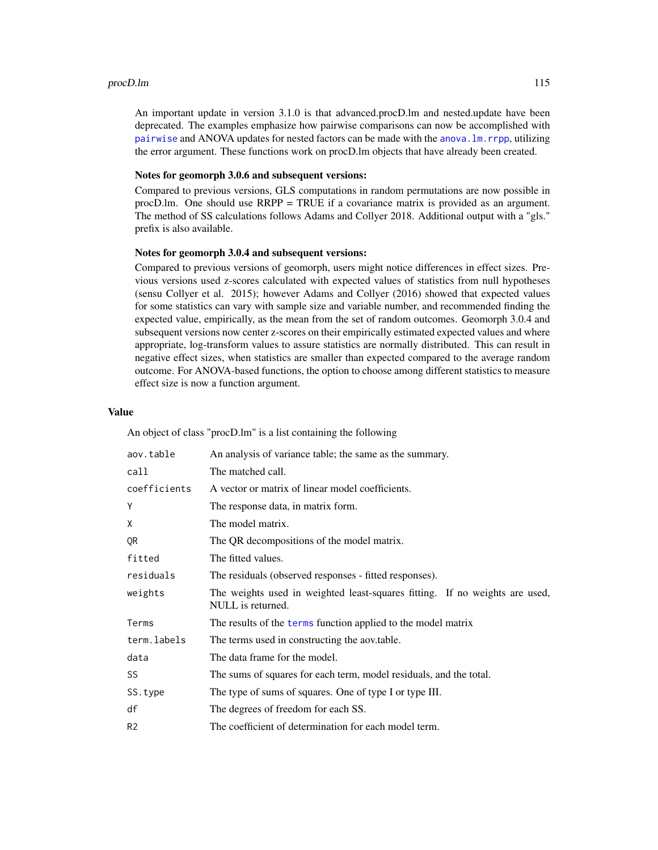#### procD.lm 115

An important update in version 3.1.0 is that advanced.procD.lm and nested.update have been deprecated. The examples emphasize how pairwise comparisons can now be accomplished with [pairwise](#page-0-0) and ANOVA updates for nested factors can be made with the [anova.lm.rrpp](#page-0-0), utilizing the error argument. These functions work on procD.lm objects that have already been created.

## Notes for geomorph 3.0.6 and subsequent versions:

Compared to previous versions, GLS computations in random permutations are now possible in procD.lm. One should use RRPP = TRUE if a covariance matrix is provided as an argument. The method of SS calculations follows Adams and Collyer 2018. Additional output with a "gls." prefix is also available.

#### Notes for geomorph 3.0.4 and subsequent versions:

Compared to previous versions of geomorph, users might notice differences in effect sizes. Previous versions used z-scores calculated with expected values of statistics from null hypotheses (sensu Collyer et al. 2015); however Adams and Collyer (2016) showed that expected values for some statistics can vary with sample size and variable number, and recommended finding the expected value, empirically, as the mean from the set of random outcomes. Geomorph 3.0.4 and subsequent versions now center z-scores on their empirically estimated expected values and where appropriate, log-transform values to assure statistics are normally distributed. This can result in negative effect sizes, when statistics are smaller than expected compared to the average random outcome. For ANOVA-based functions, the option to choose among different statistics to measure effect size is now a function argument.

## Value

An object of class "procD.lm" is a list containing the following

| aov.table      | An analysis of variance table; the same as the summary.                                          |
|----------------|--------------------------------------------------------------------------------------------------|
| call           | The matched call.                                                                                |
| coefficients   | A vector or matrix of linear model coefficients.                                                 |
| Y              | The response data, in matrix form.                                                               |
| X              | The model matrix.                                                                                |
| QR             | The QR decompositions of the model matrix.                                                       |
| fitted         | The fitted values.                                                                               |
| residuals      | The residuals (observed responses - fitted responses).                                           |
| weights        | The weights used in weighted least-squares fitting. If no weights are used,<br>NULL is returned. |
| Terms          | The results of the terms function applied to the model matrix                                    |
| term.labels    | The terms used in constructing the aov.table.                                                    |
| data           | The data frame for the model.                                                                    |
| SS.            | The sums of squares for each term, model residuals, and the total.                               |
| SS.type        | The type of sums of squares. One of type I or type III.                                          |
| df             | The degrees of freedom for each SS.                                                              |
| R <sub>2</sub> | The coefficient of determination for each model term.                                            |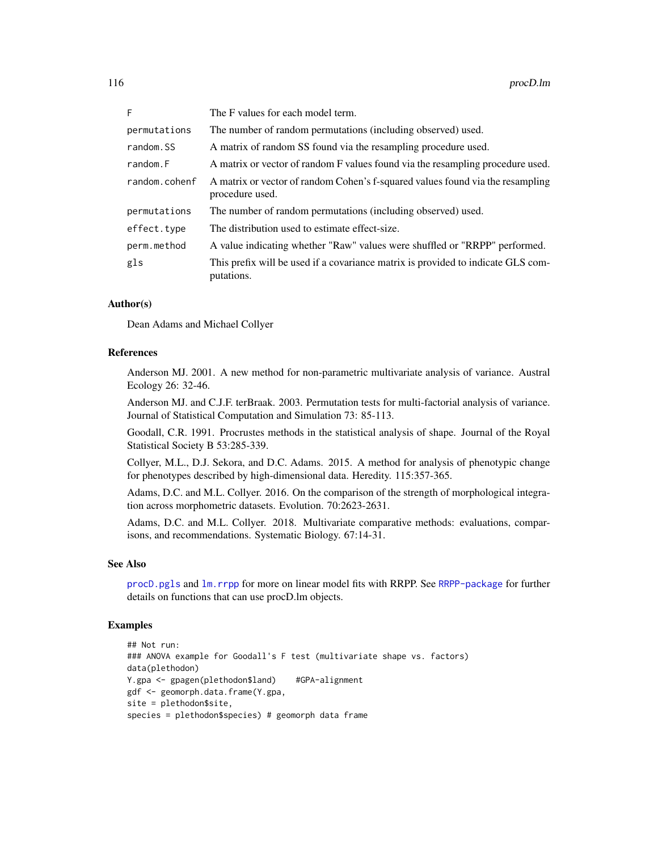| F.            | The F values for each model term.                                                                 |
|---------------|---------------------------------------------------------------------------------------------------|
| permutations  | The number of random permutations (including observed) used.                                      |
| random.SS     | A matrix of random SS found via the resampling procedure used.                                    |
| random.F      | A matrix or vector of random F values found via the resampling procedure used.                    |
| random.cohenf | A matrix or vector of random Cohen's f-squared values found via the resampling<br>procedure used. |
| permutations  | The number of random permutations (including observed) used.                                      |
| effect.type   | The distribution used to estimate effect-size.                                                    |
| perm.method   | A value indicating whether "Raw" values were shuffled or "RRPP" performed.                        |
| gls           | This prefix will be used if a covariance matrix is provided to indicate GLS com-<br>putations.    |

## Author(s)

Dean Adams and Michael Collyer

#### References

Anderson MJ. 2001. A new method for non-parametric multivariate analysis of variance. Austral Ecology 26: 32-46.

Anderson MJ. and C.J.F. terBraak. 2003. Permutation tests for multi-factorial analysis of variance. Journal of Statistical Computation and Simulation 73: 85-113.

Goodall, C.R. 1991. Procrustes methods in the statistical analysis of shape. Journal of the Royal Statistical Society B 53:285-339.

Collyer, M.L., D.J. Sekora, and D.C. Adams. 2015. A method for analysis of phenotypic change for phenotypes described by high-dimensional data. Heredity. 115:357-365.

Adams, D.C. and M.L. Collyer. 2016. On the comparison of the strength of morphological integration across morphometric datasets. Evolution. 70:2623-2631.

Adams, D.C. and M.L. Collyer. 2018. Multivariate comparative methods: evaluations, comparisons, and recommendations. Systematic Biology. 67:14-31.

## See Also

[procD.pgls](#page-118-0) and [lm.rrpp](#page-0-0) for more on linear model fits with RRPP. See [RRPP-package](#page-0-0) for further details on functions that can use procD.lm objects.

## Examples

```
## Not run:
### ANOVA example for Goodall's F test (multivariate shape vs. factors)
data(plethodon)
Y.gpa <- gpagen(plethodon$land) #GPA-alignment
gdf <- geomorph.data.frame(Y.gpa,
site = plethodon$site,
species = plethodon$species) # geomorph data frame
```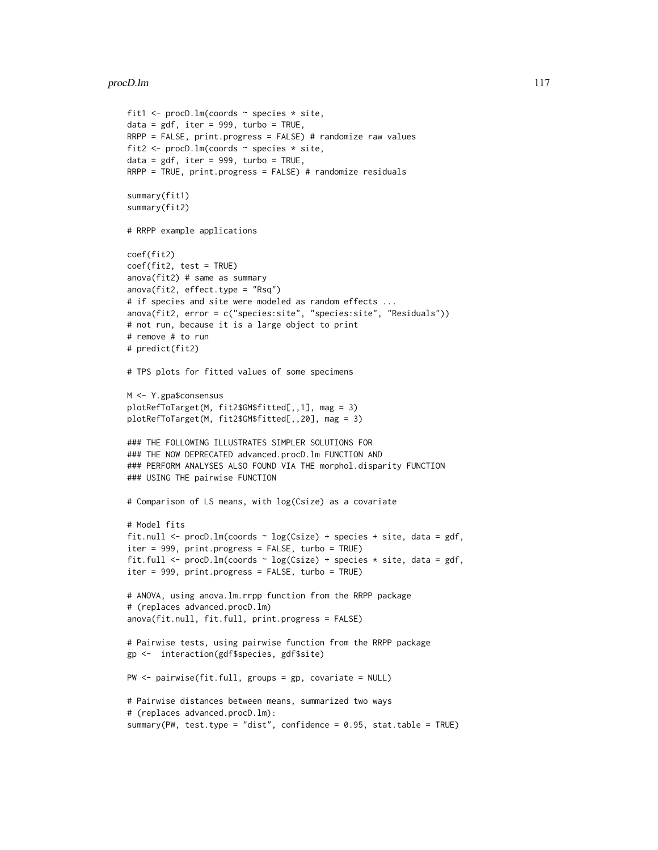```
fit1 \le procD.lm(coords \sim species \star site,
data = gdf, iter = 999, turbo = TRUE,
RRPP = FALSE, print.progress = FALSE) # randomize raw values
fit2 <- procD.lm(coords ~ species * site,
data = gdf, iter = 999, turbo = TRUE,
RRPP = TRUE, print.progress = FALSE) # randomize residuals
summary(fit1)
summary(fit2)
# RRPP example applications
coef(fit2)
coef(fit2, test = TRUE)
anova(fit2) # same as summary
anova(fit2, effect.type = "Rsq")
# if species and site were modeled as random effects ...
anova(fit2, error = c("species:site", "species:site", "Residuals"))
# not run, because it is a large object to print
# remove # to run
# predict(fit2)
# TPS plots for fitted values of some specimens
M <- Y.gpa$consensus
plotRefToTarget(M, fit2$GM$fitted[,,1], mag = 3)
plotRefToTarget(M, fit2$GM$fitted[,,20], mag = 3)
### THE FOLLOWING ILLUSTRATES SIMPLER SOLUTIONS FOR
### THE NOW DEPRECATED advanced.procD.lm FUNCTION AND
### PERFORM ANALYSES ALSO FOUND VIA THE morphol.disparity FUNCTION
### USING THE pairwise FUNCTION
# Comparison of LS means, with log(Csize) as a covariate
# Model fits
fit.null <- procD.lm(coords ~ log(Csize) + species + site, data = gdf,
iter = 999, print.progress = FALSE, turbo = TRUE)
fit.full <- procD.lm(coords \sim log(Csize) + species * site, data = gdf,
iter = 999, print.progress = FALSE, turbo = TRUE)
# ANOVA, using anova.lm.rrpp function from the RRPP package
# (replaces advanced.procD.lm)
anova(fit.null, fit.full, print.progress = FALSE)
# Pairwise tests, using pairwise function from the RRPP package
gp <- interaction(gdf$species, gdf$site)
PW <- pairwise(fit.full, groups = gp, covariate = NULL)
# Pairwise distances between means, summarized two ways
# (replaces advanced.procD.lm):
summary(PW, test.type = "dist", confidence = 0.95, stat.table = TRUE)
```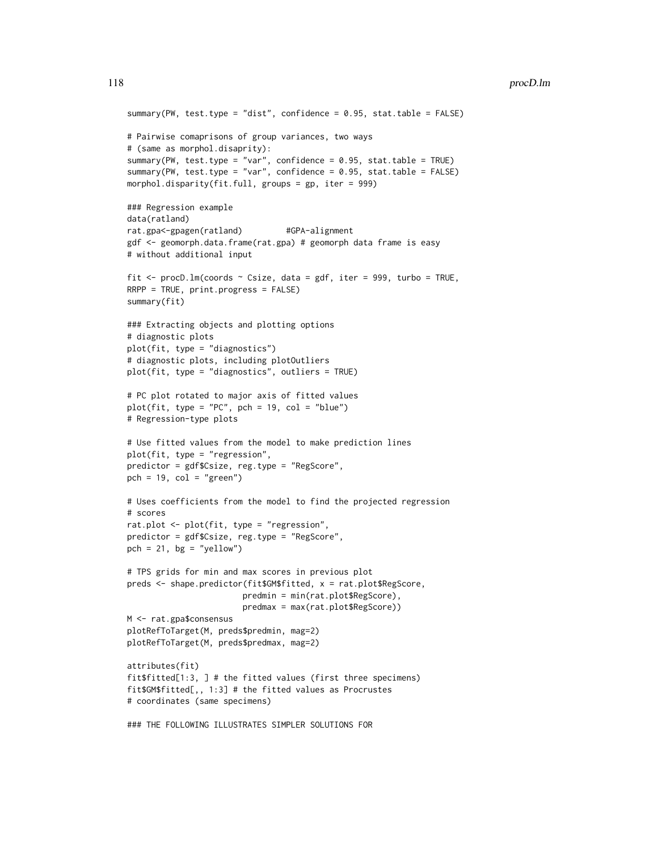```
summary(PW, test.type = "dist", confidence = 0.95, stat.table = FALSE)
# Pairwise comaprisons of group variances, two ways
# (same as morphol.disaprity):
summary(PW, test.type = "var", confidence = 0.95, stat.table = TRUE)
summary(PW, test.type = "var", confidence = 0.95, stat.table = FALSE)
morphol.disparity(fit.full, groups = gp, iter = 999)
### Regression example
data(ratland)
rat.gpa<-gpagen(ratland) #GPA-alignment
gdf <- geomorph.data.frame(rat.gpa) # geomorph data frame is easy
# without additional input
fit <- procD.lm(coords ~ Csize, data = gdf, iter = 999, turbo = TRUE,
RRPP = TRUE, print.progress = FALSE)
summary(fit)
### Extracting objects and plotting options
# diagnostic plots
plot(fit, type = "diagnostics")
# diagnostic plots, including plotOutliers
plot(fit, type = "diagnostics", outliers = TRUE)
# PC plot rotated to major axis of fitted values
plot(fit, type = "PC", pch = 19, col = "blue")
# Regression-type plots
# Use fitted values from the model to make prediction lines
plot(fit, type = "regression",
predictor = gdf$Csize, reg.type = "RegScore",
pch = 19, col = "green")
# Uses coefficients from the model to find the projected regression
# scores
rat.plot <- plot(fit, type = "regression",
predictor = gdf$Csize, reg.type = "RegScore",
pch = 21, bg = "yellow")
# TPS grids for min and max scores in previous plot
preds <- shape.predictor(fit$GM$fitted, x = rat.plot$RegScore,
                        predmin = min(rat.plot$RegScore),
                        predmax = max(rat.plot$RegScore))
M <- rat.gpa$consensus
plotRefToTarget(M, preds$predmin, mag=2)
plotRefToTarget(M, preds$predmax, mag=2)
attributes(fit)
fit$fitted[1:3, ] # the fitted values (first three specimens)
fit$GM$fitted[,, 1:3] # the fitted values as Procrustes
# coordinates (same specimens)
### THE FOLLOWING ILLUSTRATES SIMPLER SOLUTIONS FOR
```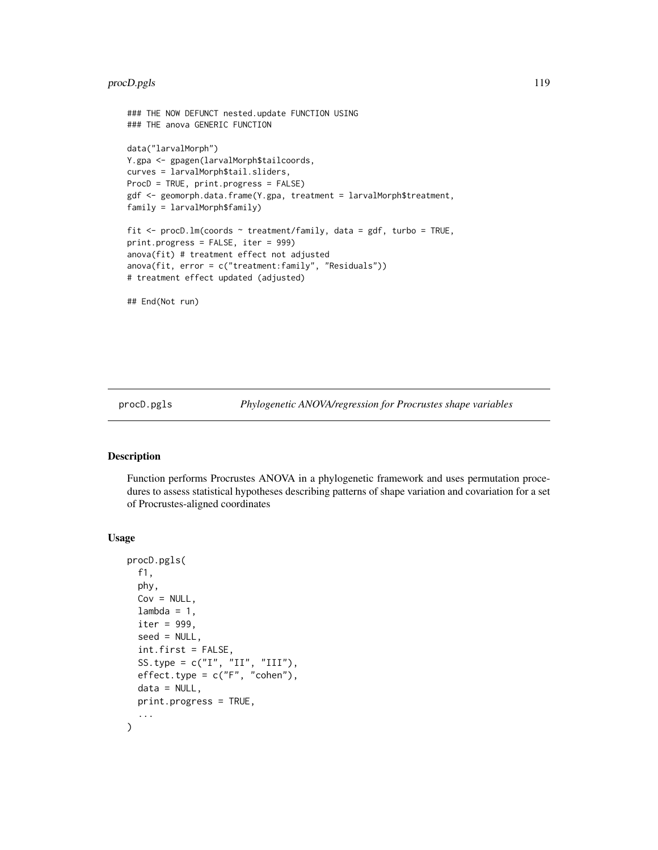# procD.pgls 119

```
### THE NOW DEFUNCT nested.update FUNCTION USING
### THE anova GENERIC FUNCTION
data("larvalMorph")
Y.gpa <- gpagen(larvalMorph$tailcoords,
curves = larvalMorph$tail.sliders,
ProcD = TRUE, print.progress = FALSE)
gdf <- geomorph.data.frame(Y.gpa, treatment = larvalMorph$treatment,
family = larvalMorph$family)
fit <- procD.lm(coords ~ treatment/family, data = gdf, turbo = TRUE,
print.progress = FALSE, iter = 999)
anova(fit) # treatment effect not adjusted
anova(fit, error = c("treatment:family", "Residuals"))
# treatment effect updated (adjusted)
## End(Not run)
```
<span id="page-118-0"></span>procD.pgls *Phylogenetic ANOVA/regression for Procrustes shape variables*

#### Description

Function performs Procrustes ANOVA in a phylogenetic framework and uses permutation procedures to assess statistical hypotheses describing patterns of shape variation and covariation for a set of Procrustes-aligned coordinates

#### Usage

```
procD.pgls(
 f1,
 phy,
 Cov = NULL,lambda = 1,
  iter = 999,
  seed = NULL,
  int.first = FALSE,
  SS.type = c("I", "II", "III"),
 effect.\text{type} = c("F", "cohen"),data = NULL,print.progress = TRUE,
  ...
)
```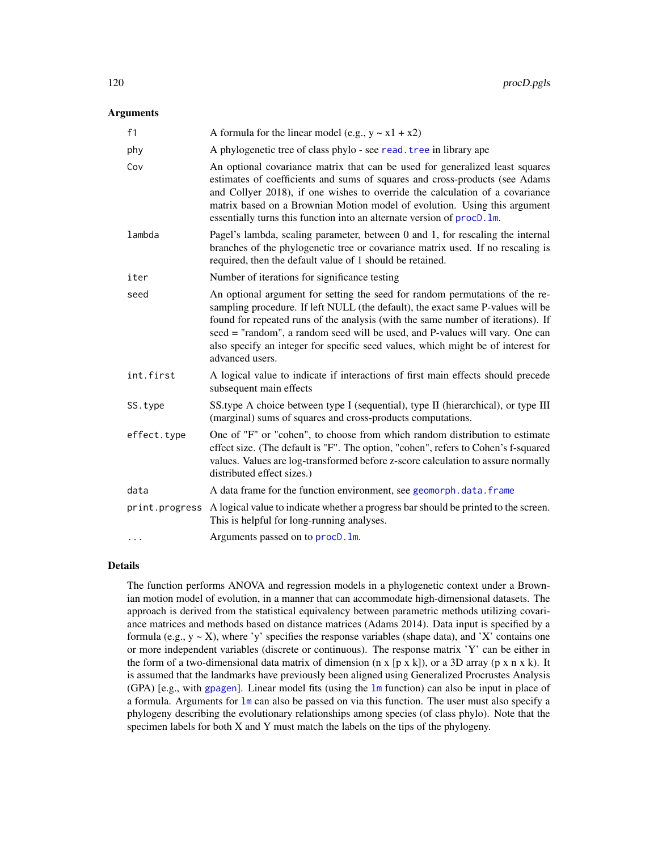## Arguments

| f1             | A formula for the linear model (e.g., $y \sim x1 + x2$ )                                                                                                                                                                                                                                                                                                                                                                                   |
|----------------|--------------------------------------------------------------------------------------------------------------------------------------------------------------------------------------------------------------------------------------------------------------------------------------------------------------------------------------------------------------------------------------------------------------------------------------------|
| phy            | A phylogenetic tree of class phylo - see read. tree in library ape                                                                                                                                                                                                                                                                                                                                                                         |
| Cov            | An optional covariance matrix that can be used for generalized least squares<br>estimates of coefficients and sums of squares and cross-products (see Adams<br>and Collyer 2018), if one wishes to override the calculation of a covariance<br>matrix based on a Brownian Motion model of evolution. Using this argument<br>essentially turns this function into an alternate version of procD. Im.                                        |
| lambda         | Pagel's lambda, scaling parameter, between 0 and 1, for rescaling the internal<br>branches of the phylogenetic tree or covariance matrix used. If no rescaling is<br>required, then the default value of 1 should be retained.                                                                                                                                                                                                             |
| iter           | Number of iterations for significance testing                                                                                                                                                                                                                                                                                                                                                                                              |
| seed           | An optional argument for setting the seed for random permutations of the re-<br>sampling procedure. If left NULL (the default), the exact same P-values will be<br>found for repeated runs of the analysis (with the same number of iterations). If<br>seed = "random", a random seed will be used, and P-values will vary. One can<br>also specify an integer for specific seed values, which might be of interest for<br>advanced users. |
| int.first      | A logical value to indicate if interactions of first main effects should precede<br>subsequent main effects                                                                                                                                                                                                                                                                                                                                |
| SS.type        | SS.type A choice between type I (sequential), type II (hierarchical), or type III<br>(marginal) sums of squares and cross-products computations.                                                                                                                                                                                                                                                                                           |
| effect.type    | One of "F" or "cohen", to choose from which random distribution to estimate<br>effect size. (The default is "F". The option, "cohen", refers to Cohen's f-squared<br>values. Values are log-transformed before z-score calculation to assure normally<br>distributed effect sizes.)                                                                                                                                                        |
| data           | A data frame for the function environment, see geomorph.data.frame                                                                                                                                                                                                                                                                                                                                                                         |
| print.progress | A logical value to indicate whether a progress bar should be printed to the screen.<br>This is helpful for long-running analyses.                                                                                                                                                                                                                                                                                                          |
| .              | Arguments passed on to procD. 1m.                                                                                                                                                                                                                                                                                                                                                                                                          |

## Details

The function performs ANOVA and regression models in a phylogenetic context under a Brownian motion model of evolution, in a manner that can accommodate high-dimensional datasets. The approach is derived from the statistical equivalency between parametric methods utilizing covariance matrices and methods based on distance matrices (Adams 2014). Data input is specified by a formula (e.g.,  $y \sim X$ ), where 'y' specifies the response variables (shape data), and 'X' contains one or more independent variables (discrete or continuous). The response matrix 'Y' can be either in the form of a two-dimensional data matrix of dimension  $(n \times [p \times k])$ , or a 3D array  $(p \times n \times k)$ . It is assumed that the landmarks have previously been aligned using Generalized Procrustes Analysis (GPA) [e.g., with [gpagen](#page-49-0)]. Linear model fits (using the [lm](#page-0-0) function) can also be input in place of a formula. Arguments for [lm](#page-0-0) can also be passed on via this function. The user must also specify a phylogeny describing the evolutionary relationships among species (of class phylo). Note that the specimen labels for both X and Y must match the labels on the tips of the phylogeny.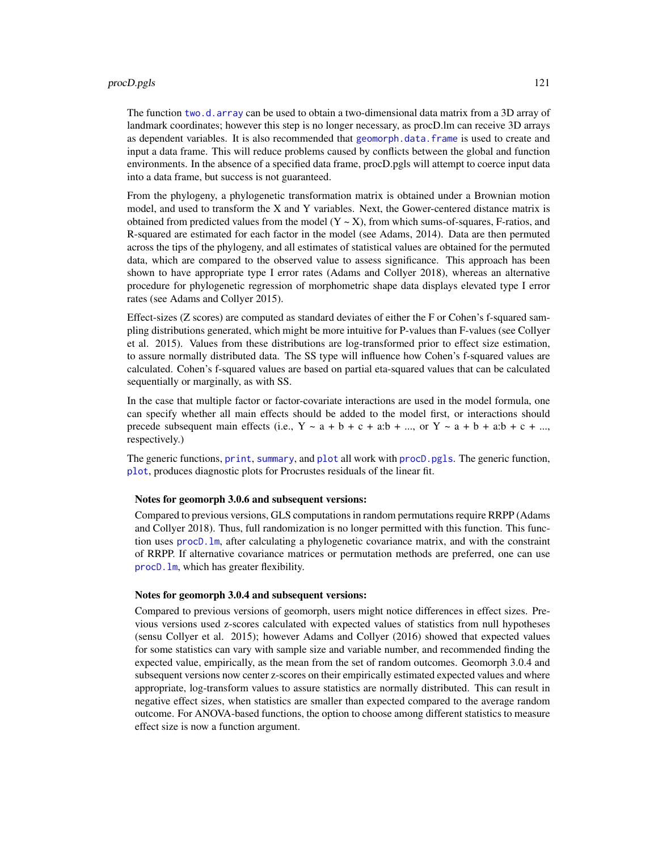#### procD.pgls 121

The function [two.d.array](#page-151-0) can be used to obtain a two-dimensional data matrix from a 3D array of landmark coordinates; however this step is no longer necessary, as procD.lm can receive 3D arrays as dependent variables. It is also recommended that [geomorph.data.frame](#page-43-0) is used to create and input a data frame. This will reduce problems caused by conflicts between the global and function environments. In the absence of a specified data frame, procD.pgls will attempt to coerce input data into a data frame, but success is not guaranteed.

From the phylogeny, a phylogenetic transformation matrix is obtained under a Brownian motion model, and used to transform the X and Y variables. Next, the Gower-centered distance matrix is obtained from predicted values from the model  $(Y \sim X)$ , from which sums-of-squares, F-ratios, and R-squared are estimated for each factor in the model (see Adams, 2014). Data are then permuted across the tips of the phylogeny, and all estimates of statistical values are obtained for the permuted data, which are compared to the observed value to assess significance. This approach has been shown to have appropriate type I error rates (Adams and Collyer 2018), whereas an alternative procedure for phylogenetic regression of morphometric shape data displays elevated type I error rates (see Adams and Collyer 2015).

Effect-sizes (Z scores) are computed as standard deviates of either the F or Cohen's f-squared sampling distributions generated, which might be more intuitive for P-values than F-values (see Collyer et al. 2015). Values from these distributions are log-transformed prior to effect size estimation, to assure normally distributed data. The SS type will influence how Cohen's f-squared values are calculated. Cohen's f-squared values are based on partial eta-squared values that can be calculated sequentially or marginally, as with SS.

In the case that multiple factor or factor-covariate interactions are used in the model formula, one can specify whether all main effects should be added to the model first, or interactions should precede subsequent main effects (i.e.,  $Y \sim a + b + c + a:b + ...$ , or  $Y \sim a + b + a:b + c + ...$ respectively.)

The generic functions, [print](#page-0-0), [summary](#page-0-0), and [plot](#page-0-0) all work with [procD.pgls](#page-118-0). The generic function, [plot](#page-0-0), produces diagnostic plots for Procrustes residuals of the linear fit.

#### Notes for geomorph 3.0.6 and subsequent versions:

Compared to previous versions, GLS computations in random permutations require RRPP (Adams and Collyer 2018). Thus, full randomization is no longer permitted with this function. This function uses [procD.lm](#page-111-0), after calculating a phylogenetic covariance matrix, and with the constraint of RRPP. If alternative covariance matrices or permutation methods are preferred, one can use [procD.lm](#page-111-0), which has greater flexibility.

## Notes for geomorph 3.0.4 and subsequent versions:

Compared to previous versions of geomorph, users might notice differences in effect sizes. Previous versions used z-scores calculated with expected values of statistics from null hypotheses (sensu Collyer et al. 2015); however Adams and Collyer (2016) showed that expected values for some statistics can vary with sample size and variable number, and recommended finding the expected value, empirically, as the mean from the set of random outcomes. Geomorph 3.0.4 and subsequent versions now center z-scores on their empirically estimated expected values and where appropriate, log-transform values to assure statistics are normally distributed. This can result in negative effect sizes, when statistics are smaller than expected compared to the average random outcome. For ANOVA-based functions, the option to choose among different statistics to measure effect size is now a function argument.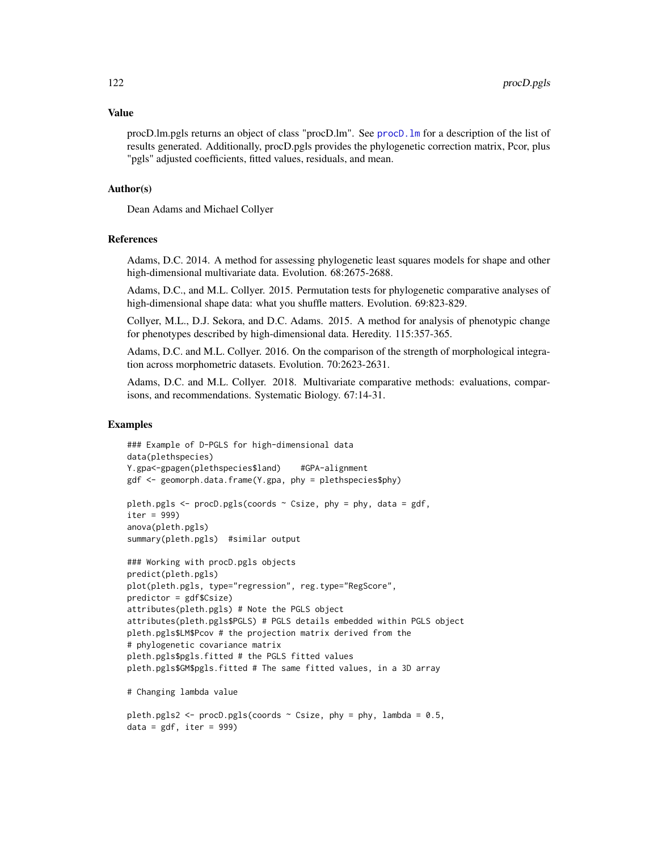#### Value

procD.lm.pgls returns an object of class "procD.lm". See [procD.lm](#page-111-0) for a description of the list of results generated. Additionally, procD.pgls provides the phylogenetic correction matrix, Pcor, plus "pgls" adjusted coefficients, fitted values, residuals, and mean.

## Author(s)

Dean Adams and Michael Collyer

## References

Adams, D.C. 2014. A method for assessing phylogenetic least squares models for shape and other high-dimensional multivariate data. Evolution. 68:2675-2688.

Adams, D.C., and M.L. Collyer. 2015. Permutation tests for phylogenetic comparative analyses of high-dimensional shape data: what you shuffle matters. Evolution. 69:823-829.

Collyer, M.L., D.J. Sekora, and D.C. Adams. 2015. A method for analysis of phenotypic change for phenotypes described by high-dimensional data. Heredity. 115:357-365.

Adams, D.C. and M.L. Collyer. 2016. On the comparison of the strength of morphological integration across morphometric datasets. Evolution. 70:2623-2631.

Adams, D.C. and M.L. Collyer. 2018. Multivariate comparative methods: evaluations, comparisons, and recommendations. Systematic Biology. 67:14-31.

## Examples

 $data = gdf, iter = 999$ 

```
### Example of D-PGLS for high-dimensional data
data(plethspecies)
Y.gpa<-gpagen(plethspecies$land) #GPA-alignment
gdf <- geomorph.data.frame(Y.gpa, phy = plethspecies$phy)
pleth.pgls \leq procD.pgls(coords \sim Csize, phy = phy, data = gdf,
iter = 999)
anova(pleth.pgls)
summary(pleth.pgls) #similar output
### Working with procD.pgls objects
predict(pleth.pgls)
plot(pleth.pgls, type="regression", reg.type="RegScore",
predictor = gdf$Csize)
attributes(pleth.pgls) # Note the PGLS object
attributes(pleth.pgls$PGLS) # PGLS details embedded within PGLS object
pleth.pgls$LM$Pcov # the projection matrix derived from the
# phylogenetic covariance matrix
pleth.pgls$pgls.fitted # the PGLS fitted values
pleth.pgls$GM$pgls.fitted # The same fitted values, in a 3D array
# Changing lambda value
pleth.pgls2 <- procD.pgls(coords \sim Csize, phy = phy, lambda = 0.5,
```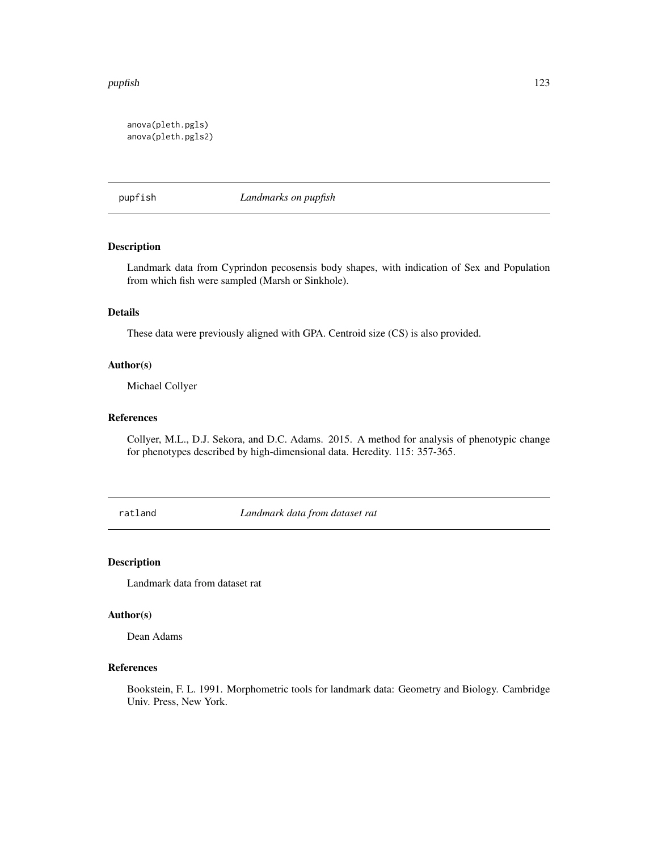#### pupfish 123

```
anova(pleth.pgls)
anova(pleth.pgls2)
```
pupfish *Landmarks on pupfish*

# Description

Landmark data from Cyprindon pecosensis body shapes, with indication of Sex and Population from which fish were sampled (Marsh or Sinkhole).

## Details

These data were previously aligned with GPA. Centroid size (CS) is also provided.

# Author(s)

Michael Collyer

# References

Collyer, M.L., D.J. Sekora, and D.C. Adams. 2015. A method for analysis of phenotypic change for phenotypes described by high-dimensional data. Heredity. 115: 357-365.

ratland *Landmark data from dataset rat*

## Description

Landmark data from dataset rat

## Author(s)

Dean Adams

# References

Bookstein, F. L. 1991. Morphometric tools for landmark data: Geometry and Biology. Cambridge Univ. Press, New York.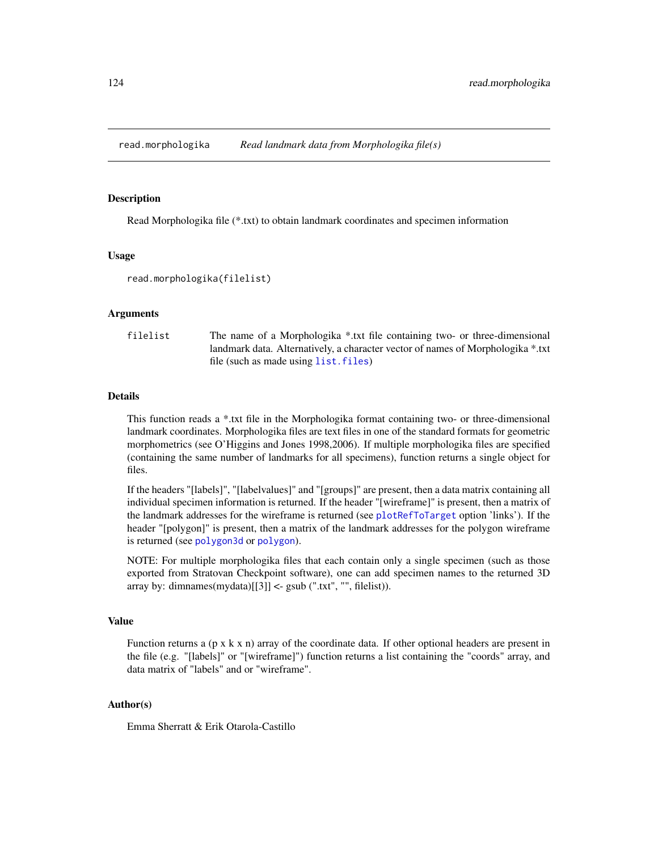Read Morphologika file (\*.txt) to obtain landmark coordinates and specimen information

#### Usage

```
read.morphologika(filelist)
```
#### Arguments

| filelist | The name of a Morphologika *.txt file containing two- or three-dimensional      |
|----------|---------------------------------------------------------------------------------|
|          | landmark data. Alternatively, a character vector of names of Morphologika *.txt |
|          | file (such as made using list. files)                                           |

## Details

This function reads a \*.txt file in the Morphologika format containing two- or three-dimensional landmark coordinates. Morphologika files are text files in one of the standard formats for geometric morphometrics (see O'Higgins and Jones 1998,2006). If multiple morphologika files are specified (containing the same number of landmarks for all specimens), function returns a single object for files.

If the headers "[labels]", "[labelvalues]" and "[groups]" are present, then a data matrix containing all individual specimen information is returned. If the header "[wireframe]" is present, then a matrix of the landmark addresses for the wireframe is returned (see [plotRefToTarget](#page-99-0) option 'links'). If the header "[polygon]" is present, then a matrix of the landmark addresses for the polygon wireframe is returned (see [polygon3d](#page-0-0) or [polygon](#page-0-0)).

NOTE: For multiple morphologika files that each contain only a single specimen (such as those exported from Stratovan Checkpoint software), one can add specimen names to the returned 3D array by: dimnames(mydata) $[3]$  <- gsub (".txt", "", filelist)).

# Value

Function returns a  $(p \times k \times n)$  array of the coordinate data. If other optional headers are present in the file (e.g. "[labels]" or "[wireframe]") function returns a list containing the "coords" array, and data matrix of "labels" and or "wireframe".

## Author(s)

Emma Sherratt & Erik Otarola-Castillo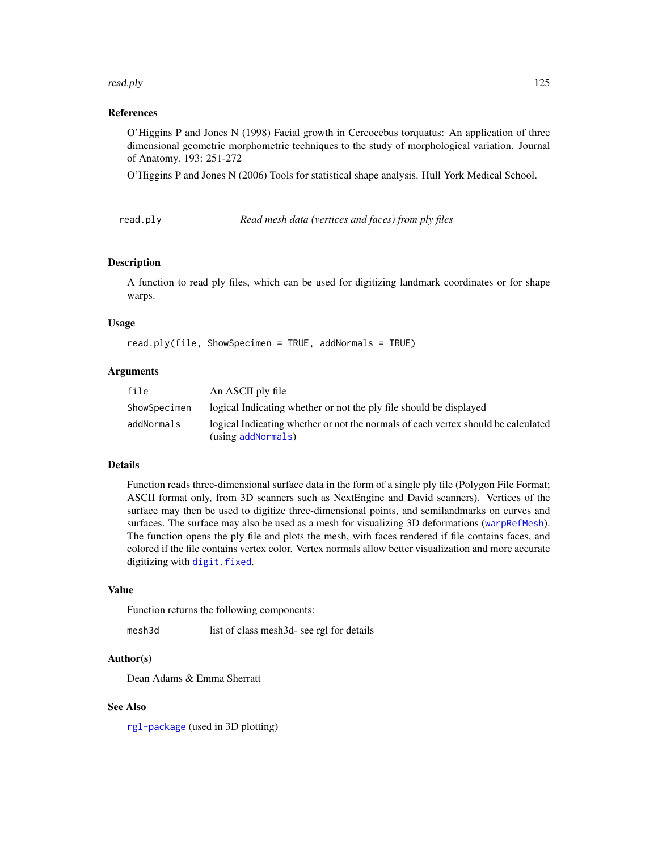#### read.ply the state of the state of the state of the state of the state of the state of the state of the state of the state of the state of the state of the state of the state of the state of the state of the state of the s

## References

O'Higgins P and Jones N (1998) Facial growth in Cercocebus torquatus: An application of three dimensional geometric morphometric techniques to the study of morphological variation. Journal of Anatomy. 193: 251-272

O'Higgins P and Jones N (2006) Tools for statistical shape analysis. Hull York Medical School.

read.ply *Read mesh data (vertices and faces) from ply files*

#### Description

A function to read ply files, which can be used for digitizing landmark coordinates or for shape warps.

## Usage

read.ply(file, ShowSpecimen = TRUE, addNormals = TRUE)

# Arguments

| file         | An ASCII ply file                                                                                       |
|--------------|---------------------------------------------------------------------------------------------------------|
| ShowSpecimen | logical Indicating whether or not the ply file should be displayed                                      |
| addNormals   | logical Indicating whether or not the normals of each vertex should be calculated<br>(using addNormals) |

#### Details

Function reads three-dimensional surface data in the form of a single ply file (Polygon File Format; ASCII format only, from 3D scanners such as NextEngine and David scanners). Vertices of the surface may then be used to digitize three-dimensional points, and semilandmarks on curves and surfaces. The surface may also be used as a mesh for visualizing 3D deformations ([warpRefMesh](#page-152-0)). The function opens the ply file and plots the mesh, with faces rendered if file contains faces, and colored if the file contains vertex color. Vertex normals allow better visualization and more accurate digitizing with [digit.fixed](#page-32-0).

## Value

Function returns the following components:

mesh3d list of class mesh3d- see rgl for details

## Author(s)

Dean Adams & Emma Sherratt

## See Also

[rgl-package](#page-0-0) (used in 3D plotting)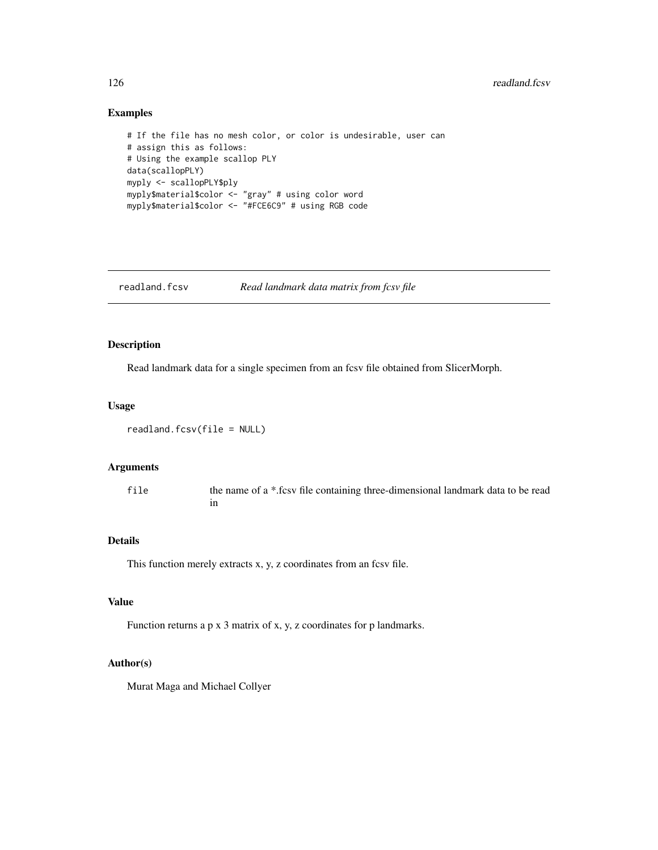# Examples

```
# If the file has no mesh color, or color is undesirable, user can
# assign this as follows:
# Using the example scallop PLY
data(scallopPLY)
myply <- scallopPLY$ply
myply$material$color <- "gray" # using color word
myply$material$color <- "#FCE6C9" # using RGB code
```
readland.fcsv *Read landmark data matrix from fcsv file*

# Description

Read landmark data for a single specimen from an fcsv file obtained from SlicerMorph.

## Usage

```
readland.fcsv(file = NULL)
```
# Arguments

file the name of a \*.fcsv file containing three-dimensional landmark data to be read in

## Details

This function merely extracts x, y, z coordinates from an fcsv file.

# Value

Function returns a p x 3 matrix of x, y, z coordinates for p landmarks.

## Author(s)

Murat Maga and Michael Collyer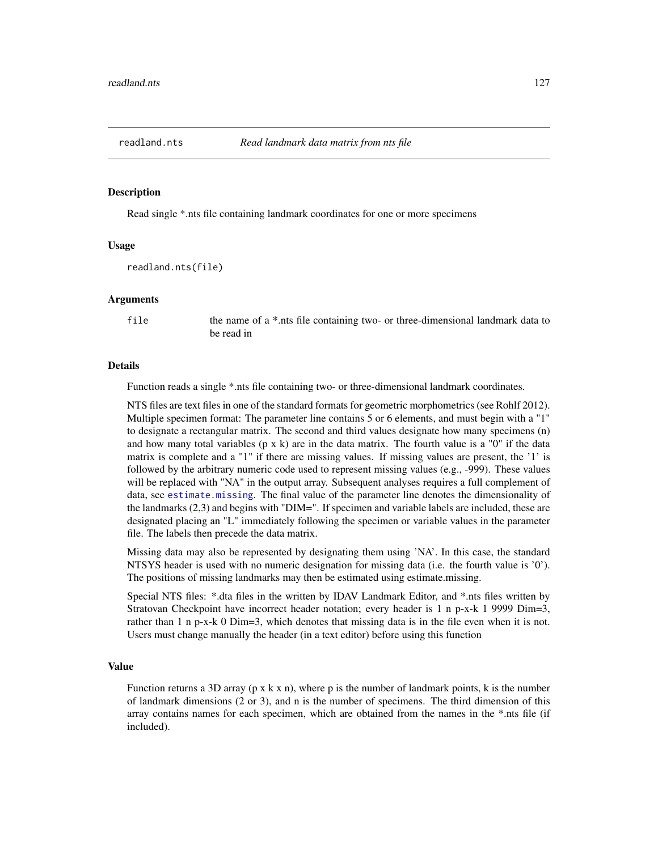<span id="page-126-0"></span>

Read single \*.nts file containing landmark coordinates for one or more specimens

## Usage

```
readland.nts(file)
```
## **Arguments**

file the name of a \*.nts file containing two- or three-dimensional landmark data to be read in

#### Details

Function reads a single \*.nts file containing two- or three-dimensional landmark coordinates.

NTS files are text files in one of the standard formats for geometric morphometrics (see Rohlf 2012). Multiple specimen format: The parameter line contains 5 or 6 elements, and must begin with a "1" to designate a rectangular matrix. The second and third values designate how many specimens (n) and how many total variables ( $p \times k$ ) are in the data matrix. The fourth value is a "0" if the data matrix is complete and a "1" if there are missing values. If missing values are present, the '1' is followed by the arbitrary numeric code used to represent missing values (e.g., -999). These values will be replaced with "NA" in the output array. Subsequent analyses requires a full complement of data, see [estimate.missing](#page-39-0). The final value of the parameter line denotes the dimensionality of the landmarks (2,3) and begins with "DIM=". If specimen and variable labels are included, these are designated placing an "L" immediately following the specimen or variable values in the parameter file. The labels then precede the data matrix.

Missing data may also be represented by designating them using 'NA'. In this case, the standard NTSYS header is used with no numeric designation for missing data (i.e. the fourth value is '0'). The positions of missing landmarks may then be estimated using estimate.missing.

Special NTS files: \*.dta files in the written by IDAV Landmark Editor, and \*.nts files written by Stratovan Checkpoint have incorrect header notation; every header is 1 n p-x-k 1 9999 Dim=3, rather than 1 n p-x-k 0 Dim=3, which denotes that missing data is in the file even when it is not. Users must change manually the header (in a text editor) before using this function

## Value

Function returns a 3D array ( $p \times k \times n$ ), where p is the number of landmark points, k is the number of landmark dimensions (2 or 3), and n is the number of specimens. The third dimension of this array contains names for each specimen, which are obtained from the names in the \*.nts file (if included).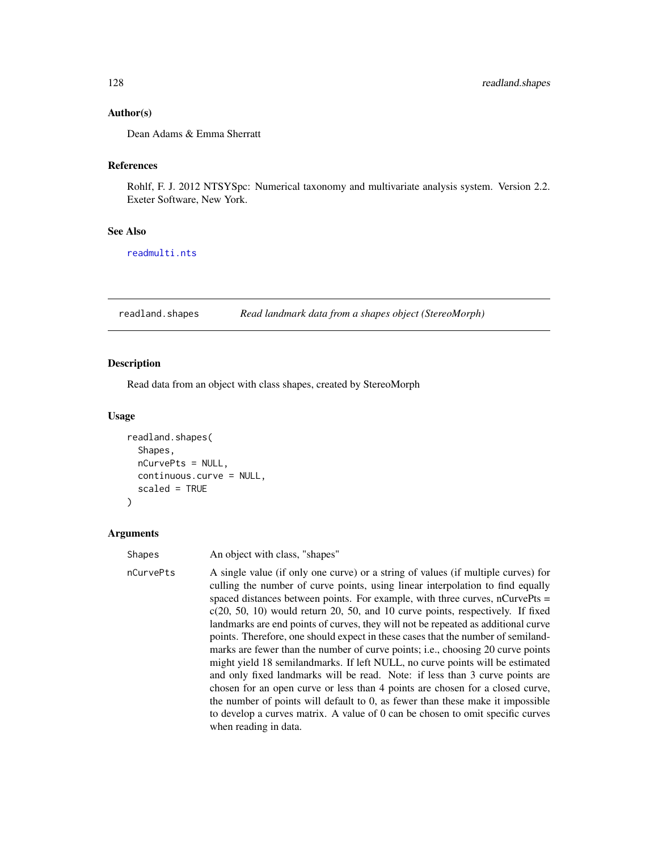## Author(s)

Dean Adams & Emma Sherratt

# References

Rohlf, F. J. 2012 NTSYSpc: Numerical taxonomy and multivariate analysis system. Version 2.2. Exeter Software, New York.

#### See Also

[readmulti.nts](#page-131-0)

readland.shapes *Read landmark data from a shapes object (StereoMorph)*

## Description

Read data from an object with class shapes, created by StereoMorph

#### Usage

```
readland.shapes(
  Shapes,
  nCurvePts = NULL,
  continuous.curve = NULL,
  scaled = TRUE
)
```
#### Arguments

Shapes An object with class, "shapes"

nCurvePts A single value (if only one curve) or a string of values (if multiple curves) for culling the number of curve points, using linear interpolation to find equally spaced distances between points. For example, with three curves, nCurvePts = c(20, 50, 10) would return 20, 50, and 10 curve points, respectively. If fixed landmarks are end points of curves, they will not be repeated as additional curve points. Therefore, one should expect in these cases that the number of semilandmarks are fewer than the number of curve points; i.e., choosing 20 curve points might yield 18 semilandmarks. If left NULL, no curve points will be estimated and only fixed landmarks will be read. Note: if less than 3 curve points are chosen for an open curve or less than 4 points are chosen for a closed curve, the number of points will default to 0, as fewer than these make it impossible to develop a curves matrix. A value of 0 can be chosen to omit specific curves when reading in data.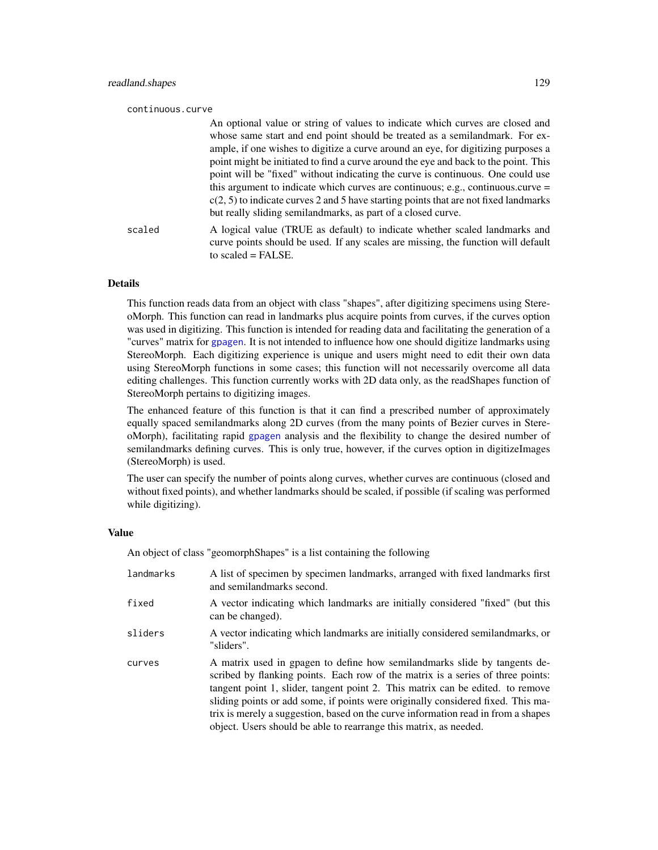| continuous.curve |                                                                                                                                                                                                                                                                                                                                                                                                                                                                                                                                                                                                                                                                             |
|------------------|-----------------------------------------------------------------------------------------------------------------------------------------------------------------------------------------------------------------------------------------------------------------------------------------------------------------------------------------------------------------------------------------------------------------------------------------------------------------------------------------------------------------------------------------------------------------------------------------------------------------------------------------------------------------------------|
|                  | An optional value or string of values to indicate which curves are closed and<br>whose same start and end point should be treated as a semilandmark. For ex-<br>ample, if one wishes to digitize a curve around an eye, for digitizing purposes a<br>point might be initiated to find a curve around the eye and back to the point. This<br>point will be "fixed" without indicating the curve is continuous. One could use<br>this argument to indicate which curves are continuous; e.g., continuous.curve $=$<br>$c(2, 5)$ to indicate curves 2 and 5 have starting points that are not fixed landmarks<br>but really sliding semiland marks, as part of a closed curve. |
| scaled           | A logical value (TRUE as default) to indicate whether scaled landmarks and<br>curve points should be used. If any scales are missing, the function will default<br>to scaled $=$ FALSE.                                                                                                                                                                                                                                                                                                                                                                                                                                                                                     |

## Details

This function reads data from an object with class "shapes", after digitizing specimens using StereoMorph. This function can read in landmarks plus acquire points from curves, if the curves option was used in digitizing. This function is intended for reading data and facilitating the generation of a "curves" matrix for [gpagen](#page-49-0). It is not intended to influence how one should digitize landmarks using StereoMorph. Each digitizing experience is unique and users might need to edit their own data using StereoMorph functions in some cases; this function will not necessarily overcome all data editing challenges. This function currently works with 2D data only, as the readShapes function of StereoMorph pertains to digitizing images.

The enhanced feature of this function is that it can find a prescribed number of approximately equally spaced semilandmarks along 2D curves (from the many points of Bezier curves in StereoMorph), facilitating rapid [gpagen](#page-49-0) analysis and the flexibility to change the desired number of semilandmarks defining curves. This is only true, however, if the curves option in digitizeImages (StereoMorph) is used.

The user can specify the number of points along curves, whether curves are continuous (closed and without fixed points), and whether landmarks should be scaled, if possible (if scaling was performed while digitizing).

#### Value

An object of class "geomorphShapes" is a list containing the following

| landmarks | A list of specimen by specimen landmarks, arranged with fixed landmarks first<br>and semilandmarks second.                                                                                                                                                                                                                                                                                                                                                                                    |
|-----------|-----------------------------------------------------------------------------------------------------------------------------------------------------------------------------------------------------------------------------------------------------------------------------------------------------------------------------------------------------------------------------------------------------------------------------------------------------------------------------------------------|
| fixed     | A vector indicating which landmarks are initially considered "fixed" (but this<br>can be changed).                                                                                                                                                                                                                                                                                                                                                                                            |
| sliders   | A vector indicating which landmarks are initially considered semilandmarks, or<br>"sliders".                                                                                                                                                                                                                                                                                                                                                                                                  |
| curves    | A matrix used in gpagen to define how semiland marks slide by tangents de-<br>scribed by flanking points. Each row of the matrix is a series of three points:<br>tangent point 1, slider, tangent point 2. This matrix can be edited. to remove<br>sliding points or add some, if points were originally considered fixed. This ma-<br>trix is merely a suggestion, based on the curve information read in from a shapes<br>object. Users should be able to rearrange this matrix, as needed. |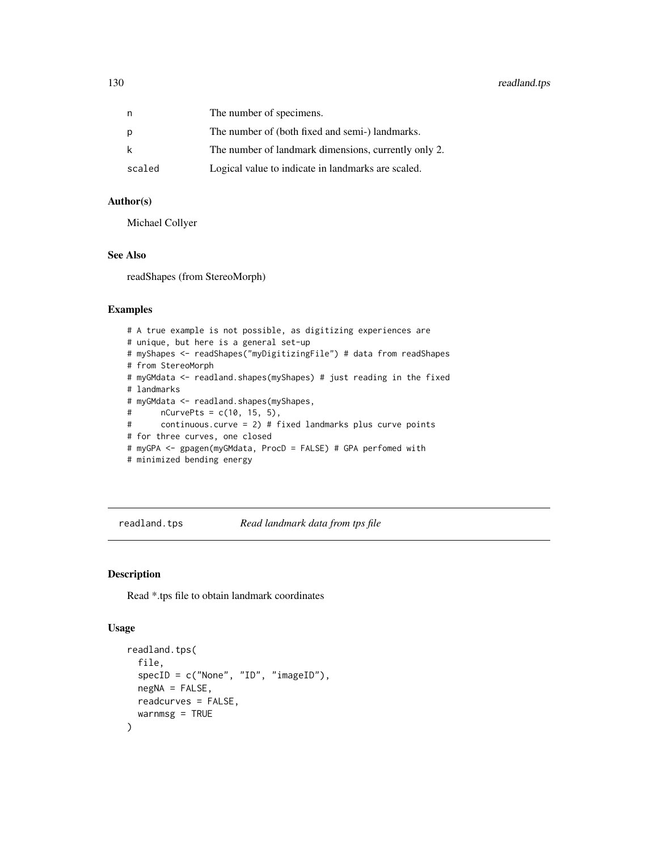# 130 readland.tps

| n      | The number of specimens.                             |
|--------|------------------------------------------------------|
| p      | The number of (both fixed and semi-) landmarks.      |
| k      | The number of landmark dimensions, currently only 2. |
| scaled | Logical value to indicate in landmarks are scaled.   |

# Author(s)

Michael Collyer

## See Also

readShapes (from StereoMorph)

# Examples

```
# A true example is not possible, as digitizing experiences are
# unique, but here is a general set-up
# myShapes <- readShapes("myDigitizingFile") # data from readShapes
# from StereoMorph
# myGMdata <- readland.shapes(myShapes) # just reading in the fixed
# landmarks
# myGMdata <- readland.shapes(myShapes,
# nCurvePts = c(10, 15, 5),
# continuous.curve = 2) # fixed landmarks plus curve points
# for three curves, one closed
# myGPA <- gpagen(myGMdata, ProcD = FALSE) # GPA perfomed with
# minimized bending energy
```
<span id="page-129-0"></span>readland.tps *Read landmark data from tps file*

# Description

Read \*.tps file to obtain landmark coordinates

#### Usage

```
readland.tps(
  file,
  specID = c("None", "ID", "imageID"),
 negNA = FALSE,
 readcurves = FALSE,
  warnmsg = TRUE
)
```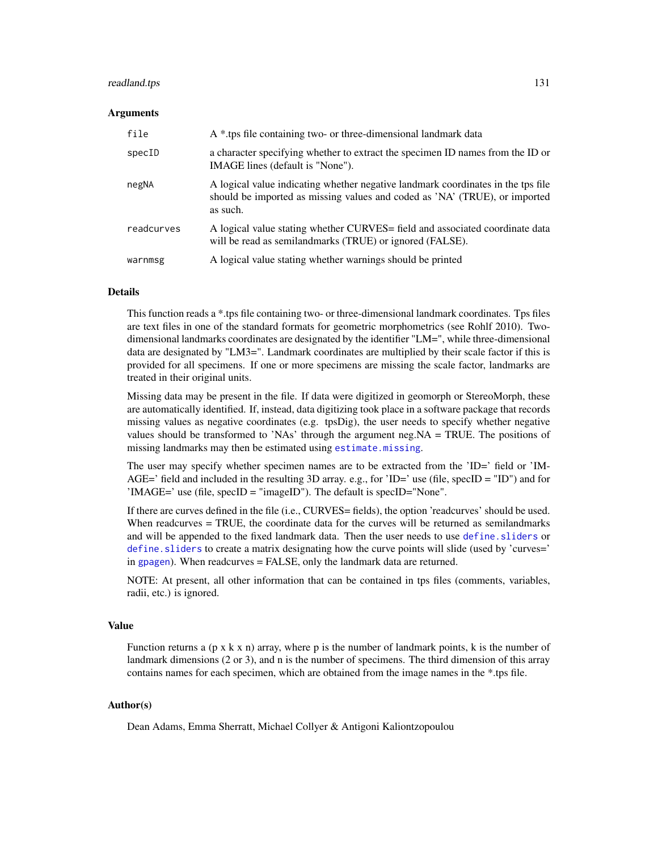#### readland.tps 131

#### Arguments

| file       | A * tps file containing two- or three-dimensional landmark data                                                                                                            |
|------------|----------------------------------------------------------------------------------------------------------------------------------------------------------------------------|
| specID     | a character specifying whether to extract the specimen ID names from the ID or<br>IMAGE lines (default is "None").                                                         |
| negNA      | A logical value indicating whether negative landmark coordinates in the tps file<br>should be imported as missing values and coded as 'NA' (TRUE), or imported<br>as such. |
| readcurves | A logical value stating whether CURVES= field and associated coordinate data<br>will be read as semilandmarks (TRUE) or ignored (FALSE).                                   |
| warnmsg    | A logical value stating whether warnings should be printed                                                                                                                 |

## Details

This function reads a \*.tps file containing two- or three-dimensional landmark coordinates. Tps files are text files in one of the standard formats for geometric morphometrics (see Rohlf 2010). Twodimensional landmarks coordinates are designated by the identifier "LM=", while three-dimensional data are designated by "LM3=". Landmark coordinates are multiplied by their scale factor if this is provided for all specimens. If one or more specimens are missing the scale factor, landmarks are treated in their original units.

Missing data may be present in the file. If data were digitized in geomorph or StereoMorph, these are automatically identified. If, instead, data digitizing took place in a software package that records missing values as negative coordinates (e.g. tpsDig), the user needs to specify whether negative values should be transformed to 'NAs' through the argument neg.NA = TRUE. The positions of missing landmarks may then be estimated using [estimate.missing](#page-39-0).

The user may specify whether specimen names are to be extracted from the 'ID=' field or 'IM-AGE=' field and included in the resulting 3D array. e.g., for 'ID=' use (file, specID =  $'ID'$ ) and for 'IMAGE=' use (file, specID = "imageID"). The default is specID="None".

If there are curves defined in the file (i.e., CURVES= fields), the option 'readcurves' should be used. When readcurves = TRUE, the coordinate data for the curves will be returned as semilandmarks and will be appended to the fixed landmark data. Then the user needs to use define. sliders or [define.sliders](#page-29-0) to create a matrix designating how the curve points will slide (used by 'curves=' in [gpagen](#page-49-0)). When readcurves = FALSE, only the landmark data are returned.

NOTE: At present, all other information that can be contained in tps files (comments, variables, radii, etc.) is ignored.

#### Value

Function returns a  $(p \times k \times n)$  array, where p is the number of landmark points, k is the number of landmark dimensions (2 or 3), and n is the number of specimens. The third dimension of this array contains names for each specimen, which are obtained from the image names in the \*.tps file.

#### Author(s)

Dean Adams, Emma Sherratt, Michael Collyer & Antigoni Kaliontzopoulou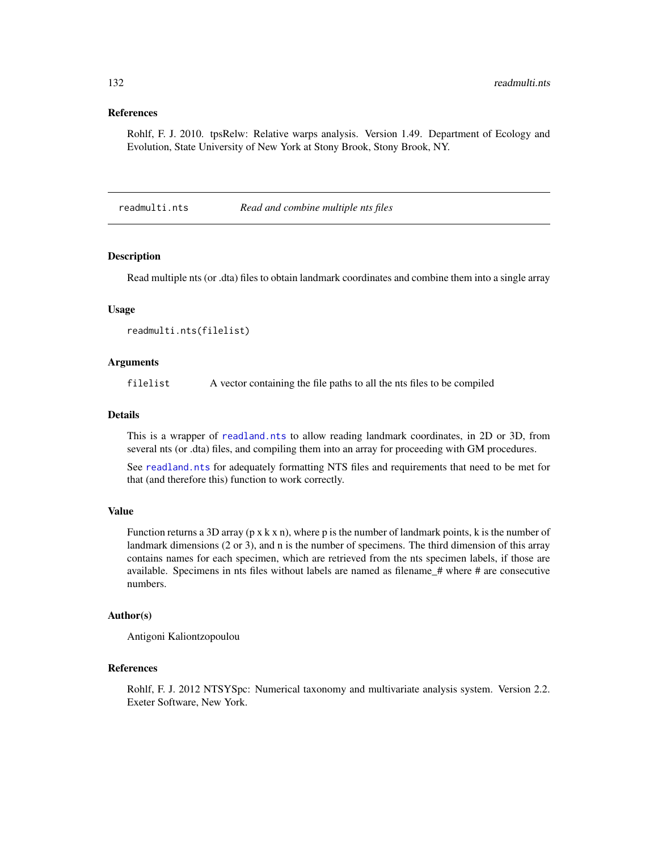## References

Rohlf, F. J. 2010. tpsRelw: Relative warps analysis. Version 1.49. Department of Ecology and Evolution, State University of New York at Stony Brook, Stony Brook, NY.

<span id="page-131-0"></span>readmulti.nts *Read and combine multiple nts files*

#### **Description**

Read multiple nts (or .dta) files to obtain landmark coordinates and combine them into a single array

## Usage

```
readmulti.nts(filelist)
```
## Arguments

filelist A vector containing the file paths to all the nts files to be compiled

## Details

This is a wrapper of [readland.nts](#page-126-0) to allow reading landmark coordinates, in 2D or 3D, from several nts (or .dta) files, and compiling them into an array for proceeding with GM procedures.

See [readland.nts](#page-126-0) for adequately formatting NTS files and requirements that need to be met for that (and therefore this) function to work correctly.

#### Value

Function returns a 3D array ( $p \times k \times n$ ), where p is the number of landmark points, k is the number of landmark dimensions (2 or 3), and n is the number of specimens. The third dimension of this array contains names for each specimen, which are retrieved from the nts specimen labels, if those are available. Specimens in nts files without labels are named as filename\_# where # are consecutive numbers.

## Author(s)

Antigoni Kaliontzopoulou

#### References

Rohlf, F. J. 2012 NTSYSpc: Numerical taxonomy and multivariate analysis system. Version 2.2. Exeter Software, New York.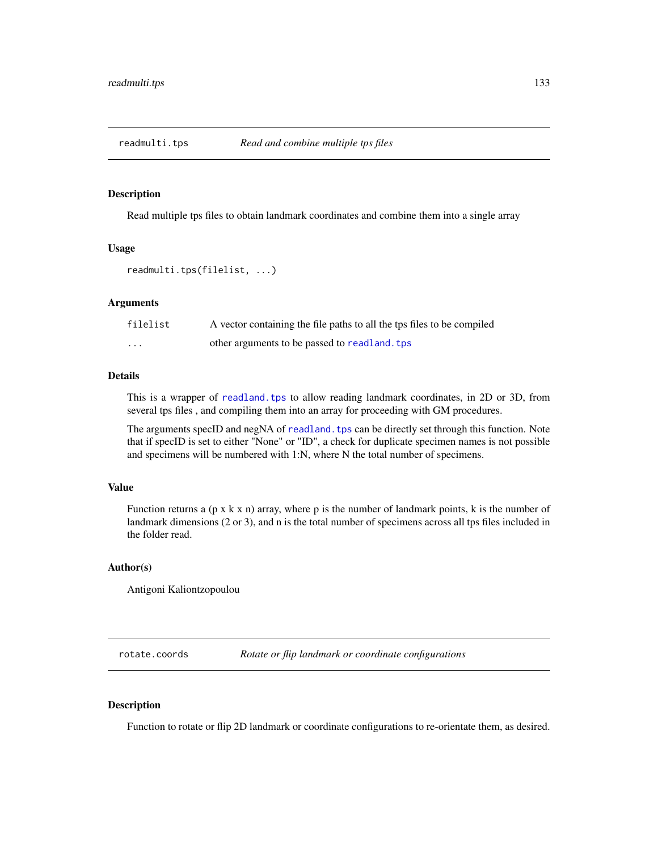Read multiple tps files to obtain landmark coordinates and combine them into a single array

#### Usage

readmulti.tps(filelist, ...)

## Arguments

| filelist                | A vector containing the file paths to all the tps files to be compiled |
|-------------------------|------------------------------------------------------------------------|
| $\cdot$ $\cdot$ $\cdot$ | other arguments to be passed to readland, tps                          |

## Details

This is a wrapper of [readland.tps](#page-129-0) to allow reading landmark coordinates, in 2D or 3D, from several tps files , and compiling them into an array for proceeding with GM procedures.

The arguments specID and negNA of readland. tps can be directly set through this function. Note that if specID is set to either "None" or "ID", a check for duplicate specimen names is not possible and specimens will be numbered with 1:N, where N the total number of specimens.

#### Value

Function returns a  $(p \times k \times n)$  array, where p is the number of landmark points, k is the number of landmark dimensions (2 or 3), and n is the total number of specimens across all tps files included in the folder read.

## Author(s)

Antigoni Kaliontzopoulou

rotate.coords *Rotate or flip landmark or coordinate configurations*

## Description

Function to rotate or flip 2D landmark or coordinate configurations to re-orientate them, as desired.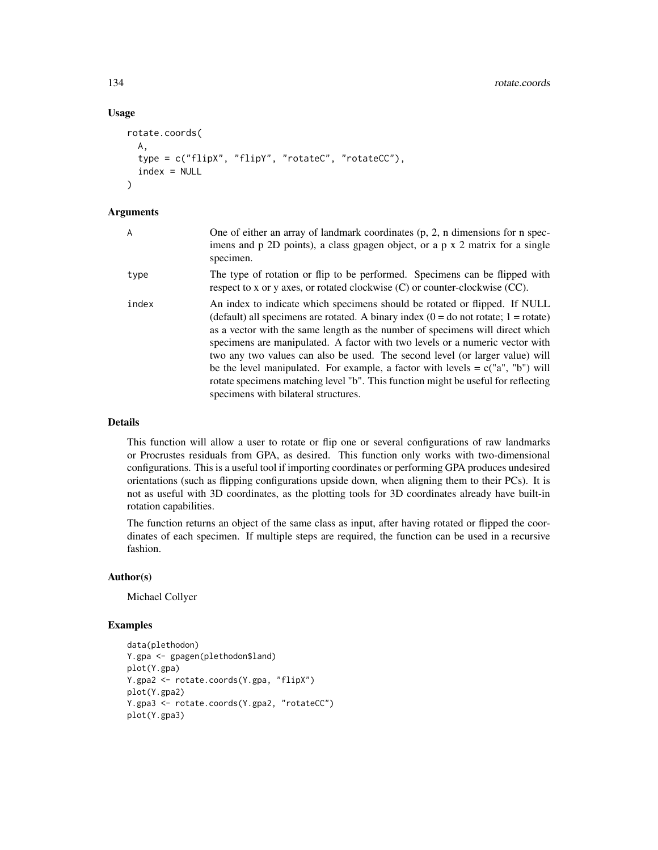# Usage

```
rotate.coords(
 A,
  type = c("flipX", "flipY", "rotateC", "rotateCC"),
  index = NULL
\lambda
```
## Arguments

| A     | One of either an array of landmark coordinates $(p, 2, n$ dimensions for n spec-<br>imens and p 2D points), a class gpagen object, or a p x 2 matrix for a single<br>specimen.                                                                                                                                                                                                                                                                                                                                                                                                                                                        |
|-------|---------------------------------------------------------------------------------------------------------------------------------------------------------------------------------------------------------------------------------------------------------------------------------------------------------------------------------------------------------------------------------------------------------------------------------------------------------------------------------------------------------------------------------------------------------------------------------------------------------------------------------------|
| type  | The type of rotation or flip to be performed. Specimens can be flipped with<br>respect to x or y axes, or rotated clockwise $(C)$ or counter-clockwise $(CC)$ .                                                                                                                                                                                                                                                                                                                                                                                                                                                                       |
| index | An index to indicate which specimens should be rotated or flipped. If NULL<br>(default) all specimens are rotated. A binary index $(0 = do not rotate; 1 = rotate)$<br>as a vector with the same length as the number of specimens will direct which<br>specimens are manipulated. A factor with two levels or a numeric vector with<br>two any two values can also be used. The second level (or larger value) will<br>be the level manipulated. For example, a factor with levels $= c("a", "b")$ will<br>rotate specimens matching level "b". This function might be useful for reflecting<br>specimens with bilateral structures. |

#### Details

This function will allow a user to rotate or flip one or several configurations of raw landmarks or Procrustes residuals from GPA, as desired. This function only works with two-dimensional configurations. This is a useful tool if importing coordinates or performing GPA produces undesired orientations (such as flipping configurations upside down, when aligning them to their PCs). It is not as useful with 3D coordinates, as the plotting tools for 3D coordinates already have built-in rotation capabilities.

The function returns an object of the same class as input, after having rotated or flipped the coordinates of each specimen. If multiple steps are required, the function can be used in a recursive fashion.

#### Author(s)

Michael Collyer

# Examples

```
data(plethodon)
Y.gpa <- gpagen(plethodon$land)
plot(Y.gpa)
Y.gpa2 <- rotate.coords(Y.gpa, "flipX")
plot(Y.gpa2)
Y.gpa3 <- rotate.coords(Y.gpa2, "rotateCC")
plot(Y.gpa3)
```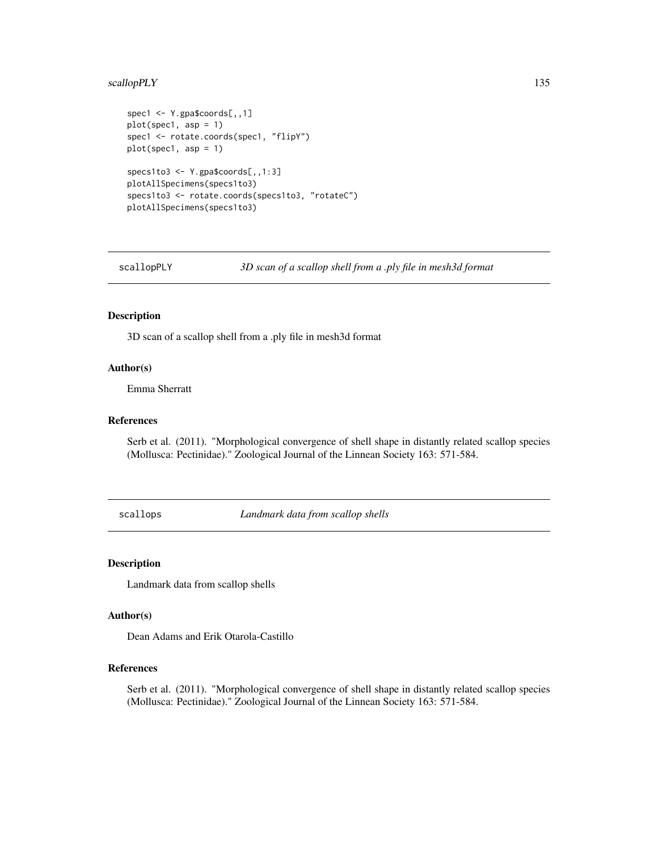# scallopPLY 135

```
spec1 <- Y.gpa$coords[,,1]
plot(spec1, asp = 1)
spec1 <- rotate.coords(spec1, "flipY")
plot(spec1, asp = 1)specs1to3 <- Y.gpa$coords[,,1:3]
plotAllSpecimens(specs1to3)
specs1to3 <- rotate.coords(specs1to3, "rotateC")
plotAllSpecimens(specs1to3)
```
scallopPLY *3D scan of a scallop shell from a .ply file in mesh3d format*

### Description

3D scan of a scallop shell from a .ply file in mesh3d format

## Author(s)

Emma Sherratt

## References

Serb et al. (2011). "Morphological convergence of shell shape in distantly related scallop species (Mollusca: Pectinidae)." Zoological Journal of the Linnean Society 163: 571-584.

scallops *Landmark data from scallop shells*

#### Description

Landmark data from scallop shells

# Author(s)

Dean Adams and Erik Otarola-Castillo

## References

Serb et al. (2011). "Morphological convergence of shell shape in distantly related scallop species (Mollusca: Pectinidae)." Zoological Journal of the Linnean Society 163: 571-584.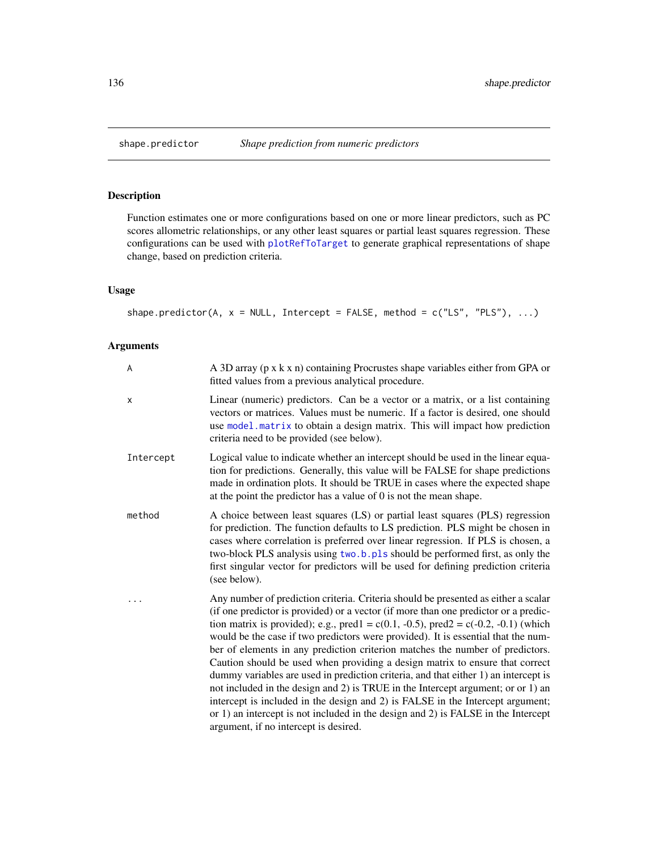Function estimates one or more configurations based on one or more linear predictors, such as PC scores allometric relationships, or any other least squares or partial least squares regression. These configurations can be used with [plotRefToTarget](#page-99-0) to generate graphical representations of shape change, based on prediction criteria.

# Usage

```
shape.predictor(A, x = NULL, Intercept = FALSE, method = c("LS", "PLS"), ...)
```
# Arguments

| A         | A 3D array (p x k x n) containing Procrustes shape variables either from GPA or<br>fitted values from a previous analytical procedure.                                                                                                                                                                                                                                                                                                                                                                                                                                                                                                                                                                                                                                                                                                                                                                                |
|-----------|-----------------------------------------------------------------------------------------------------------------------------------------------------------------------------------------------------------------------------------------------------------------------------------------------------------------------------------------------------------------------------------------------------------------------------------------------------------------------------------------------------------------------------------------------------------------------------------------------------------------------------------------------------------------------------------------------------------------------------------------------------------------------------------------------------------------------------------------------------------------------------------------------------------------------|
| X         | Linear (numeric) predictors. Can be a vector or a matrix, or a list containing<br>vectors or matrices. Values must be numeric. If a factor is desired, one should<br>use model. matrix to obtain a design matrix. This will impact how prediction<br>criteria need to be provided (see below).                                                                                                                                                                                                                                                                                                                                                                                                                                                                                                                                                                                                                        |
| Intercept | Logical value to indicate whether an intercept should be used in the linear equa-<br>tion for predictions. Generally, this value will be FALSE for shape predictions<br>made in ordination plots. It should be TRUE in cases where the expected shape<br>at the point the predictor has a value of $0$ is not the mean shape.                                                                                                                                                                                                                                                                                                                                                                                                                                                                                                                                                                                         |
| method    | A choice between least squares (LS) or partial least squares (PLS) regression<br>for prediction. The function defaults to LS prediction. PLS might be chosen in<br>cases where correlation is preferred over linear regression. If PLS is chosen, a<br>two-block PLS analysis using two.b.pls should be performed first, as only the<br>first singular vector for predictors will be used for defining prediction criteria<br>(see below).                                                                                                                                                                                                                                                                                                                                                                                                                                                                            |
|           | Any number of prediction criteria. Criteria should be presented as either a scalar<br>(if one predictor is provided) or a vector (if more than one predictor or a predic-<br>tion matrix is provided); e.g., pred1 = $c(0.1, -0.5)$ , pred2 = $c(-0.2, -0.1)$ (which<br>would be the case if two predictors were provided). It is essential that the num-<br>ber of elements in any prediction criterion matches the number of predictors.<br>Caution should be used when providing a design matrix to ensure that correct<br>dummy variables are used in prediction criteria, and that either 1) an intercept is<br>not included in the design and 2) is TRUE in the Intercept argument; or or 1) an<br>intercept is included in the design and 2) is FALSE in the Intercept argument;<br>or 1) an intercept is not included in the design and 2) is FALSE in the Intercept<br>argument, if no intercept is desired. |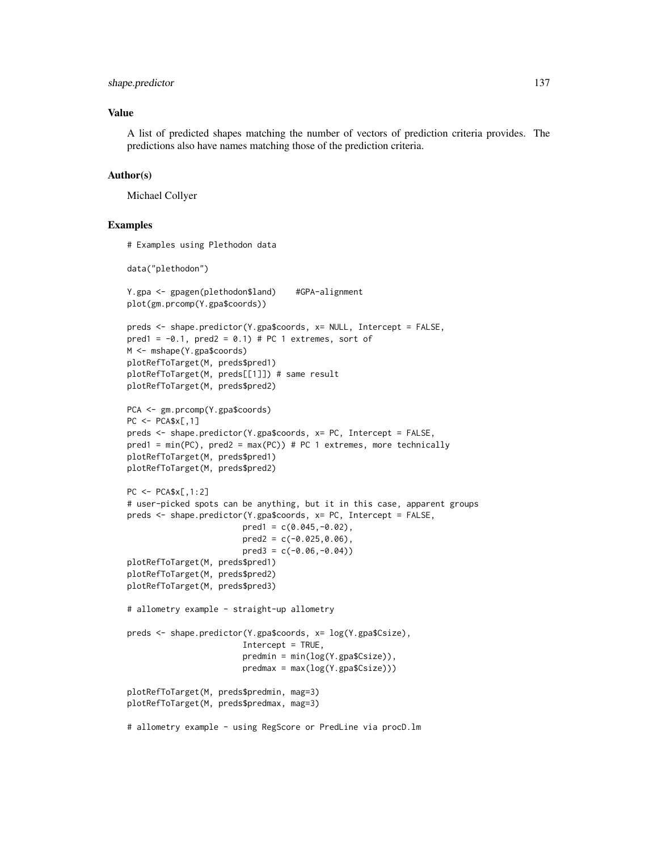#### shape.predictor 137

## Value

A list of predicted shapes matching the number of vectors of prediction criteria provides. The predictions also have names matching those of the prediction criteria.

## Author(s)

Michael Collyer

## Examples

```
# Examples using Plethodon data
data("plethodon")
Y.gpa <- gpagen(plethodon$land) #GPA-alignment
plot(gm.prcomp(Y.gpa$coords))
preds <- shape.predictor(Y.gpa$coords, x= NULL, Intercept = FALSE,
pred1 = -0.1, pred2 = 0.1) # PC 1 extremes, sort of
M <- mshape(Y.gpa$coords)
plotRefToTarget(M, preds$pred1)
plotRefToTarget(M, preds[[1]]) # same result
plotRefToTarget(M, preds$pred2)
PCA <- gm.prcomp(Y.gpa$coords)
PC < -PCA$x[, 1]preds <- shape.predictor(Y.gpa$coords, x= PC, Intercept = FALSE,
pred1 = min(PC), pred2 = max(PC) # PC 1 extremes, more technically
plotRefToTarget(M, preds$pred1)
plotRefToTarget(M, preds$pred2)
PC <- PCA$x[,1:2]
# user-picked spots can be anything, but it in this case, apparent groups
preds <- shape.predictor(Y.gpa$coords, x= PC, Intercept = FALSE,
                        pred1 = c(0.045, -0.02),
                        pred2 = c(-0.025, 0.06),
                        pred3 = c(-0.06, -0.04)plotRefToTarget(M, preds$pred1)
plotRefToTarget(M, preds$pred2)
plotRefToTarget(M, preds$pred3)
# allometry example - straight-up allometry
preds <- shape.predictor(Y.gpa$coords, x= log(Y.gpa$Csize),
                        Intercept = TRUE,
                        predmin = min(log(Y.gpa$Csize)),
                        predmax = max(log(Y.gpa$Csize)))
plotRefToTarget(M, preds$predmin, mag=3)
plotRefToTarget(M, preds$predmax, mag=3)
# allometry example - using RegScore or PredLine via procD.lm
```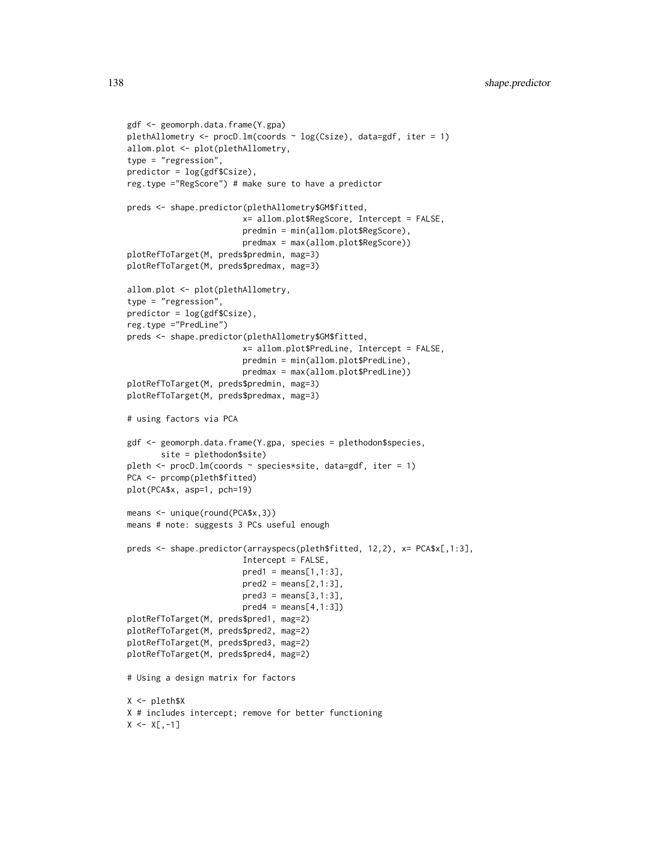```
gdf <- geomorph.data.frame(Y.gpa)
plethAllometry \leq procD.lm(coords \sim log(Csize), data=gdf, iter = 1)
allom.plot <- plot(plethAllometry,
type = "regression",
predictor = log(gdf$(Csize),reg.type ="RegScore") # make sure to have a predictor
preds <- shape.predictor(plethAllometry$GM$fitted,
                        x= allom.plot$RegScore, Intercept = FALSE,
                        predmin = min(allom.plot$RegScore),
                        predmax = max(allom.plot$RegScore))
plotRefToTarget(M, preds$predmin, mag=3)
plotRefToTarget(M, preds$predmax, mag=3)
allom.plot <- plot(plethAllometry,
type = "regression",
predictor = log(gdf$Csize),
reg.type ="PredLine")
preds <- shape.predictor(plethAllometry$GM$fitted,
                        x= allom.plot$PredLine, Intercept = FALSE,
                        predmin = min(allom.plot$PredLine),
                        predmax = max(allom.plot$PredLine))
plotRefToTarget(M, preds$predmin, mag=3)
plotRefToTarget(M, preds$predmax, mag=3)
# using factors via PCA
gdf <- geomorph.data.frame(Y.gpa, species = plethodon$species,
       site = plethodon$site)
pleth <- procD.lm(coords ~ species*site, data=gdf, iter = 1)
PCA <- prcomp(pleth$fitted)
plot(PCA$x, asp=1, pch=19)
means <- unique(round(PCA$x,3))
means # note: suggests 3 PCs useful enough
preds <- shape.predictor(arrayspecs(pleth$fitted, 12,2), x= PCA$x[,1:3],
                        Intercept = FALSE,
                        pred1 = means[1, 1:3],pred2 = means[2,1:3],pred3 = means[3,1:3],pred4 = means[4, 1:3])plotRefToTarget(M, preds$pred1, mag=2)
plotRefToTarget(M, preds$pred2, mag=2)
plotRefToTarget(M, preds$pred3, mag=2)
plotRefToTarget(M, preds$pred4, mag=2)
# Using a design matrix for factors
X <- pleth$X
X # includes intercept; remove for better functioning
X \leftarrow X[, -1]
```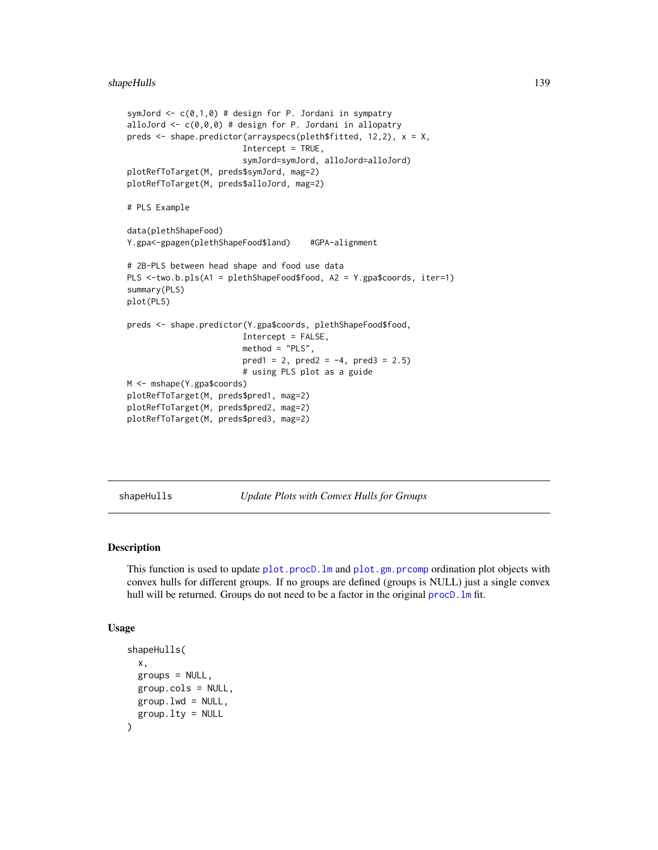#### shapeHulls 139

```
symJord \leq c(0,1,0) # design for P. Jordani in sympatry
alloJord \leq c(\emptyset, \emptyset, \emptyset) # design for P. Jordani in allopatry
preds <- shape.predictor(arrayspecs(pleth$fitted, 12,2), x = X,
                        Intercept = TRUE,
                         symJord=symJord, alloJord=alloJord)
plotRefToTarget(M, preds$symJord, mag=2)
plotRefToTarget(M, preds$alloJord, mag=2)
# PLS Example
data(plethShapeFood)
Y.gpa<-gpagen(plethShapeFood$land) #GPA-alignment
# 2B-PLS between head shape and food use data
PLS <-two.b.pls(A1 = plethShapeFood$food, A2 = Y.gpa$coords, iter=1)
summary(PLS)
plot(PLS)
preds <- shape.predictor(Y.gpa$coords, plethShapeFood$food,
                        Intercept = FALSE,
                        method = "PLS",
                        pred1 = 2, pred2 = -4, pred3 = 2.5# using PLS plot as a guide
M <- mshape(Y.gpa$coords)
plotRefToTarget(M, preds$pred1, mag=2)
plotRefToTarget(M, preds$pred2, mag=2)
plotRefToTarget(M, preds$pred3, mag=2)
```
shapeHulls *Update Plots with Convex Hulls for Groups*

## Description

This function is used to update plot.procD. Im and [plot.gm.prcomp](#page-88-0) ordination plot objects with convex hulls for different groups. If no groups are defined (groups is NULL) just a single convex hull will be returned. Groups do not need to be a factor in the original procD. Im fit.

#### Usage

```
shapeHulls(
  x,
 groups = NULL,
 group.cols = NULL,
 group.lwd = NULL,group.lty = NULL
)
```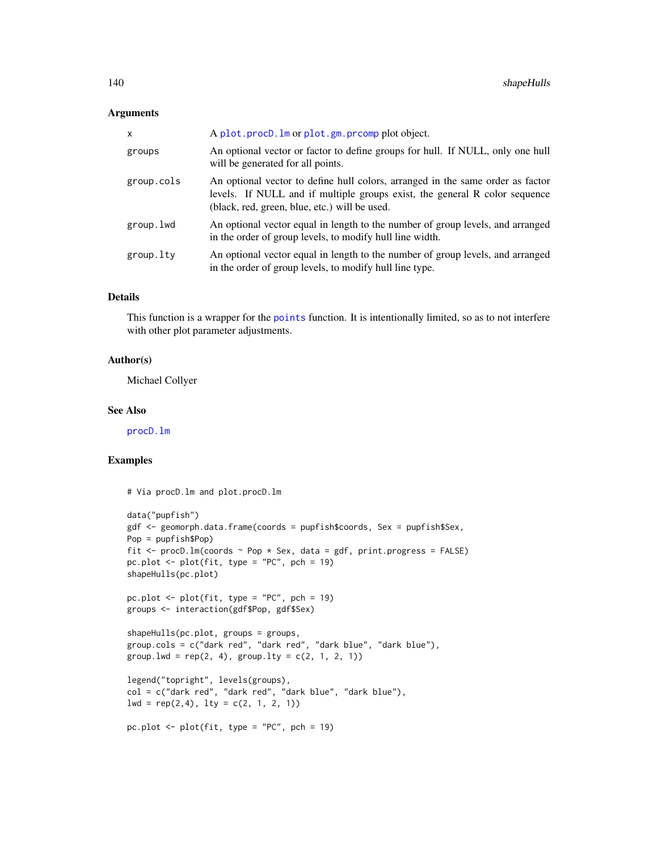### Arguments

| X          | A plot.procD.lm or plot.gm.prcomp plot object.                                                                                                                                                                |
|------------|---------------------------------------------------------------------------------------------------------------------------------------------------------------------------------------------------------------|
| groups     | An optional vector or factor to define groups for hull. If NULL, only one hull<br>will be generated for all points.                                                                                           |
| group.cols | An optional vector to define hull colors, arranged in the same order as factor<br>levels. If NULL and if multiple groups exist, the general R color sequence<br>(black, red, green, blue, etc.) will be used. |
| group.lwd  | An optional vector equal in length to the number of group levels, and arranged<br>in the order of group levels, to modify hull line width.                                                                    |
| group.lty  | An optional vector equal in length to the number of group levels, and arranged<br>in the order of group levels, to modify hull line type.                                                                     |

## Details

This function is a wrapper for the [points](#page-0-0) function. It is intentionally limited, so as to not interfere with other plot parameter adjustments.

# Author(s)

Michael Collyer

#### See Also

[procD.lm](#page-111-0)

## Examples

# Via procD.lm and plot.procD.lm

```
data("pupfish")
gdf <- geomorph.data.frame(coords = pupfish$coords, Sex = pupfish$Sex,
Pop = pupfish$Pop)
fit \le procD.lm(coords \sim Pop \star Sex, data = gdf, print.progress = FALSE)
pc.plot \le plot(fit, type = "PC", pch = 19)
shapeHulls(pc.plot)
pc.plot \leq plot(fit, type = "PC", pch = 19)
groups <- interaction(gdf$Pop, gdf$Sex)
shapeHulls(pc.plot, groups = groups,
group.cols = c("dark red", "dark red", "dark blue", "dark blue"),
group.lwd = rep(2, 4), group.lty = c(2, 1, 2, 1))
legend("topright", levels(groups),
col = c("dark red", "dark red", "dark blue", "dark blue"),
lwd = rep(2,4), lty = c(2, 1, 2, 1))pc.plot <- plot(fit, type = "PC", pch = 19)
```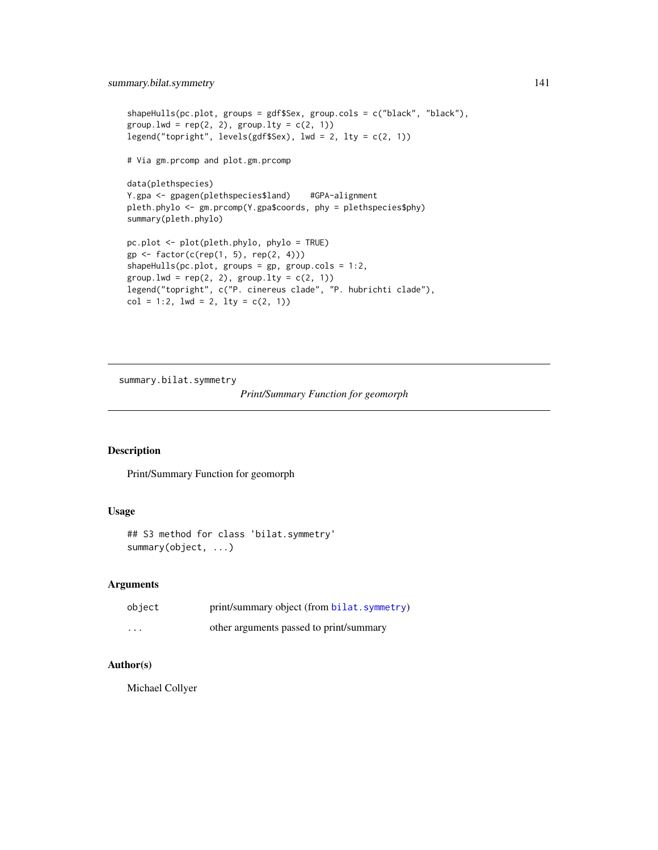```
shapeHulls(pc.plot, groups = gdf$Sex, group.cols = c("black", "black"),
group.lwd = rep(2, 2), group.lty = c(2, 1))
legend("topright", levels(gdf$Sex), lwd = 2, lty = c(2, 1))
# Via gm.prcomp and plot.gm.prcomp
data(plethspecies)
Y.gpa <- gpagen(plethspecies$land) #GPA-alignment
pleth.phylo <- gm.prcomp(Y.gpa$coords, phy = plethspecies$phy)
summary(pleth.phylo)
pc.plot <- plot(pleth.phylo, phylo = TRUE)
gp \leftarrow factor(c(rep(1, 5), rep(2, 4)))shapeHulls(pc.plot, groups = gp, group.cols = 1:2,
group.lwd = rep(2, 2), group.lty = c(2, 1))
legend("topright", c("P. cinereus clade", "P. hubrichti clade"),
col = 1:2, 1wd = 2, 1ty = c(2, 1)
```
summary.bilat.symmetry

```
Print/Summary Function for geomorph
```
# Description

Print/Summary Function for geomorph

## Usage

```
## S3 method for class 'bilat.symmetry'
summary(object, ...)
```
# Arguments

| object | print/summary object (from bilat. symmetry) |
|--------|---------------------------------------------|
| .      | other arguments passed to print/summary     |

## Author(s)

Michael Collyer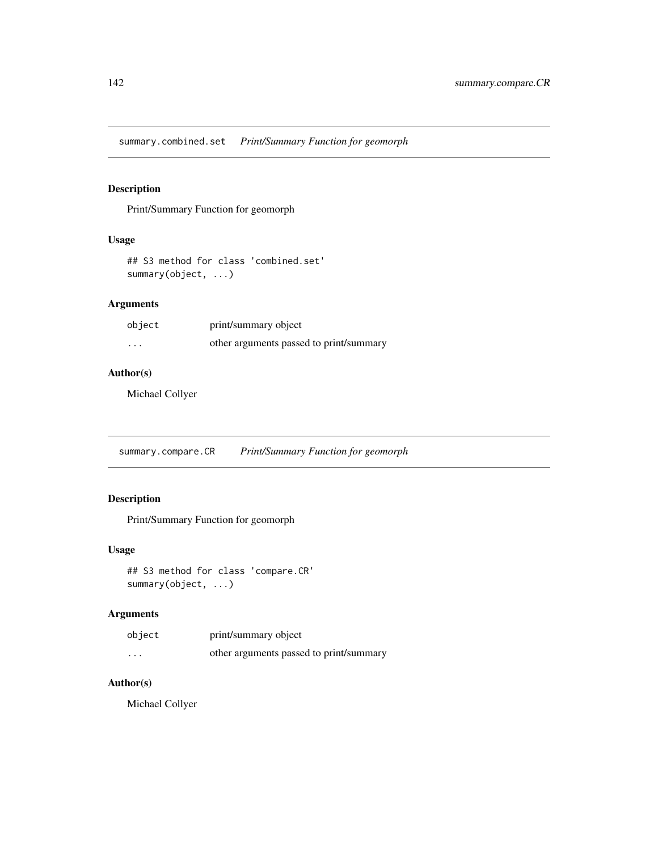summary.combined.set *Print/Summary Function for geomorph*

# Description

Print/Summary Function for geomorph

#### Usage

## S3 method for class 'combined.set' summary(object, ...)

# Arguments

| object | print/summary object                    |
|--------|-----------------------------------------|
| .      | other arguments passed to print/summary |

# Author(s)

Michael Collyer

summary.compare.CR *Print/Summary Function for geomorph*

# Description

Print/Summary Function for geomorph

# Usage

```
## S3 method for class 'compare.CR'
summary(object, ...)
```
# Arguments

| object | print/summary object                    |
|--------|-----------------------------------------|
| .      | other arguments passed to print/summary |

# Author(s)

Michael Collyer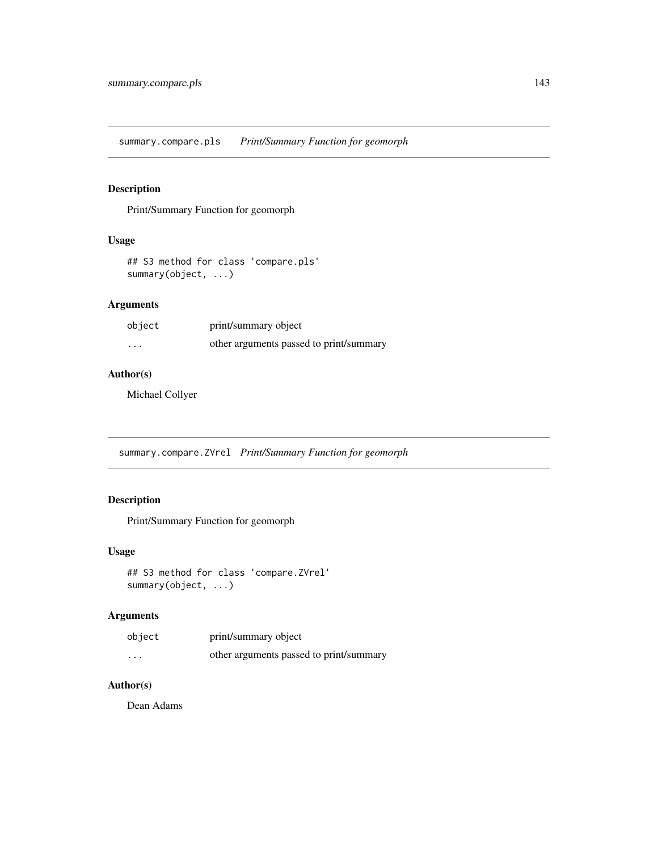summary.compare.pls *Print/Summary Function for geomorph*

# Description

Print/Summary Function for geomorph

#### Usage

```
## S3 method for class 'compare.pls'
summary(object, ...)
```
# Arguments

| object | print/summary object                    |
|--------|-----------------------------------------|
| .      | other arguments passed to print/summary |

## Author(s)

Michael Collyer

summary.compare.ZVrel *Print/Summary Function for geomorph*

# Description

Print/Summary Function for geomorph

## Usage

```
## S3 method for class 'compare.ZVrel'
summary(object, ...)
```
# Arguments

| object                  | print/summary object                    |
|-------------------------|-----------------------------------------|
| $\cdot$ $\cdot$ $\cdot$ | other arguments passed to print/summary |

# Author(s)

Dean Adams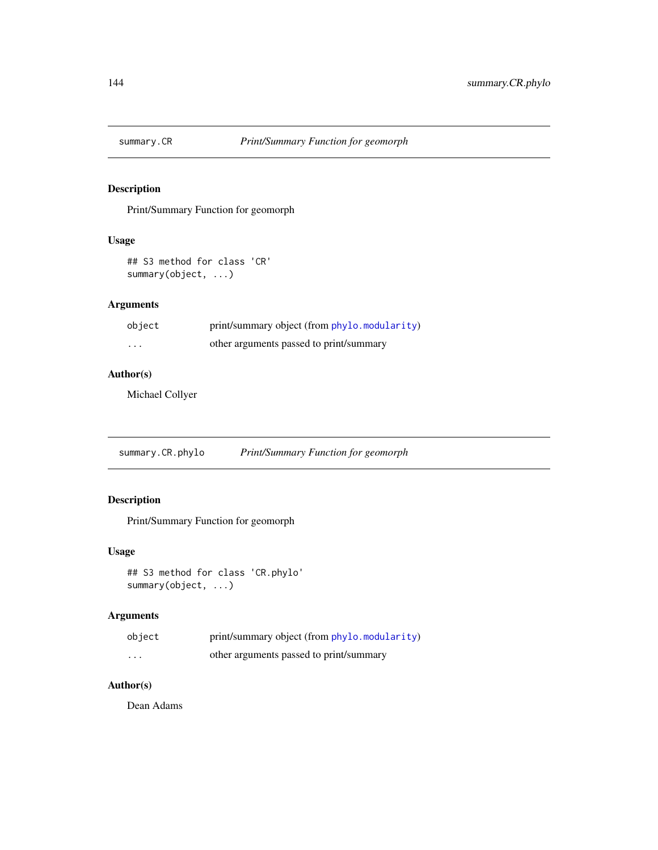Print/Summary Function for geomorph

#### Usage

```
## S3 method for class 'CR'
summary(object, ...)
```
# Arguments

| object   | print/summary object (from phylo.modularity) |
|----------|----------------------------------------------|
| $\cdots$ | other arguments passed to print/summary      |

## Author(s)

Michael Collyer

summary.CR.phylo *Print/Summary Function for geomorph*

# Description

Print/Summary Function for geomorph

## Usage

```
## S3 method for class 'CR.phylo'
summary(object, ...)
```
# Arguments

| object | print/summary object (from phylo.modularity) |
|--------|----------------------------------------------|
| .      | other arguments passed to print/summary      |

# Author(s)

Dean Adams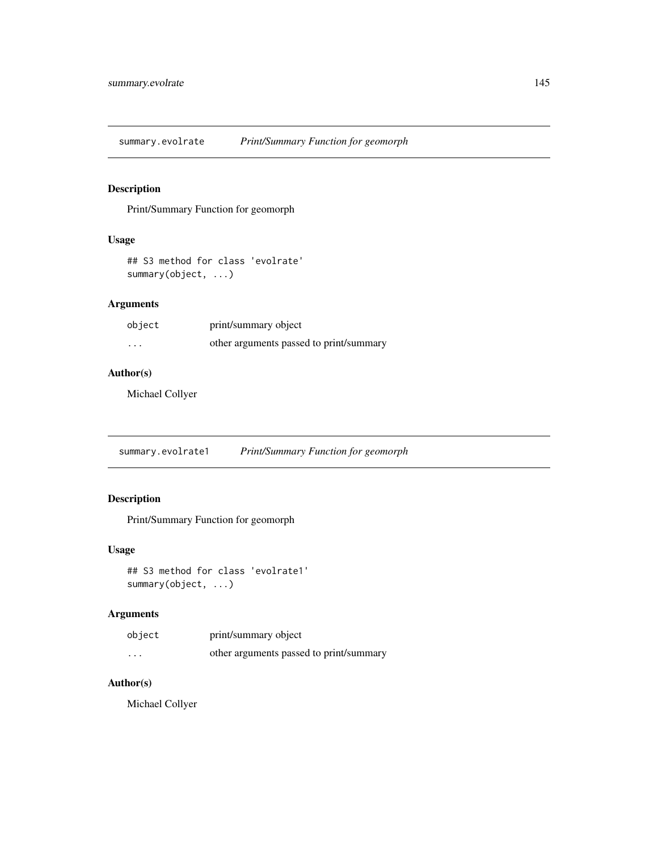<span id="page-144-0"></span>summary.evolrate *Print/Summary Function for geomorph*

# Description

Print/Summary Function for geomorph

#### Usage

```
## S3 method for class 'evolrate'
summary(object, ...)
```
# Arguments

| object | print/summary object                    |
|--------|-----------------------------------------|
| .      | other arguments passed to print/summary |

# Author(s)

Michael Collyer

summary.evolrate1 *Print/Summary Function for geomorph*

# Description

Print/Summary Function for geomorph

# Usage

```
## S3 method for class 'evolrate1'
summary(object, ...)
```
# Arguments

| object | print/summary object                    |
|--------|-----------------------------------------|
| .      | other arguments passed to print/summary |

# Author(s)

Michael Collyer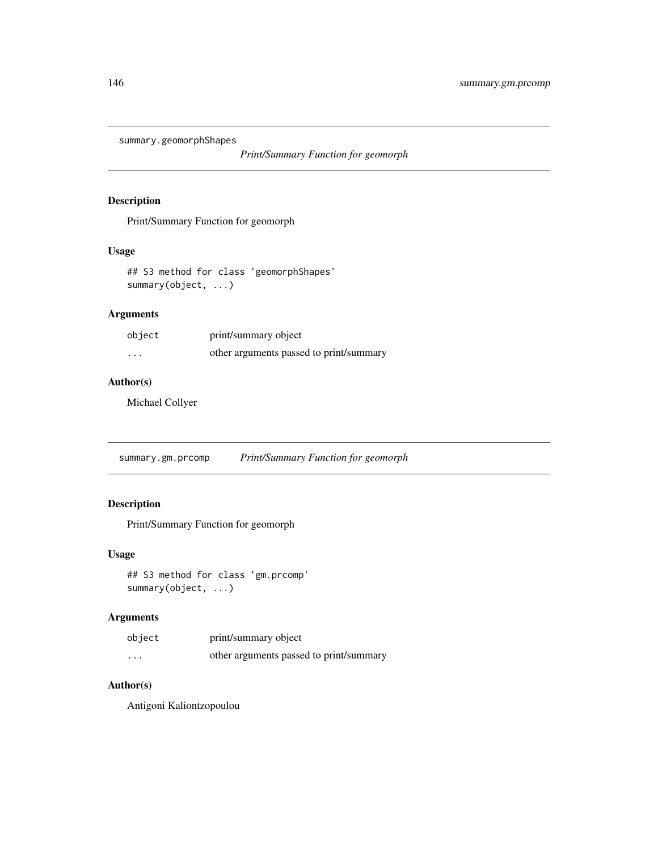<span id="page-145-0"></span>summary.geomorphShapes

*Print/Summary Function for geomorph*

## Description

Print/Summary Function for geomorph

# Usage

```
## S3 method for class 'geomorphShapes'
summary(object, ...)
```
# Arguments

| object   | print/summary object                    |
|----------|-----------------------------------------|
| $\cdots$ | other arguments passed to print/summary |

# Author(s)

Michael Collyer

summary.gm.prcomp *Print/Summary Function for geomorph*

# Description

Print/Summary Function for geomorph

# Usage

```
## S3 method for class 'gm.prcomp'
summary(object, ...)
```
# Arguments

| object                  | print/summary object                    |
|-------------------------|-----------------------------------------|
| $\cdot$ $\cdot$ $\cdot$ | other arguments passed to print/summary |

# Author(s)

Antigoni Kaliontzopoulou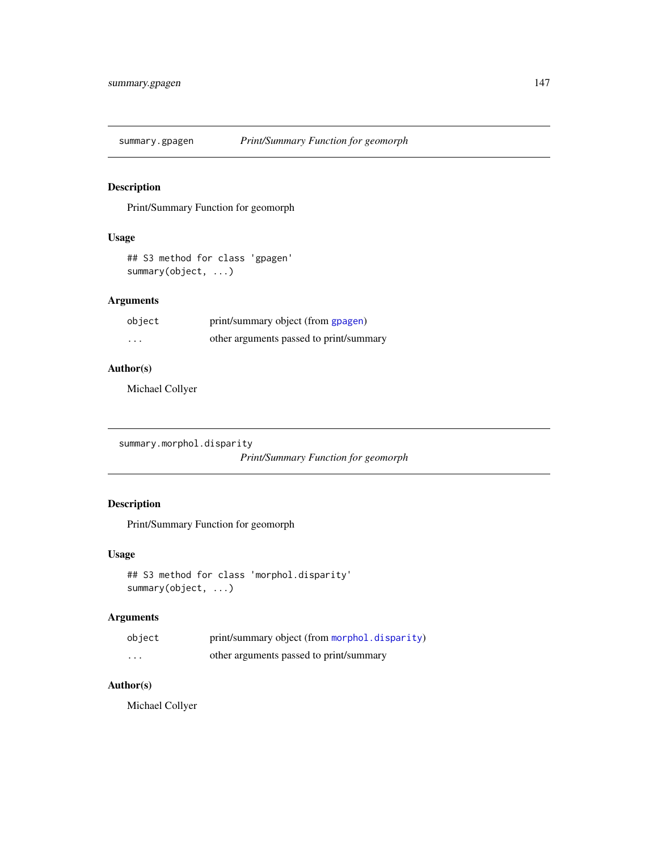<span id="page-146-0"></span>

# Description

Print/Summary Function for geomorph

# Usage

```
## S3 method for class 'gpagen'
summary(object, ...)
```
# Arguments

| object | print/summary object (from gpagen)      |
|--------|-----------------------------------------|
| .      | other arguments passed to print/summary |

# Author(s)

Michael Collyer

summary.morphol.disparity

*Print/Summary Function for geomorph*

# Description

Print/Summary Function for geomorph

# Usage

```
## S3 method for class 'morphol.disparity'
summary(object, ...)
```
# Arguments

| object  | print/summary object (from morphol.disparity) |
|---------|-----------------------------------------------|
| $\cdot$ | other arguments passed to print/summary       |

# Author(s)

Michael Collyer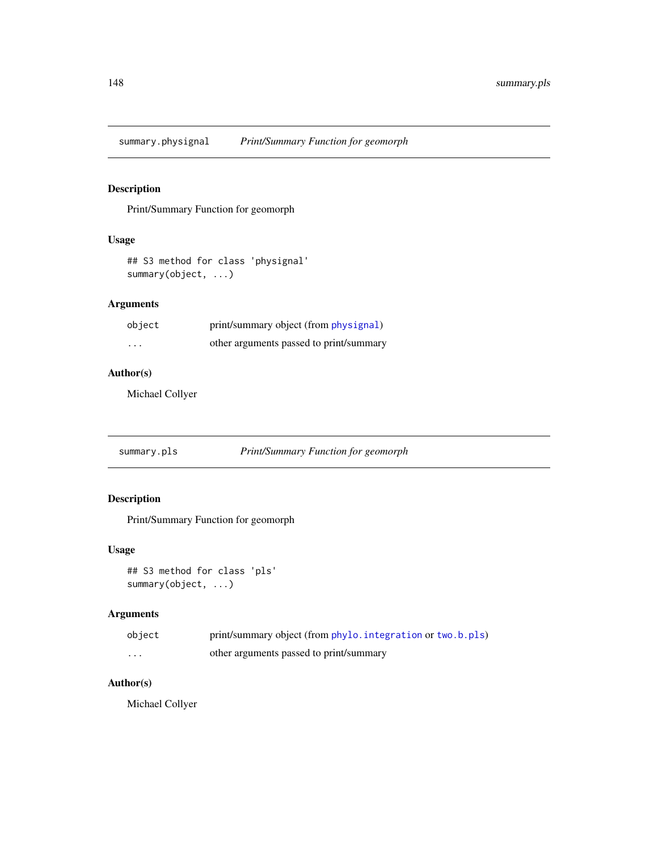<span id="page-147-0"></span>summary.physignal *Print/Summary Function for geomorph*

# Description

Print/Summary Function for geomorph

#### Usage

```
## S3 method for class 'physignal'
summary(object, ...)
```
# Arguments

| object | print/summary object (from physignal)   |
|--------|-----------------------------------------|
| .      | other arguments passed to print/summary |

# Author(s)

Michael Collyer

summary.pls *Print/Summary Function for geomorph*

# Description

Print/Summary Function for geomorph

# Usage

```
## S3 method for class 'pls'
summary(object, ...)
```
# Arguments

| object | print/summary object (from phylo. integration or two.b.pls) |
|--------|-------------------------------------------------------------|
| .      | other arguments passed to print/summary                     |

# Author(s)

Michael Collyer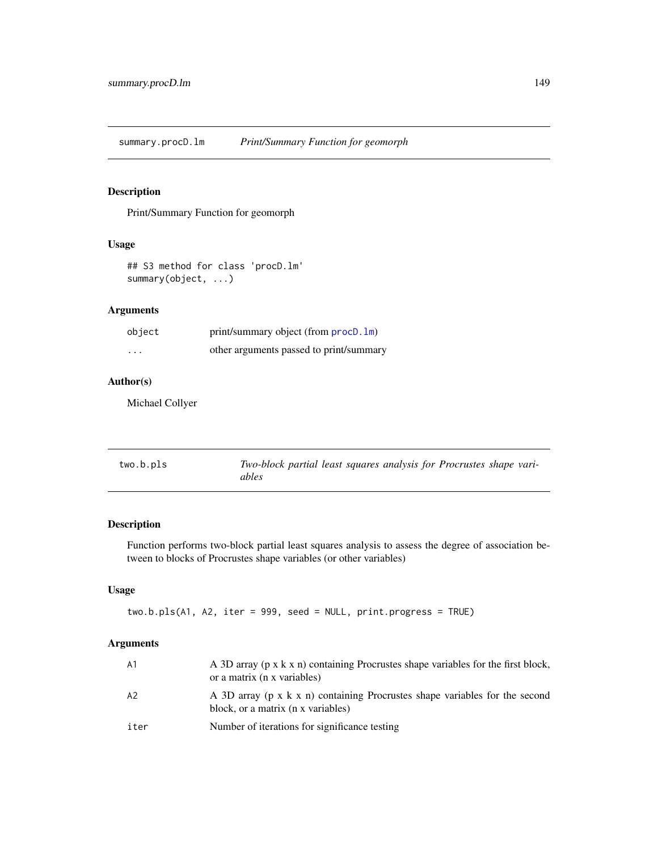<span id="page-148-1"></span>summary.procD.lm *Print/Summary Function for geomorph*

# Description

Print/Summary Function for geomorph

# Usage

```
## S3 method for class 'procD.lm'
summary(object, ...)
```
# Arguments

| object   | print/summary object (from procD. 1m)   |
|----------|-----------------------------------------|
| $\cdots$ | other arguments passed to print/summary |

# Author(s)

Michael Collyer

<span id="page-148-0"></span>

| two.b.pls | Two-block partial least squares analysis for Procrustes shape vari- |
|-----------|---------------------------------------------------------------------|
|           | ables                                                               |

# Description

Function performs two-block partial least squares analysis to assess the degree of association between to blocks of Procrustes shape variables (or other variables)

# Usage

two.b.pls(A1, A2, iter = 999, seed = NULL, print.progress = TRUE)

# Arguments

| - A 1 | A 3D array (p x k x n) containing Procrustes shape variables for the first block,<br>or a matrix (n x variables)  |
|-------|-------------------------------------------------------------------------------------------------------------------|
| A2    | A 3D array (p x k x n) containing Procrustes shape variables for the second<br>block, or a matrix (n x variables) |
| iter  | Number of iterations for significance testing                                                                     |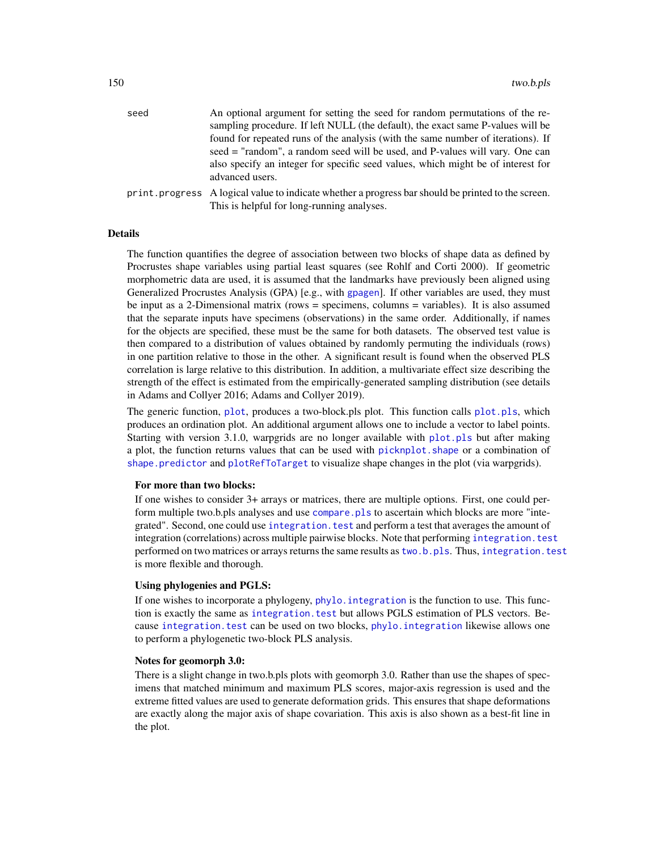<span id="page-149-0"></span>

| seed | An optional argument for setting the seed for random permutations of the re-                                         |
|------|----------------------------------------------------------------------------------------------------------------------|
|      | sampling procedure. If left NULL (the default), the exact same P-values will be                                      |
|      | found for repeated runs of the analysis (with the same number of iterations). If                                     |
|      | seed = "random", a random seed will be used, and P-values will vary. One can                                         |
|      | also specify an integer for specific seed values, which might be of interest for                                     |
|      | advanced users.                                                                                                      |
|      | $\mathbf{r}$ represents to the set of the set of the indicate whether a progress har should be printed to the series |

print.progress A logical value to indicate whether a progress bar should be printed to the screen. This is helpful for long-running analyses.

#### Details

The function quantifies the degree of association between two blocks of shape data as defined by Procrustes shape variables using partial least squares (see Rohlf and Corti 2000). If geometric morphometric data are used, it is assumed that the landmarks have previously been aligned using Generalized Procrustes Analysis (GPA) [e.g., with [gpagen](#page-49-0)]. If other variables are used, they must be input as a 2-Dimensional matrix (rows = specimens, columns = variables). It is also assumed that the separate inputs have specimens (observations) in the same order. Additionally, if names for the objects are specified, these must be the same for both datasets. The observed test value is then compared to a distribution of values obtained by randomly permuting the individuals (rows) in one partition relative to those in the other. A significant result is found when the observed PLS correlation is large relative to this distribution. In addition, a multivariate effect size describing the strength of the effect is estimated from the empirically-generated sampling distribution (see details in Adams and Collyer 2016; Adams and Collyer 2019).

The generic function, [plot](#page-0-0), produces a two-block.pls plot. This function calls [plot.pls](#page-91-0), which produces an ordination plot. An additional argument allows one to include a vector to label points. Starting with version 3.1.0, warpgrids are no longer available with [plot.pls](#page-91-0) but after making a plot, the function returns values that can be used with [picknplot.shape](#page-83-0) or a combination of [shape.predictor](#page-135-0) and [plotRefToTarget](#page-99-0) to visualize shape changes in the plot (via warpgrids).

#### For more than two blocks:

If one wishes to consider 3+ arrays or matrices, there are multiple options. First, one could perform multiple two.b.pls analyses and use [compare.pls](#page-22-0) to ascertain which blocks are more "integrated". Second, one could use integration. test and perform a test that averages the amount of integration (correlations) across multiple pairwise blocks. Note that performing [integration.test](#page-57-0) performed on two matrices or arrays returns the same results as [two.b.pls](#page-148-0). Thus, [integration.test](#page-57-0) is more flexible and thorough.

#### Using phylogenies and PGLS:

If one wishes to incorporate a phylogeny, [phylo.integration](#page-75-0) is the function to use. This function is exactly the same as integration. test but allows PGLS estimation of PLS vectors. Because [integration.test](#page-57-0) can be used on two blocks, [phylo.integration](#page-75-0) likewise allows one to perform a phylogenetic two-block PLS analysis.

#### Notes for geomorph 3.0:

There is a slight change in two.b.pls plots with geomorph 3.0. Rather than use the shapes of specimens that matched minimum and maximum PLS scores, major-axis regression is used and the extreme fitted values are used to generate deformation grids. This ensures that shape deformations are exactly along the major axis of shape covariation. This axis is also shown as a best-fit line in the plot.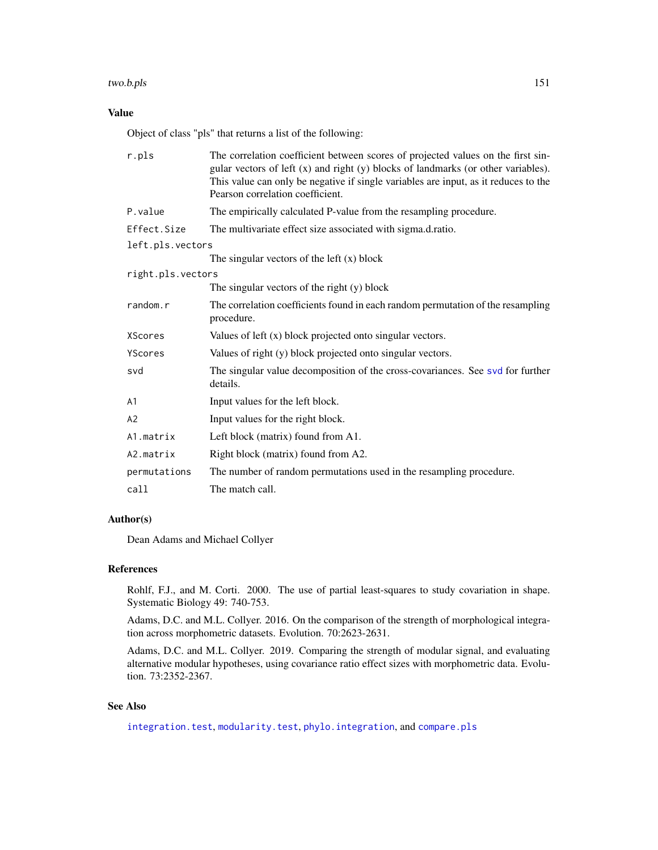#### <span id="page-150-0"></span>two.b.pls 151

# Value

Object of class "pls" that returns a list of the following:

| r.pls             | The correlation coefficient between scores of projected values on the first sin-<br>gular vectors of left (x) and right (y) blocks of landmarks (or other variables).<br>This value can only be negative if single variables are input, as it reduces to the<br>Pearson correlation coefficient. |  |
|-------------------|--------------------------------------------------------------------------------------------------------------------------------------------------------------------------------------------------------------------------------------------------------------------------------------------------|--|
| P.value           | The empirically calculated P-value from the resampling procedure.                                                                                                                                                                                                                                |  |
| Effect.Size       | The multivariate effect size associated with sigma.d.ratio.                                                                                                                                                                                                                                      |  |
| left.pls.vectors  |                                                                                                                                                                                                                                                                                                  |  |
|                   | The singular vectors of the left $(x)$ block                                                                                                                                                                                                                                                     |  |
| right.pls.vectors |                                                                                                                                                                                                                                                                                                  |  |
|                   | The singular vectors of the right (y) block                                                                                                                                                                                                                                                      |  |
| random.r          | The correlation coefficients found in each random permutation of the resampling<br>procedure.                                                                                                                                                                                                    |  |
| <b>XScores</b>    | Values of left (x) block projected onto singular vectors.                                                                                                                                                                                                                                        |  |
| YScores           | Values of right (y) block projected onto singular vectors.                                                                                                                                                                                                                                       |  |
| svd               | The singular value decomposition of the cross-covariances. See svd for further<br>details.                                                                                                                                                                                                       |  |
| A <sub>1</sub>    | Input values for the left block.                                                                                                                                                                                                                                                                 |  |
| A <sub>2</sub>    | Input values for the right block.                                                                                                                                                                                                                                                                |  |
| A1.matrix         | Left block (matrix) found from A1.                                                                                                                                                                                                                                                               |  |
| A2.matrix         | Right block (matrix) found from A2.                                                                                                                                                                                                                                                              |  |
| permutations      | The number of random permutations used in the resampling procedure.                                                                                                                                                                                                                              |  |
| call              | The match call.                                                                                                                                                                                                                                                                                  |  |

# Author(s)

Dean Adams and Michael Collyer

#### References

Rohlf, F.J., and M. Corti. 2000. The use of partial least-squares to study covariation in shape. Systematic Biology 49: 740-753.

Adams, D.C. and M.L. Collyer. 2016. On the comparison of the strength of morphological integration across morphometric datasets. Evolution. 70:2623-2631.

Adams, D.C. and M.L. Collyer. 2019. Comparing the strength of modular signal, and evaluating alternative modular hypotheses, using covariance ratio effect sizes with morphometric data. Evolution. 73:2352-2367.

# See Also

[integration.test](#page-57-0), [modularity.test](#page-66-0), [phylo.integration](#page-75-0), and [compare.pls](#page-22-0)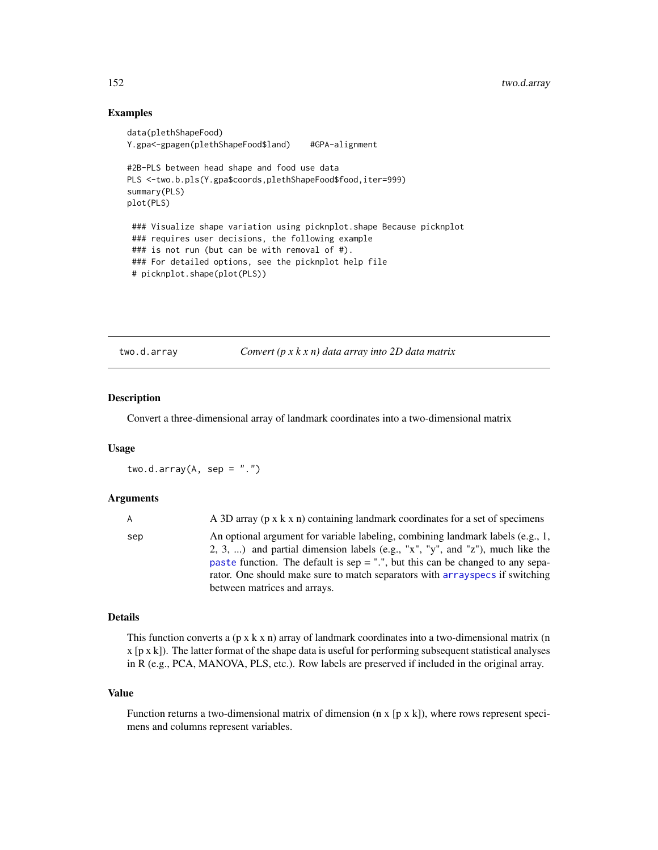## <span id="page-151-0"></span>Examples

```
data(plethShapeFood)
Y.gpa<-gpagen(plethShapeFood$land) #GPA-alignment
#2B-PLS between head shape and food use data
PLS <-two.b.pls(Y.gpa$coords,plethShapeFood$food,iter=999)
summary(PLS)
plot(PLS)
 ### Visualize shape variation using picknplot.shape Because picknplot
 ### requires user decisions, the following example
### is not run (but can be with removal of #).
### For detailed options, see the picknplot help file
 # picknplot.shape(plot(PLS))
```
two.d.array *Convert (p x k x n) data array into 2D data matrix*

# Description

Convert a three-dimensional array of landmark coordinates into a two-dimensional matrix

# Usage

two.d.array(A, sep =  $"$ .")

#### Arguments

| $\mathsf{A}$ | A 3D array ( $p \times k \times n$ ) containing landmark coordinates for a set of specimens                                                                                                                                                                                                                                                                           |
|--------------|-----------------------------------------------------------------------------------------------------------------------------------------------------------------------------------------------------------------------------------------------------------------------------------------------------------------------------------------------------------------------|
| sep          | An optional argument for variable labeling, combining landmark labels (e.g., 1,<br>2, 3, ) and partial dimension labels (e.g., "x", "y", and "z"), much like the<br>paste function. The default is sep $=$ ".", but this can be changed to any sepa-<br>rator. One should make sure to match separators with array specs if switching<br>between matrices and arrays. |
|              |                                                                                                                                                                                                                                                                                                                                                                       |

#### Details

This function converts a  $(p \times k \times n)$  array of landmark coordinates into a two-dimensional matrix (n  $x$  [p  $x$  k]). The latter format of the shape data is useful for performing subsequent statistical analyses in R (e.g., PCA, MANOVA, PLS, etc.). Row labels are preserved if included in the original array.

#### Value

Function returns a two-dimensional matrix of dimension ( $n \times [p \times k]$ ), where rows represent specimens and columns represent variables.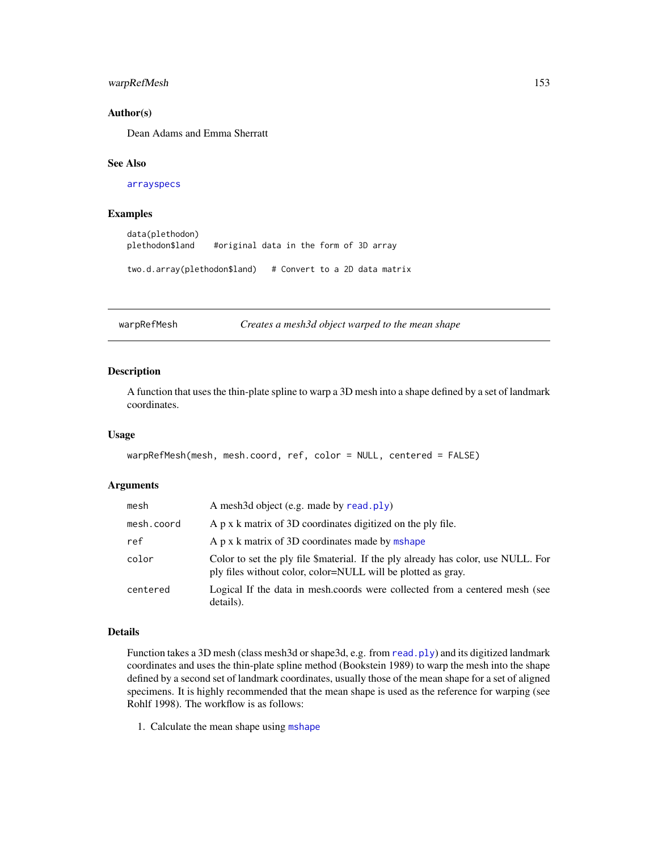# <span id="page-152-1"></span>warpRefMesh 153

#### Author(s)

Dean Adams and Emma Sherratt

#### See Also

[arrayspecs](#page-4-0)

# Examples

```
data(plethodon)
plethodon$land #original data in the form of 3D array
two.d.array(plethodon$land) # Convert to a 2D data matrix
```
<span id="page-152-0"></span>warpRefMesh *Creates a mesh3d object warped to the mean shape*

## Description

A function that uses the thin-plate spline to warp a 3D mesh into a shape defined by a set of landmark coordinates.

#### Usage

```
warpRefMesh(mesh, mesh.coord, ref, color = NULL, centered = FALSE)
```
# Arguments

| mesh       | A mesh3d object (e.g. made by read.ply)                                                                                                           |
|------------|---------------------------------------------------------------------------------------------------------------------------------------------------|
| mesh.coord | A p x k matrix of 3D coordinates digitized on the ply file.                                                                                       |
| ref        | A p x k matrix of 3D coordinates made by mshape                                                                                                   |
| color      | Color to set the ply file \$material. If the ply already has color, use NULL. For<br>ply files without color, color=NULL will be plotted as gray. |
| centered   | Logical If the data in mesh.coords were collected from a centered mesh (see<br>details).                                                          |

# Details

Function takes a 3D mesh (class mesh3d or shape3d, e.g. from [read.ply](#page-124-0)) and its digitized landmark coordinates and uses the thin-plate spline method (Bookstein 1989) to warp the mesh into the shape defined by a second set of landmark coordinates, usually those of the mean shape for a set of aligned specimens. It is highly recommended that the mean shape is used as the reference for warping (see Rohlf 1998). The workflow is as follows:

1. Calculate the mean shape using [mshape](#page-73-0)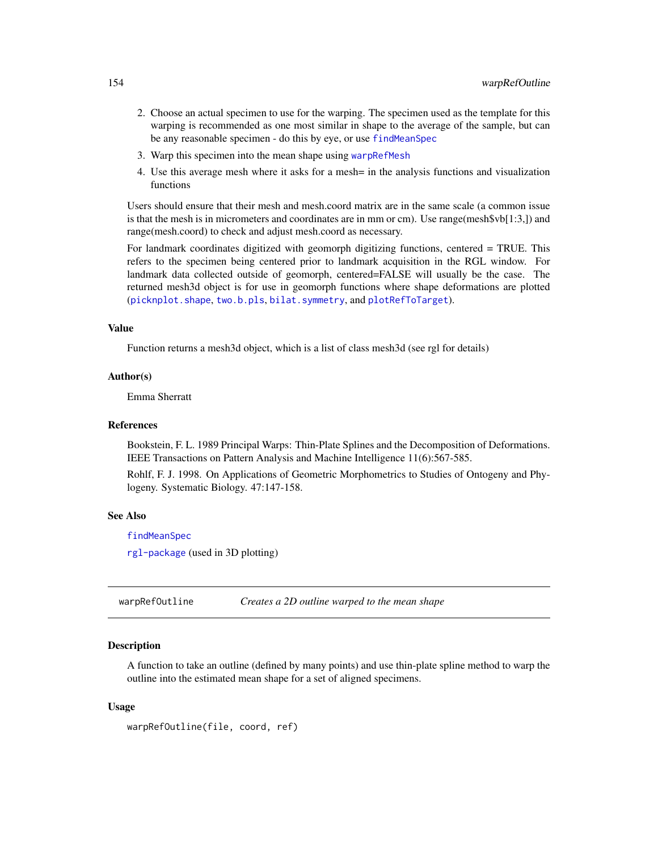- <span id="page-153-1"></span>2. Choose an actual specimen to use for the warping. The specimen used as the template for this warping is recommended as one most similar in shape to the average of the sample, but can be any reasonable specimen - do this by eye, or use [findMeanSpec](#page-40-0)
- 3. Warp this specimen into the mean shape using [warpRefMesh](#page-152-0)
- 4. Use this average mesh where it asks for a mesh= in the analysis functions and visualization functions

Users should ensure that their mesh and mesh.coord matrix are in the same scale (a common issue is that the mesh is in micrometers and coordinates are in mm or cm). Use range(mesh $\delta v b[1:3]$ ) and range(mesh.coord) to check and adjust mesh.coord as necessary.

For landmark coordinates digitized with geomorph digitizing functions, centered = TRUE. This refers to the specimen being centered prior to landmark acquisition in the RGL window. For landmark data collected outside of geomorph, centered=FALSE will usually be the case. The returned mesh3d object is for use in geomorph functions where shape deformations are plotted ([picknplot.shape](#page-83-0), [two.b.pls](#page-148-0), [bilat.symmetry](#page-5-0), and [plotRefToTarget](#page-99-0)).

#### Value

Function returns a mesh3d object, which is a list of class mesh3d (see rgl for details)

#### Author(s)

Emma Sherratt

#### References

Bookstein, F. L. 1989 Principal Warps: Thin-Plate Splines and the Decomposition of Deformations. IEEE Transactions on Pattern Analysis and Machine Intelligence 11(6):567-585.

Rohlf, F. J. 1998. On Applications of Geometric Morphometrics to Studies of Ontogeny and Phylogeny. Systematic Biology. 47:147-158.

#### See Also

[findMeanSpec](#page-40-0)

[rgl-package](#page-0-0) (used in 3D plotting)

<span id="page-153-0"></span>warpRefOutline *Creates a 2D outline warped to the mean shape*

#### **Description**

A function to take an outline (defined by many points) and use thin-plate spline method to warp the outline into the estimated mean shape for a set of aligned specimens.

#### Usage

```
warpRefOutline(file, coord, ref)
```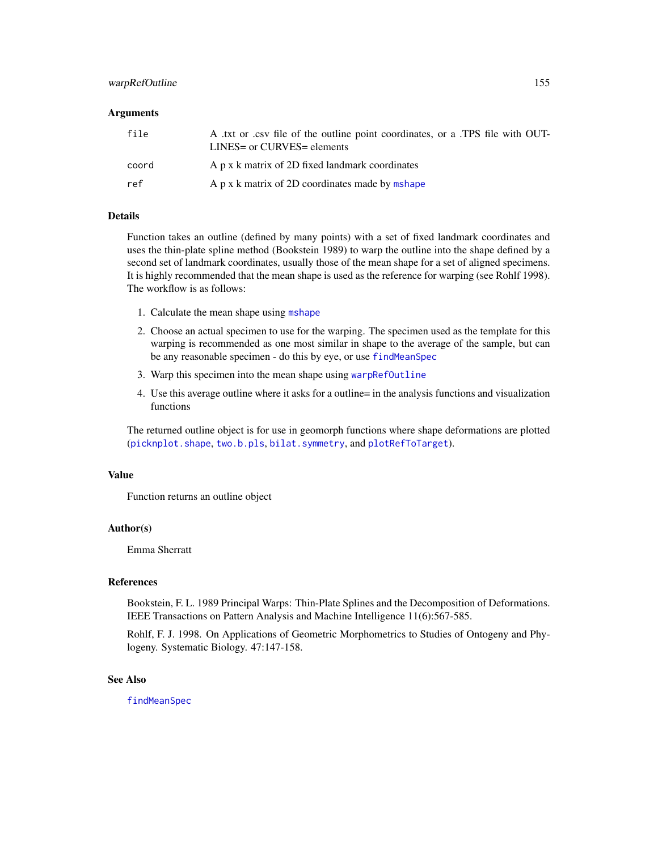# <span id="page-154-0"></span>warpRefOutline 155

#### **Arguments**

| A txt or csv file of the outline point coordinates, or a TPS file with OUT-<br>LINES= or CURVES= elements |
|-----------------------------------------------------------------------------------------------------------|
| A p x k matrix of 2D fixed landmark coordinates                                                           |
| A p x k matrix of 2D coordinates made by mshape                                                           |
|                                                                                                           |

#### Details

Function takes an outline (defined by many points) with a set of fixed landmark coordinates and uses the thin-plate spline method (Bookstein 1989) to warp the outline into the shape defined by a second set of landmark coordinates, usually those of the mean shape for a set of aligned specimens. It is highly recommended that the mean shape is used as the reference for warping (see Rohlf 1998). The workflow is as follows:

- 1. Calculate the mean shape using [mshape](#page-73-0)
- 2. Choose an actual specimen to use for the warping. The specimen used as the template for this warping is recommended as one most similar in shape to the average of the sample, but can be any reasonable specimen - do this by eye, or use [findMeanSpec](#page-40-0)
- 3. Warp this specimen into the mean shape using [warpRefOutline](#page-153-0)
- 4. Use this average outline where it asks for a outline= in the analysis functions and visualization functions

The returned outline object is for use in geomorph functions where shape deformations are plotted ([picknplot.shape](#page-83-0), [two.b.pls](#page-148-0), [bilat.symmetry](#page-5-0), and [plotRefToTarget](#page-99-0)).

#### Value

Function returns an outline object

#### Author(s)

Emma Sherratt

#### **References**

Bookstein, F. L. 1989 Principal Warps: Thin-Plate Splines and the Decomposition of Deformations. IEEE Transactions on Pattern Analysis and Machine Intelligence 11(6):567-585.

Rohlf, F. J. 1998. On Applications of Geometric Morphometrics to Studies of Ontogeny and Phylogeny. Systematic Biology. 47:147-158.

#### See Also

[findMeanSpec](#page-40-0)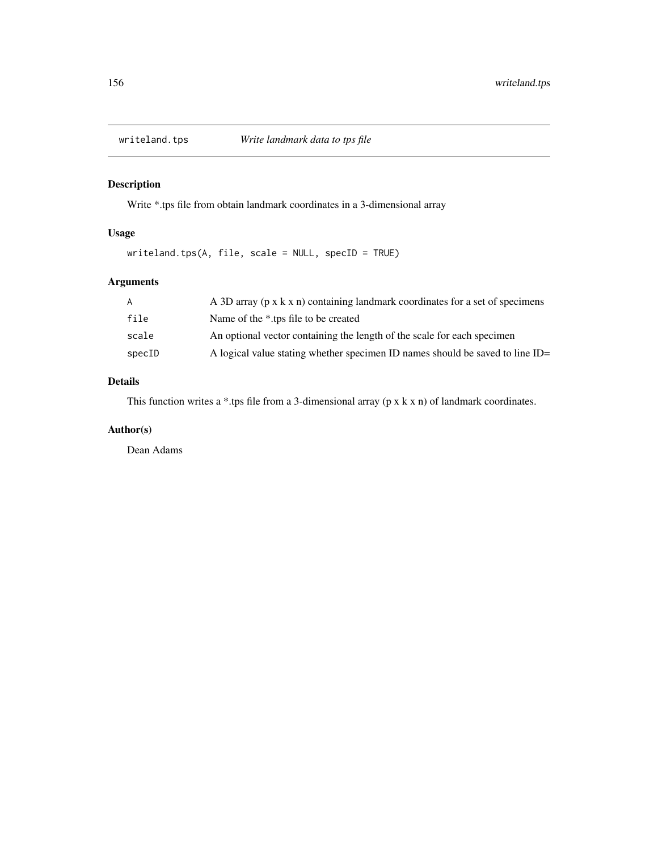<span id="page-155-0"></span>

# Description

Write \*.tps file from obtain landmark coordinates in a 3-dimensional array

# Usage

writeland.tps(A, file, scale = NULL, specID = TRUE)

# Arguments

| A      | A 3D array (p x k x n) containing landmark coordinates for a set of specimens |
|--------|-------------------------------------------------------------------------------|
| file   | Name of the *.tps file to be created                                          |
| scale  | An optional vector containing the length of the scale for each specimen       |
| specID | A logical value stating whether specimen ID names should be saved to line ID= |

# Details

This function writes a \*.tps file from a 3-dimensional array (p x k x n) of landmark coordinates.

# Author(s)

Dean Adams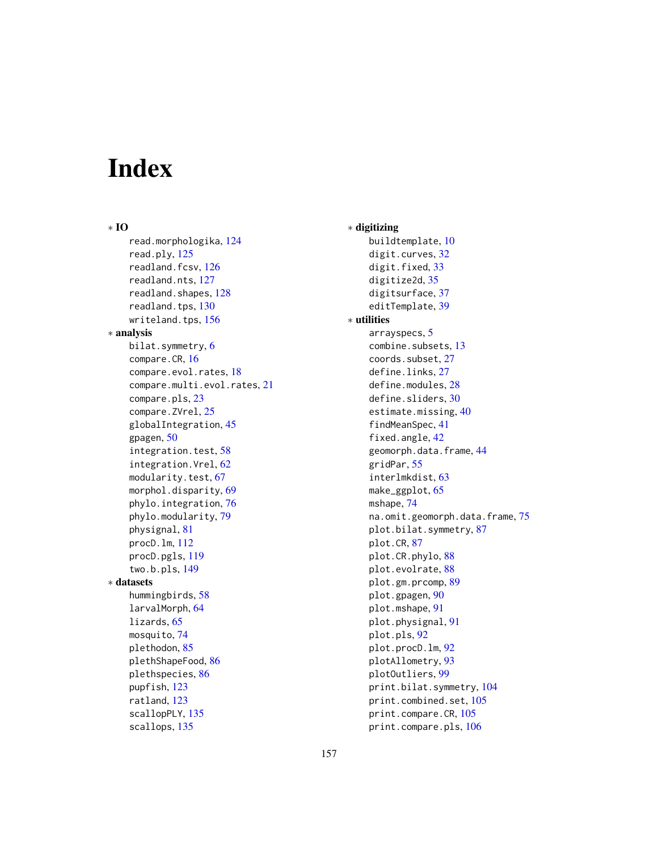# **Index**

∗ IO read.morphologika, [124](#page-123-0) read.ply, [125](#page-124-1) readland.fcsv, [126](#page-125-0) readland.nts, [127](#page-126-0) readland.shapes, [128](#page-127-0) readland.tps, [130](#page-129-0) writeland.tps, [156](#page-155-0) ∗ analysis bilat.symmetry, [6](#page-5-1) compare.CR, [16](#page-15-0) compare.evol.rates, [18](#page-17-0) compare.multi.evol.rates, [21](#page-20-0) compare.pls, [23](#page-22-1) compare.ZVrel, [25](#page-24-0) globalIntegration, [45](#page-44-0) gpagen, [50](#page-49-1) integration.test, [58](#page-57-1) integration.Vrel, [62](#page-61-0) modularity.test, [67](#page-66-1) morphol.disparity, [69](#page-68-1) phylo.integration, [76](#page-75-1) phylo.modularity, [79](#page-78-0) physignal, [81](#page-80-1) procD.lm, [112](#page-111-1) procD.pgls, [119](#page-118-0) two.b.pls, [149](#page-148-1) ∗ datasets hummingbirds, [58](#page-57-1) larvalMorph, [64](#page-63-0) lizards, [65](#page-64-0) mosquito, [74](#page-73-1) plethodon, [85](#page-84-0) plethShapeFood, [86](#page-85-0) plethspecies, [86](#page-85-0) pupfish, [123](#page-122-0) ratland, [123](#page-122-0) scallopPLY, [135](#page-134-0) scallops, [135](#page-134-0)

∗ digitizing buildtemplate, [10](#page-9-0) digit.curves, [32](#page-31-0) digit.fixed, [33](#page-32-0) digitize2d, [35](#page-34-0) digitsurface, [37](#page-36-0) editTemplate, [39](#page-38-0) ∗ utilities arrayspecs, [5](#page-4-1) combine.subsets, [13](#page-12-0) coords.subset, [27](#page-26-0) define.links, [27](#page-26-0) define.modules, [28](#page-27-0) define.sliders, [30](#page-29-0) estimate.missing, [40](#page-39-0) findMeanSpec, [41](#page-40-1) fixed.angle, [42](#page-41-0) geomorph.data.frame, [44](#page-43-0) gridPar, [55](#page-54-0) interlmkdist, [63](#page-62-0) make\_ggplot, [65](#page-64-0) mshape, [74](#page-73-1) na.omit.geomorph.data.frame, [75](#page-74-0) plot.bilat.symmetry, [87](#page-86-0) plot.CR, [87](#page-86-0) plot.CR.phylo, [88](#page-87-0) plot.evolrate, [88](#page-87-0) plot.gm.prcomp, [89](#page-88-0) plot.gpagen, [90](#page-89-0) plot.mshape, [91](#page-90-0) plot.physignal, [91](#page-90-0) plot.pls, [92](#page-91-1) plot.procD.lm, [92](#page-91-1) plotAllometry, [93](#page-92-0) plotOutliers, [99](#page-98-0) print.bilat.symmetry, [104](#page-103-0) print.combined.set, [105](#page-104-0) print.compare.CR, [105](#page-104-0) print.compare.pls, [106](#page-105-0)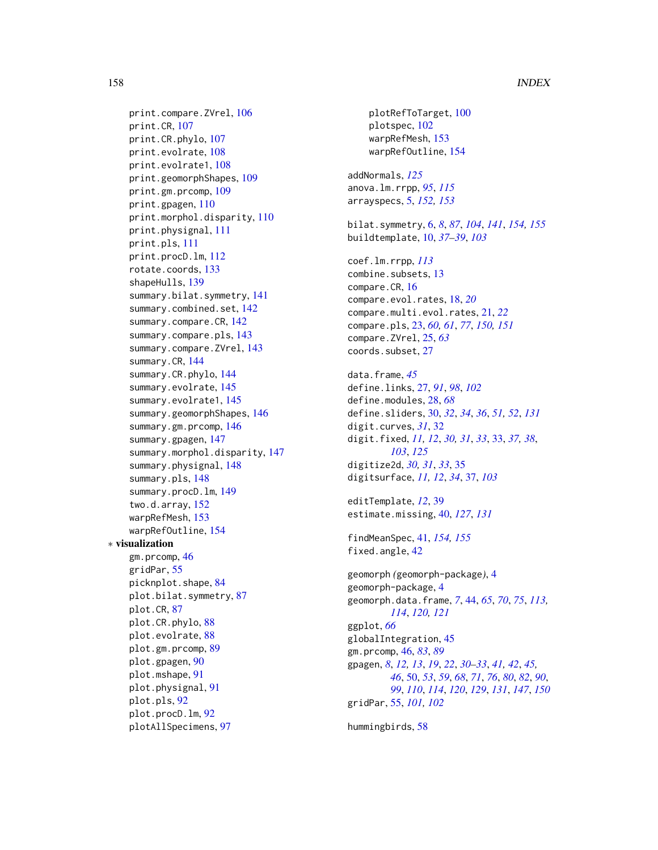print.compare.ZVrel, [106](#page-105-0) print.CR, [107](#page-106-0) print.CR.phylo, [107](#page-106-0) print.evolrate, [108](#page-107-0) print.evolrate1, [108](#page-107-0) print.geomorphShapes, [109](#page-108-0) print.gm.prcomp, [109](#page-108-0) print.gpagen, [110](#page-109-0) print.morphol.disparity, [110](#page-109-0) print.physignal, [111](#page-110-0) print.pls, [111](#page-110-0) print.procD.lm, [112](#page-111-1) rotate.coords, [133](#page-132-0) shapeHulls, [139](#page-138-0) summary.bilat.symmetry, [141](#page-140-0) summary.combined.set, [142](#page-141-0) summary.compare.CR, [142](#page-141-0) summary.compare.pls, [143](#page-142-0) summary.compare.ZVrel, [143](#page-142-0) summary.CR, [144](#page-143-0) summary.CR.phylo, [144](#page-143-0) summary.evolrate, [145](#page-144-0) summary.evolrate1, [145](#page-144-0) summary.geomorphShapes, [146](#page-145-0) summary.gm.prcomp, [146](#page-145-0) summary.gpagen, [147](#page-146-0) summary.morphol.disparity, [147](#page-146-0) summary.physignal, [148](#page-147-0) summary.pls, [148](#page-147-0) summary.procD.lm, [149](#page-148-1) two.d.array, [152](#page-151-0) warpRefMesh, [153](#page-152-1) warpRefOutline, [154](#page-153-1) ∗ visualization gm.prcomp, [46](#page-45-0) gridPar, [55](#page-54-0) picknplot.shape, [84](#page-83-1) plot.bilat.symmetry, [87](#page-86-0) plot.CR, [87](#page-86-0) plot.CR.phylo, [88](#page-87-0) plot.evolrate, [88](#page-87-0) plot.gm.prcomp, [89](#page-88-0) plot.gpagen, [90](#page-89-0) plot.mshape, [91](#page-90-0) plot.physignal, [91](#page-90-0) plot.pls, [92](#page-91-1) plot.procD.lm, [92](#page-91-1) plotAllSpecimens, [97](#page-96-0)

plotRefToTarget, [100](#page-99-1) plotspec, [102](#page-101-0) warpRefMesh, [153](#page-152-1) warpRefOutline, [154](#page-153-1) addNormals, *[125](#page-124-1)* anova.lm.rrpp, *[95](#page-94-0)*, *[115](#page-114-0)* arrayspecs, [5,](#page-4-1) *[152,](#page-151-0) [153](#page-152-1)* bilat.symmetry, [6,](#page-5-1) *[8](#page-7-0)*, *[87](#page-86-0)*, *[104](#page-103-0)*, *[141](#page-140-0)*, *[154,](#page-153-1) [155](#page-154-0)* buildtemplate, [10,](#page-9-0) *[37](#page-36-0)[–39](#page-38-0)*, *[103](#page-102-0)* coef.lm.rrpp, *[113](#page-112-0)* combine.subsets, [13](#page-12-0) compare.CR, [16](#page-15-0) compare.evol.rates, [18,](#page-17-0) *[20](#page-19-0)* compare.multi.evol.rates, [21,](#page-20-0) *[22](#page-21-0)* compare.pls, [23,](#page-22-1) *[60,](#page-59-0) [61](#page-60-0)*, *[77](#page-76-0)*, *[150,](#page-149-0) [151](#page-150-0)* compare.ZVrel, [25,](#page-24-0) *[63](#page-62-0)* coords.subset, [27](#page-26-0) data.frame, *[45](#page-44-0)* define.links, [27,](#page-26-0) *[91](#page-90-0)*, *[98](#page-97-0)*, *[102](#page-101-0)* define.modules, [28,](#page-27-0) *[68](#page-67-0)* define.sliders, [30,](#page-29-0) *[32](#page-31-0)*, *[34](#page-33-0)*, *[36](#page-35-0)*, *[51,](#page-50-0) [52](#page-51-0)*, *[131](#page-130-0)* digit.curves, *[31](#page-30-0)*, [32](#page-31-0) digit.fixed, *[11,](#page-10-0) [12](#page-11-0)*, *[30,](#page-29-0) [31](#page-30-0)*, *[33](#page-32-0)*, [33,](#page-32-0) *[37,](#page-36-0) [38](#page-37-0)*, *[103](#page-102-0)*, *[125](#page-124-1)* digitize2d, *[30,](#page-29-0) [31](#page-30-0)*, *[33](#page-32-0)*, [35](#page-34-0) digitsurface, *[11,](#page-10-0) [12](#page-11-0)*, *[34](#page-33-0)*, [37,](#page-36-0) *[103](#page-102-0)* editTemplate, *[12](#page-11-0)*, [39](#page-38-0) estimate.missing, [40,](#page-39-0) *[127](#page-126-0)*, *[131](#page-130-0)* findMeanSpec, [41,](#page-40-1) *[154,](#page-153-1) [155](#page-154-0)* fixed.angle, [42](#page-41-0) geomorph *(*geomorph-package*)*, [4](#page-3-0) geomorph-package, [4](#page-3-0) geomorph.data.frame, *[7](#page-6-0)*, [44,](#page-43-0) *[65](#page-64-0)*, *[70](#page-69-0)*, *[75](#page-74-0)*, *[113,](#page-112-0) [114](#page-113-0)*, *[120,](#page-119-0) [121](#page-120-0)* ggplot, *[66](#page-65-0)* globalIntegration, [45](#page-44-0) gm.prcomp, [46,](#page-45-0) *[83](#page-82-0)*, *[89](#page-88-0)* gpagen, *[8](#page-7-0)*, *[12,](#page-11-0) [13](#page-12-0)*, *[19](#page-18-0)*, *[22](#page-21-0)*, *[30](#page-29-0)[–33](#page-32-0)*, *[41,](#page-40-1) [42](#page-41-0)*, *[45,](#page-44-0) [46](#page-45-0)*, [50,](#page-49-1) *[53](#page-52-0)*, *[59](#page-58-0)*, *[68](#page-67-0)*, *[71](#page-70-0)*, *[76](#page-75-1)*, *[80](#page-79-0)*, *[82](#page-81-0)*, *[90](#page-89-0)*, *[99](#page-98-0)*, *[110](#page-109-0)*, *[114](#page-113-0)*, *[120](#page-119-0)*, *[129](#page-128-0)*, *[131](#page-130-0)*, *[147](#page-146-0)*, *[150](#page-149-0)* gridPar, [55,](#page-54-0) *[101,](#page-100-0) [102](#page-101-0)*

hummingbirds, [58](#page-57-1)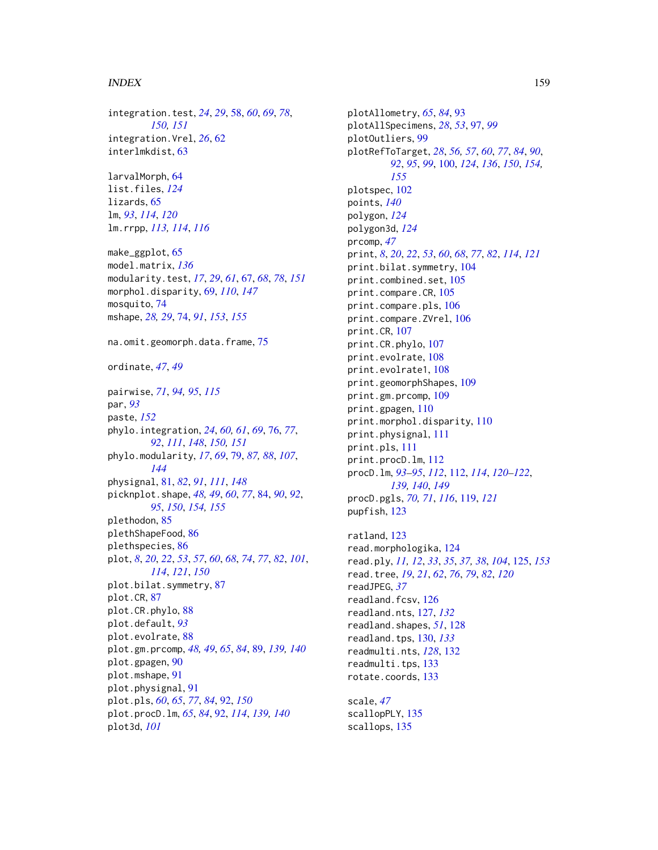#### INDEX 159

integration.test, *[24](#page-23-0)*, *[29](#page-28-0)*, [58,](#page-57-1) *[60](#page-59-0)*, *[69](#page-68-1)*, *[78](#page-77-0)*, *[150,](#page-149-0) [151](#page-150-0)* integration.Vrel, *[26](#page-25-0)*, [62](#page-61-0) interlmkdist, [63](#page-62-0)

larvalMorph, [64](#page-63-0) list.files, *[124](#page-123-0)* lizards, [65](#page-64-0) lm, *[93](#page-92-0)*, *[114](#page-113-0)*, *[120](#page-119-0)* lm.rrpp, *[113,](#page-112-0) [114](#page-113-0)*, *[116](#page-115-0)*

make\_ggplot, [65](#page-64-0) model.matrix, *[136](#page-135-1)* modularity.test, *[17](#page-16-0)*, *[29](#page-28-0)*, *[61](#page-60-0)*, [67,](#page-66-1) *[68](#page-67-0)*, *[78](#page-77-0)*, *[151](#page-150-0)* morphol.disparity, [69,](#page-68-1) *[110](#page-109-0)*, *[147](#page-146-0)* mosquito, [74](#page-73-1) mshape, *[28,](#page-27-0) [29](#page-28-0)*, [74,](#page-73-1) *[91](#page-90-0)*, *[153](#page-152-1)*, *[155](#page-154-0)*

na.omit.geomorph.data.frame, [75](#page-74-0)

ordinate, *[47](#page-46-0)*, *[49](#page-48-0)*

pairwise, *[71](#page-70-0)*, *[94,](#page-93-0) [95](#page-94-0)*, *[115](#page-114-0)* par, *[93](#page-92-0)* paste, *[152](#page-151-0)* phylo.integration, *[24](#page-23-0)*, *[60,](#page-59-0) [61](#page-60-0)*, *[69](#page-68-1)*, [76,](#page-75-1) *[77](#page-76-0)*, *[92](#page-91-1)*, *[111](#page-110-0)*, *[148](#page-147-0)*, *[150,](#page-149-0) [151](#page-150-0)* phylo.modularity, *[17](#page-16-0)*, *[69](#page-68-1)*, [79,](#page-78-0) *[87,](#page-86-0) [88](#page-87-0)*, *[107](#page-106-0)*, *[144](#page-143-0)* physignal, [81,](#page-80-1) *[82](#page-81-0)*, *[91](#page-90-0)*, *[111](#page-110-0)*, *[148](#page-147-0)* picknplot.shape, *[48,](#page-47-0) [49](#page-48-0)*, *[60](#page-59-0)*, *[77](#page-76-0)*, [84,](#page-83-1) *[90](#page-89-0)*, *[92](#page-91-1)*, *[95](#page-94-0)*, *[150](#page-149-0)*, *[154,](#page-153-1) [155](#page-154-0)* plethodon, [85](#page-84-0) plethShapeFood, [86](#page-85-0) plethspecies, [86](#page-85-0) plot, *[8](#page-7-0)*, *[20](#page-19-0)*, *[22](#page-21-0)*, *[53](#page-52-0)*, *[57](#page-56-0)*, *[60](#page-59-0)*, *[68](#page-67-0)*, *[74](#page-73-1)*, *[77](#page-76-0)*, *[82](#page-81-0)*, *[101](#page-100-0)*, *[114](#page-113-0)*, *[121](#page-120-0)*, *[150](#page-149-0)* plot.bilat.symmetry, [87](#page-86-0) plot.CR, [87](#page-86-0) plot.CR.phylo, [88](#page-87-0) plot.default, *[93](#page-92-0)* plot.evolrate, [88](#page-87-0) plot.gm.prcomp, *[48,](#page-47-0) [49](#page-48-0)*, *[65](#page-64-0)*, *[84](#page-83-1)*, [89,](#page-88-0) *[139,](#page-138-0) [140](#page-139-0)* plot.gpagen, [90](#page-89-0) plot.mshape, [91](#page-90-0) plot.physignal, [91](#page-90-0) plot.pls, *[60](#page-59-0)*, *[65](#page-64-0)*, *[77](#page-76-0)*, *[84](#page-83-1)*, [92,](#page-91-1) *[150](#page-149-0)* plot.procD.lm, *[65](#page-64-0)*, *[84](#page-83-1)*, [92,](#page-91-1) *[114](#page-113-0)*, *[139,](#page-138-0) [140](#page-139-0)* plot3d, *[101](#page-100-0)*

plotAllometry, *[65](#page-64-0)*, *[84](#page-83-1)*, [93](#page-92-0) plotAllSpecimens, *[28](#page-27-0)*, *[53](#page-52-0)*, [97,](#page-96-0) *[99](#page-98-0)* plotOutliers, [99](#page-98-0) plotRefToTarget, *[28](#page-27-0)*, *[56,](#page-55-0) [57](#page-56-0)*, *[60](#page-59-0)*, *[77](#page-76-0)*, *[84](#page-83-1)*, *[90](#page-89-0)*, *[92](#page-91-1)*, *[95](#page-94-0)*, *[99](#page-98-0)*, [100,](#page-99-1) *[124](#page-123-0)*, *[136](#page-135-1)*, *[150](#page-149-0)*, *[154,](#page-153-1) [155](#page-154-0)* plotspec, [102](#page-101-0) points, *[140](#page-139-0)* polygon, *[124](#page-123-0)* polygon3d, *[124](#page-123-0)* prcomp, *[47](#page-46-0)* print, *[8](#page-7-0)*, *[20](#page-19-0)*, *[22](#page-21-0)*, *[53](#page-52-0)*, *[60](#page-59-0)*, *[68](#page-67-0)*, *[77](#page-76-0)*, *[82](#page-81-0)*, *[114](#page-113-0)*, *[121](#page-120-0)* print.bilat.symmetry, [104](#page-103-0) print.combined.set, [105](#page-104-0) print.compare.CR, [105](#page-104-0) print.compare.pls, [106](#page-105-0) print.compare.ZVrel, [106](#page-105-0) print.CR, [107](#page-106-0) print.CR.phylo, [107](#page-106-0) print.evolrate, [108](#page-107-0) print.evolrate1, [108](#page-107-0) print.geomorphShapes, [109](#page-108-0) print.gm.prcomp, [109](#page-108-0) print.gpagen, [110](#page-109-0) print.morphol.disparity, [110](#page-109-0) print.physignal, [111](#page-110-0) print.pls, [111](#page-110-0) print.procD.lm, [112](#page-111-1) procD.lm, *[93](#page-92-0)[–95](#page-94-0)*, *[112](#page-111-1)*, [112,](#page-111-1) *[114](#page-113-0)*, *[120](#page-119-0)[–122](#page-121-0)*, *[139,](#page-138-0) [140](#page-139-0)*, *[149](#page-148-1)* procD.pgls, *[70,](#page-69-0) [71](#page-70-0)*, *[116](#page-115-0)*, [119,](#page-118-0) *[121](#page-120-0)* pupfish, [123](#page-122-0) ratland, [123](#page-122-0)

read.morphologika, [124](#page-123-0) read.ply, *[11,](#page-10-0) [12](#page-11-0)*, *[33](#page-32-0)*, *[35](#page-34-0)*, *[37,](#page-36-0) [38](#page-37-0)*, *[104](#page-103-0)*, [125,](#page-124-1) *[153](#page-152-1)* read.tree, *[19](#page-18-0)*, *[21](#page-20-0)*, *[62](#page-61-0)*, *[76](#page-75-1)*, *[79](#page-78-0)*, *[82](#page-81-0)*, *[120](#page-119-0)* readJPEG, *[37](#page-36-0)* readland.fcsv, [126](#page-125-0) readland.nts, [127,](#page-126-0) *[132](#page-131-0)* readland.shapes, *[51](#page-50-0)*, [128](#page-127-0) readland.tps, [130,](#page-129-0) *[133](#page-132-0)* readmulti.nts, *[128](#page-127-0)*, [132](#page-131-0) readmulti.tps, [133](#page-132-0) rotate.coords, [133](#page-132-0)

scale, *[47](#page-46-0)* scallopPLY, [135](#page-134-0) scallops, [135](#page-134-0)